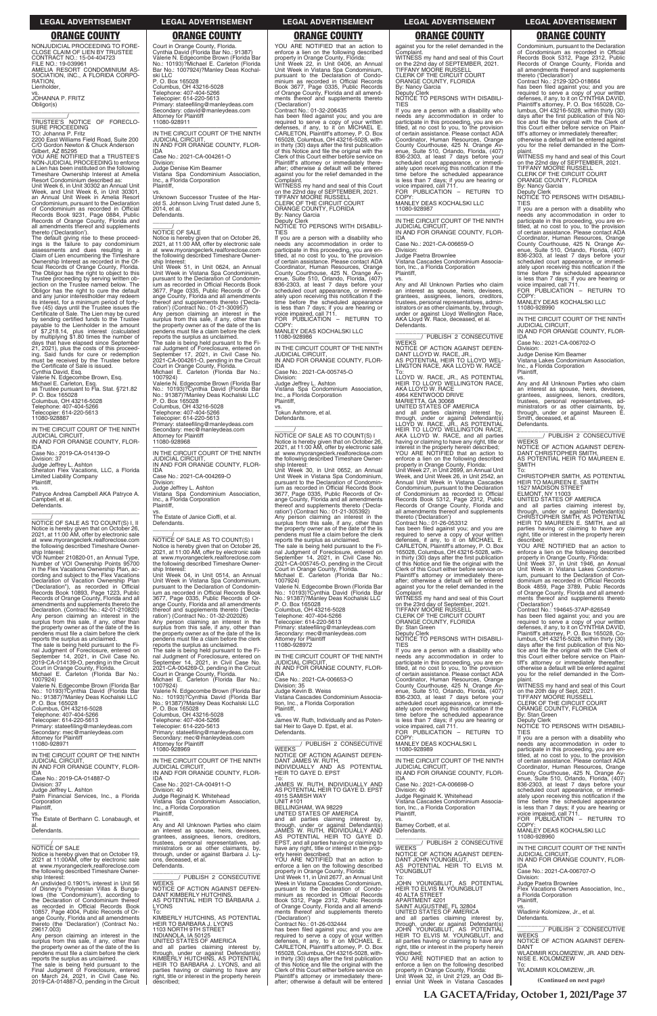Lienholder,

vs. JOHANNA P. FRITZ Obligor(s)

\_\_\_\_\_\_\_\_\_\_\_\_\_\_\_\_\_\_\_\_\_\_\_\_\_\_\_\_\_\_\_\_\_ \_\_\_\_\_\_\_\_\_\_\_/ TRUSTEE'S NOTICE OF FORECLO-SURE PROCEEDING

TO: Johanna P. Fritz 2200 East Williams Field Road, Suite 200 C/O Gordon Newton & Chuck Anderson

Gilbert, AZ 85295 YOU ARE NOTIFIED that a TRUSTEE'S NON-JUDICIAL PROCEEDING to enforce a Lien has been instituted on the following Timeshare Ownership Interest at Amelia Resort Condominium described as:

Unit Week 6, in Unit 30302 an Annual Unit Week, and Unit Week 6, in Unit 30301, an Annual Unit Week in Amelia Resort Condominium, pursuant to the Declaration of Condominium as recorded in Official Records Book 9231, Page 0884, Public Records of Orange County, Florida and all amendments thereof and supplements thereto ('Declaration').

The default giving rise to these proceed-ings is the failure to pay condominium assessments and dues resulting in a Claim of Lien encumbering the Timeshare Ownership Interest as recorded in the Official Records of Orange County, Florida. The Obligor has the right to object to this Trustee proceeding by serving written objection on the Trustee named below. The Obligor has the right to cure the default and any junior interestholder may redeem its interest, for a minimum period of fortyfive (45) days until the Trustee issues the Certificate of Sale. The Lien may be cured by sending certified funds to the Trustee<br>payable to the Lienholder in the amount<br>of \$7,218.14, plus interest (calculated<br>by multiplying \$1.80 times the number of<br>days that have elapsed since September<br>21, 2021), plus the ing. Said funds for cure or redemption must be received by the Trustee before the Certificate of Sale is issued.

Cynthia David, Esq. Valerie N. Edgecombe Brown, Esq. Michael E. Carleton, Esq. as Trustee pursuant to Fla. Stat. §721.82 P. O. Box 165028 Columbus, OH 43216-5028 Telephone: 407-404-5266 Telecopier: 614-220-5613 11080-928887

—————————————————— IN THE CIRCUIT COURT OF THE NINTH JUDICIAL CIRCUIT, IN AND FOR ORANGE COUNTY, FLOR-

IDA Case No.: 2019-CA-014139-O

Division: 37

Judge Jeffrey L. Ashton Sheraton Flex Vacations, LLC, a Florida Limited Liability Company Plaintiff,

vs. Patryce Andrea Campbell AKA Patryce A. Campbell, et al. Defendants.

\_\_\_\_\_\_\_\_\_\_\_\_\_\_\_\_\_\_\_\_\_\_\_\_\_\_\_\_\_\_\_\_\_ \_\_\_\_\_\_/ NOTICE OF SALE AS TO COUNT(S) I, II Notice is hereby given that on October 26, 2021, at 11:00 AM, offer by electronic sale at www.myorangeclerk.realforeclose.com the following described Timeshare Ownership Interest:

VOI Number 210820-01, an Annual Type, Number of VOI Ownership Points 95700 in the Flex Vacations Ownership Plan, ac-cording and subject to the Flex Vacations Declaration of Vacation Ownership Plan ("Declaration"), as recorded in Official Records Book 10893, Page 1223, Public Records of Orange County, Florida and all amendments and supplements thereto the Declaration. (Contract No.: 42-01-210820) Any person claiming an interest in the surplus from this sale, if any, other than the property owner as of the date of the lis pendens must file a claim before the clerk

reports the surplus as unclaimed. The sale is being held pursuant to the Final Judgment of Foreclosure, entered on September 14, 2021, in Civil Case No. 2019-CA-014139-O, pending in the Circuit Court in Orange County, Florida. Michael E. Carleton (Florida Bar No.:

1007924) Valerie N. Edgecombe Brown (Florida Bar No.: 10193)?Cynthia David (Florida Bar No.: 91387)?Manley Deas Kochalski LLC P. O. Box 165028 Columbus, OH 43216-5028 Telephone: 407-404-5266 Telecopier: 614-220-5613 Primary: stateefiling@manleydeas.com Secondary: mec@manleydeas.com

Court in Orange County, Florida. Cynthia David (Florida Bar No.: 91387) Valerie N. Edgecombe Brown (Florida Bar No.: 10193)?Michael E. Carleton (Florida Bar No.: 1007924)?Manley Deas Kochal-

ski LLC P. O. Box 165028 Columbus, OH 43216-5028 Telephone: 407-404-5266 Telecopier: 614-220-5613

> WITNESS my hand and seal of this Court<br>on the 22nd day of SEPTEMBER, 2021.<br>TIFFANY MOORE RUSSELL<br>CLERK OF THE CIRCUIT COURT ORANGE COUNTY, FLORIDA

Primary: stateefiling@manleydeas.com Secondary: cdavid@manleydeas.com Attorney for Plaintiff 11080-928911 —————————————————— IN THE CIRCUIT COURT OF THE NINTH JUDICIAL CIRCUIT, IN AND FOR ORANGE COUNTY, FLOR-

IDA

Case No.: 2021-CA-004261-O

Division:

Judge Denise Kim Beamer Vistana Spa Condominium Association,

Inc., a Florida Corporation

Plaintiff,

vs. Unknown Successor Trustee of the Harold S. Johnson Living Trust dated June 5,

 $\overline{\phantom{a}}$  ,  $\overline{\phantom{a}}$  ,  $\overline{\phantom{a}}$  ,  $\overline{\phantom{a}}$  ,  $\overline{\phantom{a}}$  ,  $\overline{\phantom{a}}$  ,  $\overline{\phantom{a}}$  ,  $\overline{\phantom{a}}$  ,  $\overline{\phantom{a}}$  ,  $\overline{\phantom{a}}$  ,  $\overline{\phantom{a}}$  ,  $\overline{\phantom{a}}$  ,  $\overline{\phantom{a}}$  ,  $\overline{\phantom{a}}$  ,  $\overline{\phantom{a}}$  ,  $\overline{\phantom{a}}$ 

2014, et al. Defendants.

Notice is hereby given that on October 26, 2021, at 11:00 AM, offer by electronic sale at www.myorangeclerk.realforeclose.com the following described Timeshare Owner-

ship Interest:

Unit Week 51, in Unit 0624, an Annual Unit Week in Vistana Spa Condominium, pursuant to the Declaration of Condominium as recorded in Official Records Book 3677, Page 0335, Public Records of Or-ange County, Florida and all amendments

thereof and supplements thereto ('Decla-<br>ration') (Contract No.: 01-21-300957)<br>Any person claiming an interest in the<br>surplus from this sale, if any, other than<br>the property owner as of the date of the lis<br>pendens must fil

—————————————————— IN THE CIRCUIT COURT OF THE NINTH JUDICIAL CIRCUIT IN AND FOR ORANGE COUNTY, FLOR-

reports the surplus as unclaimed. The sale is being held pursuant to the Fi-nal Judgment of Foreclosure, entered on September 17, 2021, in Civil Case No. 2021-CA-004261-O, pending in the Circuit Court in Orange County, Florida. Michael E. Carleton (Florida Bar No.:

> vs. James W. Ruth, Individually and as Potential Heir to Gaye D. Epst, et al. Defendants.

1007924)

Valerie N. Edgecombe Brown (Florida Bar No.: 10193)?Cynthia David (Florida Bar No.: 91387)?Manley Deas Kochalski LLC P. O. Box 165028

Columbus, OH 43216-5028 Telephone: 407-404-5266 Telecopier: 614-220-5613

Secondary: mec@manleydeas.com Attorney for Plaintiff

11080-928968

—————————————————— IN THE CIRCUIT COURT OF THE NINTH

JUDICIAL CIRCUIT,

 $\frac{1}{\text{NOTICE}}$  OF SALE

IN AND FOR ORANGE COUNTY, FLOR-

IDA

Case No.: 2021-CA-004269-O

Division:

nic., a . .

Judge Jeffrey L. Ashton

Vistana Spa Condominium Association, Inc., a Florida Corporation

vs. The Estate of Janice Cioffi, et al.

Defendants.

against you for the relief demanded in the Complaint. Complaint.<br>WITNESS my hand and seal of this Court

on the 22nd day of SEPTEMBER, 2021. TIFFANY MOORE RUSSELL CLERK OF THE CIRCUIT COURT ORANGE COUNTY, FLORIDA By: Nancy Garcia

\_\_\_\_\_\_\_\_\_\_\_\_\_\_\_\_\_\_\_\_\_\_\_\_\_\_\_\_\_\_\_\_\_ \_\_\_\_\_\_/ NOTICE OF SALE AS TO COUNT(S) I Notice is hereby given that on October 26, 2021, at 11:00 AM, offer by electronic sale at www.myorangeclerk.realforeclose.com the following described Timeshare Ownership Interest: Unit Week 04, in Unit 0514, an Annual Unit Week in Vistana Spa Condominium, pursuant to the Declaration of Condominium as recorded in Official Records Book 3677, Page 0335, Public Records of Orange County, Florida and all amendments thereof and supplements thereto ('Declaration') (Contract No.: 01-32-202026) Any person claiming an interest in the surplus from this sale, if any, other than the property owner as of the date of the lis pendens must file a claim before the clerk reports the surplus as unclaimed.

The sale is being held pursuant to the Fi-<br>nal Judgment of Foreclosure, entered on<br>September 14, 2021, in Civil Case No.<br>2021-CA-004269-O, pending in the Circuit<br>Court in Orange County, Florida.<br>Michael E. Carleton (Florid

\_\_\_\_\_\_\_\_\_\_\_\_\_\_\_\_\_\_\_\_\_\_\_\_\_\_\_\_\_\_\_ \_\_\_\_\_\_\_\_/ PUBLISH 2 CONSECUTIVE WEEKS NOTICE OF ACTION AGAINST DEFEN-DANT LLOYD W. RACE, JR., AS POTENTIAL HEIR TO LLOYD WEL-LINGTON RACE, AKA LLOYD W. RACE To:<br>LLOYD W. BACE. JB. AS POTENTIAL

1007924) Valerie N. Edgecombe Brown (Florida Bar No.: 10193)?Cynthia David (Florida Bar No.: 91387)?Manley Deas Kochalski LLC

LLOYD W. RACE, JR., AS POTENTIAL<br>HEIR TO LLOYD WELLINGTON RACE,<br>AKA LLOYD W. RACE 4964 KENTWOOD DRIVE MARIETTA, GA 30068 UNITED STATES OF AMERICA and all parties claiming interest by, through, under or against Defendant(s) LLOYD W. RACE, JR., AS POTENTIAL HEIR TO LLOYD WELLINGTON RACE, AKA LLOYD W. RACE, and all parties having or claiming to have any right, title or interest in the property herein described; YOU ARE NOTIFIED that an action to

P. O. Box 165028 Columbus, OH 43216-5028 Telephone: 407-404-5266 Telecopier: 614-220-5613

Primary: stateefiling@manleydeas.com Secondary: mec@manleydeas.com

thereto ('Declaration') Contract No.: 01-26-053312 has been filed against you; and you are required to serve a copy of your written defenses, if any, to it on MICHAEL E. required to serve a copy of your winter.<br>defenses, if any, to it on MICHAEL E.<br>CARLETON, Plaintiff's attorney, P. O. Box 165028, Columbus, OH 43216-5028, with-in thirty (30) days after the first publication of this Notice and file the original with the Clerk of this Court either before service on Plaintiff's attorney or immediately thereafter; otherwise a default will be entered against you for the relief demanded in the

ORANGE COUNTY, FLORIDA By: Stan Green

COPY MANLEY DEAS KOCHALSKI L

Primary: stateefiling@manleydeas.com \_\_\_\_\_\_\_\_\_\_\_\_\_\_\_\_\_\_\_\_\_\_\_\_\_\_\_\_\_\_\_\_\_

YOU ARE NOTIFIED that an action to enforce a lien on the following described property in Orange County, Florida: Unit Week 22, in Unit 0406, an Annual Unit Week in Vistana Spa Condominium, pursuant to the Declaration of Condominium as recorded in Official Records Book 3677, Page 0335, Public Records of Orange County, Florida and all amend-ments thereof and supplements thereto ('Declaration') Contract No.: 01-32-206435

> WITNESS my hand and seal of this Court on the 22nd day of SEPTEMBER, 2021. TIFFANY MOORE RUSSELL

has been filed against you; and you are required to serve a copy of your written defenses, if any, to it on MICHAEL E. CARLETON, Plaintiff's attorney, P. O. Box 165028, Columbus, OH 43216-5028, within thirty (30) days after the first publication of this Notice and file the original with the Clerk of this Court either before service on Plaintiff's attorney or immediately there-after; otherwise a default will be entered against you for the relief demanded in the Complaint.

By: Nancy Garcia Deputy Clerk NOTICE TO PERSONS WITH DISABILI-TIES

you are a person with a disability who needs any accommodation in order to participate in this proceeding, you are en-titled, at no cost to you, to the provision of certain assistance. Please contact ADA Coordinator, Human Resources, Orange County Courthouse, 425 N. Orange Av-enue, Suite 510, Orlando, Florida, (407) 836-2303, at least 7 days before your scheduled court appearance, or immedi-ately upon receiving this notification if the time before the scheduled appearance is less than 7 days; if you are hearing or voice impaired, call 711. FOR PUBLICATION – RETURN TO COPY

MANLEY DEAS KOCHALSKI LLC 11080-928986

—————————————————— IN THE CIRCUIT COURT OF THE NINTH JUDICIAL CIRCUIT, IN AND FOR ORANGE COUNTY, FLOR-IDA

Case No.: 2021-CA-005745-O

Division: Judge Jeffrey L. Ashton

Vistana Spa Condominium Association, Inc., a Florida Corporation Plaintiff, vs.

Tokun Ashmore, et al. Defendants.

\_\_\_\_\_\_/ NOTICE OF SALE AS TO COUNT(S) I Notice is hereby given that on October 26, 2021, at 11:00 AM, offer by electronic sale at www.myorangeclerk.realforeclose.com the following described Timeshare Ownership Interest: Unit Week 30, in Unit 0652, an Annual Unit Week in Vistana Spa Condominium, pursuant to the Declaration of Condomin-Im as recorded in Official Records Book 3677, Page 0335, Public Records of Orange County, Florida and all amendments thereof and supplements thereto ('Declaration') (Contract No.: 01-21-305392)

Any person claiming an interest in the surplus from this sale, if any, other than the property owner as of the date of the lis pendens must file a claim before the clerk reports the surplus as unclaimed. The sale is being held pursuant to the Fi-nal Judgment of Foreclosure, entered on September 14, 2021, in Civil Case No. 2021-CA-005745-O, pending in the Circuit Court in Orange County, Florida. Michael E. Carleton (Florida Bar No.: 1007924)

Valerie N. Edgecombe Brown (Florida Bar No.: 10193)?Cynthia David (Florida Bar No.: 91387)?Manley Deas Kochalski LLC P. O. Box 165028 Columbus, OH 43216-5028

Telephone: 407-404-5266 Telecopier: 614-220-5613 Primary: stateefiling@manleydeas.com

Secondary: mec@manleydeas.com Attorney for Plaintiff 11080-928972

IDA Case No.: 2021-CA-006653-O

Division: 35

Judge Kevin B. Weiss Vistana Cascades Condominium Association, Inc., a Florida Corporation Plaintiff,

| <b>Attorney for Plaintiff</b>                | Secondary: mec@manleydeas.com                                                       | PUBLISH 2 CONSECUTIVE                                                       | COPY:                                           | If you are a person with a disability who                                                  |
|----------------------------------------------|-------------------------------------------------------------------------------------|-----------------------------------------------------------------------------|-------------------------------------------------|--------------------------------------------------------------------------------------------|
| 11080-928971                                 | <b>Attorney for Plaintiff</b>                                                       |                                                                             | MANLEY DEAS KOCHALSKI L                         | needs any accommodation in order to                                                        |
| IN THE CIRCUIT COURT OF THE NINTH            | 11080-928969                                                                        | <b>WEEKS</b><br>NOTICE OF ACTION AGAINST DEFEN-                             | 11080-928989                                    | participate in this proceeding, you are en-<br>titled, at no cost to you, to the provision |
| <b>JUDICIAL CIRCUIT.</b>                     | IN THE CIRCUIT COURT OF THE NINTH                                                   | DANT JAMES W. RUTH.                                                         | IN THE CIRCUIT COURT OF THE NINTH               | of certain assistance. Please contact ADA                                                  |
| IN AND FOR ORANGE COUNTY, FLOR-              | <b>JUDICIAL CIRCUIT.</b>                                                            | INDIVIDUALLY AND AS POTENTIAL                                               | <b>JUDICIAL CIRCUIT.</b>                        | Coordinator, Human Resources, Orange                                                       |
| <b>IDA</b>                                   | IN AND FOR ORANGE COUNTY, FLOR-                                                     | HEIR TO GAYE D. EPST                                                        | IN AND FOR ORANGE COUNTY, FLOR-                 | County Courthouse, 425 N. Orange Av-                                                       |
| Case No.: 2019-CA-014887-O                   | <b>IDA</b>                                                                          | To:                                                                         | <b>IDA</b>                                      | enue, Suite 510, Orlando, Florida, (407)                                                   |
| Division: 37                                 | Case No.: 2021-CA-004911-O                                                          | JAMES W. RUTH. INDIVIDUALLY AND                                             | Case No.: 2021-CA-006698-O                      | 836-2303, at least 7 days before your                                                      |
| Judge Jeffrey L. Ashton                      | Division: 40                                                                        | AS POTENTIAL HEIR TO GAYE D. EPST                                           | Division: 40                                    | scheduled court appearance, or immedi-                                                     |
| Palm Financial Services, Inc., a Florida     | Judge Reginald K. Whitehead                                                         | 4915 SAMISH WAY                                                             | Judge Reginald K. Whitehead                     | ately upon receiving this notification if the                                              |
| Corporation                                  | Vistana Spa Condominium Association,                                                | <b>UNIT #101</b>                                                            | Vistana Cascades Condominium Associa-           | time before the scheduled appearance                                                       |
| Plaintiff,                                   | Inc., a Florida Corporation                                                         | BELLINGHAM, WA 98229                                                        | tion, Inc., a Florida Corporation               | is less than 7 days; if you are hearing or                                                 |
| VS.                                          | Plaintiff.                                                                          | UNITED STATES OF AMERICA                                                    | Plaintiff.                                      | voice impaired, call 711.                                                                  |
| The Estate of Berthann C. Lonabaugh, et      | VS.                                                                                 | and all parties claiming interest by,                                       | VS.                                             | FOR PUBLICATION - RETURN TO                                                                |
| al.                                          | Any and All Unknown Parties who claim                                               | through, under or against Defendant(s)                                      | Barney Corbett, et al.                          | COPY:                                                                                      |
| Defendants.                                  | an interest as spouse, heirs, devisees,                                             | JAMES W. RUTH. INDIVIDUALLY AND                                             | Defendants.                                     | MANLEY DEAS KOCHALSKI LLC                                                                  |
|                                              | grantees, assignees, lienors, creditors,<br>trustees, personal representatives, ad- | AS POTENTIAL HEIR TO GAYE D.<br>EPST, and all parties having or claiming to | PUBLISH 2 CONSECUTIVE                           | 11080-928960                                                                               |
| <b>NOTICE OF SALE</b>                        | ministrators or as other claimants, by,                                             | have any right, title or interest in the prop-                              | <b>WEEKS</b>                                    | IN THE CIRCUIT COURT OF THE NINTH                                                          |
| Notice is hereby given that on October 19,   | through, under or against Barbara J. Ly-                                            | erty herein described:                                                      | NOTICE OF ACTION AGAINST DEFEN-                 | <b>JUDICIAL CIRCUIT.</b>                                                                   |
| 2021 at 11:00 AM, offer by electronic sale   | ons, deceased, et al.                                                               | YOU ARE NOTIFIED that an action to                                          | DANT JOHN YOUNGBLUT.                            | IN AND FOR ORANGE COUNTY, FLOR-                                                            |
| at www.myorangeclerk.realforeclose.com       | Defendants.                                                                         | enforce a lien on the following described                                   | AS POTENTIAL HEIR TO ELVIS M.                   | <b>IDA</b>                                                                                 |
| the following described Timeshare Owner-     |                                                                                     | property in Orange County, Florida:                                         | YOUNGBLUT                                       | Case No.: 2021-CA-006707-O                                                                 |
| ship Interest:                               | PUBLISH 2 CONSECUTIVE                                                               | Unit Week 11, in Unit 2677, an Annual Unit                                  | To:                                             | Division:                                                                                  |
| An undivided 0.1901% interest in Unit 56     | <b>WEEKS</b>                                                                        | Week in Vistana Cascades Condominium.                                       | JOHN YOUNGBLUT, AS POTENTIAL                    | Judge Paetra Brownlee                                                                      |
| of Disney's Polynesian Villas & Bunga-       | NOTICE OF ACTION AGAINST DEFEN-                                                     | pursuant to the Declaration of Condo-                                       | <b>HEIR TO ELVIS M. YOUNGBLUT</b>               | Flex Vacations Owners Association, Inc.,                                                   |
| lows (the 'Condominium'), according to       | DANT KIMBERLY HUTCHINS.                                                             | minium as recorded in Official Records                                      | <b>40 ALTA STREET</b>                           | a Florida Corporation                                                                      |
| the Declaration of Condominium thereof       | AS POTENTIAL HEIR TO BARBARA J.                                                     | Book 5312, Page 2312, Public Records                                        | APARTMENT 4201                                  | Plaintiff.                                                                                 |
| as recorded in Official Records Book         | <b>LYONS</b>                                                                        | of Orange County, Florida and all amend-                                    | SAINT AUGUSTINE, FL 32804                       | VS.                                                                                        |
| 10857, Page 4004, Public Records of Or-      | To:                                                                                 | ments thereof and supplements thereto                                       | UNITED STATES OF AMERICA                        | Wladimir Kolomizew, Jr., et al.                                                            |
| ange County, Florida and all amendments      | KIMBERLY HUTCHINS. AS POTENTIAL                                                     | ('Declaration')                                                             | and all parties claiming interest by,           | Defendants.                                                                                |
| thereto (the 'Declaration') (Contract No.:   | HEIR TO BARBARA J. LYONS                                                            | Contract No.: 01-26-032444                                                  | through, under or against Defendant(s)          | PUBLISH 2 CONSECUTIVE                                                                      |
| 29617.003)                                   | 1103 NORTH 9TH STREET                                                               | has been filed against you; and you are                                     | JOHN YOUNGBLUT, AS POTENTIAL                    |                                                                                            |
| Any person claiming an interest in the       | INDIANOLA. IA 50125                                                                 | required to serve a copy of your written                                    | HEIR TO ELVIS M. YOUNGBLUT, and                 | <b>WEEKS</b>                                                                               |
| surplus from this sale, if any, other than   | UNITED STATES OF AMERICA                                                            | defenses, if any, to it on MICHAEL E.                                       | all parties having or claiming to have any      | NOTICE OF ACTION AGAINST DEFEN-                                                            |
| the property owner as of the date of the lis | and all parties claiming interest by,                                               | CARLETON, Plaintiff's attorney, P.O. Box                                    | right, title or interest in the property herein | DANT                                                                                       |
| pendens must file a claim before the clerk   | through, under or against Defendant(s)                                              | 165028, Columbus, OH 43216-5028, with-                                      | described:                                      | WLADIMIR KOLOMIZEW, JR. AND DEN-                                                           |
| reports the surplus as unclaimed.            | KIMBERLY HUTCHINS, AS POTENTIAL                                                     | in thirty (30) days after the first publication                             | YOU ARE NOTIFIED that an action to              | NISE E. KOLOMIZEW                                                                          |
| The sale is being held pursuant to the       | HEIR TO BARBARA J. LYONS, and all                                                   | of this Notice and file the original with the                               | enforce a lien on the following described       | To:                                                                                        |
| Final Judgment of Foreclosure, entered       | parties having or claiming to have any                                              | Clerk of this Court either before service on                                | property in Orange County, Florida:             | WLADIMIR KOLOMIZEW, JR.                                                                    |
| on March 24, 2021, in Civil Case No.         | right, title or interest in the property herein                                     | Plaintiff's attorney or immediately there-                                  | Unit Week 32, in Unit 2129, an Odd Bi-          | (Continued on next page)                                                                   |
| 2019-CA-014887-O, pending in the Circuit     | described;                                                                          | after; otherwise a default will be entered                                  | ennial Unit Week in Vistana Cascades            |                                                                                            |

Deputy Clerk NOTICE TO PERSONS WITH DISABILI-TIES

If you are a person with a disability who needs any accommodation in order to participate in this proceeding, you are entitled, at no cost to you, to the provision of certain assistance. Please contact ADA Coordinator, Human Resources, Orange County Courthouse, 425 N. Orange Avenue, Suite 510, Orlando, Florida, (407) 836-2303, at least 7 days before your scheduled court appearance, or immediately upon receiving this notification if the time before the scheduled appearance is less than 7 days; if you are hearing or voice impaired, call 711. FOR PUBLICATION – RETURN TO

COPY: MANLEY DEAS KOCHALSKI LLC

11080-928987

—————————————————— IN THE CIRCUIT COURT OF THE NINTH JUDICIAL CIRCUIT, IN AND FOR ORANGE COUNTY, FLOR-IDA

Case No.: 2021-CA-006659-O

Division:

Judge Paetra Brownlee Vistana Cascades Condominium Association, Inc., a Florida Corporation Plaintiff,

vs. Any and All Unknown Parties who claim an interest as spouse, heirs, devisees, grantees, assignees, lienors, creditors, trustees, personal representatives, administrators or as other claimants, by, through, under or against Lloyd Wellington Race, AKA Lloyd W. Race, deceased, et al. Defendants.

enforce a lien on the following described property in Orange County, Florida: Unit Week 27, in Unit 2699, an Annual Unit Week, and Unit Week 26, in Unit 2542, an Annual Unit Week in Vistana Cascades Condominium, pursuant to the Declaration of Condominium as recorded in Official Records Book 5312, Page 2312, Public Records of Orange County, Florida and all amendments thereof and supplements

Complaint. WITNESS my hand and seal of this Court on the 23rd day of September, 2021. TIFFANY MOORE RUSSELL CLERK OF THE CIRCUIT COURT

Deputy Clerk NOTICE TO PERSONS WITH DISABILI-TIES If you are a person with a disability who

needs any accommodation in order to participate in this proceeding, you are entitled, at no cost to you, to the provision of certain assistance. Please contact ADA Coordinator, Human Resources, Orange County Courthouse, 425 N. Orange Avenue, Suite 510, Orlando, Florida, (407) 836-2303, at least 7 days before your scheduled court appearance, or immediately upon receiving this notification if the time before the scheduled appearance is less than 7 days; if you are hearing or voice impaired, call 711. FOR PUBLICATION – RETURN TO Condominium, pursuant to the Declaration of Condominium as recorded in Official Records Book 5312, Page 2312, Public Records of Orange County, Florida and all amendments thereof and supplements

thereto ('Declaration') Contract No.: 2129-32O-018664

has been filed against you; and you are required to serve a copy of your written defenses, if any, to it on CYNTHIA DAVID, Plaintiff's attorney, P. O. Box 165028, Co-lumbus, OH 43216-5028, within thirty (30) days after the first publication of this No-tice and file the original with the Clerk of this Court either before service on Plaintiff's attorney or immediately thereafter; otherwise a default will be entered against

you for the relief demanded in the Complaint.

CLERK OF THE CIRCUIT COURT ORANGE COUNTY, FLORIDA

By: Nancy Garcia Deputy Clerk

NOTICE TO PERSONS WITH DISABILI-TIES

If you are a person with a disability who needs any accommodation in order to participate in this proceeding, you are en-titled, at no cost to you, to the provision of certain assistance. Please contact ADA Coordinator, Human Resources, Orange County Courthouse, 425 N. Orange Avenue, Suite 510, Orlando, Florida, (407) 836-2303, at least 7 days before your scheduled court appearance, or immediately upon receiving this notification if the time before the scheduled appearance is less than 7 days; if you are hearing or voice impaired, call 711.

FOR PUBLICATION – RETURN TO COPY: MANLEY DEAS KOCHALSKI LLC

11080-928990

—————————————————— IN THE CIRCUIT COURT OF THE NINTH JUDICIAL CIRCUIT, IN AND FOR ORANGE COUNTY, FLOR-IDA

Case No.: 2021-CA-006702-O

Division:

Judge Denise Kim Beamer Vistana Lakes Condominium Association, Inc., a Florida Corporation

Plaintiff,

vs. Any and All Unknown Parties who claim an interest as spouse, heirs, devisees, grantees, assignees, lienors, creditors, trustees, personal representatives, administrators or as other claimants, by, through, under or against Maureen E. Smith, deceased, et al. Defendants.

\_\_\_\_\_\_\_\_\_\_\_\_\_\_\_\_\_\_\_\_\_\_\_\_\_\_\_\_\_\_\_ \_\_\_\_\_\_\_\_/ PUBLISH 2 CONSECUTIVE WEEKS

NOTICE OF ACTION AGAINST DEFEN-DANT CHRISTOPHER SMITH, AS POTENTIAL HEIR TO MAUREEN E. SMITH

To: CHRISTOPHER SMITH, AS POTENTIAL HEIR TO MAUREEN E. SMITH 1527 MADISON STREET

ELMONT, NY 11003 UNITED STATES OF AMERICA

and all parties claiming interest by, through, under or against Defendant(s) CHRISTOPHER SMITH, AS POTENTIAL HEIR TO MAUREEN E. SMITH, and all parties having or claiming to have any right, title or interest in the property herein

described; YOU ARE NOTIFIED that an action to enforce a lien on the following described property in Orange County, Florida:

Unit Week 37, in Unit 1946, an Annual Unit Week in Vistana Lakes Condomin-ium, pursuant to the Declaration of Condominium as recorded in Official Records Book 4859, Page 3789, Public Records of Orange County, Florida and all amendments thereof and supplements thereto

('Declaration') Contract No.: 194645-37AP-826549

has been filed against you; and you are required to serve a copy of your written defenses, if any, to it on CYNTHIA DAVID, Plaintiff's attorney, P. O. Box 165028, Co-lumbus, OH 43216-5028, within thirty (30) days after the first publication of this Notice and file the original with the Clerk of this Court either before service on Plain-tiff's attorney or immediately thereafter; otherwise a default will be entered against you for the relief demanded in the Com-

plaint. WITNESS my hand and seal of this Court on the 20th day of Sept, 2021. TIFFANY MOORE RUSSELL CLERK OF THE CIRCUIT COURT

ORANGE COUNTY, FLORIDA

By: Stan Green

Deputy Clerk NOTICE TO PERSONS WITH DISABILI-TIES If you are a person with a disability who

### **LEGAL ADVERTISEMENT LEGAL ADVERTISEMENT LEGAL ADVERTISEMENT LEGAL ADVERTISEMENT LEGAL ADVERTISEMENT**

### **ORANGE COUNTY ORANGE COUNTY ORANGE COUNTY ORANGE COUNTY ORANGE COUNTY**

NONJUDICIAL PROCEEDING TO FORE-CLOSE CLAIM OF LIEN BY TRUSTEE CONTRACT NO.: 15-04-404723 FILE NO.: 19-039961 AMELIA RESORT CONDOMINIUM AS-SOCIATION, INC., A FLORIDA CORPO-**RATION** 

**LA GACETA/Friday, October 1, 2021/Page 37**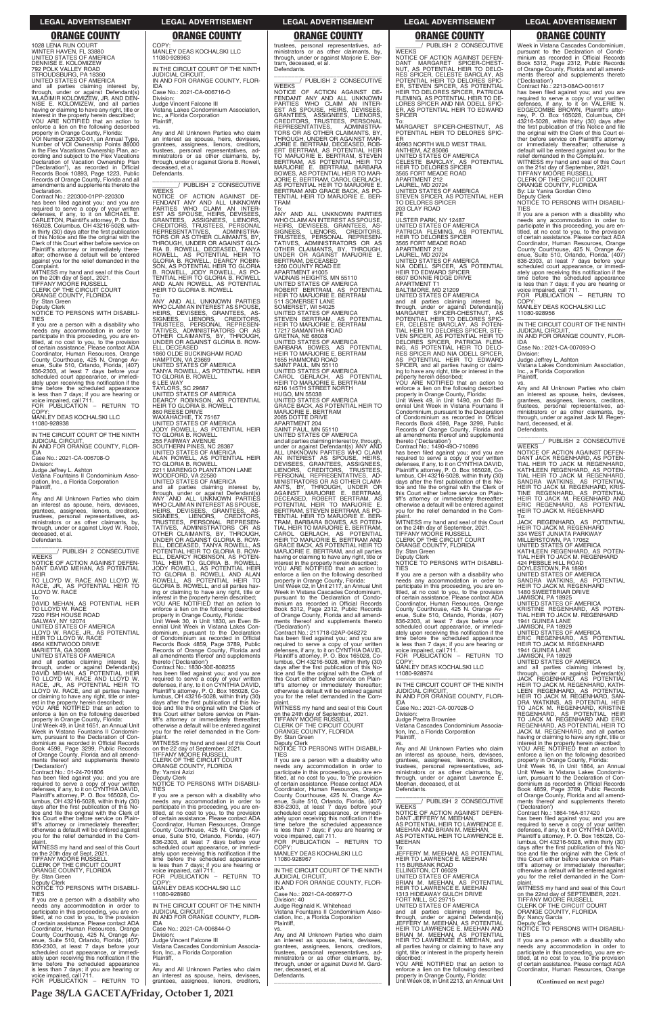trustees, personal representatives, ad-ministrators or as other claimants, by, ministrators or as other claimants, by,<br>through, under or against Marjorie E. Bertram, deceased, et al. Defendants.

\_\_\_\_\_\_\_\_\_\_\_\_\_\_\_\_\_\_\_\_\_\_\_\_\_\_\_\_\_\_\_ \_\_\_\_\_\_\_\_/ PUBLISH 2 CONSECUTIVE

WEEKS<br>NOTICE OF ACTION AGAINST DE-<br>FENDANT ANY AND ALL UNKNOWN<br>PARTIES WHO CLAIM AN INTER-<br>EST AS SPOUSE, HEIRS, DEVISEES,<br>GRANTEES, ASSIGNEES, PERSONAL<br>CREDITORS, TRUSTEES, PERSONAL REPRESENTATIVES, ADMINISTRA-TORS OR AS OTHER CLAIMANTS, BY, THROUGH, UNDER OR AGAINST MAR-JORIE E. BERTRAM, DECEASED, ROB-ERT BERTRAM, AS POTENTIAL HEIR TO MARJORIE E. BERTRAM, STEVEN BERTRAM, AS POTENTIAL HEIR TO MARJORIE E. BERTRAM, BARBARA BOWES, AS POTENTIAL HEIR TO MAR-JORIE E. BERTRAM, CAROL GERLACH, AS POTENTIAL HEIR TO MARJORIE E. BERTRAM AND GRACE BACK, AS PO-TENTIAL HEIR TO MARJORIE E. BER-TRAM

To: ANY AND ALL UNKNOWN PARTIES WHO CLAIM AN INTEREST AS SPOUSE HEIRS, DEVISEES, GRANTEES, AS-SIGNEES, LIENORS, CREDITORS, TRUSTEES, PERSONAL REPRESEN-TATIVES, ADMINISTRATORS OR AS OTHER CLAIMANTS, BY, THROUGH, UNDER OR AGAINST MARJORIE E. BERTRAM, DECEASED<br>1260 COUNTY ROAD EE<br>APARTMENT #1005<br>VADNAIS HEIGHTS, MN 55110<br>UNITED STATES OF AMERICA<br>ROBERT BERTRAM, AS POTENTIAL<br>HEIR TO MARJORIE E. BERTRAM 511 SOMERSET LANE SOMERSET, WI 54025 UNITED STATES OF AMERICA STEVEN BERTRAM, AS POTENTIAL HEIR TO MARJORIE E. BERTRAM 17217 SAMANTHA ROAD GRETNA, NE 68028 UNITED STATES OF AMERICA BARBARA BOWES, AS POTENTIAL HEIR TO MARJORIE E. BERTRAM 1655 HAMMOND ROAD SAINT PAUL, MN 55110 UNITED STATES OF AMERICA CAROL GERLACH, AS POTENTIAL HEIR TO MARJORIE E. BERTRAM 6216 145TH STREET NORTH HUGO, MN 55038 UNITED STATES OF AMERICA GRACE BACK, AS POTENTIAL HEIR TO MARJORIE E. BERTRAM 2085 DOTTE DRIVE APARTMENT 204 SAINT PAUL, MN 55110 UNITED STATES OF AMERICA and all parties claiming interest by, through, under or against Defendant(s) ANY AND ALL UNKNOWN PARTIES WHO CLAIM AN INTEREST AS SPOUSE, HEIRS, DEVISEES, GRANTEES, ASSIGNEES, LIENORS, CREDITORS, TRUSTEES, PERSONAL REPRESENTATIVES, AD-MINISTRATORS OR AS OTHER CLAIM-ANTS, BY, THROUGH, UNDER OR<br>AGAINST MARJORIE E. BERTRAM,<br>DECEASED, ROBERT BERTRAM, AS<br>POTENTIAL HEIR TO MARJORIE E. BERTRAM, STEVEN BERTRAM, AS PO-TENTIAL HEIR TO MARJORIE E. BER-TRAM, BARBARA BOWES, AS POTEN-TIAL HEIR TO MARJORIE E. BERTRAM, CAROL GERLACH, AS POTENTIAL HEIR TO MARJORIE E. BERTRAM AND GRACE BACK, AS POTENTIAL HEIR TO MARJORIE E. BERTRAM, and all parties having or claiming to have any right, title or interest in the property herein described; YOU ARE NOTIFIED that an action to enforce a lien on the following described property in Orange County, Florida: Unit Week 02, in Unit 2117, an Annual Unit

in the Flex Vacations Ownership Plan, according and subject to the Flex Vacations Declaration of Vacation Ownership Plan ("Declaration"), as recorded in Official Records Book 10893, Page 1223, Public Records of Orange County, Florida and all amendments and supplements thereto the **Declaration** 

> Week in Vistana Cascades Condominium, pursuant to the Declaration of Condominium as recorded in Official Records Book 5312, Page 2312, Public Records of Orange County, Florida and all amendments thereof and supplements thereto ('Declaration') Contract No.: 211718-02AP-046272

> has been filed against you; and you are required to serve a copy of your written defenses, if any, to it on CYNTHIA DAVID, Plaintiff's attorney, P. O. Box 165028, Columbus, OH 43216-5028, within thirty (30) days after the first publication of this Notice and file the original with the Clerk of this Court either before service on Plaintiff's attorney or immediately thereafter; otherwise a default will be entered against you for the relief demanded in the Com-

> plaint. WITNESS my hand and seal of this Court on the 24th day of September, 2021. TIFFANY MOORE RUSSELL CLERK OF THE CIRCUIT COURT

COP<sup>'</sup> MANLEY DEAS KOCHALSKI LLC 11080-928938

> ORANGE COUNTY, FLORIDA By: Stan Green

Deputy Clerk

1028 LENA RUN COURT WINTER HAVEN, FL 33880 UNITED STATES OF AMERICA DENNISE E. KOLOMIZEW 792 POLK VALLEY ROAD STROUDSBURG, PA 18360 UNITED STATES OF AMERICA and all parties claiming interest by, through, under or against Defendant(s) WLADIMIR KOLOMIZEW, JR. AND DEN-NISE E. KOLOMIZEW, and all parties having or claiming to have any right, title or

Judge Vincent Falcone III Vistana Lakes Condominium Association, Inc., a Florida Corporation **Plaintiff** 

vs. Any and All Unknown Parties who claim an interest as spouse, heirs, devisees, grantees, assignees, lienors, creditors, trustees, personal representatives, administrators or as other claimants, by, through, under or against Gloria B. Rowell, deceased, et al. **Defendants** 

interest in the property herein described; YOU ARE NOTIFIED that an action to enforce a lien on the following described property in Orange County, Florida: VOI Number 220300-01, an Annual Type, Number of VOI Ownership Points 88000

Contract No.: 220300-01PP-220300

has been filed against you; and you are required to serve a copy of your written defenses, if any, to it on MICHAEL E.<br>CARLETON, Plaintiffs attorney, P. O. Box<br>165028,Columbus, OH 43216-5028, with-<br>in thirty (30) days after the first publication of this Notice and file the original with the Clerk of this Court either before service on Plaintiff's attorney or immediately there-after; otherwise a default will be entered against you for the relief demanded in the Complaint.

WITNESS my hand and seal of this Court on the 20th day of Sept., 2021. TIFFANY MOORE RUSSELL

CLERK OF THE CIRCUIT COURT ORANGE COUNTY, FLORIDA

By: Stan Green

Deputy Clerk NOTICE TO PERSONS WITH DISABILI-TIES

If you are a person with a disability who needs any accommodation in order to<br>participate in this proceeding, you are en-<br>titled, at no cost to you, to the provision<br>of certain assistance. Please contact ADA<br>Coordinator, Human Resources, Orange County Courthouse, 425 N. Orange Avenue, Suite 510, Orlando, Florida, (407) enue, Suite 510, Orlando, Florida, (407) 836-2303, at least 7 days before your scheduled court appearance, or immediately upon receiving this notification if the time before the scheduled appearance is less than 7 days; if you are hearing or voice impaired, call 711. FOR PUBLICATION – RETURN TO

> has been filed against you; and you are<br>required to serve a copy of your written<br>defenses, if any, to it on CYNTHIA DAVID,<br>Plaintiff's attorney, P. O. Box 165028, Co-<br>lumbus, OH 43216-5028, within thirty (30)<br>days after th tice and file the original with the Clerk of this Court either before service on Plaintiff's attorney or immediately thereafter; otherwise a default will be entered against you for the relief demanded in the Com-

—————————————————— IN THE CIRCUIT COURT OF THE NINTH JUDICIAL CIRCUIT, IN AND FOR ORANGE COUNTY, FLOR-

IDA Case No.: 2021-CA-006708-O

Division: Judge Jeffrey L. Ashton Vistana Fountains II Condominium Asso-

ciation, Inc., a Florida Corporation Plaintiff,

vs. Any and All Unknown Parties who claim an interest as spouse, heirs, devisees, grantees, assignees, lienors, creditors, trustees, personal representatives, administrators or as other claimants, by, through, under or against Lloyd W. Race, deceased, et al. Defendants.

NOTICE OF ACTION AGAINST DEFEN DANT MARGARET SPICER-CHEST-NUT, AS POTENTIAL HEIR TO DELO-RES SPICER, CELESTE BARCLAY, AS POTENTIAL HEIR TO DELORES SPIC-ER, STEVEN SPICER, AS POTENTIAL HEIR TO DELORES SPICER, PATRICIA FLEMING, AS POTENTIAL HEIR TO DE-LORES SPICER AND NIA ODELL SPIC-AS POTENTIAL HEIR TO EDWARD **SPICER** To:

\_\_\_\_\_\_\_\_\_\_\_\_\_\_\_\_\_\_\_\_\_\_\_\_\_\_\_\_\_\_\_ \_\_\_\_\_\_\_\_/ PUBLISH 2 CONSECUTIVE WEEKS

NOTICE OF ACTION AGAINST DEFEN-DANT DAVID MEHAN, AS POTENTIAL HEIR

TO LLOYD W. RACE AND LLOYD W. RACE, JR., AS POTENTIAL HEIR TO LLOYD W. RACE

To: DAVID MEHAN, AS POTENTIAL HEIR TO LLOYD W. RACE 7220 FISH HOUSE ROAD GALWAY, NY 12074

UNITED STATES OF AMERICA LLOYD W. RACE, JR., AS POTENTIAL HEIR TO LLOYD W. RACE 4964 KENTWOOD DRIVE MARIETTA, GA 30068 UNITED STATES OF AMERICA

and all parties claiming interest by, through, under or against Defendant(s) DAVID MEHAN, AS POTENTIAL HEIR TO LLOYD W. RACE AND LLOYD W. RACE, JR., AS POTENTIAL HEIR TO LLOYD W. RACE, and all parties having or claiming to have any right, title or inter-est in the property herein described; YOU ARE NOTIFIED that an action to enforce a lien on the following described property in Orange County, Florida: Unit Week 49, in Unit 1651, an Annual Unit

Week in Vistana Fountains II Condominium, pursuant to the Declaration of Condominium as recorded in Official Records

WITNESS my hand and seal of this Court on the 24th day of September, 2021. TIFFANY MOORE RUSSELL CLERK OF THE CIRCUIT COURT ORANGE COUNTY, FLORIDA By: Stan Green Deputy Clerk

If you are a person with a disability who needs any accommodation in order to participate in this proceeding, you are en-titled, at no cost to you, to the provision of certain assistance. Please contact ADA Coordinator, Human Resources, Orange County Courthouse, 425 N. Orange Av-enue, Suite 510, Orlando, Florida, (407) 836-2303, at least 7 days before your scheduled court appearance, or immediately upon receiving this notification if the time before the scheduled appearance is less than 7 days; if you are hearing or voice impaired, call 711. FOR PUBLICATION – RETURN TO

COPY MANLEY DEAS KOCHALSKI LLC 11080-928974

————————————————————<br>IN THE CIRCUIT COURT OF THE NINTH JUDICIAL CIRCUIT, IN AND FOR ORANGE COUNTY, FLOR-

MANLEY DEAS KOCHALSKI LLC

11080-928963 —————————————————— IN THE CIRCUIT COURT OF THE NINTH JUDICIAL CIRCUIT, IN AND FOR ORANGE COUNTY, FLOR-IDA

Case No.: 2021-CA-006716-O Division:

COPY

If you are a person with a disability who needs any accommodation in order to participate in this proceeding, you are entitled, at no cost to you, to the provision of certain assistance. Please contact ADA Coordinator, Human Resources, Orange County Courthouse, 425 N. Orange Av-enue, Suite 510, Orlando, Florida, (407) enue, Suite 510, Orlando, Florida, (407)<br>836-2303, at least 7 days before your scheduled court appearance, or immediately upon receiving this notification if the time before the scheduled appearance is less than 7 days; if you are hearing or voice impaired, call 711. FOR PUBLICATION - RETURN TO

—————————————————— IN THE CIRCUIT COURT OF THE NINTH JUDICIAL CIRCUIT, IN AND FOR ORANGE COUNTY, FLOR-

\_\_\_\_\_\_\_\_\_\_\_\_\_\_\_\_\_\_\_\_\_\_\_\_\_\_\_\_\_\_\_ \_\_\_\_\_\_\_\_/ PUBLISH 2 CONSECUTIVE

WEEKS<br>NOTICE OF ACTION AGAINST DE-<br>FENDANT ANY AND ALL UNKNOWN<br>PARTIES WHO CLAIM AN INTER-<br>EST AS SPOUSE, HEIRS, DEVISEES,<br>GRANTEES, ASSIGNEES, PERSONAL<br>CREDITORS, TRUSTEES, PERSONAL REPRESENTATIVES, ADMINISTRA-TORS OR AS OTHER CLAIMANTS, BY, THROUGH, UNDER OR AGAINST GLO-RIA B. ROWELL, DECEASED, TANYA ROWELL, AS POTENTIAL HEIR TO GLORIA B. ROWELL, DEARCY ROBIN-SON, AS POTENTIAL HEIR TO GLORIA B. ROWELL, JODY ROWELL, AS PO-<br>TENTIAL HEIR TO GLORIA B. ROWELL<br>AND ALAN ROWELL, AS POTENTIAL<br>HEIR TO GLORIA B. ROWELL

To: ANY AND ALL UNKNOWN PARTIES WHO CLAIM AN INTEREST AS SPOUSE, HEIRS, DEVISEES, GRANTEES, AS-SIGNEES, LIENORS, CREDITORS,<br>TRUSTEES, PERSONAL REPRESEN-<br>TATIVES, ADMINISTRATORS OR AS<br>OTHER CLAIMANTS, BY, THROUGH,<br>UNDER OR AGAINST GLORIA B. ROW-ELL, DECEASED 1860 OLDE BUCKINGHAM ROAD HAMPTON, VA 23669 UNITED STATES OF AMERICA TANYA ROWELL, AS POTENTIAL HEIR TO GLORIA B. ROWELL 6 LEE WAY TAYLORS, SC 29687 UNITED STATES OF AMERICA DEARCY ROBINSON, AS POTENTIAL HEIR TO GLORIA B. ROWELL 860 REESE DRIVE WAXAHACHIE, TX 75167 UNITED STATES OF AMERICA JODY ROWELL, AS POTENTIAL HEIR TO GLORIA B. ROWELL 255 FAIRWAY AVENUE SOUTHERN PINES, NC 28387 UNITED STATES OF AMERICA ALAN ROWELL, AS POTENTIAL HEIR TO GLORIA B. ROWELL 2211 MARENGO PLANTATION LANE WOODFORD, VA 22580 UNITED STATES OF AMERICA and all parties claiming interest by, through, under or against Defendant(s) ANY AND ALL UNKNOWN PARTIES WHO CLAIM AN INTERFST AS SPOUSE HEIRS, DEVISEES, GRANTEES, AS-SIGNEES, LIENORS, CREDITORS, TRUSTEES, PERSONAL REPRESEN-TATIVES, ADMINISTRATORS OR AS OTHER CLAIMANTS, BY, THROUGH, UNDER OR AGAINST GLORIA B. ROW-ELL, DECEASED, TANYA ROWELL, AS POTENTIAL HEIR TO GLORIA B. ROW-ELL, DEARCY ROBINSON, AS POTEN-<br>TIAL HEIR TO GLORIA B. ROWELL,<br>JODY ROWELL, AS POTENTIAL HEIR<br>TO GLORIA B. ROWELL AND ALAN<br>ROWELL, AS POTENTIAL HEIR TO<br>GLORIA B. ROWELL, and all parties having or claiming to have any right, title or interest in the property herein described; YOU ARE NOTIFIED that an action to enforce a lien on the following described property in Orange County, Florida: Unit Week 30, in Unit 1830, an Even Biennial Unit Week in Vistana Lakes Condominium, pursuant to the Declaration of Condominium as recorded in Official Records Book 4859, Page 3789, Public Records of Orange County, Florida and all amendments thereof and supplements thereto ('Declaration') Contract No.: 1830-30E-808255

plaint. WITNESS my hand and seal of this Court

| TIFFANY MÓORE RUSSELL<br><b>TIES</b><br>enforce a lien on the following described<br>of Orange County, Florida and all amend-<br>an interest as spouse, heirs, devisees,<br>ments thereof and supplements thereto<br>CLERK OF THE CIRCUIT COURT<br>If you are a person with a disability who<br>property in Orange County, Florida:<br>grantees, assignees, lienors, creditors,<br>Unit Week 16. in Unit 1864, an Annual<br>('Declaration')<br>ORANGE COUNTY, FLORIDA<br>needs any accommodation in order to<br>trustees, personal representatives, ad-<br>Contract No.: 01-24-701806<br>By: Yamini Azizi<br>participate in this proceeding, you are en-<br>Unit Week in Vistana Lakes Condomin-<br>ministrators or as other claimants, by,<br>Deputy Clerk<br>titled, at no cost to you, to the provision<br>ium, pursuant to the Declaration of Con-<br>has been filed against you; and you are<br>through, under or against Lawrence E.<br>NOTICE TO PERSONS WITH DISABILI-<br>of certain assistance. Please contact ADA<br>dominium as recorded in Official Records<br>required to serve a copy of your written<br>Meehan, deceased, et al.<br>defenses, if any, to it on CYNTHIA DAVID,<br>Coordinator, Human Resources, Orange<br><b>TIES</b><br>Book 4859, Page 3789, Public Records<br>Defendants.<br>Plaintiff's attorney, P. O. Box 165028, Co-<br>of Orange County, Florida and all amend-<br>County Courthouse, 425 N. Orange Av-<br>If you are a person with a disability who<br>PUBLISH 2 CONSECUTIVE<br>lumbus, OH 43216-5028, within thirty (30)<br>needs any accommodation in order to<br>enue, Suite 510, Orlando, Florida, (407)<br>ments thereof and supplements thereto<br><b>WEEKS</b><br>days after the first publication of this No-<br>836-2303, at least 7 days before your |  |
|-------------------------------------------------------------------------------------------------------------------------------------------------------------------------------------------------------------------------------------------------------------------------------------------------------------------------------------------------------------------------------------------------------------------------------------------------------------------------------------------------------------------------------------------------------------------------------------------------------------------------------------------------------------------------------------------------------------------------------------------------------------------------------------------------------------------------------------------------------------------------------------------------------------------------------------------------------------------------------------------------------------------------------------------------------------------------------------------------------------------------------------------------------------------------------------------------------------------------------------------------------------------------------------------------------------------------------------------------------------------------------------------------------------------------------------------------------------------------------------------------------------------------------------------------------------------------------------------------------------------------------------------------------------------------------------------------------------------------------------------------------------------------------------------------------|--|
|                                                                                                                                                                                                                                                                                                                                                                                                                                                                                                                                                                                                                                                                                                                                                                                                                                                                                                                                                                                                                                                                                                                                                                                                                                                                                                                                                                                                                                                                                                                                                                                                                                                                                                                                                                                                       |  |
|                                                                                                                                                                                                                                                                                                                                                                                                                                                                                                                                                                                                                                                                                                                                                                                                                                                                                                                                                                                                                                                                                                                                                                                                                                                                                                                                                                                                                                                                                                                                                                                                                                                                                                                                                                                                       |  |
|                                                                                                                                                                                                                                                                                                                                                                                                                                                                                                                                                                                                                                                                                                                                                                                                                                                                                                                                                                                                                                                                                                                                                                                                                                                                                                                                                                                                                                                                                                                                                                                                                                                                                                                                                                                                       |  |
|                                                                                                                                                                                                                                                                                                                                                                                                                                                                                                                                                                                                                                                                                                                                                                                                                                                                                                                                                                                                                                                                                                                                                                                                                                                                                                                                                                                                                                                                                                                                                                                                                                                                                                                                                                                                       |  |
|                                                                                                                                                                                                                                                                                                                                                                                                                                                                                                                                                                                                                                                                                                                                                                                                                                                                                                                                                                                                                                                                                                                                                                                                                                                                                                                                                                                                                                                                                                                                                                                                                                                                                                                                                                                                       |  |
|                                                                                                                                                                                                                                                                                                                                                                                                                                                                                                                                                                                                                                                                                                                                                                                                                                                                                                                                                                                                                                                                                                                                                                                                                                                                                                                                                                                                                                                                                                                                                                                                                                                                                                                                                                                                       |  |
|                                                                                                                                                                                                                                                                                                                                                                                                                                                                                                                                                                                                                                                                                                                                                                                                                                                                                                                                                                                                                                                                                                                                                                                                                                                                                                                                                                                                                                                                                                                                                                                                                                                                                                                                                                                                       |  |
|                                                                                                                                                                                                                                                                                                                                                                                                                                                                                                                                                                                                                                                                                                                                                                                                                                                                                                                                                                                                                                                                                                                                                                                                                                                                                                                                                                                                                                                                                                                                                                                                                                                                                                                                                                                                       |  |
|                                                                                                                                                                                                                                                                                                                                                                                                                                                                                                                                                                                                                                                                                                                                                                                                                                                                                                                                                                                                                                                                                                                                                                                                                                                                                                                                                                                                                                                                                                                                                                                                                                                                                                                                                                                                       |  |
| participate in this proceeding, you are en-<br>('Declaration')                                                                                                                                                                                                                                                                                                                                                                                                                                                                                                                                                                                                                                                                                                                                                                                                                                                                                                                                                                                                                                                                                                                                                                                                                                                                                                                                                                                                                                                                                                                                                                                                                                                                                                                                        |  |
| NOTICE OF ACTION AGAINST DEFEN-<br>Contract No.: 1864-16A-817420<br>tice and file the original with the Clerk of<br>titled, at no cost to you, to the provision<br>scheduled court appearance, or immedi-                                                                                                                                                                                                                                                                                                                                                                                                                                                                                                                                                                                                                                                                                                                                                                                                                                                                                                                                                                                                                                                                                                                                                                                                                                                                                                                                                                                                                                                                                                                                                                                             |  |
| DANT JEFFERY M. MEEHAN.<br>this Court either before service on Plain-<br>of certain assistance. Please contact ADA<br>ately upon receiving this notification if the<br>has been filed against you; and you are                                                                                                                                                                                                                                                                                                                                                                                                                                                                                                                                                                                                                                                                                                                                                                                                                                                                                                                                                                                                                                                                                                                                                                                                                                                                                                                                                                                                                                                                                                                                                                                        |  |
| time before the scheduled appearance<br>AS POTENTIAL HEIR TO LAWRENCE E.<br>required to serve a copy of your written<br>tiff's attorney or immediately thereafter;<br>Coordinator, Human Resources, Orange                                                                                                                                                                                                                                                                                                                                                                                                                                                                                                                                                                                                                                                                                                                                                                                                                                                                                                                                                                                                                                                                                                                                                                                                                                                                                                                                                                                                                                                                                                                                                                                            |  |
| is less than 7 days; if you are hearing or<br>MEEHAN AND BRIAN M. MEEHAN.<br>defenses, if any, to it on CYNTHIA DAVID,<br>otherwise a default will be entered against<br>County Courthouse, 425 N. Orange Av-                                                                                                                                                                                                                                                                                                                                                                                                                                                                                                                                                                                                                                                                                                                                                                                                                                                                                                                                                                                                                                                                                                                                                                                                                                                                                                                                                                                                                                                                                                                                                                                         |  |
| vou for the relief demanded in the Com-<br>enue, Suite 510, Orlando, Florida, (407)<br>voice impaired, call 711.<br>AS POTENTIAL HEIR TO LAWRENCE E.<br>Plaintiff's attorney, P. O. Box 165028, Co-                                                                                                                                                                                                                                                                                                                                                                                                                                                                                                                                                                                                                                                                                                                                                                                                                                                                                                                                                                                                                                                                                                                                                                                                                                                                                                                                                                                                                                                                                                                                                                                                   |  |
| FOR PUBLICATION - RETURN TO<br>836-2303, at least 7 days before your<br><b>MEEHAN</b><br>lumbus, OH $43216-5028$ , within thirty $(30)$<br>plaint.                                                                                                                                                                                                                                                                                                                                                                                                                                                                                                                                                                                                                                                                                                                                                                                                                                                                                                                                                                                                                                                                                                                                                                                                                                                                                                                                                                                                                                                                                                                                                                                                                                                    |  |
| WITNESS my hand and seal of this Court<br>COPY:<br>days after the first publication of this No-<br>scheduled court appearance, or immedi-<br>To:                                                                                                                                                                                                                                                                                                                                                                                                                                                                                                                                                                                                                                                                                                                                                                                                                                                                                                                                                                                                                                                                                                                                                                                                                                                                                                                                                                                                                                                                                                                                                                                                                                                      |  |
| MANLEY DEAS KOCHALSKI LLC<br>JEFFERY M. MEEHAN. AS POTENTIAL<br>on the 20th day of Sept, 2021.<br>ately upon receiving this notification if the<br>tice and file the original with the Clerk of                                                                                                                                                                                                                                                                                                                                                                                                                                                                                                                                                                                                                                                                                                                                                                                                                                                                                                                                                                                                                                                                                                                                                                                                                                                                                                                                                                                                                                                                                                                                                                                                       |  |
| TIFFANY MOÓRE RUSSELL<br>time before the scheduled appearance<br>11080-928967<br>HEIR TO LAWRENCE E. MEEHAN<br>this Court either before service on Plain-                                                                                                                                                                                                                                                                                                                                                                                                                                                                                                                                                                                                                                                                                                                                                                                                                                                                                                                                                                                                                                                                                                                                                                                                                                                                                                                                                                                                                                                                                                                                                                                                                                             |  |
| CLERK OF THE CIRCUIT COURT<br>115 BURBANK ROAD<br>is less than 7 days; if you are hearing or<br>tiff's attorney or immediately thereafter;                                                                                                                                                                                                                                                                                                                                                                                                                                                                                                                                                                                                                                                                                                                                                                                                                                                                                                                                                                                                                                                                                                                                                                                                                                                                                                                                                                                                                                                                                                                                                                                                                                                            |  |
| IN THE CIRCUIT COURT OF THE NINTH<br>ELLINGTON, CT 06029<br>ORANGE COUNTY, FLORIDA<br>voice impaired, call 711.<br>otherwise a default will be entered against                                                                                                                                                                                                                                                                                                                                                                                                                                                                                                                                                                                                                                                                                                                                                                                                                                                                                                                                                                                                                                                                                                                                                                                                                                                                                                                                                                                                                                                                                                                                                                                                                                        |  |
| FOR PUBLICATION - RETURN TO<br><b>JUDICIAL CIRCUIT.</b><br>By: Stan Green<br>UNITED STATES OF AMERICA<br>you for the relief demanded in the Com-                                                                                                                                                                                                                                                                                                                                                                                                                                                                                                                                                                                                                                                                                                                                                                                                                                                                                                                                                                                                                                                                                                                                                                                                                                                                                                                                                                                                                                                                                                                                                                                                                                                      |  |
| COPY:<br>IN AND FOR ORANGE COUNTY, FLOR-<br>Deputy Clerk<br>BRIAN M. MEEHAN, AS POTENTIAL<br>plaint.                                                                                                                                                                                                                                                                                                                                                                                                                                                                                                                                                                                                                                                                                                                                                                                                                                                                                                                                                                                                                                                                                                                                                                                                                                                                                                                                                                                                                                                                                                                                                                                                                                                                                                  |  |
| NOTICE TO PERSONS WITH DISABILI-<br>MANLEY DEAS KOCHALSKI LLC<br>HEIR TO LAWRENCE E. MEEHAN<br><b>IDA</b><br>WITNESS my hand and seal of this Court                                                                                                                                                                                                                                                                                                                                                                                                                                                                                                                                                                                                                                                                                                                                                                                                                                                                                                                                                                                                                                                                                                                                                                                                                                                                                                                                                                                                                                                                                                                                                                                                                                                   |  |
| <b>TIES</b><br>Case No.: 2021-CA-006977-O<br>11080-928980<br>1313 HIDEAWAY GULCH DRIVE<br>on the 22nd day of SEPTEMBER, 2021.                                                                                                                                                                                                                                                                                                                                                                                                                                                                                                                                                                                                                                                                                                                                                                                                                                                                                                                                                                                                                                                                                                                                                                                                                                                                                                                                                                                                                                                                                                                                                                                                                                                                         |  |
| FORT MILL, SC 29715<br><b>TIFFANY MOORE RUSSELL</b><br>Division: 40<br>If you are a person with a disability who                                                                                                                                                                                                                                                                                                                                                                                                                                                                                                                                                                                                                                                                                                                                                                                                                                                                                                                                                                                                                                                                                                                                                                                                                                                                                                                                                                                                                                                                                                                                                                                                                                                                                      |  |
| IN THE CIRCUIT COURT OF THE NINTH<br>Judge Reginald K. Whitehead<br>UNITED STATES OF AMERICA<br>CLERK OF THE CIRCUIT COURT<br>needs any accommodation in order to<br><b>JUDICIAL CIRCUIT.</b><br>Vistana Fountains II Condominium Asso-                                                                                                                                                                                                                                                                                                                                                                                                                                                                                                                                                                                                                                                                                                                                                                                                                                                                                                                                                                                                                                                                                                                                                                                                                                                                                                                                                                                                                                                                                                                                                               |  |
| ORANGE COUNTY, FLORIDA<br>participate in this proceeding, you are en-<br>and all parties claiming interest by,<br>IN AND FOR ORANGE COUNTY, FLOR-<br>ciation, Inc., a Florida Corporation<br>through, under or against Defendant(s)<br>By: Nancy Garcia                                                                                                                                                                                                                                                                                                                                                                                                                                                                                                                                                                                                                                                                                                                                                                                                                                                                                                                                                                                                                                                                                                                                                                                                                                                                                                                                                                                                                                                                                                                                               |  |
| titled, at no cost to you, to the provision<br>of certain assistance. Please contact ADA<br>Plaintiff,<br>JEFFERY M. MEEHAN. AS POTENTIAL<br>Deputy Clerk<br>IDA                                                                                                                                                                                                                                                                                                                                                                                                                                                                                                                                                                                                                                                                                                                                                                                                                                                                                                                                                                                                                                                                                                                                                                                                                                                                                                                                                                                                                                                                                                                                                                                                                                      |  |
| NOTICE TO PERSONS WITH DISABILI-<br>Case No.: 2021-CA-006844-O<br>HEIR TO LAWRENCE E. MEEHAN AND<br>Coordinator, Human Resources, Orange                                                                                                                                                                                                                                                                                                                                                                                                                                                                                                                                                                                                                                                                                                                                                                                                                                                                                                                                                                                                                                                                                                                                                                                                                                                                                                                                                                                                                                                                                                                                                                                                                                                              |  |
| BRIAN M. MEEHAN, AS POTENTIAL<br>County Courthouse, 425 N. Orange Av-<br>Any and All Unknown Parties who claim<br><b>TIES</b><br>Division:                                                                                                                                                                                                                                                                                                                                                                                                                                                                                                                                                                                                                                                                                                                                                                                                                                                                                                                                                                                                                                                                                                                                                                                                                                                                                                                                                                                                                                                                                                                                                                                                                                                            |  |
| Judge Vincent Falcone III<br>HEIR TO LAWRENCE E. MEEHAN, and<br>If you are a person with a disability who<br>enue, Suite 510, Orlando, Florida, (407)<br>an interest as spouse, heirs, devisees,                                                                                                                                                                                                                                                                                                                                                                                                                                                                                                                                                                                                                                                                                                                                                                                                                                                                                                                                                                                                                                                                                                                                                                                                                                                                                                                                                                                                                                                                                                                                                                                                      |  |
| Vistana Cascades Condominium Associa-<br>836-2303, at least 7 days before your<br>all parties having or claiming to have any<br>needs any accommodation in order to<br>grantees, assignees, lienors, creditors,                                                                                                                                                                                                                                                                                                                                                                                                                                                                                                                                                                                                                                                                                                                                                                                                                                                                                                                                                                                                                                                                                                                                                                                                                                                                                                                                                                                                                                                                                                                                                                                       |  |
| tion, Inc., a Florida Corporation<br>trustees, personal representatives, ad-<br>participate in this proceeding, you are en-<br>scheduled court appearance, or immedi-<br>right, title or interest in the property herein                                                                                                                                                                                                                                                                                                                                                                                                                                                                                                                                                                                                                                                                                                                                                                                                                                                                                                                                                                                                                                                                                                                                                                                                                                                                                                                                                                                                                                                                                                                                                                              |  |
| Plaintiff.<br>described:<br>ately upon receiving this notification if the<br>ministrators or as other claimants, by,<br>titled, at no cost to you, to the provision                                                                                                                                                                                                                                                                                                                                                                                                                                                                                                                                                                                                                                                                                                                                                                                                                                                                                                                                                                                                                                                                                                                                                                                                                                                                                                                                                                                                                                                                                                                                                                                                                                   |  |
| YOU ARE NOTIFIED that an action to<br>time before the scheduled appearance<br>through, under or against David M. Gard-<br>of certain assistance. Please contact ADA<br>VS.                                                                                                                                                                                                                                                                                                                                                                                                                                                                                                                                                                                                                                                                                                                                                                                                                                                                                                                                                                                                                                                                                                                                                                                                                                                                                                                                                                                                                                                                                                                                                                                                                            |  |
| is less than 7 days; if you are hearing or<br>Any and All Unknown Parties who claim<br>ner, deceased, et al.<br>enforce a lien on the following described<br>Coordinator, Human Resources, Orange                                                                                                                                                                                                                                                                                                                                                                                                                                                                                                                                                                                                                                                                                                                                                                                                                                                                                                                                                                                                                                                                                                                                                                                                                                                                                                                                                                                                                                                                                                                                                                                                     |  |
| voice impaired, call 711.<br>Defendants.<br>property in Orange County, Florida:<br>an interest as spouse, heirs, devisees,                                                                                                                                                                                                                                                                                                                                                                                                                                                                                                                                                                                                                                                                                                                                                                                                                                                                                                                                                                                                                                                                                                                                                                                                                                                                                                                                                                                                                                                                                                                                                                                                                                                                            |  |
| Unit Week 08, in Unit 2213, an Annual Unit<br>FOR PUBLICATION - RETURN TO<br>grantees, assignees, lienors, creditors,<br>(Continued on next page)                                                                                                                                                                                                                                                                                                                                                                                                                                                                                                                                                                                                                                                                                                                                                                                                                                                                                                                                                                                                                                                                                                                                                                                                                                                                                                                                                                                                                                                                                                                                                                                                                                                     |  |

\_\_\_\_\_\_\_\_/ PUBLISH 2 CONSECUTIVE WEEKS

MARGARET SPICER-CHESTNUT, AS POTENTIAL HEIR TO DELORES SPIC-ER

40963 NORTH WILD WEST TRAIL ANTHEM, AZ 85086 UNITED STATES OF AMERICA CELESTE BARCLAY, AS POTENTIAL HEIR TO DELORES SPICER 3565 FORT MEADE ROAD APARTMENT 212 LAUREL, MD 20724 UNITED STATES OF AMERICA STEVEN SPICER, AS POTENTIAL HEIR TO DELORES SPICER 203 CLAY ROAD

PE ULSTER PARK, NY 12487 UNITED STATES OF AMERICA PATRICIA FLEMING, AS POTENTIAL HEIR TO DELORES SPICER 3565 FORT MEADE ROAD APARTMENT 212 LAUREL, MD 20724 UNITED STATES OF AMERICA NIA ODELL SPICER, AS POTENTIAL HEIR TO EDWARD SPICER 6607 BONNIE RIDGE DRIVE APARTMENT T1 BALTIMORE, MD 21209 UNITED STATES OF AMERICA and all parties claiming interest by, through, under or against Defendant(s) MARGARET SPICER-CHESTNUT, AS POTENTIAL HEIR TO DELORES SPIC-ER, CELESTE BARCLAY, AS POTEN-TIAL HEIR TO DELORES SPICER, STE-VEN SPICER, AS POTENTIAL HEIR TO DELORES SPICER, PATRICIA FLEM-ING, AS POTENTIAL HEIR TO DELO-RES SPICER AND NIA ODELL SPICER POTENTIAL HEIR TO EDWARD SPICER, and all parties having or claiming to have any right, title or interest in the property herein described; YOU ARE NOTIFIED that an action to enforce a lien on the following described property in Orange County, Florida: Unit Week 49, in Unit 1490, an Odd Biennial Unit Week in Vistana Fountains II Condominium, pursuant to the Declaration

of Condominium as recorded in Official Records Book 4598, Page 3299, Public Records of Orange County, Florida and all amendments thereof and supplements thereto ('Declaration') Contract No.: 1490-49O-710896

has been filed against you; and you are required to serve a copy of your written defenses, if any, to it on CYNTHIA DAVID, Plaintiff's attorney, P. O. Box 165028, Co-lumbus, OH 43216-5028, within thirty (30) days after the first publication of this Notice and file the original with the Clerk of this Court either before service on Plaintiff's attorney or immediately thereafter; otherwise a default will be entered against you for the relief demanded in the Complaint.

NOTICE TO PERSONS WITH DISABILI-TIES

IDA Case No.: 2021-CA-007028-O

Division: Judge Paetra Brownlee Vistana Cascades Condominium Associa-

tion, Inc., a Florida Corporation Plaintiff,

vs.

Week in Vistana Cascades Condominium, pursuant to the Declaration of Condo-minium as recorded in Official Records Book 5312, Page 2312, Public Records of Orange County, Florida and all amendments thereof and supplements thereto ('Declaration') Contract No.: 2213-08AO-001617

has been filed against you; and you are required to serve a copy of your written<br>defenses, if any, to it on VALERIE N.<br>EDGECOMBE BROWN, Plaintiff's attor-<br>ney, P. O. Box 165028, Columbus, OH<br>43216-5028, within thirty (30) days after the first publication of this Notice and file the original with the Clerk of this Court either before service on Plaintiff's attorney or immediately thereafter; otherwise a default will be entered against you for the relief demanded in the Complaint. WITNESS my hand and seal of this Court on the 21st day of September, 2021. TIFFANY MOORE RUSSELL CLERK OF THE CIRCUIT COURT ORANGE COUNTY, FLORIDA By: Liz Yanira Gordian Olmo

Deputy Clerk NOTICE TO PERSONS WITH DISABILI-TIES

COPY: MANLEY DEAS KOCHALSKI LLC 11080-928956

IDA Case No.: 2021-CA-007093-O

Division:

Judge Jeffrey L. Ashton Vistana Lakes Condominium Association, Inc., a Florida Corporation

Plaintiff,

vs. Any and All Unknown Parties who claim an interest as spouse, heirs, devisees, grantees, assignees, lienors, creditors, trustees, personal representatives, administrators or as other claimants. through, under or against Jack M. Regenhard, deceased, et al. Defendants.

\_\_\_\_\_\_\_\_\_\_\_\_\_\_\_\_\_\_\_\_\_\_\_\_\_\_\_\_\_\_\_ \_\_\_\_\_\_\_\_/ PUBLISH 2 CONSECUTIVE

WEEKS<br>NOTICE OF ACTION AGAINST DEFEN-NOTICE OF ACTION AGAINST DEFEN-DANT JACK REGENHARD, AS POTEN-TIAL HEIR TO JACK M. REGENHARD, KATHLEEN REGENHARD, AS POTEN-TIAL HEIR TO JACK M. REGENHARD, SANDRA WATKINS, AS POTENTIAL HEIR TO JACK M. REGENHARD, KRIS-TINE REGENHARD, AS POTENTIAL<br>HEIR TO JACK M. REGENHARD AND<br>ERIC REGENHARD, AS POTENTIAL<br>HEIR TO JACK M. REGENHARD

To: JACK REGENHARD, AS POTENTIAL HEIR TO JACK M. REGENHARD 334 WEST JUNIATA PARKWAY MILLERSTOWN, PA 17062 UNITED STATES OF AMERICA KATHLEEN REGENHARD, AS POTEN-TIAL HEIR TO JACK M. REGENHARD<br>424 PEBBLE HILL ROAD<br>DOYLESTOWN, PA 18901<br>UNITED STATES OF AMERICA<br>SANDRA WATKINS, AS POTENTIAL<br>HEIR TO JACK M. REGENHARD 1480 SWEETBRIAR DRIVE JAMISON, PA 18925<br>UNITED STATES OF AMERICA<br>KRISTINE REGENHARD, AS POTEN-<br>TIAL HEIR TO JACK M. REGENHARD 1941 GUINEA LANE JAMISON, PA 18929 UNITED STATES OF AMERICA ERIC REGENHARD, AS POTENTIAL HEIR TO JACK M. REGENHARD 1941 GUINEA LANE JAMISON, PA 18929 UNITED STATES OF AMERICA and all parties claiming interest by, through, under or against Defendant(s) JACK REGENHARD, AS POTENTIAL HEIR TO JACK M. REGENHARD, KATH-<br>LEEN REGENHARD, AS POTENTIAL<br>HEIR TO JACK M. REGENHARD, SAN-<br>DRA WATKINS, AS POTENTIAL HEIR<br>TO JACK M. REGENHARD, KRISTINE REGENHARD, AS POTENTIAL HEIR TO JACK M. REGENHARD AND ERIC REGENHARD, AS POTENTIAL HEIR TO JACK M. REGENHARD, and all parties having or claiming to have any right, title or interest in the property herein described;

### **LEGAL ADVERTISEMENT LEGAL ADVERTISEMENT LEGAL ADVERTISEMENT LEGAL ADVERTISEMENT LEGAL ADVERTISEMENT**

### **ORANGE COUNTY ORANGE COUNTY ORANGE COUNTY ORANGE COUNTY ORANGE COUNTY**

**Page 38/LA GACETA/Friday, October 1, 2021**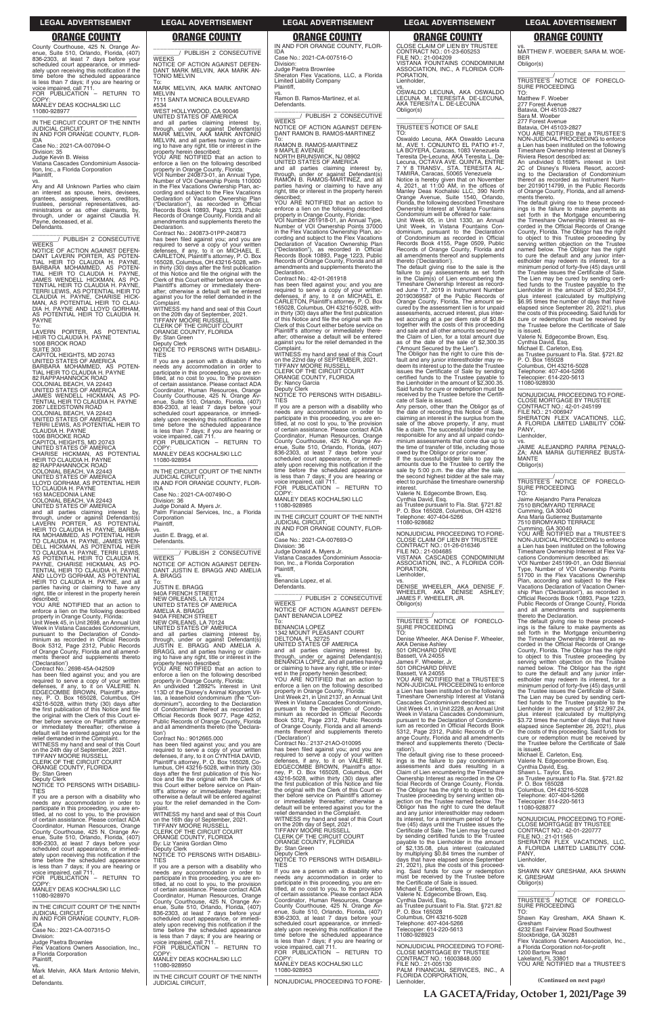\_\_\_\_\_\_\_\_\_\_\_\_\_\_\_\_\_\_\_\_\_\_\_\_\_\_\_\_\_\_\_ \_\_\_\_\_\_\_\_/ PUBLISH 2 CONSECUTIVE

NOTICE OF ACTION AGAINST DEFEN-DANT MARK MELVIN, AKA MARK AN-

TONIO MELVIN

To: MARK MELVIN, AKA MARK ANTONIO

MELVIN

7111 SANTA MONICA BOULEVARD

#534

WEST HOLLYWOOD, CA 90046 UNITED STATES OF AMERICA

**WEEKS** 

and all parties claiming interest by, through, under or against Defendant(s) MARK MELVIN, AKA MARK ANTONIO MELVIN, and all parties having or claiming to have any right, title or interest in the property herein described; YOU ARE NOTIFIED that an action to enforce a lien on the following described property in Orange County, Florida: VOI Number 240873-01, an Annual Type, Number of VOI Ownership Points 110000 in the Flex Vacations Ownership Plan, according and subject to the Flex Vacations

WITNESS my hand and seal of this Court on the 20th day of September, 2021. TIFFANY MOORE RUSSELL CLERK OF THE CIRCUIT COURT ORANGE COUNTY, FLORIDA

Declaration of Vacation Ownership Plan ("Declaration"), as recorded in Official Records Book 10893, Page 1223, Public Records of Orange County, Florida and all amendments and supplements thereto the

Declaration.

Contract No.: 240873-01PP-240873 has been filed against you; and you are required to serve a copy of your written defenses, if any, to it on MICHAEL E. CARLETON, Plaintiff's attorney, P. O. Box 165028, Columbus, OH 43216-5028, within thirty (30) days after the first publication of this Notice and file the original with the Clerk of this Court either before service on Plaintiff's attorney or immediately there-after; otherwise a default will be entered against you for the relief demanded in the

NEW ORLEANS, LA 70124<br>UNITED STATES OF AMERICA<br>AMELIA A. BRAGG<br>940A FRENCH STREET<br>NEW ORLEANS, LA 70124 UNITED STATES OF AMERICA

Complaint.

By: Stan Green Clerk

NOTICE TO PERSONS WITH DISABILI-

TIES

.....<br>COPY

If you are a person with a disability who needs any accommodation in order to participate in this proceeding, you are en-titled, at no cost to you, to the provision of certain assistance. Please contact ADA Coordinator, Human Resources, Orange County Courthouse, 425 N. Orange Avenue, Suite 510, Orlando, Florida, (407) 836-2303, at least 7 days before your scheduled court appearance, or immedi-

ately upon receiving this notification if the time before the scheduled appearance is less than 7 days; if you are hearing or voice impaired, call 711. FOR PUBLICATION – RETURN TO

MANLEY DEAS KOCHALSKI LLC

11080-928954

Division: 36

—————————————————— IN THE CIRCUIT COURT OF THE NINTH

JUDICIAL CIRCUIT,

IN AND FOR ORANGE COUNTY, FLOR-

IDA

Case No.: 2021-CA-007490-O

Judge Donald A. Myers Jr.

Palm Financial Services, Inc., a Florida

Corporation Plaintiff,

**WEEKS** 

vs. Justin E. Bragg, et al. Defendants.

\_\_\_\_\_\_\_\_\_\_\_\_\_\_\_\_\_\_\_\_\_\_\_\_\_\_\_\_\_\_\_ \_\_\_\_\_\_\_\_/ PUBLISH 2 CONSECUTIVE

NOTICE OF ACTION AGAINST DEFEN-DANT JUSTIN E. BRAGG AND AMELIA

A. BRAGG To: JUSTIN E. BRAGG 940A FRENCH STREET

**WEEKS** NOTICE OF ACTION AGAINST DEFEN-DANT LAVERN PORTER, AS POTEN-TIAL HEIR TO CLAUDIA H. PAYNE, BARBARA MOHAMMED, AS POTEN-<br>TIAL HEIR TO CLAUDIA H. PAYNE,<br>JAMES WENDELL HICKMAN, AS PO-<br>TENTIAL HEIRTO CLAUDIA H. PAYNE,<br>TERRI LEWIS, AS POTENTIAL HEIRTO CLAUDIA H. PAYNE, CHARISE HICK-MAN, AS POTENTIAL HEIR TO CLAU-DIA H. PAYNE AND LLOYD GORHAM, AS POTENTIAL HEIR TO CLAUDIA H. PAYNE To:

> and all parties claiming interest by, through, under or against Defendant(s) JUSTIN E. BRAGG AND AMELIA A. BRAGG, and all parties having or claim-ing to have any right, title or interest in the property herein described; YOU ARE NOTIFIED that an action to enforce a lien on the following described property in Orange County, Florida: An undivided 1.2892% interest in Unit 113D of the Disney's Animal Kingdom Villas, a leasehold condominium (the "Condominium"), according to the Declaration of Condominium thereof as recorded in Official Records Book 9077, Page 4252, Public Records of Orange County, Florida and all amendments thereto (the 'Declara-

tion')

Contract No.: 9012665.000

and all parties claiming interest by,<br>through, under or against Defendant(s)<br>LAVERN PORTER, AS POTENTIAL<br>HEIRTO CLAUDIA H.PAYNE, BARBA-<br>RA MOHAMMED, AS POTENTIAL HEIR TO CLAUDIA H. PAYNE, JAMES WEN-DELL HICKMAN, AS POTENTIAL HEIR TO CLAUDIA H. PAYNE, TERRI LEWIS, AS POTENTIAL HEIR TO CLAUDIA H. PAYNE, CHARISE HICKMAN, AS PO-<br>TENTIAL HEIR TO CLAUDIA H. PAYNE<br>AND LLOYD GORHAM, AS POTENTIAL<br>HEIR TO CLAUDIA H. PAYNE, and all<br>parties having or claiming to have any right, title or interest in the property herein

County Courthouse, 425 N. Orange Avenue, Suite 510, Orlando, Florida, (407) 836-2303, at least 7 days before your scheduled court appearance, or immediately upon receiving this notification if the time before the scheduled appearance is less than 7 days; if you are hearing or voice impaired, call 711. FOR PUBLICATION – RETURN TO COPY:

MANLEY DEAS KOCHALSKI LLC 11080-928977

—————————————————— IN THE CIRCUIT COURT OF THE NINTH JUDICIAL CIRCUIT, IN AND FOR ORANGE COUNTY, FLOR-

IDA Case No.: 2021-CA-007094-O

Division: 35

Judge Kevin B. Weiss

Vistana Cascades Condominium Associa-tion, Inc., a Florida Corporation Plaintiff,

vs. Any and All Unknown Parties who claim an interest as spouse, heirs, devisees, grantees, assignees, lienors, creditors, trustees, personal representatives, administrators or as other claimants, by, through, under or against Claudia H. Payne, deceased, et al. Defendants.

### \_\_\_\_\_\_\_\_\_\_\_\_\_\_\_\_\_\_\_\_\_\_\_\_\_\_\_\_\_\_\_ \_\_\_\_\_\_\_\_/ PUBLISH 2 CONSECUTIVE

\_\_\_\_\_\_\_\_\_\_\_\_\_\_\_\_\_\_\_\_\_\_\_\_\_\_\_\_\_\_\_ \_\_\_\_\_\_\_\_/ PUBLISH 2 CONSECUTIVE **WEEKS** 

LAVERN PORTER, AS POTENTIAL HEIR TO CLAUDIA H. PAYNE 1006 BROOK ROAD SUITE 303

CAPITOL HEIGHTS, MD 20743 UNITED STATES OF AMERICA BARBARA MOHAMMED, AS POTEN-TIAL HEIR TO CLAUDIA H. PAYNE 82 RAPPAHANNOCK ROAD COLONIAL BEACH, VA 22443 UNITED STATES OF AMERICA JAMES WENDELL HICKMAN, AS PO-TENTIAL HEIR TO CLAUDIA H. PAYNE 2067 LEEDSTOWN ROAD COLONIAL BEACH, VA 22443 UNITED STATES OF AMERICA TERRI LEWIS, AS POTENTIAL HEIR TO CLAUDIA H. PAYNE 1006 BROOKE ROAD CAPITOL HEIGHTS, MD 20743 UNITED STATES OF AMERICA CHARISE HICKMAN, AS POTENTIAL HEIR TO CLAUDIA H. PAYNE 82 RAPPAHANNOCK ROAD COLONIAL BEACH, VA 22443 UNITED STATES OF AMERICA LLOYD GORHAM, AS POTENTIAL HEIR TO CLAUDIA H. PAYNE 163 MACEDONIA LANE COLONIAL BEACH, VA 22443 UNITED STATES OF AMERICA

vs.<br>OSWALDO LECUNA, AKA OSWALDO<br>LECUNA M.; TERESITA DE-LECUNA, AKA TERESITA L. DE-LECUNA Obligor(s) \_\_\_\_\_\_\_\_\_\_\_\_\_\_\_\_\_\_\_\_\_\_\_\_\_\_\_\_\_\_\_\_\_

described; YOU ARE NOTIFIED that an action to enforce a lien on the following described property in Orange County, Florida: Unit Week 45, in Unit 2698, an Annual Unit

Week in Vistana Cascades Condominium, pursuant to the Declaration of Condo-minium as recorded in Official Records Book 5312, Page 2312, Public Records of Orange County, Florida and all amend-ments thereof and supplements thereto

('Declaration') Contract No.: 2698-45A-042509

has been filed against you; and you are required to serve a copy of your written<br>defenses, if any, to it on VALERIE N.<br>EDGECOMBE BROWN, Plaintiff's attor-<br>ney, P. O. Box 165028, Columbus, OH<br>43216-5028, within thirty (30) days after<br>the first publication of this the original with the Clerk of this Court either before service on Plaintiff's attorney or immediately thereafter; otherwise a default will be entered against you for the relief demanded in the Complaint. WITNESS my hand and seal of this Court

The Obligor has the right to cure this default and any junior interestholder may re-deem its interest up to the date the Trustee issues the Certificate of Sale by sending certified funds to the Trustee payable to the Lienholder in the amount of \$2,300.35. Said funds for cure or redemption must be received by the Trustee before the Certificate of Sale is issued.

IN AND FOR ORANGE COUNTY, FLOR-IDA Case No.: 2021-CA-007516-O

Division: Judge Paetra Brownlee Sheraton Flex Vacations, LLC, a Florida Limited Liability Company Plaintiff,

vs. Ramon B. Ramos-Martinez, et al. Defendants.

\_\_\_\_\_\_\_\_\_\_\_\_\_\_\_\_\_\_\_\_\_\_\_\_\_\_\_\_\_\_\_ \_\_\_\_\_\_\_\_/ PUBLISH 2 CONSECUTIVE **WEEKS** NOTICE OF ACTION AGAINST DEFEN-DANT RAMON B. RAMOS-MARTINEZ

\_\_\_\_\_\_\_\_\_\_\_\_\_\_\_\_\_\_\_\_\_\_\_\_\_\_\_\_\_\_\_\_\_ TRUSTEE'S <sup>/</sup>NOTICE OF FORECLO-<br>SURE PROCEEDING<br>TO:

To: RAMON B. RAMOS-MARTINEZ

9 MAPLE AVENUE NORTH BRUNSWICK, NJ 08902 UNITED STATES OF AMERICA and all parties claiming interest by, through, under or against Defendant(s) RAMON B. RAMOS-MARTINEZ, and all parties having or claiming to have any right, title or interest in the property herein described;

YOU ARE NOTIFIED that an action to enforce a lien on the following described property in Orange County, Florida: VOI Number 261918-01, an Annual Type, Number of VOI Ownership Points 37000 in the Flex Vacations Ownership Plan, according and subject to the Flex Vacations<br>Declaration of Vacation Ownership Plan<br>("Declaration"), as recorded in Official<br>Records Book 10893, Page 1223, Public<br>Records of Orange County, Florida and all<br>amendments and suppl Declaration.

> FILE NO.: 21-006947 SHERATON FLEX VACATIONS, LLC, A FLORIDA LIMITED LIABILITY COM-PANY, Lienholder,

Contract No.: 42-01-261918 has been filed against you; and you are required to serve a copy of your written defenses, if any, to it on MICHAEL E. CARLETON, Plaintiff's attorney, P. O. Box 165028, Columbus, OH 43216-5028, with-in thirty (30) days after the first publication of this Notice and file the original with the Clerk of this Court either before service on Plaintiff's attorney or immediately there-after; otherwise a default will be entered against you for the relief demanded in the Complaint. WITNESS my hand and seal of this Court

on the 22nd day of SEPTEMBER, 2021. TIFFANY MOORE RUSSELL CLERK OF THE CIRCUIT COURT ORANGE COUNTY, FLORIDA

By: Nancy Garcia Deputy Clerk

NOTICE TO PERSONS WITH DISABILI-TIES

If you are a person with a disability who needs any accommodation in order to participate in this proceeding, you are en-titled, at no cost to you, to the provision of certain assistance. Please contact ADA Coordinator, Human Resources, Orange County Courthouse, 425 N. Orange Avenue, Suite 510, Orlando, Florida, (407) 836-2303, at least 7 days before your scheduled court appearance, or immediately upon receiving this notification if the time before the scheduled appearance is less than 7 days; if you are hearing or voice impaired, call 711. FOR PUBLICATION – RETURN TO

COPY: MANLEY DEAS KOCHALSKI LLC

11080-928985 —————————————————— IN THE CIRCUIT COURT OF THE NINTH

JUDICIAL CIRCUIT, IN AND FOR ORANGE COUNTY, FLOR-IDA

| relief demanded in the Complaint.<br>WITNESS my hand and seal of this Court      | Contract No.: 9012665.000<br>has been filed against you; and you are | ('Declaration')<br>Contract No.: 2137-21AO-010095 | ange County, Florida and all amendments<br>thereof and supplements thereto ('Decla- | cure or redemption must be received by<br>the Trustee before the Certificate of Sale |
|----------------------------------------------------------------------------------|----------------------------------------------------------------------|---------------------------------------------------|-------------------------------------------------------------------------------------|--------------------------------------------------------------------------------------|
| on the 24th day of September, 2021.                                              | required to serve a copy of your written                             | has been filed against you; and you are           | ration').                                                                           | is issued.                                                                           |
| TIFFANY MOÓRE RUSSELL                                                            | defenses, if any, to it on CYNTHIA DAVID,                            | required to serve a copy of your written          | The default giving rise to these proceed-                                           | Michael E. Carleton, Esg.                                                            |
| CLERK OF THE CIRCUIT COURT                                                       | Plaintiff's attorney, P. O. Box 165028, Co-                          | defenses, if any, to it on VALERIE N.             | ings is the failure to pay condominium                                              | Valerie N. Edgecombe Brown, Esg.                                                     |
| ORANGE COUNTY, FLORIDA                                                           | lumbus, OH $43216-5028$ , within thirty $(30)$                       | EDGECOMBE BROWN, Plaintiff's attor-               | assessments and dues resulting in a                                                 | Cynthia David, Esg.                                                                  |
| By: Stan Green                                                                   | days after the first publication of this No-                         | ney, P. O. Box 165028, Columbus, OH               | Claim of Lien encumbering the Timeshare                                             | Shawn L. Taylor, Esg.                                                                |
| Deputy Clerk                                                                     | tice and file the original with the Clerk of                         | 43216-5028, within thirty (30) days after         | Ownership Interest as recorded in the Of-                                           | as Trustee pursuant to Fla. Stat. §721.82                                            |
| NOTICE TO PERSONS WITH DISABILI-                                                 | this Court either before service on Plain-                           | the first publication of this Notice and file     | ficial Records of Orange County, Florida.                                           | P. O. Box 165028                                                                     |
| <b>TIES</b>                                                                      | tiff's attorney or immediately thereafter;                           | the original with the Clerk of this Court ei-     | The Obligor has the right to object to this                                         | Columbus, OH 43216-5028                                                              |
| If you are a person with a disability who                                        | otherwise a default will be entered against                          | ther before service on Plaintiff's attorney       | Trustee proceeding by serving written ob-                                           | Telephone: 407-404-5266                                                              |
| needs any accommodation in order to                                              | vou for the relief demanded in the Com-                              | or immediately thereafter; otherwise a            | jection on the Trustee named below. The                                             | Telecopier: 614-220-5613                                                             |
| participate in this proceeding, you are en-                                      | plaint.                                                              | default will be entered against you for the       | Obligor has the right to cure the default                                           | 11080-928877                                                                         |
| titled, at no cost to you, to the provision                                      | WITNESS my hand and seal of this Court                               | relief demanded in the Complaint.                 | and any junior interestholder may redeem                                            |                                                                                      |
| of certain assistance. Please contact ADA                                        | on the 16th day of September, 2021.                                  | WITNESS my hand and seal of this Court            | its interest, for a minimum period of forty-                                        | NONJUDICIAL PROCEEDING TO FORE-                                                      |
| Coordinator, Human Resources, Orange                                             | TIFFANY MOÓRE RÚSSELL                                                | on the 20th day of Sept, 2021.                    | five (45) days until the Trustee issues the                                         | <b>CLOSE MORTGAGE BY TRUSTEE</b>                                                     |
|                                                                                  | CLERK OF THE CIRCUIT COURT                                           | TIFFANY MOÓRE RUSSELL                             | Certificate of Sale. The Lien may be cured                                          | CONTRACT NO.: 42-01-220777                                                           |
| County Courthouse, 425 N. Orange Av-<br>enue, Suite 510, Orlando, Florida, (407) | ORANGE COUNTY, FLORIDA                                               | CLERK OF THE CIRCUIT COURT                        | by sending certified funds to the Trustee                                           | FILE NO.: 21-011565                                                                  |
| 836-2303, at least 7 days before your                                            | By: Liz Yanira Gordian Olmo                                          | ORANGE COUNTY, FLORIDA                            | payable to the Lienholder in the amount                                             | SHERATON FLEX VACATIONS. LLC.                                                        |
| scheduled court appearance, or immedi-                                           | Deputy Clerk                                                         | By: Stan Green                                    | of \$2,135.08, plus interest (calculated                                            | A FLORIDA LIMITED LIABILITY COM-                                                     |
| ately upon receiving this notification if the                                    | NOTICE TO PERSONS WITH DISABILI-                                     | Deputy Clerk                                      | by multiplying \$0.84 times the number of                                           | PANY.                                                                                |
| time before the scheduled appearance                                             | <b>TIES</b>                                                          | NOTICE TO PERSONS WITH DISABILI-                  | days that have elapsed since September                                              | Lienholder,                                                                          |
| is less than 7 days; if you are hearing or                                       | If you are a person with a disability who                            | <b>TIES</b>                                       | 21, 2021), plus the costs of this proceed-                                          | VS.                                                                                  |
| voice impaired, call 711.                                                        | needs any accommodation in order to                                  | If you are a person with a disability who         | ing. Said funds for cure or redemption                                              | SHAWN KAY GRESHAM, AKA SHAWN                                                         |
| FOR PUBLICATION - RETURN TO                                                      | participate in this proceeding, you are en-                          | needs any accommodation in order to               | must be received by the Trustee before                                              | K. GRESHAM                                                                           |
| COPY:                                                                            | titled, at no cost to you, to the provision                          | participate in this proceeding, you are en-       | the Certificate of Sale is issued.                                                  | Obligor(s)                                                                           |
| MANLEY DEAS KOCHALSKI LLC                                                        | of certain assistance. Please contact ADA                            | titled, at no cost to you, to the provision       | Michael E. Carleton, Esq.                                                           |                                                                                      |
| 11080-928970                                                                     | Coordinator, Human Resources, Orange                                 | of certain assistance. Please contact ADA         | Valerie N. Edgecombe Brown, Esg.                                                    |                                                                                      |
|                                                                                  | County Courthouse, 425 N. Orange Av-                                 | Coordinator, Human Resources, Orange              | Cynthia David, Esq.                                                                 | TRUSTEE'S NOTICE OF FORECLO-                                                         |
| IN THE CIRCUIT COURT OF THE NINTH                                                | enue, Suite 510, Orlando, Florida, (407)                             | County Courthouse, 425 N. Orange Av-              | as Trustee pursuant to Fla. Stat. §721.82                                           | <b>SURE PROCEEDING</b>                                                               |
| <b>JUDICIAL CIRCUIT.</b>                                                         | 836-2303, at least 7 days before your                                | enue, Suite 510, Orlando, Florida, (407)          | P. O. Box 165028                                                                    | TO:                                                                                  |
| IN AND FOR ORANGE COUNTY, FLOR-                                                  | scheduled court appearance, or immedi-                               | 836-2303, at least 7 days before your             | Columbus, OH 43216-5028                                                             | Shawn Kay Gresham, AKA Shawn K.                                                      |
| <b>IDA</b>                                                                       | ately upon receiving this notification if the                        | scheduled court appearance, or immedi-            | Telephone: 407-404-5266                                                             | Gresham                                                                              |
| Case No.: 2021-CA-007315-O                                                       | time before the scheduled appearance                                 | ately upon receiving this notification if the     | Telecopier: 614-220-5613                                                            | 4232 East Fairview Road Southwest                                                    |
| Division:                                                                        | is less than 7 days; if you are hearing or                           | time before the scheduled appearance              | 11080-928923                                                                        | Stockbridge, GA 30281                                                                |
| Judge Paetra Brownlee                                                            | voice impaired, call 711.                                            | is less than 7 days; if you are hearing or        |                                                                                     | Flex Vacations Owners Association. Inc                                               |
| Flex Vacations Owners Association, Inc.,                                         | FOR PUBLICATION - RETURN TO                                          | voice impaired, call 711.                         | NONJUDICIAL PROCEEDING TO FORE-                                                     | a Florida Corporation not-for-profit                                                 |
| a Florida Corporation                                                            | COPY:                                                                | FOR PUBLICATION - RETURN TO                       | <b>CLOSE MORTGAGE BY TRUSTEE</b>                                                    | 1200 Bartow Road                                                                     |
| Plaintiff,                                                                       | MANLEY DEAS KOCHALSKI LLC                                            | COPY:                                             | CONTRACT NO.: 16003848.000                                                          | Lakeland. FL 33801                                                                   |
| VS.                                                                              | 11080-928950                                                         | MANLEY DEAS KOCHALSKI LLC                         | FILE NO.: 21-005130                                                                 | YOU ARE NOTIFIED that a TRUSTEE'S                                                    |
| Mark Melvin, AKA Mark Antonio Melvin,                                            |                                                                      | 11080-928953                                      | PALM FINANCIAL SERVICES, INC., A                                                    |                                                                                      |
| et al.                                                                           | IN THE CIRCUIT COURT OF THE NINTH                                    | NONJUDICIAL PROCEEDING TO FORE-                   | FLORIDA CORPORATION,                                                                | (Continued on next page)                                                             |
| Defendants.                                                                      |                                                                      |                                                   | Lienholder,                                                                         |                                                                                      |

Case No.: 2021-CA-007693-O Division: 36

Judge Donald A. Myers Jr. Vistana Cascades Condominium Associa-tion, Inc., a Florida Corporation Plaintiff,

vs. Benancia Lopez, et al. Defendants.

NOTICE OF ACTION AGAINST DEFEN-DANT BENANCIA LOPEZ

To: BENANCIA LOPEZ 1342 MOUNT PLEASANT COURT DELTONA, FL 32725 UNITED STATES OF AMERICA and all parties claiming interest by, through, under or against Defendant(s) BENANCIA LOPEZ, and all parties having or claiming to have any right, title or interest in the property herein described; YOU ARE NOTIFIED that an action to enforce a lien on the following described property in Orange County, Florida: Unit Week 21, in Unit 2137, an Annual Unit Week in Vistana Cascades Condominium, pursuant to the Declaration of Condo-minium as recorded in Official Records Book 5312, Page 2312, Public Records of Orange County, Florida and all amend-ments thereof and supplements thereto

CLOSE CLAIM OF LIEN BY TRUSTEE CONTRACT NO.: 01-23-605253 FILE NO.: 21-004209 VISTANA FOUNTAINS CONDOMINIUM ASSOCIATION, INC., A FLORIDA COR-ORATION, Lienholder,

\_\_\_\_\_\_\_\_\_\_\_/ TRUSTEE'S NOTICE OF SALE

TO: Oswaldo Lecuna, AKA Oswaldo Lecuna M., AVE 1. CONJUNTO EL PATIO #1-7, LA BOYERA, Caracas, 1083 Venezuela Teresita De-Lecuna, AKA Teresita L. De-Lecuna, OCTAVA AVE. QUINTA, ENTRE 7 Y 8 TRANSV., STA. TERESITA AL-TAMIRA, Caracas, 50065 Venezuela

Notice is hereby given that on November 4, 2021, at 11:00 AM, in the offices of Manley Deas Kochalski LLC, 390 North Orange Avenue, Suite 1540, Orlando, Florida, the following described Timeshare Ownership Interest at Vistana Fountains Condominium will be offered for sale:

Unit Week 05, in Unit 1330, an Annual Unit Week, in Vistana Fountains Condominium, pursuant to the Declaration of Condominium as recorded in Official Records Book 4155, Page 0509, Public Records of Orange County, Florida and all amendments thereof and supplements thereto ('Declaration').

The default giving rise to the sale is the failure to pay assessments as set forth in the Claim(s) of Lien encumbering the Timeshare Ownership Interest as record-ed June 17, 2019 in Instrument Number 20190369587 of the Public Records of Orange County, Florida. The amount secured by the assessment lien is for unpaid assessments, accrued interest, plus est accruing at a per diem rate of \$0.84 together with the costs of this proceeding and sale and all other amounts secured by the Claim of Lien, for a total amount due as of the date of the sale of \$2,300.35 ("Amount Secured by the Lien").

Any person, other than the Obligor as of the date of recording this Notice of Sale, claiming an interest in the surplus from the sale of the above property, if any, must file a claim. The successful bidder may be responsible for any and all unpaid condominium assessments that come due up to the time of transfer of title, including those owed by the Obligor or prior owner. If the successful bidder fails to pay the

amounts due to the Trustee to certify the sale by 5:00 p.m. the day after the sale, the second highest bidder at the sale may elect to purchase the timeshare ownership

interest. Valerie N. Edgecombe Brown, Esq.

Cynthia David, Esq. as Trustee pursuant to Fla. Stat. §721.82 P. O. Box 165028, Columbus, OH 43216 Telephone: 407-404-5266 11080-928682

—————————————————— NONJUDICIAL PROCEEDING TO FORE-CLOSE CLAIM OF LIEN BY TRUSTEE CONTRACT NO.: 01-26-016346 FILE NO.: 21-004685

VISTANA CASCADES CONDOMINIUM ASSOCIATION, INC., A FLORIDA COR-PORATION, Lienholder,

vs. DENISE WHEELER, AKA DENISE F.

WHEELER, AKA DENISE ASHLEY; JAMES F. WHEELER, JR. Obligor(s) \_\_\_\_\_\_\_\_\_\_\_\_\_\_\_\_\_\_\_\_\_\_\_\_\_\_\_\_\_\_\_\_\_

\_\_\_\_\_\_\_\_\_\_\_/ TRUSTEE'S NOTICE OF FORECLO-SURE PROCEEDING

TO: Denise Wheeler, AKA Denise F. Wheeler, AKA Denise Ashley 501 ORCHARD DRIVE

Bassett, VA 24055 James F. Wheeler, Jr. 501 ORCHARD DRIVE

Bassett, VA 24055

YOU ARE NOTIFIED that a TRUSTEE'S NON-JUDICIAL PROCEEDING to enforce a Lien has been instituted on the following Timeshare Ownership Interest at Vistana Cascades Condominium described as: Unit Week 41, in Unit 2228, an Annual Unit Week in Vistana Cascades Condominium, pursuant to the Declaration of Condominium as recorded in Official Records Book 5312, Page 2312, Public Records of Or-ange County, Florida and all amendments thereof and supplements thereto ('Decla-

vs. MATTHEW F. WOEBER; SARA M. WOE-BER Obligor(s)

Matthew F. Woeber

277 Forest Avenue Batavia, OH 45103-2827

Sara M. Woeber 277 Forest Avenue Batavia, OH 45103-2827

YOU ARE NOTIFIED that a TRUSTEE'S NON-JUDICIAL PROCEEDING to enforce a Lien has been instituted on the following Timeshare Ownership Interest at Disney's Riviera Resort described as: An undivided 0.1698% interest in Unit

2C of Disney's Riviera Resort, accord-ing to the Declaration of Condominium thereof as recorded as Instrument Number 20190114799, in the Public Records of Orange County, Florida, and all amendments thereto.

The default giving rise to these proceed-ings is the failure to make payments as set forth in the Mortgage encumbering the Timeshare Ownership Interest as re-corded in the Official Records of Orange County, Florida. The Obligor has the right to object to this Trustee proceeding by serving written objection on the Trustee named below. The Obligor has the right to cure the default and any junior inter-estholder may redeem its interest, for a minimum period of forty-five (45) days until the Trustee issues the Certificate of Sale. The Lien may be cured by sending certi-fied funds to the Trustee payable to the Lienholder in the amount of \$20,204.57, plus interest (calculated by multiplying \$6.95 times the number of days that have elapsed since September 20, 2021), plus the costs of this proceeding. Said funds for cure or redemption must be received by the Trustee before the Certificate of Sale

is issued. Valerie N. Edgecombe Brown, Esq.

Cynthia David, Esq. Michael E. Carleton, Esq. as Trustee pursuant to Fla. Stat. §721.82 P. O. Box 165028 Columbus, OH 43216-5028 Telephone: 407-404-5266

Telecopier: 614-220-5613

11080-928930

—————————————————— NONJUDICIAL PROCEEDING TO FORE-CLOSE MORTGAGE BY TRUSTEE CONTRACT NO.: 42-01-245199

vs. JAIME ALEJANDRO PARRA PENALO-

ZA; ANA MARIA GUTIERREZ BUSTA-MANTE Obligor(s) \_\_\_\_\_\_\_\_\_\_\_\_\_\_\_\_\_\_\_\_\_\_\_\_\_\_\_\_\_\_\_\_\_

\_\_\_\_\_\_\_\_\_\_\_/ TRUSTEE'S NOTICE OF FORECLO-SURE PROCEEDING TO:

Jaime Alejandro Parra Penaloza 7510 BROMYARD TERRACE Cumming, GA 30040

Ana Maria Gutierrez Bustamante 7510 BROMYARD TERRACE Cumming, GA 30040 YOU ARE NOTIFIED that a TRUSTEE'S NON-JUDICIAL PROCEEDING to enforce a Lien has been instituted on the following Timeshare Ownership Interest at Flex Vacations Condominium described as: VOI Number 245199-01, an Odd Biennial

Type, Number of VOI Ownership Points 51700 in the Flex Vacations Ownership Plan, according and subject to the Flex Vacations Declaration of Vacation Owner-ship Plan ("Declaration"), as recorded in Official Records Book 10893, Page 1223, Public Records of Orange County, Florida and all amendments and supplements thereto the Declaration.

The default giving rise to these proceed-ings is the failure to make payments as set forth in the Mortgage encumbering the Timeshare Ownership Interest as re-corded in the Official Records of Orange County, Florida. The Obligor has the right to object to this Trustee proceeding by serving written objection on the Trustee named below. The Obligor has the right to cure the default and any junior inter-estholder may redeem its interest, for a minimum period of forty-five (45) days until the Trustee issues the Certificate of Sale. The Lien may be cured by sending certi-fied funds to the Trustee payable to the Lienholder in the amount of \$12,997.24, plus interest (calculated by multiplying \$3.72 times the number of days that have elapsed since September 26, 2021), plus the costs of this proceeding. Said funds for cure or redemption must be received by the Trustee before the Certificate of Sale is issued.

### **LEGAL ADVERTISEMENT LEGAL ADVERTISEMENT LEGAL ADVERTISEMENT LEGAL ADVERTISEMENT LEGAL ADVERTISEMENT**

**LA GACETA/Friday, October 1, 2021/Page 39**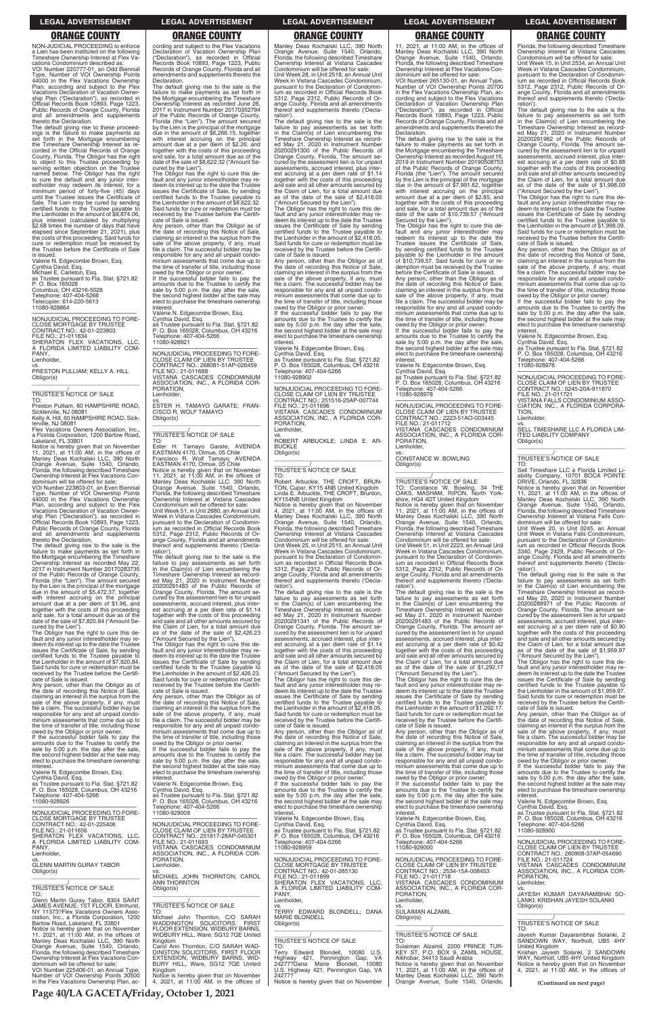NON-JUDICIAL PROCEEDING to enforce a Lien has been instituted on the following Timeshare Ownership Interest at Flex Vacations Condominium described as:

VOI Number 220777-01, an Odd Biennial Type, Number of VOI Ownership Points 44000 in the Flex Vacations Ownership Plan, according and subject to the Flex Vacations Declaration of Vacation Ownership Plan ("Declaration"), as recorded in Official Records Book 10893, Page 1223, Public Records of Orange County, Florida and all amendments and supplements thereto the Declaration.

—————————————————— NONJUDICIAL PROCEEDING TO FORE-CLOSE MORTGAGE BY TRUSTEE CONTRACT NO.: 42-01-223803 FILE NO.: 21-011634 SHERATON FLEX VACATIONS, LLC, FLORIDA LIMITED LIABILITY COM-PANY, . . . . . .<br>Lienholder.

The default giving rise to these proceed-ings is the failure to make payments as set forth in the Mortgage encumbering the Timeshare Ownership Interest as re-corded in the Official Records of Orange County, Florida. The Obligor has the right to object to this Trustee proceeding by serving written objection on the Trustee named below. The Obligor has the right<br>to cure the default and any junior inter-<br>estholder may redeem its interest, for a<br>minimum period of forty-five (45) days<br>until the Trustee issues the Certificate of Sale. The Lien may be cured by sending certified funds to the Trustee payable to the Lienholder in the amount of \$9,874.06, plus interest (calculated by multiplying \$2.68 times the number of days that have elapsed since September 21, 2021), plus the costs of this proceeding. Said funds for cure or redemption must be received by the Trustee before the Certificate of Sale is issued.

Valerie N. Edgecombe Brown, Esq. Cynthia David, Esq. Michael E. Carleton, Esq. as Trustee pursuant to Fla. Stat. §721.82 P. O. Box 165028 Columbus, OH 43216-5028 Telephone: 407-404-5266 Telecopier: 614-220-5613 11080-928864

vs. PRESTON PULLIAM; KELLY A. HILL Obligor(s) \_\_\_\_\_\_\_\_\_\_\_\_\_\_\_\_\_\_\_\_\_\_\_\_\_\_\_\_\_\_\_\_\_

### \_\_\_\_\_\_\_\_\_\_\_/ TRUSTEE'S NOTICE OF SALE

TO: Preston Pulliam, 60 HAMPSHIRE ROAD, Sicklerville, NJ 08081 Kelly A. Hill, 60 HAMPSHIRE ROAD, Sick-

lerville, NJ 08081 Flex Vacations Owners Association, Inc., a Florida Corporation, 1200 Bartow Road, Lakeland, FL 33801

Notice is hereby given that on November 11, 2021, at 11:00 AM, in the offices of Manley Deas Kochalski LLC, 390 North Orange Avenue, Suite 1540, Orlando, Florida, the following described Timeshare Ownership Interest at Flex Vacations Condominium will be offered for sale:

VOI Number 223803-01, an Even Biennial Type, Number of VOI Ownership Points 44000 in the Flex Vacations Ownership Plan, according and subject to the Flex Vacations Declaration of Vacation Ownership Plan ("Declaration"), as recorded in Official Records Book 10893, Page 1223, Public Records of Orange County, Florida and all amendments and supplements thereto the Declaration.

The default giving rise to the sale is the failure to make payments as set forth in the Mortgage encumbering the Timeshare Ownership Interest as recorded May 22, 2017 in Instrument Number 20170283735 of the Public Records of Orange County, Florida (the "Lien"). The amount secured by the Lien is the principal of the mortgage due in the amount of \$5,472.37, together with interest accruing on the principal amount due at a per diem of \$1.96, and together with the costs of this proceeding and sale, for a total amount due as of the date of the sale of \$7,820.84 ("Amount Secured by the Lien"). The Obligor has the right to cure this de-

owed by the Obligor or prior owner. If the successful bidder fails to pay the amounts due to the Trustee to certify the sale by 5:00 p.m. the day after the sale, the second highest bidder at the sale may elect to purchase the timeshare ownership **interest** 

fault and any junior interestholder may redeem its interest up to the date the Trustee issues the Certificate of Sale, by sending certified funds to the Trustee payable to the Lienholder in the amount of \$7,820.84. Said funds for cure or redemption must be received by the Trustee before the Certificate of Sale is issued.

Any person, other than the Obligor as of the date of recording this Notice of Sale, claiming an interest in the surplus from the sale of the above property, if any, must file a claim. The successful bidder may be responsible for any and all unpaid condominium assessments that come due up to the time of transfer of title, including those

TO:<br>Ester H Tamayo Garate, AVENIDA EASTMAN 4170, Olmue, 05 Chile Francisco R. Wolf Tamayo, AVENIDA EASTMAN 4170, Olmue, 05 Chile Notice is hereby given that on November 11, 2021, at 11:00 AM, in the offices of Manley Deas Kochalski LLC, 390 North Orange Avenue, Suite 1540, Orlando, Florida, the following described Timeshare Ownership Interest at Vistana Cascades Condominium will be offered for sale: Unit Week 51, in Unit 2680, an Annual Unit

owed by the Obligor or prior owner. If the successful bidder fails to pay the amounts due to the Trustee to certify the sale by 5:00 p.m. the day after the sale, cording and subject to the Flex Vacations Declaration of Vacation Ownership Plan ("Declaration"), as recorded in Official "Declaration"), as recorded in Official<br>Records Book 10893, Page 1223, Public Records of Orange County, Florida and all amendments and supplements thereto the Declaration.

The default giving rise to the sale is the failure to make payments as set forth in the Mortgage encumbering the Timeshare Ownership Interest as recorded June 26, 2017 in Instrument Number 20170352794 of the Public Records of Orange County, Florida (the "Lien"). The amount secured by the Lien is the principal of the mortgage due in the amount of \$6,266.15, together with interest accruing on the principal amount due at a per diem of \$2.26, and together with the costs of this proceeding and sale, for a total amount due as of the date of the sale of \$8,622.32 ("Amount Secured by the Lien").

The Obligor has the right to cure this default and any junior interestholder may redeem its interest up to the date the Trustee issues the Certificate of Sale, by sending certified funds to the Trustee payable to the Lienholder in the amount of \$8,622.32. Said funds for cure or redemption must be received by the Trustee before the Certificate of Sale is issued.

Any person, other than the Obligor as of the date of recording this Notice of Sale, claiming an interest in the surplus from the sale of the above property, if any, must file a claim. The successful bidder may be responsible for any and all unpaid condo-minium assessments that come due up to the time of transfer of title, including those

Valerie N. Edgecombe Brown, Esq. Cynthia David, Esq. as Trustee pursuant to Fla. Stat. §721.82 P. O. Box 165028, Columbus, OH 43216 Telephone: 407-404-5266 11080-928921

—————————————————— NONJUDICIAL PROCEEDING TO FORE-CLOSE CLAIM OF LIEN BY TRUSTEE CONTRACT NO.: 268081-51AP-026459 FILE NO.: 21-011688 VISTANA CASCADES CONDOMINIUM ASSOCIATION, INC., A FLORIDA COR-PORATION, Lienholder,

vs. ESTER H. TAMAYO GARATE; FRAN-CISCO R. WOLF TAMAYO Obligor(s) \_\_\_\_\_\_\_\_\_\_\_\_\_\_\_\_\_\_\_\_\_\_\_\_\_\_\_\_\_\_\_\_\_

### \_\_\_\_\_\_\_\_\_\_\_/ TRUSTEE'S NOTICE OF SALE

Week in Vistana Cascades Condominium, pursuant to the Declaration of Condomin-ium as recorded in Official Records Book 5312, Page 2312, Public Records of Orange County, Florida and all amendments thereof and supplements thereto ('Declaration').

The default giving rise to the sale is the failure to pay assessments as set forth in the Claim(s) of Lien encumbering the Timeshare Ownership Interest as record-ed May 21, 2020 in Instrument Number 20200291483 of the Public Records of Orange County, Florida. The amount secured by the assessment lien is for unpaid assessments, accrued interest, plus interest accruing at a per diem rate of \$1.14 together with the costs of this proceeding and sale and all other amounts secured by the Claim of Lien, for a total amount due as of the date of the sale of \$2,426.23 ("Amount Secured by the Lien").

Any person, other than the Obligor as the date of recording this Notice of Sale, claiming an interest in the surplus from the sale of the above property, if any, must file a claim. The successful bidder may be responsible for any and all unpaid condo-minium assessments that come due up to the time of transfer of title, including those

The Obligor has the right to cure this de-fault and any junior interestholder may redeem its interest up to the date the Trustee issues the Certificate of Sale by sending certified funds to the Trustee payable to the Lienholder in the amount of \$2,426.23. Said funds for cure or redemption must be received by the Trustee before the Certificate of Sale is issued.

Any person, other than the Obligor as of the date of recording this Notice of Sale, claiming an interest in the surplus from the sale of the above property, if any, must file a claim. The successful bidder may be responsible for any and all unpaid condo-minium assessments that come due up to the time of transfer of title, including those owed by the Obligor or prior owner.

Florida, the following described Timeshare Ownership Interest at Vistana Cascades Condominium will be offered for sale: Unit Week 15, in Unit 2534, an Annual Unit Week in Vistana Cascades Condominium, pursuant to the Declaration of Condominium as recorded in Official Records Book 5312, Page 2312, Public Records of Or-ange County, Florida and all amendments thereof and supplements thereto ('Declaration'

Manley Deas Kochalski LLC, 390 North Orange Avenue, Suite 1540, Orlando, Florida, the following described Timeshare Ownership Interest at Vistana Cascades Condominium will be offered for sale: Unit Week 28, in Unit 2518, an Annual Unit Week in Vistana Cascades Condominium, pursuant to the Declaration of Condomin-ium as recorded in Official Records Book 5312, Page 2312, Public Records of Orange County, Florida and all amendments thereof and supplements thereto ('Declaration'). The default giving rise to the sale is the

> The Obligor has the right to cure this default and any junior interestholder may re-deem its interest up to the date the Trustee issues the Certificate of Sale by sending certified funds to the Trustee payable to the Lienholder in the amount of \$1,998.09. Said funds for cure or redemption must be received by the Trustee before the Certificate of Sale is issued.

failure to pay assessments as set forth in the Claim(s) of Lien encumbering the Timeshare Ownership Interest as record-ed May 21, 2020 in Instrument Number 20200291300 of the Public Records of Orange County, Florida. The amount secured by the assessment lien is for unpaid assessments, accrued interest, plus interest accruing at a per diem rate of \$1.14 together with the costs of this proceeding and sale and all other amounts secured by the Claim of Lien, for a total amount due as of the date of the sale of \$2,418.05

("Amount Secured by the Lien"). The Obligor has the right to cure this de-fault and any junior interestholder may redeem its interest up to the date the Trustee issues the Certificate of Sale by sending certified funds to the Trustee payable to the Lienholder in the amount of \$2,418.05. Said funds for cure or redemption must be received by the Trustee before the Certifi-cate of Sale is issued.

Any person, other than the Obligor as of the date of recording this Notice of Sale, claiming an interest in the surplus from the sale of the above property, if any, must file a claim. The successful bidder may be responsible for any and all unpaid condominium assessments that come due up to the time of transfer of title, including those owed by the Obligor or prior owner.

If the successful bidder fails to pay the amounts due to the Trustee to certify the sale by 5:00 p.m. the day after the sale, the second highest bidder at the sale may elect to purchase the timeshare ownership interest.

Valerie N. Edgecombe Brown, Esq. Cynthia David, Esq. as Trustee pursuant to Fla. Stat. §721.82

The Obligor has the right to cure this default and any junior interestholder may redeem its interest up to the date the Trustee issues the Certificate of Sale by sending certified funds to the Trustee payable to the Lienholder in the amount of \$1,959.97. Said funds for cure or redemption must be received by the Trustee before the Certificate of Sale is issued.

P. O. Box 165028, Columbus, OH 43216 Telephone: 407-404-5266 11080-928902

> Any person, other than the Obligor the date of recording this Notice of Sale, claiming an interest in the surplus from the sale of the above property, if any, must file a claim. The successful bidder may be

—————————————————— NONJUDICIAL PROCEEDING TO FORE-CLOSE CLAIM OF LIEN BY TRUSTEE CONTRACT NO.: 251516-25AP-007744 FILE NO.: 21-011696 VISTANA CASCADES CONDOMINIUM ASSOCIATION, INC., A FLORIDA COR-PORATION, Lienholder,

vs. ROBERT ARBUCKLE; LINDA E. AR-BUCKLE Obligor(s) \_\_\_\_\_\_\_\_\_\_\_\_\_\_\_\_\_\_\_\_\_\_\_\_\_\_\_\_\_\_\_\_\_

### \_\_\_\_\_\_\_\_\_\_\_/ TRUSTEE'S NOTICE OF SALE

TO: Robert Arbuckle, THE CROFT, BRUN-TON, Cupar, KY15 4NB United Kingdom Linda E. Arbuckle, THE CROFT, Brunton, KY154NB United Kingdom Notice is hereby given that on November 4, 2021, at 11:00 AM, in the offices of Manley Deas Kochalski LLC, 390 North

| amounts due to the Trustee to certify the<br>sale by 5:00 p.m. the day after the sale,<br>the second highest bidder at the sale may<br>elect to purchase the timeshare ownership<br>interest.<br>Valerie N. Edgecombe Brown, Esg.<br>Cynthia David, Esq.<br>as Trustee pursuant to Fla. Stat. §721.82<br>P. O. Box 165028, Columbus, OH 43216<br>Telephone: 407-404-5266<br>11080-928926 | owed by the Obligor or prior owner.<br>If the successful bidder fails to pay the<br>amounts due to the Trustee to certify the<br>sale by 5:00 p.m. the day after the sale,<br>the second highest bidder at the sale may<br>elect to purchase the timeshare ownership<br>interest.<br>Valerie N. Edgecombe Brown, Esg.<br>Cynthia David, Esg.<br>as Trustee pursuant to Fla. Stat. §721.82<br>P. O. Box 165028, Columbus, OH 43216<br>Telephone: 407-404-5266 | claiming an interest in the surplus from the<br>sale of the above property, if any, must<br>file a claim. The successful bidder may be<br>responsible for any and all unpaid condo-<br>minium assessments that come due up to<br>the time of transfer of title, including those<br>owed by the Obligor or prior owner.<br>If the successful bidder fails to pay the<br>amounts due to the Trustee to certify the<br>sale by 5:00 p.m. the day after the sale,<br>the second highest bidder at the sale may<br>elect to purchase the timeshare ownership | claiming an interest in the surplus from the<br>sale of the above property, if any, must<br>file a claim. The successful bidder may be<br>responsible for any and all unpaid condo-<br>minium assessments that come due up to<br>the time of transfer of title, including those<br>owed by the Obligor or prior owner.<br>If the successful bidder fails to pay the<br>amounts due to the Trustee to certify the<br>sale by 5:00 p.m. the day after the sale,<br>the second highest bidder at the sale may<br>elect to purchase the timeshare ownership | responsible for any and all unpaid condo-<br>minium assessments that come due up to<br>the time of transfer of title, including those<br>owed by the Obligor or prior owner.<br>If the successful bidder fails to pay the<br>amounts due to the Trustee to certify the<br>sale by 5:00 p.m. the day after the sale,<br>the second highest bidder at the sale may<br>elect to purchase the timeshare ownership<br>interest.<br>Valerie N. Edgecombe Brown, Esg.<br>Cynthia David, Esq. |
|------------------------------------------------------------------------------------------------------------------------------------------------------------------------------------------------------------------------------------------------------------------------------------------------------------------------------------------------------------------------------------------|--------------------------------------------------------------------------------------------------------------------------------------------------------------------------------------------------------------------------------------------------------------------------------------------------------------------------------------------------------------------------------------------------------------------------------------------------------------|---------------------------------------------------------------------------------------------------------------------------------------------------------------------------------------------------------------------------------------------------------------------------------------------------------------------------------------------------------------------------------------------------------------------------------------------------------------------------------------------------------------------------------------------------------|---------------------------------------------------------------------------------------------------------------------------------------------------------------------------------------------------------------------------------------------------------------------------------------------------------------------------------------------------------------------------------------------------------------------------------------------------------------------------------------------------------------------------------------------------------|---------------------------------------------------------------------------------------------------------------------------------------------------------------------------------------------------------------------------------------------------------------------------------------------------------------------------------------------------------------------------------------------------------------------------------------------------------------------------------------|
| NONJUDICIAL PROCEEDING TO FORE-<br><b>CLOSE MORTGAGE BY TRUSTEE</b><br>CONTRACT NO.: 42-01-225406<br>FILE NO.: 21-011656<br>SHERATON FLEX VACATIONS. LLC.                                                                                                                                                                                                                                | 11080-929009<br>NONJUDICIAL PROCEEDING TO FORE-<br>CLOSE CLAIM OF LIEN BY TRUSTEE<br>CONTRACT NO.: 251817-28AP-045301                                                                                                                                                                                                                                                                                                                                        | interest.<br>Valerie N. Edgecombe Brown, Esq.<br>Cynthia David, Esq.<br>as Trustee pursuant to Fla. Stat. §721.82<br>P. O. Box 165028, Columbus, OH 43216                                                                                                                                                                                                                                                                                                                                                                                               | interest.<br>Valerie N. Edgecombe Brown, Esg.<br>Cynthia David, Esq.<br>as Trustee pursuant to Fla. Stat. §721.82<br>P. O. Box 165028, Columbus, OH 43216                                                                                                                                                                                                                                                                                                                                                                                               | as Trustee pursuant to Fla. Stat. §721.82<br>P. O. Box 165028, Columbus, OH 43216<br>Telephone: 407-404-5266<br>11080-928900                                                                                                                                                                                                                                                                                                                                                          |
| A FLORIDA LIMITED LIABILITY COM-<br>PANY.<br>Lienholder,<br>VS.<br><b>GLENN MARTIN GURAY TABOR</b><br>Obligor(s)                                                                                                                                                                                                                                                                         | FILE NO.: 21-011693<br>VISTANA CASCADES CONDOMINIUM<br>ASSOCIATION, INC., A FLORIDA COR-<br>PORATION.<br>Lienholder,<br>VS.                                                                                                                                                                                                                                                                                                                                  | Telephone: 407-404-5266<br>11080-928959<br>NONJUDICIAL PROCEEDING TO FORE-<br><b>CLOSE MORTGAGE BY TRUSTEE</b><br>CONTRACT NO.: 42-01-265130                                                                                                                                                                                                                                                                                                                                                                                                            | Telephone: 407-404-5266<br>11080-929000<br>NONJUDICIAL PROCEEDING TO FORE-<br>CLOSE CLAIM OF LIEN BY TRUSTEE<br>CONTRACT NO.: 2534-15A-008453                                                                                                                                                                                                                                                                                                                                                                                                           | NONJUDICIAL PROCEEDING TO FORE-<br>CLOSE CLAIM OF LIEN BY TRUSTEE<br>CONTRACT NO.: 260908-37AP-054690<br>FILE NO.: 21-011724<br>VISTANA CASCADES CONDOMINIUM<br>ASSOCIATION, INC., A FLORIDA COR-                                                                                                                                                                                                                                                                                     |
| <b>TRUSTEE'S NOTICE OF SALE</b><br>TO:<br>Glenn Martin Guray Tabor, 8304 SAINT<br>JAMES AVENUE, 1ST FLOOR, Elmhurst,                                                                                                                                                                                                                                                                     | MICHAEL JOHN THORNTON: CAROL<br><b>ANN THORNTON</b><br>Obligor(s)<br><b>TRUSTEE'S NOTICE OF SALE</b>                                                                                                                                                                                                                                                                                                                                                         | FILE NO.: 21-011699<br>SHERATON FLEX VACATIONS, LLC,<br>A FLORIDA LIMITED LIABILITY COM-<br>PANY.<br>Lienholder.<br>VS.                                                                                                                                                                                                                                                                                                                                                                                                                                 | FILE NO.: 21-011718<br>VISTANA CASCADES CONDOMINIUM<br>ASSOCIATION, INC., A FLORIDA COR-<br>PORATION.<br>Lienholder.<br>VS.                                                                                                                                                                                                                                                                                                                                                                                                                             | PORATION.<br>Lienholder.<br>VS.<br>JAYESH KUMAR DAYARAMBHAI SO-<br>LANKI: KRISHAN JAYESH SOLANKI<br>Obligor(s)                                                                                                                                                                                                                                                                                                                                                                        |
| NY 11373? Flex Vacations Owners Asso-<br>ciation, Inc., a Florida Corporation, 1200<br>Bartow Road, Lakeland, FL 33801<br>Notice is hereby given that on November<br>11, 2021, at $11:00$ AM, in the offices of                                                                                                                                                                          | TO:<br>Michael John Thornton. C/O SARAH<br>WADDINGTON SOLICITORS. FIRST<br>FLOOR EXTENSION, WIDBURY BARNS,<br>WIDBURY HILL, Ware, SG12 7QE United                                                                                                                                                                                                                                                                                                            | TERRY EDWARD BLONDELL; DANA<br><b>MARIE BLONDELL</b><br>Obligor(s)                                                                                                                                                                                                                                                                                                                                                                                                                                                                                      | <b>SULAIMAN ALZAMIL</b><br>Obligor(s)<br>TRUSTEE'S NOTICE OF SALE                                                                                                                                                                                                                                                                                                                                                                                                                                                                                       | <b>TRUSTEE'S NOTICE OF SALE</b><br>TO:<br>Jayesh Kumar Dayarambhai Solanki, 2                                                                                                                                                                                                                                                                                                                                                                                                         |
| Manley Deas Kochalski LLC, 390 North<br>Orange Avenue, Suite 1540, Orlando,<br>Florida, the following described Timeshare<br>Ownership Interest at Flex Vacations Con-<br>dominium will be offered for sale:<br>VOI Number 225406-01, an Annual Type,                                                                                                                                    | Kingdom<br>Carol Ann Thornton, C/O SARAH WAD-<br>DINGTON SOLICITORS. FIRST FLOOR<br>EXTENSION, WIDBURY BARNS, WID-<br>BURY HILL, Ware, SG12 7QE United<br>Kingdom                                                                                                                                                                                                                                                                                            | <b>TRUSTEE'S NOTICE OF SALE</b><br>TO:<br>Terry<br>Edward Blondell. 10080 U.S.<br>Highway 421, Pennington Gap, VA<br>24277?Dana Marie Blondell, 10080<br>U.S. Highway 421, Pennington Gap, VA                                                                                                                                                                                                                                                                                                                                                           | TO.<br>Sulaiman Alzamil, 2200 PRINCE TUR-<br>KEY ST, P.O. BOX 9, ZAMIL HOUSE,<br>Alkhobar, 34413 Saudi Arabia<br>Notice is hereby given that on November<br>11, 2021, at $11:00$ AM, in the offices of                                                                                                                                                                                                                                                                                                                                                  | SANDOWN WAY, Northolt, UB5 4HY<br><b>United Kingdom</b><br>Krishan Jayesh Solanki, 2 SANDOWN<br>WAY, Northolt, UB5 4HY United Kingdom<br>Notice is hereby given that on November<br>4, 2021, at 11:00 AM, in the offices of                                                                                                                                                                                                                                                           |
| Number of VOI Ownership Points 30500<br>in the Flex Vacations Ownership Plan, ac-                                                                                                                                                                                                                                                                                                        | Notice is hereby given that on November<br>4, 2021, at 11:00 AM, in the offices of                                                                                                                                                                                                                                                                                                                                                                           | 24277?<br>Notice is hereby given that on November                                                                                                                                                                                                                                                                                                                                                                                                                                                                                                       | Manley Deas Kochalski LLC, 390 North<br>Orange Avenue, Suite 1540, Orlando,                                                                                                                                                                                                                                                                                                                                                                                                                                                                             | (Continued on next page)                                                                                                                                                                                                                                                                                                                                                                                                                                                              |

Orange Avenue, Suite 1540, Orlando, Florida, the following described Timeshare Ownership Interest at Vistana Cascades

Condominium will be offered for sale: Unit Week 25, in Unit 2515, an Annual Unit Week in Vistana Cascades Condominium, pursuant to the Declaration of Condomin-ium as recorded in Official Records Book 5312, Page 2312, Public Records of Orange County, Florida and all amendments thereof and supplements thereto ('Declaration').

The default giving rise to the sale is the failure to pay assessments as set forth in the Claim(s) of Lien encumbering the Timeshare Ownership Interest as record-ed May 21, 2020 in Instrument Number 20200291341 of the Public Records of Orange County, Florida. The amount se-cured by the assessment lien is for unpaid assessments, accrued interest, plus interest accruing at a per diem rate of \$1.14 together with the costs of this proceeding and sale and all other amounts secured by the Claim of Lien, for a total amount due as of the date of the sale of \$2,418.05

("Amount Secured by the Lien"). The Obligor has the right to cure this de-fault and any junior interestholder may redeem its interest up to the date the Trustee issues the Certificate of Sale by sending certified funds to the Trustee payable to the Lienholder in the amount of \$2,418.05. Said funds for cure or redemption must be received by the Trustee before the Certifi-cate of Sale is issued.

Any person, other than the Obligor as of the date of recording this Notice of Sale, claiming an interest in the surplus from the

11, 2021, at 11:00 AM, in the offices of Manley Deas Kochalski LLC, 390 North Orange Avenue, Suite 1540, Orlando, Florida, the following described Timeshare Ownership Interest at Flex Vacations Condominium will be offered for sale: VOI Number 265130-01, an Annual Type,

Number of VOI Ownership Points 20700 in the Flex Vacations Ownership Plan, according and subject to the Flex Vacations Declaration of Vacation Ownership Plan ("Declaration"), as recorded in Official ("Declaration"), as recorded in Official<br>Records Book 10893, Page 1223, Public Records of Orange County, Florida and all amendments and supplements thereto the Declaration.

The default giving rise to the sale is the failure to make payments as set forth in the Mortgage encumbering the Timeshare Ownership Interest as recorded August 16, 2019 in Instrument Number 20190508753 of the Public Records of Orange County, Florida (the "Lien"). The amount secured by the Lien is the principal of the mortgage due in the amount of \$7,991.62, together with interest accruing on the principal amount due at a per diem of \$2.85, and together with the costs of this proceeding and sale, for a total amount due as of the date of the sale of \$10,739.57 ("Amount Secured by the Lien").

The Obligor has the right to cure this de-fault and any junior interestholder may redeem its interest up to the date the Trustee issues the Certificate of Sale, by sending certified funds to the Trustee payable to the Lienholder in the amount of \$10,739.57. Said funds for cure or redemption must be received by the Trustee before the Certificate of Sale is issued.

owed by the Obligor or prior owner. If the successful bidder fails to pay the amounts due to the Trustee to certify the sale by 5:00 p.m. the day after the sale. the second highest bidder at the sale may elect to purchase the timeshare ownership interest.

Valerie N. Edgecombe Brown, Esq. Cynthia David, Esq. as Trustee pursuant to Fla. Stat. §721.82

P. O. Box 165028, Columbus, OH 43216 Telephone: 407-404-5266 11080-928978

—————————————————— NONJUDICIAL PROCEEDING TO FORE-CLOSE CLAIM OF LIEN BY TRUSTEE CONTRACT NO.: 2223-51AO-003445 FILE NO.: 21-011712 VISTANA CASCADES CONDOMINIUM ASSOCIATION, INC., A FLORIDA COR-PORATION,

Lienholder, vs. CONSTANCE W. BOWLING

Obligor(s) \_\_\_\_\_\_\_\_\_\_\_\_\_\_\_\_\_\_\_\_\_\_\_\_\_\_\_\_\_\_\_\_\_

### \_\_\_\_\_\_\_\_\_\_\_/ TRUSTEE'S NOTICE OF SALE

TO: Constance W. Bowling, 34 THE OAKS, MASHAM, RIPON, North Yorkshire, HG4 4DT United Kingdom

Notice is hereby given that on November 11, 2021, at 11:00 AM, in the offices of Manley Deas Kochalski LLC, 390 North Orange Avenue, Suite 1540, Orlando, Florida, the following described Timeshare Ownership Interest at Vistana Cascades

Condominium will be offered for sale: Unit Week 51, in Unit 2223, an Annual Unit Week in Vistana Cascades Condominium, pursuant to the Declaration of Condomin-ium as recorded in Official Records Book 5312, Page 2312, Public Records of Orange County, Florida and all amendments thereof and supplements thereto ('Declaration').

The default giving rise to the sale is the failure to pay assessments as set forth in the Claim(s) of Lien encumbering the Timeshare Ownership Interest as record-ed May 21, 2020 in Instrument Number 20200291483 of the Public Records of Orange County, Florida. The amount se-cured by the assessment lien is for unpaid assessments, accrued interest, plus interest accruing at a per diem rate of \$0.42 together with the costs of this proceeding and sale and all other amounts secured by the Claim of Lien, for a total amount due as of the date of the sale of \$1,292.17 ("Amount Secured by the Lien").

The Obligor has the right to cure this default and any junior interestholder may redeem its interest up to the date the Trustee issues the Certificate of Sale by sending certified funds to the Trustee payable to the Lienholder in the amount of \$1,292.17. Said funds for cure or redemption must be received by the Trustee before the Certificate of Sale is issued.

Any person, other than the Obligor as of the date of recording this Notice of Sale, claiming an interest in the surplus from the

The default giving rise to the sale is the failure to pay assessments as set forth in the Claim(s) of Lien encumbering the Timeshare Ownership Interest as recorded May 21, 2020 in Instrument Number 20200291962 of the Public Records of Orange County, Florida. The amount secured by the assessment lien is for unpaid assessments, accrued interest, plus inter-est accruing at a per diem rate of \$0.88 together with the costs of this proceeding and sale and all other amounts secured by the Claim of Lien, for a total amount due as of the date of the sale of \$1,998.09 ("Amount Secured by the Lien").

Any person, other than the Obligor as of the date of recording this Notice of Sale, claiming an interest in the surplus from the sale of the above property, if any, must file a claim. The successful bidder may be responsible for any and all unpaid condominium assessments that come due up to the time of transfer of title, including those

owed by the Obligor or prior owner. If the successful bidder fails to pay the amounts due to the Trustee to certify the sale by 5:00 p.m. the day after the sale, the second highest bidder at the sale may elect to purchase the timeshare ownership interest.

Valerie N. Edgecombe Brown, Esq. Cynthia David, Esq.

as Trustee pursuant to Fla. Stat. §721.82 P. O. Box 165028, Columbus, OH 43216 Telephone: 407-404-5266 11080-928976

—————————————————— NONJUDICIAL PROCEEDING TO FORE-CLOSE CLAIM OF LIEN BY TRUSTEE CONTRACT NO.: 0245-20A-911870 FILE NO.: 21-011721

VISTANA FALLS CONDOMINIUM ASSO-CIATION, INC., A FLORIDA CORPORA-TION,

Lienholder,

vs. SELL TIMESHARE LLC A FLORIDA LIM-ITED LIABILITY COMPANY Obligor(s) \_\_\_\_\_\_\_\_\_\_\_\_\_\_\_\_\_\_\_\_\_\_\_\_\_\_\_\_\_\_\_\_\_

### \_\_\_\_\_\_\_\_\_\_\_/ TRUSTEE'S NOTICE OF SALE TO:

Sell Timeshare LLC a Florida Limited Li-ability Company, 10701 BOCA POINTE DRIVE, Orlando, FL 32836

Notice is hereby given that on November 11, 2021, at 11:00 AM, in the offices of Manley Deas Kochalski LLC, 390 North Orange Avenue, Suite 1540, Orlando, Florida, the following described Timeshare Ownership Interest at Vistana Falls Condominium will be offered for sale:

Unit Week 20, in Unit 0245, an Annual Unit Week in Vistana Falls Condominium, pursuant to the Declaration of Condomin-ium as recorded in Official Records Book 3340, Page 2429, Public Records of Orange County, Florida and all amendments thereof and supplements thereto ('Declaration').

The default giving rise to the sale is the failure to pay assessments as set forth in the Claim(s) of Lien encumbering the Timeshare Ownership Interest as record-ed May 20, 2020 in Instrument Number 20200288971 of the Public Records of Orange County, Florida. The amount secured by the assessment lien is for unpaid assessments, accrued interest, plus interest accruing at a per diem rate of \$0.90 together with the costs of this proceeding and sale and all other amounts secured by the Claim of Lien, for a total amount due as of the date of the sale of \$1,959.97 ("Amount Secured by the Lien").

### **LEGAL ADVERTISEMENT LEGAL ADVERTISEMENT LEGAL ADVERTISEMENT LEGAL ADVERTISEMENT LEGAL ADVERTISEMENT**

# **ORANGE COUNTY ORANGE COUNTY ORANGE COUNTY ORANGE COUNTY ORANGE COUNTY**

**Page 40/LA GACETA/Friday, October 1, 2021**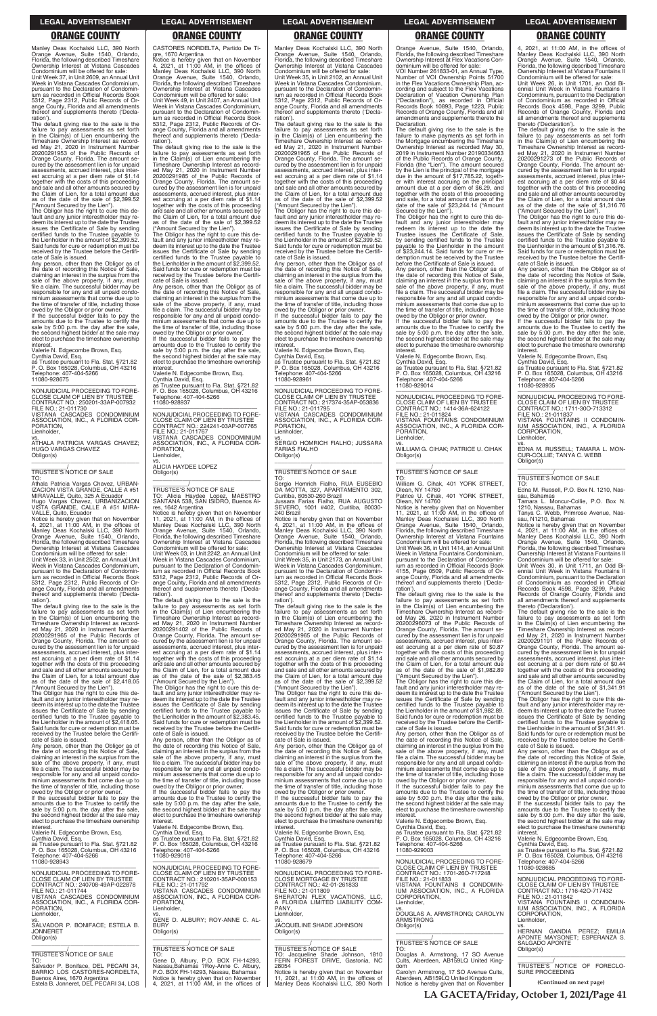Manley Deas Kochalski LLC, 390 North Orange Avenue, Suite 1540, Orlando, Florida, the following described Timeshare Ownership Interest at Vistana Cascades Condominium will be offered for sale:

Unit Week 37, in Unit 2609, an Annual Unit Week in Vistana Cascades Condominium, pursuant to the Declaration of Condominium as recorded in Official Records Book 5312, Page 2312, Public Records of Orange County, Florida and all amendments thereof and supplements thereto ('Declaration').

Any person, other than the Obligor as of the date of recording this Notice of Sale,<br>claiming an interest in the surplus from the<br>sale of the above property, if any, must<br>file a claim. The successful bidder may be responsible for any and all unpaid condo-minium assessments that come due up to the time of transfer of title, including those

The default giving rise to the sale is the failure to pay assessments as set forth in the Claim(s) of Lien encumbering the Timeshare Ownership Interest as record-ed May 21, 2020 in Instrument Number 20200291953 of the Public Records of Orange County, Florida. The amount se-cured by the assessment lien is for unpaid assessments, accrued interest, plus interest accruing at a per diem rate of \$1.14 together with the costs of this proceeding and sale and all other amounts secured by the Claim of Lien, for a total amount due as of the date of the sale of \$2,399.52

owed by the Obligor or prior owner. If the successful bidder fails to pay the amounts due to the Trustee to certify the sale by 5:00 p.m. the day after the sale the second highest bidder at the sale may elect to purchase the timeshare ownership **interest** 

("Amount Secured by the Lien"). The Obligor has the right to cure this default and any junior interestholder may redeem its interest up to the date the Trustee issues the Certificate of Sale by sending certified funds to the Trustee payable to the Lienholder in the amount of \$2,399.52. Said funds for cure or redemption must be received by the Trustee before the Certificate of Sale is issued.

Valerie N. Edgecombe Brown, Esq.

Cynthia David, Esq. as Trustee pursuant to Fla. Stat. §721.82 P. O. Box 165028, Columbus, OH 43216 Telephone: 407-404-5266 11080-928675

—————————————————— NONJUDICIAL PROCEEDING TO FORE-CLOSE CLAIM OF LIEN BY TRUSTEE CONTRACT NO.: 250201-33AP-007932

FILE NO.: 21-011730 VISTANA CASCADES CONDOMINIUM ASSOCIATION, INC., A FLORIDA COR-PORATION,

Lienholder,

vs. ATHALA PATRICIA VARGAS CHAVEZ; HUGO VARGAS CHAVEZ Obligor(s) \_\_\_\_\_\_\_\_\_\_\_\_\_\_\_\_\_\_\_\_\_\_\_\_\_\_\_\_\_\_\_\_\_

\_\_\_\_\_\_\_\_\_\_\_/ TRUSTEE'S NOTICE OF SALE

TO: Athala Patricia Vargas Chavez, URBAN-IZACION VISTA GRANDE, CALLE A #51 MIRAVALLE, Quito, 325 A Ecuador Hugo Vargas Chavez, URBANIZACION VISTA GRANDE, CALLE A #51 MIRA-

VALLE, Quito, Ecuador Notice is hereby given that on November 4, 2021, at 11:00 AM, in the offices of Manley Deas Kochalski LLC, 390 North Orange Avenue, Suite 1540, Orlando, Florida, the following described Timeshare Ownership Interest at Vistana Cascades Condominium will be offered for sale:

Unit Week 33, in Unit 2502, an Annual Unit Week in Vistana Cascades Condominium, pursuant to the Declaration of Condominium as recorded in Official Records Book 5312, Page 2312, Public Records of Orange County, Florida and all amendments thereof and supplements thereto ('Declaration').

The Obligor has the right to cure this default and any junior interestholder may re-deem its interest up to the date the Trustee issues the Certificate of Sale by sending certified funds to the Trustee payable to the Lienholder in the amount of \$2,399.52. Said funds for cure or redemption must be received by the Trustee before the Certifi-cate of Sale is issued.

The default giving rise to the sale is the failure to pay assessments as set forth in the Claim(s) of Lien encumbering the Timeshare Ownership Interest as record-ed May 21, 2020 in Instrument Number 20200291965 of the Public Records of Orange County, Florida. The amount se-cured by the assessment lien is for unpaid assessments, accrued interest, plus interest accruing at a per diem rate of \$1.14 together with the costs of this proceeding and sale and all other amounts secured by the Claim of Lien, for a total amount due as of the date of the sale of \$2,418.05 ("Amount Secured by the Lien").

—————————————————— NONJUDICIAL PROCEEDING TO FORE-CLOSE CLAIM OF LIEN BY TRUSTEE CONTRACT NO.: 224241-03AP-007765 FILE NO.: 21-011767 VISTANA CASCADES CONDOMINIUM ASSOCIATION, INC., A FLORIDA COR-PORATION, Lienholder,

The Obligor has the right to cure this de-fault and any junior interestholder may redeem its interest up to the date the Trustee issues the Certificate of Sale by sending certified funds to the Trustee payable to the Lienholder in the amount of \$2,418.05. Said funds for cure or redemption must be received by the Trustee before the Certificate of Sale is issued.

The Obligor has the right to cure this default and any junior interestholder may re-deem its interest up to the date the Trustee issues the Certificate of Sale by sending certified funds to the Trustee payable to the Lienholder in the amount of \$2,383.45. Said funds for cure or redemption must be received by the Trustee before the Certifi-cate of Sale is issued.

Manley Deas Kochalski LLC, 390 North<br>Orange Avenue. Suite 1540, Orlando, Orange Avenue, Suite 1540, Orlando, Florida, the following described Timeshare Ownership Interest at Vistana Cascades Condominium will be offered for sale: Unit Week 35, in Unit 2102, an Annual Unit Week in Vistana Cascades Condominium, pursuant to the Declaration of Condominium as recorded in Official Records Book 5312, Page 2312, Public Records of Orange County, Florida and all amendments thereof and supplements thereto ('Declaration'). The default giving rise to the sale is the

CASTORES NORDELTA, Partido De Tigre, 1670 Argentina Notice is hereby given that on November 4, 2021, at 11:00 AM, in the offices of Manley Deas Kochalski LLC, 390 North Orange Avenue, Suite 1540, Orlando, Florida, the following described Timeshare Ownership Interest at Vistana Cascades Condominium will be offered for sale: Unit Week 49, in Unit 2407, an Annual Unit Week in Vistana Cascades Condominium, pursuant to the Declaration of Condominium as recorded in Official Records Book 5312, Page 2312, Public Records of Orange County, Florida and all amendments thereof and supplements thereto ('Decla-

> owed by the Obligor or prior owner. If the successful bidder fails to pay the amounts due to the Trustee to certify the sale by 5:00 p.m. the day after the sale the second highest bidder at the sale may elect to purchase the timeshare ownership **interest**

ration'). The default giving rise to the sale is the failure to pay assessments as set forth in the Claim(s) of Lien encumbering the Timeshare Ownership Interest as recorded May 21, 2020 in Instrument Number 20200291985 of the Public Records of Orange County, Florida. The amount secured by the assessment lien is for unpaid assessments, accrued interest, plus interest accruing at a per diem rate of \$1.14 together with the costs of this proceeding and sale and all other amounts secured by the Claim of Lien, for a total amount due as of the date of the sale of \$2,399.52 ("Amount Secured by the Lien").

Any person, other than the Obligor as of the date of recording this Notice of Sale, claiming an interest in the surplus from the sale of the above property, if any, must file a claim. The successful bidder may be responsible for any and all unpaid condominium assessments that come due up to the time of transfer of title, including those owed by the Obligor or prior owner. If the successful bidder fails to pay the

amounts due to the Trustee to certify the sale by 5:00 p.m. the day after the sale, the second highest bidder at the sale may elect to purchase the timeshare ownership interest.

Valerie N. Edgecombe Brown, Esq. Cynthia David, Esq. as Trustee pursuant to Fla. Stat. §721.82 P. O. Box 165028, Columbus, OH 43216 Telephone: 407-404-5266 11080-928937

vs. ALICIA HAYDEE LOPEZ Obligor(s)

\_\_\_\_\_\_\_\_\_\_\_\_\_\_\_\_\_\_\_\_\_\_\_\_\_\_\_\_\_\_\_\_\_

### \_\_\_\_\_\_\_\_\_\_\_/ TRUSTEE'S NOTICE OF SALE TO: Alicia Haydee Lopez, MAESTRO SANTANA 538, SAN ISIDRO, Buenos Ai-

res, 1642 Argentina Notice is hereby given that on November 11, 2021, at 11:00 AM, in the offices of Manley Deas Kochalski LLC, 390 North Orange Avenue, Suite 1540, Orlando, Florida, the following described Timeshare Ownership Interest at Vistana Cascades Condominium will be offered for sale: Unit Week 03, in Unit 2242, an Annual Unit

Week in Vistana Cascades Condominium, pursuant to the Declaration of Condominium as recorded in Official Records Book 5312, Page 2312, Public Records of Orange County, Florida and all amendments thereof and supplements thereto ('Declaration').

by sending certified funds to the Trustee payable to the Lienholder in the amount of \$23,244.14. Said funds for cure or redemption must be received by the Trustee before the Certificate of Sale is issued. Any person, other than the Obligor as of the date of recording this Notice of Sale, claiming an interest in the surplus from the sale of the above property, if any, must file a claim. The successful bidder may be responsible for any and all unpaid condominium assessments that come due up to the time of transfer of title, including those owed by the Obligor or prior owner. If the successful bidder fails to pay the amounts due to the Trustee to certify the sale by 5:00 p.m. the day after the sale the second highest bidder at the sale may elect to purchase the timeshare ownership

The default giving rise to the sale is the failure to pay assessments as set forth in the Claim(s) of Lien encumbering the Timeshare Ownership Interest as record-ed May 21, 2020 in Instrument Number 20200291402 of the Public Records of Orange County, Florida. The amount secured by the assessment lien is for unpaid assessments, accrued interest, plus interest accruing at a per diem rate of \$1.14 together with the costs of this proceeding and sale and all other amounts secured by the Claim of Lien, for a total amount due as of the date of the sale of \$2,383.45 ("Amount Secured by the Lien").

Unit Week 26, in Unit 1701, an Odd Biennial Unit Week in Vistana Fountains II Condominium, pursuant to the Declaration of Condominium as recorded in Official Records Book 4598, Page 3299, Public Records of Orange County, Florida and all amendments thereof and supplements all arrientations were

The Obligor has the right to cure this default and any junior interestholder may re-deem its interest up to the date the Trustee issues the Certificate of Sale by sending certified funds to the Trustee payable to the Lienholder in the amount of \$1,316.76. Said funds for cure or redemption must be received by the Trustee before the Certificate of Sale is issued.

failure to pay assessments as set forth in the Claim(s) of Lien encumbering the Timeshare Ownership Interest as record-ed May 21, 2020 in Instrument Number 20200291965 of the Public Records of Orange County, Florida. The amount se-cured by the assessment lien is for unpaid assessments, accrued interest, plus interest accruing at a per diem rate of \$1.14 together with the costs of this proceeding and sale and all other amounts secured by the Claim of Lien, for a total amount due as of the date of the sale of \$2,399.52

("Amount Secured by the Lien"). The Obligor has the right to cure this default and any junior interestholder may redeem its interest up to the date the Trustee issues the Certificate of Sale by sending certified funds to the Trustee payable to the Lienholder in the amount of \$2,399.52. Said funds for cure or redemption must be received by the Trustee before the Certificate of Sale is issued.

Any person, other than the Obligor as of the date of recording this Notice of Sale,<br>claiming an interest in the surplus from the<br>sale of the above property, if any, must<br>file a claim. The successful bidder may be responsible for any and all unpaid condo-minium assessments that come due up to the time of transfer of title, including those

> Unit Week 30, in Unit 1711, an Odd Biennial Unit Week in Vistana Fountains II Condominium, pursuant to the Declaration of Condominium as recorded in Official Records Book 4598, Page 3299, Public Records of Orange County, Florida and all amendments thereof and supplements thereto ('Declaration').

Valerie N. Edgecombe Brown, Esq.

Cynthia David, Esq. as Trustee pursuant to Fla. Stat. §721.82 P. O. Box 165028, Columbus, OH 43216 Telephone: 407-404-5266 11080-928961

—————————————————— NONJUDICIAL PROCEEDING TO FORE-CLOSE CLAIM OF LIEN BY TRUSTEE CONTRACT NO.: 217374-35AP-053836 FILE NO.: 21-011795 VISTANA CASCADES CONDOMINIUM ASSOCIATION, INC., A FLORIDA COR-PORATION, Lienholder,

vs. SERGIO HOMRICH FIALHO; JUSSARA FARIAS FIALHO Obligor(s) \_\_\_\_\_\_\_\_\_\_\_\_\_\_\_\_\_\_\_\_\_\_\_\_\_\_\_\_\_\_\_\_\_

### \_\_\_\_\_\_\_\_\_\_\_/ TRUSTEE'S NOTICE OF SALE

TO: Sergio Homrich Fialho, RUA EUSEBIO DA MOTTA, 327, APARTAMENTO 302, Curitiba, 80530-260 Brazil Jussara Farias Fialho, RUA AUGUSTO SEVERO, 1001 #402, Curitiba, 80030- 240 Brazil

| cate of Sale is issued.<br>Any person, other than the Obligor as of<br>the date of recording this Notice of Sale,<br>claiming an interest in the surplus from the<br>sale of the above property, if any, must<br>file a claim. The successful bidder may be<br>responsible for any and all unpaid condo-<br>minium assessments that come due up to<br>the time of transfer of title, including those<br>owed by the Obligor or prior owner.<br>If the successful bidder fails to pay the<br>amounts due to the Trustee to certify the<br>sale by 5:00 p.m. the day after the sale,<br>the second highest bidder at the sale may<br>elect to purchase the timeshare ownership<br>interest.<br>Valerie N. Edgecombe Brown, Esq.<br>Cynthia David, Esq.<br>as Trustee pursuant to Fla. Stat. §721.82<br>P. O. Box 165028, Columbus, OH 43216<br>Telephone: 407-404-5266 | Any person, other than the Obligor as of<br>the date of recording this Notice of Sale.<br>claiming an interest in the surplus from the<br>sale of the above property, if any, must<br>file a claim. The successful bidder may be<br>responsible for any and all unpaid condo-<br>minium assessments that come due up to<br>the time of transfer of title, including those<br>owed by the Obligor or prior owner.<br>If the successful bidder fails to pay the<br>amounts due to the Trustee to certify the<br>sale by 5:00 p.m. the day after the sale,<br>the second highest bidder at the sale may<br>elect to purchase the timeshare ownership<br>interest.<br>Valerie N. Edgecombe Brown, Esg.<br>Cynthia David, Esq.<br>as Trustee pursuant to Fla. Stat. §721.82<br>P. O. Box 165028, Columbus, OH 43216<br>Telephone: 407-404-5266<br>11080-929018 | cate of Sale is issued.<br>Any person, other than the Obligor as of<br>the date of recording this Notice of Sale,<br>claiming an interest in the surplus from the<br>sale of the above property, if any, must<br>file a claim. The successful bidder may be<br>responsible for any and all unpaid condo-<br>minium assessments that come due up to<br>the time of transfer of title, including those<br>owed by the Obligor or prior owner.<br>If the successful bidder fails to pay the<br>amounts due to the Trustee to certify the<br>sale by 5:00 p.m. the day after the sale,<br>the second highest bidder at the sale may<br>elect to purchase the timeshare ownership<br>interest.<br>Valerie N. Edgecombe Brown, Esq.<br>Cynthia David, Esg.<br>as Trustee pursuant to Fla. Stat. §721.82<br>P. O. Box 165028, Columbus, OH 43216<br>Telephone: 407-404-5266 | the date of recording this Notice of Sale.<br>claiming an interest in the surplus from the<br>sale of the above property, if any, must<br>file a claim. The successful bidder may be<br>responsible for any and all unpaid condo-<br>minium assessments that come due up to<br>the time of transfer of title, including those<br>owed by the Obligor or prior owner.<br>If the successful bidder fails to pay the<br>amounts due to the Trustee to certify the<br>sale by 5:00 p.m. the day after the sale,<br>the second highest bidder at the sale may<br>elect to purchase the timeshare ownership<br>interest.<br>Valerie N. Edgecombe Brown, Esq.<br>Cynthia David, Esq.<br>as Trustee pursuant to Fla. Stat. §721.82<br>P. O. Box 165028, Columbus, OH 43216<br>Telephone: 407-404-5266<br>11080-929003 | received by the Trustee before the Certifi-<br>cate of Sale is issued.<br>Any person, other than the Obligor as of<br>the date of recording this Notice of Sale,<br>claiming an interest in the surplus from the<br>sale of the above property, if any, must<br>file a claim. The successful bidder may be<br>responsible for any and all unpaid condo-<br>minium assessments that come due up to<br>the time of transfer of title, including those<br>owed by the Obligor or prior owner.<br>If the successful bidder fails to pay the<br>amounts due to the Trustee to certify the<br>sale by 5:00 p.m. the day after the sale,<br>the second highest bidder at the sale may<br>elect to purchase the timeshare ownership<br>interest.<br>Valerie N. Edgecombe Brown, Esq.<br>Cynthia David, Esg.<br>as Trustee pursuant to Fla. Stat. §721.82<br>P. O. Box 165028, Columbus, OH 43216 |
|----------------------------------------------------------------------------------------------------------------------------------------------------------------------------------------------------------------------------------------------------------------------------------------------------------------------------------------------------------------------------------------------------------------------------------------------------------------------------------------------------------------------------------------------------------------------------------------------------------------------------------------------------------------------------------------------------------------------------------------------------------------------------------------------------------------------------------------------------------------------|-----------------------------------------------------------------------------------------------------------------------------------------------------------------------------------------------------------------------------------------------------------------------------------------------------------------------------------------------------------------------------------------------------------------------------------------------------------------------------------------------------------------------------------------------------------------------------------------------------------------------------------------------------------------------------------------------------------------------------------------------------------------------------------------------------------------------------------------------------------|----------------------------------------------------------------------------------------------------------------------------------------------------------------------------------------------------------------------------------------------------------------------------------------------------------------------------------------------------------------------------------------------------------------------------------------------------------------------------------------------------------------------------------------------------------------------------------------------------------------------------------------------------------------------------------------------------------------------------------------------------------------------------------------------------------------------------------------------------------------------|---------------------------------------------------------------------------------------------------------------------------------------------------------------------------------------------------------------------------------------------------------------------------------------------------------------------------------------------------------------------------------------------------------------------------------------------------------------------------------------------------------------------------------------------------------------------------------------------------------------------------------------------------------------------------------------------------------------------------------------------------------------------------------------------------------------|------------------------------------------------------------------------------------------------------------------------------------------------------------------------------------------------------------------------------------------------------------------------------------------------------------------------------------------------------------------------------------------------------------------------------------------------------------------------------------------------------------------------------------------------------------------------------------------------------------------------------------------------------------------------------------------------------------------------------------------------------------------------------------------------------------------------------------------------------------------------------------------|
| 11080-928943<br>NONJUDICIAL PROCEEDING TO FORE-<br>CLOSE CLAIM OF LIEN BY TRUSTEE<br>CONTRACT NO.: 240708-49AP-022878<br>FILE NO.: 21-011744<br>VISTANA CASCADES CONDOMINIUM<br>ASSOCIATION, INC., A FLORIDA COR-<br>PORATION,<br>Lienholder,<br>SALVADOR P. BONIFACE: ESTELA B.<br><b>JONNERET</b><br>Obligor(s)<br><b>TRUSTEE'S NOTICE OF SALE</b><br>TO.<br>Salvador P. Boniface, DEL PECARI 34,<br>BARRIO LOS CASTORES-NORDELTA.<br>Buenos Aires, 1670 Argentina<br>Estela B. Jonneret, DEL PECARI 34, LOS                                                                                                                                                                                                                                                                                                                                                       | NONJUDICIAL PROCEEDING TO FORE-<br>CLOSE CLAIM OF LIEN BY TRUSTEE<br>CONTRACT NO.: 210201-35AP-000153<br>FILE NO.: 21-011792<br>VISTANA CASCADES CONDOMINIUM<br>ASSOCIATION, INC., A FLORIDA COR-<br>PORATION,<br>Lienholder,<br>GENE D. ALBURY: ROY-ANNE C. AL-<br><b>BURY</b><br>Obligor(s)<br>TRUSTEE'S NOTICE OF SALE<br>TO:<br>Gene D. Albury, P.O. BOX FH-14293,<br>Nassau, Bahamas ?Roy-Anne C. Albury,<br>P.O. BOX FH-14293, Nassau, Bahamas<br>Notice is hereby given that on November<br>4, 2021, at 11:00 AM, in the offices of                                                                                                                                                                                                                                                                                                                | 11080-928679<br>NONJUDICIAL PROCEEDING TO FORE-<br><b>CLOSE MORTGAGE BY TRUSTEE</b><br>CONTRACT NO.: 42-01-261833<br>FILE NO.: 21-011809<br>SHERATON FLEX VACATIONS. LLC.<br>A FLORIDA LIMITED LIABILITY COM-<br>PANY.<br>Lienholder,<br>VS.<br>JACQUELINE SHADE JOHNSON<br>Obligor(s)<br>TRUSTEE'S NOTICE OF SALE<br>TO: Jacqueline Shade Johnson, 1810<br>FERN FOREST DRIVE, Gastonia, NC<br>28054<br>Notice is hereby given that on November<br>11, 2021, at 11:00 AM, in the offices of<br>Manley Deas Kochalski LLC, 390 North                                                                                                                                                                                                                                                                                                                                  | NONJUDICIAL PROCEEDING TO FORE-<br>CLOSE CLAIM OF LIEN BY TRUSTEE<br>CONTRACT NO.: 1701-260-717248<br>FILE NO.: 21-011833<br>VISTANA FOUNTAINS II CONDOMIN-<br>IUM ASSOCIATION, INC., A FLORIDA<br>CORPORATION.<br>Lienholder,<br>VS.<br>DOUGLAS A. ARMSTRONG; CAROLYN<br><b>ARMSTRONG</b><br>Obligor(s)<br>TRUSTEE'S NOTICE OF SALE<br>TO:<br>Douglas A. Armstrong, 17 SO Avenue<br>Cults, Aberdeen, AB159LQ United King-<br>dom<br>Carolyn Armstrong, 17 SO Avenue Cults,<br>Aberdeen, AB159LQ United Kingdom<br>Notice is hereby given that on November                                                                                                                                                                                                                                                    | Telephone: 407-404-5266<br>11080-928685<br>NONJUDICIAL PROCEEDING TO FORE-<br>CLOSE CLAIM OF LIEN BY TRUSTEE<br>CONTRACT NO.: 1716-420-717432<br>FILE NO.: 21-011842<br>VISTANA FOUNTAINS II CONDOMIN-<br>IUM ASSOCIATION, INC., A FLORIDA<br>CORPORATION.<br>Lienholder.<br>VS.<br>HERNAN GANDIA PEREZ;<br><b>EMILIA</b><br>APONTE MAYSONET; ESPERANZA S.<br><b>SALGADO APONTE</b><br>Obligor(s)<br>TRUSTEE'S NOTICE OF FORECLO-<br><b>SURE PROCEEDING</b><br>(Continued on next page)                                                                                                                                                                                                                                                                                                                                                                                                  |

Notice is hereby given that on November 4, 2021, at 11:00 AM, in the offices of Manley Deas Kochalski LLC, 390 North Orange Avenue, Suite 1540, Orlando, Florida, the following described Timeshare Ownership Interest at Vistana Cascades Condominium will be offered for sale:

Unit Week 35, in Unit 2173, an Annual Unit Week in Vistana Cascades Condominium, pursuant to the Declaration of Condominium as recorded in Official Records Book 5312, Page 2312, Public Records of Orange County, Florida and all amendments thereof and supplements thereto ('Declaration').

The default giving rise to the sale is the failure to pay assessments as set forth in the Claim(s) of Lien encumbering the Timeshare Ownership Interest as recorded May 21, 2020 in Instrument Number 20200291965 of the Public Records of Orange County, Florida. The amount se-cured by the assessment lien is for unpaid assessments, accrued interest, plus interest accruing at a per diem rate of \$1.14 together with the costs of this proceeding and sale and all other amounts secured by the Claim of Lien, for a total amount due as of the date of the sale of \$2,399.52 ("Amount Secured by the Lien").

The Obligor has the right to cure this de-fault and any junior interestholder may redeem its interest up to the date the Trustee issues the Certificate of Sale by sending certified funds to the Trustee payable to the Lienholder in the amount of \$2,399.52. Said funds for cure or redemption must be received by the Trustee before the CertifiOrange Avenue, Suite 1540, Orlando, Florida, the following described Timeshare Ownership Interest at Flex Vacations Con-

dominium will be offered for sale: VOI Number 261833-01, an Annual Type, Number of VOI Ownership Points 51700 in the Flex Vacations Ownership Plan, according and subject to the Flex Vacations Declaration of Vacation Ownership Plan ("Declaration"), as recorded in Official Records Book 10893, Page 1223, Public Records of Orange County, Florida and all amendments and supplements thereto the

Declaration.

The default giving rise to the sale is the failure to make payments as set forth in the Mortgage encumbering the Timeshare Ownership Interest as recorded May 30, 2019 in Instrument Number 20190334663 of the Public Records of Orange County, Florida (the "Lien"). The amount secured by the Lien is the principal of the mortgage due in the amount of \$17,785.22, together with interest accruing on the principal amount due at a per diem of \$6.29, and together with the costs of this proceeding and sale, for a total amount due as of the date of the sale of \$23,244.14 ("Amount Secured by the Lien"). The Obligor has the right to cure this default and any junior interestholder may redeem its interest up to the date the Trustee issues the Certificate of Sale,

interest.

Valerie N. Edgecombe Brown, Esq.

Cynthia David, Esq. as Trustee pursuant to Fla. Stat. §721.82 P. O. Box 165028, Columbus, OH 43216 Telephone: 407-404-5266

11080-929014

—————————————————— NONJUDICIAL PROCEEDING TO FORE-CLOSE CLAIM OF LIEN BY TRUSTEE CONTRACT NO.: 1414-36A-624122 FILE NO.: 21-011824

VISTANA FOUNTAINS CONDOMINIUM ASSOCIATION, INC., A FLORIDA COR-PORATION,

Lienholder,

vs. WILLIAM G. CIHAK; PATRICE U. CIHAK

Obligor(s)

\_\_\_\_\_\_\_\_\_\_\_\_\_\_\_\_\_\_\_\_\_\_\_\_\_\_\_\_\_\_\_\_\_ \_\_\_\_\_\_\_\_\_\_\_/ TRUSTEE'S NOTICE OF SALE

TO: William G. Cihak, 401 YORK STREET, Olean, NY 14760 Patrice U. Cihak, 401 YORK STREET, Olean, NY 14760

Notice is hereby given that on November<br>11, 2021, at 11:00 AM, in the offices of<br>Manley Deas Kochalski LLC, 390 North<br>Orange Avenue, Suite 1540, Orlando,<br>Florida, the following described Timeshare

Ownership Interest at Vistana Fountains Condominium will be offered for sale: Unit Week 36, in Unit 1414, an Annual Unit Week in Vistana Fountains Condominium, pursuant to the Declaration of Condominium as recorded in Official Records Book 4155, Page 0509, Public Records of Orange County, Florida and all amendments thereof and supplements thereto ('Decla-

ration').

The default giving rise to the sale is the

failure to pay assessments as set forth<br>Timeshare Ownership Interest as record-<br>Ed May 26, 2020 in Instrument Number<br>ed May 26, 2020 in Instrument Number<br>20200296073 of the Public Records of

Orange County, Florida. The amount secured by the assessment lien is for unpaid assessments, accrued interest, plus interest accruing at a per diem rate of \$0.87 together with the costs of this proceeding and sale and all other amounts secured by the Claim of Lien, for a total amount due as of the date of the sale of \$1,982.89 ("Amount Secured by the Lien"). The Obligor has the right to cure this de-fault and any junior interestholder may re-

deem its interest up to the date the Trustee issues the Certificate of Sale by sending certified funds to the Trustee payable to the Lienholder in the amount of \$1,982.89. Said funds for cure or redemption must be received by the Trustee before the Certifi-

cate of Sale is issued.

Any person, other than the Obligor as of

4, 2021, at 11:00 AM, in the offices of Manley Deas Kochalski LLC, 390 North Orange Avenue, Suite 1540, Orlando, Florida, the following described Timeshare Ownership Interest at Vistana Fountains II Condominium will be offered for sale:

The default giving rise to the sale is the failure to pay assessments as set forth in the Claim(s) of Lien encumbering the Timeshare Ownership Interest as recorded May 21, 2020 in Instrument Number 20200291273 of the Public Records of Orange County, Florida. The amount secured by the assessment lien is for unpaid assessments, accrued interest, plus interest accruing at a per diem rate of \$0.44 together with the costs of this proceeding and sale and all other amounts secured by the Claim of Lien, for a total amount due as of the date of the sale of \$1,316.76 ("Amount Secured by the Lien").

Any person, other than the Obligor as of the date of recording this Notice of Sale, claiming an interest in the surplus from the sale of the above property, if any, must file a claim. The successful bidder may be responsible for any and all unpaid condominium assessments that come due up to the time of transfer of title, including those owed by the Obligor or prior owner. If the successful bidder fails to pay the

amounts due to the Trustee to certify the sale by 5:00 p.m. the day after the sale, the second highest bidder at the sale may elect to purchase the timeshare ownership interest.

Valerie N. Edgecombe Brown, Esq.

Cynthia David, Esq. as Trustee pursuant to Fla. Stat. §721.82 P. O. Box 165028, Columbus, OH 43216 Telephone: 407-404-5266

11080-928935

—————————————————— NONJUDICIAL PROCEEDING TO FORE-CLOSE CLAIM OF LIEN BY TRUSTEE CONTRACT NO.: 1711-30O-713312 FILE NO.: 21-011837<br>VISTANA FOUNTAINS IL CONDOMIN-VISTANA FOUNTAINS II CONDOMIN-IUM ASSOCIATION, INC., A FLORIDA CORPORATION, Lienholder,

vs. EDNA M. RUSSELL; TAMARA L. MON-CUR-COLLIE; TANYA C. WEBB Obligor(s) \_\_\_\_\_\_\_\_\_\_\_\_\_\_\_\_\_\_\_\_\_\_\_\_\_\_\_\_\_\_\_\_\_

\_\_\_\_\_\_\_\_\_\_\_/ TRUSTEE'S NOTICE OF SALE

TO: Edna M. Russell, P.O. Box N. 1210, Nassau, Bahamas

Tamara L. Moncur-Collie, P.O. Box N.

1210, Nassau, Bahamas Tanya C. Webb, Primrose Avenue, Nas-sau, N1210, Bahamas

Notice is hereby given that on November 4, 2021, at 11:00 AM, in the offices of Manley Deas Kochalski LLC, 390 North Orange Avenue, Suite 1540, Orlando, Florida, the following described Timeshare Ownership Interest at Vistana Fountains II Condominium will be offered for sale:

The default giving rise to the sale is the failure to pay assessments as set forth<br>Timeshare Ownership Interest as record-<br>ed May 21, 2020 in Instrument Number<br>ed May 21, 2020 in Instrument Number<br>20200291191 of the Public Records of Orange County, Florida. The amount se-cured by the assessment lien is for unpaid assessments, accrued interest, plus interest accruing at a per diem rate of \$0.44 together with the costs of this proceeding and sale and all other amounts secured by the Claim of Lien, for a total amount due as of the date of the sale of \$1,341.91

("Amount Secured by the Lien"). The Obligor has the right to cure this default and any junior interestholder may redeem its interest up to the date the Trustee issues the Certificate of Sale by sending certified funds to the Trustee payable to the Lienholder in the amount of \$1,341.91. Said funds for cure or redemption must be received by the Trustee before the Certifi-

cate of Sale is issued.

**LA GACETA/Friday, October 1, 2021/Page 41**

### **LEGAL ADVERTISEMENT LEGAL ADVERTISEMENT LEGAL ADVERTISEMENT LEGAL ADVERTISEMENT LEGAL ADVERTISEMENT**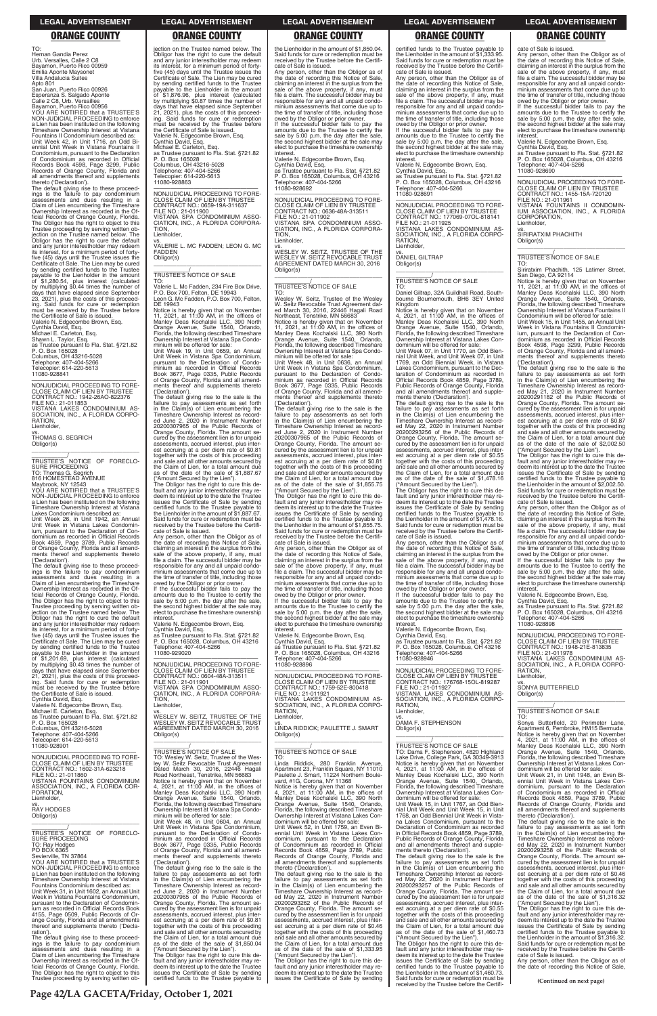cate of Sale is issued. Any person, other than the Obligor as of the date of recording this Notice of Sale, claiming an interest in the surplus from the sale of the above property, if any, must file a claim. The successful bidder may be responsible for any and all unpaid condo-minium assessments that come due up to the time of transfer of title, including those

owed by the Obligor or prior owner. If the successful bidder fails to pay the amounts due to the Trustee to certify the sale by 5:00 p.m. the day after the sale, the second highest bidder at the sale may elect to purchase the timeshare ownership interest.

Valerie N. Edgecombe Brown, Esq. Cynthia David, Esq.

as Trustee pursuant to Fla. Stat. §721.82 P. O. Box 165028, Columbus, OH 43216 Telephone: 407-404-5266 11080-928690

—————————————————— NONJUDICIAL PROCEEDING TO FORE-CLOSE CLAIM OF LIEN BY TRUSTEE CONTRACT NO.: 1455-15A-720120 FILE NO.: 21-011961 VISTANA FOUNTAINS II CONDOMIN-IUM ASSOCIATION, INC., A FLORIDA CORPORATION,

Lienholder,

vs. SIRIRATXIM PHACHITH Obligor(s)

 $\overline{\phantom{a}}$  , and the set of the set of the set of the set of the set of the set of the set of the set of the set of the set of the set of the set of the set of the set of the set of the set of the set of the set of the s

\_\_\_\_\_\_\_\_\_\_\_/ TRUSTEE'S NOTICE OF SALE

TO: Siriratxim Phachith, 125 Latimer Street,

San Diego, CA 92114 Notice is hereby given that on November 11, 2021, at 11:00 AM, in the offices of Manley Deas Kochalski LLC, 390 North Orange Avenue, Suite 1540, Orlando, Florida, the following described Timeshare Ownership Interest at Vistana Fountains II Condominium will be offered for sale: Unit Week 15, in Unit 1455, an Annual Unit

Week in Vistana Fountains II Condomin-ium, pursuant to the Declaration of Con-dominium as recorded in Official Records Book 4598, Page 3299, Public Records of Orange County, Florida and all amend-ments thereof and supplements thereto ('Declaration'). The default giving rise to the sale is the

vs. SONYA BUTTERFIELD Obligor(s)  $\overline{\phantom{a}}$  , and the set of the set of the set of the set of the set of the set of the set of the set of the set of the set of the set of the set of the set of the set of the set of the set of the set of the set of the s

TO: Sonya Butterfield, 20 Perimeter Lane, Apartment 6, Pembroke, HM15 Bermuda Notice is hereby given that on November 4, 2021, at 11:00 AM, in the offices of mley Deas Kochalski LLC, 390 N

failure to pay assessments as set forth in the Claim(s) of Lien encumbering the Timeshare Ownership Interest as record-ed May 21, 2020 in Instrument Number 20200291182 of the Public Records of Orange County, Florida. The amount se-cured by the assessment lien is for unpaid assessments, accrued interest, plus inter-est accruing at a per diem rate of \$0.87 together with the costs of this proceeding and sale and all other amounts secured by the Claim of Lien, for a total amount due as of the date of the sale of \$2,002.50

("Amount Secured by the Lien"). The Obligor has the right to cure this de-fault and any junior interestholder may redeem its interest up to the date the Trustee issues the Certificate of Sale by sending certified funds to the Trustee payable to the Lienholder in the amount of \$2,002.50. Said funds for cure or redemption must be received by the Trustee before the Certifi-

cate of Sale is issued. Any person, other than the Obligor as of the date of recording this Notice of Sale, claiming an interest in the surplus from the sale of the above property, if any, must file a claim. The successful bidder may be responsible for any and all unpaid condo-minium assessments that come due up to the time of transfer of title, including those

owed by the Obligor or prior owner. If the successful bidder fails to pay the amounts due to the Trustee to certify the sale by 5:00 p.m. the day after the sale, the second highest bidder at the sale may elect to purchase the timeshare ownership interest.

Valerie N. Edgecombe Brown, Esq. Cynthia David, Esq.

as Trustee pursuant to Fla. Stat. §721.82 P. O. Box 165028, Columbus, OH 43216 Telephone: 407-404-5266 11080-928898

—————————————————— NONJUDICIAL PROCEEDING TO FORE-CLOSE CLAIM OF LIEN BY TRUSTEE CONTRACT NO.: 1948-21E-813835 FILE NO.: 21-011978 VISTANA LAKES CONDOMINIUM AS-SOCIATION, INC., A FLORIDA CORPO-RATION, Lienholder,

\_\_\_\_\_\_\_\_\_\_\_/ TRUSTEE'S NOTICE OF SALE

\_\_\_\_\_\_\_\_\_\_\_\_\_\_/<br>TRUSTEE'S NOTICE OF FORECLO-SURE PROCEEDING TO: Thomas G. Segrich 816 HOMESTEAD AVENUE

ings is the failure to pay condominium assessments and dues resulting in a Claim of Lien encumbering the Timeshare Ownership Interest as recorded in the Of-ficial Records of Orange County, Florida. The Obligor has the right to object to this Trustee proceeding by serving written ob-jection on the Trustee named below. The Obligor has the right to cure the default and any junior interestholder may redeem its interest, for a minimum period of forty-five (45) days until the Trustee issues the Certificate of Sale. The Lien may be cured by sending certified funds to the Trustee payable to the Lienholder in the amount of \$1,201.69, plus interest (calculated by multiplying \$0.43 times the number of days that have elapsed since September 21, 2021), plus the costs of this proceed-ing. Said funds for cure or redemption must be received by the Trustee before the Certificate of Sale is issued.

TO: Hernan Gandia Perez Urb. Versalles, Calle 2 C8 Bayamon, Puerto Rico 00959 Emilia Aponte Maysonet Villa Andalucia Suites

> —————————————————— NONJUDICIAL PROCEEDING TO FORE-CLOSE CLAIM OF LIEN BY TRUSTEE CONTRACT NO.: 0659-19A-311637 FILE NO.: 21-011900 VISTANA SPA CONDOMINIUM ASSO-CIATION, INC., A FLORIDA CORPORA-**TION**

vs. VALERIE L. MC FADDEN; LEON G. MC FADDEN Obligor(s)  $\overline{\phantom{a}}$  , and the set of the set of the set of the set of the set of the set of the set of the set of the set of the set of the set of the set of the set of the set of the set of the set of the set of the set of the s

Apto 801 San Juan, Puerto Rico 00926 Esperanza S. Salgado Aponte Calle 2 C8, Urb. Versailles Bayamon, Puerto Rico 00956 YOU ARE NOTIFIED that a TRUSTEE'S NON-JUDICIAL PROCEEDING to enforce a Lien has been instituted on the following Timeshare Ownership Interest at Vistana Fountains II Condominium described as: Unit Week 42, in Unit 1716, an Odd Bi-ennial Unit Week in Vistana Fountains II Condominium, pursuant to the Declaration of Condominium as recorded in Official Records Book 4598, Page 3299, Public Records of Orange County, Florida and all amendments thereof and supplements

thereto ('Declaration'). The default giving rise to these proceed-ings is the failure to pay condominium assessments and dues resulting in a Claim of Lien encumbering the Timeshare Ownership Interest as recorded in the Of-ficial Records of Orange County, Florida. The Obligor has the right to object to this Trustee proceeding by serving written ob-jection on the Trustee named below. The Obligor has the right to cure the default and any junior interestholder may redeem its interest, for a minimum period of fortyfive (45) days until the Trustee issues the Certificate of Sale. The Lien may be cured by sending certified funds to the Trustee payable to the Lienholder in the amount of \$1,280.54, plus interest (calculated by multiplying \$0.44 times the number of days that have elapsed since September 23, 2021), plus the costs of this proceed-ing. Said funds for cure or redemption must be received by the Trustee before the Certificate of Sale is issued. Valerie N. Edgecombe Brown, Esq. Cynthia David, Esq. Michael E. Carleton, Esq. Shawn L. Taylor, Esq. as Trustee pursuant to Fla. Stat. §721.82 P. O. Box 165028 Columbus, OH 43216-5028 Telephone: 407-404-5266 Telecopier: 614-220-5613 11080-928841

> If the successful bidder fails to pay the amounts due to the Trustee to certify the sale by 5:00 p.m. the day after the sale, the second highest bidder at the sale may elect to purchase the timeshare ownership **interest**

Valerie N. Edgecombe Brown, Esq. Cynthia David, Esq. as Trustee pursuant to Fla. Stat. §721.82 P. O. Box 165028, Columbus, OH 43216 Telephone: 407-404-5266 Telephone: 407<br>11080-929020

—————————————————— NONJUDICIAL PROCEEDING TO FORE-CLOSE CLAIM OF LIEN BY TRUSTEE CONTRACT NO.: 1942-26AO-822376 FILE NO.: 21-011853 VISTANA LAKES CONDOMINIUM AS-SOCIATION, INC., A FLORIDA CORPO-RATION, Lienholder,

vs. THOMAS G. SEGRICH Obligor(s) \_\_\_\_\_\_\_\_\_\_\_\_\_\_\_\_\_\_\_\_\_\_\_\_\_\_\_\_\_\_\_\_\_

Maybrook, NY 12543 YOU ARE NOTIFIED that a TRUSTEE'S NON-JUDICIAL PROCEEDING to enforce a Lien has been instituted on the following Timeshare Ownership Interest at Vistana Lakes Condominium described as:

Unit Week 26, in Unit 1942, an Annual Unit Week in Vistana Lakes Condomin-ium, pursuant to the Declaration of Condominium as recorded in Official Records Book 4859, Page 3789, Public Records of Orange County, Florida and all amendments thereof and supplements thereto ('Declaration'). The default giving rise to these proceed-

owed by the Obligor or prior owner. If the successful bidder fails to pay the amounts due to the Trustee to certify the sale by 5:00 p.m. the day after the sale, the second highest bidder at the sale may elect to purchase the timeshare ownership interest

—————————————————— NONJUDICIAL PROCEEDING TO FORE-CLOSE CLAIM OF LIEN BY TRUSTEE CONTRACT NO.: 0636-48A-313511 FILE NO.: 21-011902 VISTANA SPA CONDOMINIUM ASSO-CIATION, INC., A FLORIDA CORPORA-TION, **Lienholder** 

Cynthia David, Esq. Valerie N. Edgecombe Brown, Esq. Michael E. Carleton, Esq. as Trustee pursuant to Fla. Stat. §721.82 P. O. Box 165028 Columbus, OH 43216-5028 Telephone: 407-404-5266 Telecopier: 614-220-5613

the date of recording this Notice of Sale, claiming an interest in the surplus from the sale of the above property, if any, must file a claim. The successful bidder may be responsible for any and all unpaid condominium assessments that come due up to the time of transfer of title, including those

jection on the Trustee named below. The Obligor has the right to cure the default and any junior interestholder may redeem its interest, for a minimum period of forty-five (45) days until the Trustee issues the Certificate of Sale. The Lien may be cured by sending certified funds to the Trustee payable to the Lienholder in the amount of \$1,876.96, plus interest (calculated by multiplying \$0.87 times the number of days that have elapsed since September 21, 2021), plus the costs of this proceeding. Said funds for cure or redemption must be received by the Trustee before the Certificate of Sale is issued. Valerie N. Edgecombe Brown, Esq. Cynthia David, Esq. Michael E. Carleton, Esq.

as Trustee pursuant to Fla. Stat. §721.82 P. O. Box 165028 Columbus, OH 43216-5028 Telephone: 407-404-5266 Telecopier: 614-220-5613 11080-928863

Lienholder,

\_\_\_\_\_\_\_\_\_\_\_/ TRUSTEE'S NOTICE OF SALE TO: Valerie L. Mc Fadden, 234 Fire Box Drive,

P.O. Box 700, Felton, DE 19943 Leon G. Mc Fadden, P.O. Box 700, Felton, DE 19943

Notice is hereby given that on November 11, 2021, at 11:00 AM, in the offices of Manley Deas Kochalski LLC, 390 North Orange Avenue, Suite 1540, Orlando, Florida, the following described Timeshare Ownership Interest at Vistana Spa Condo-

minium will be offered for sale: Unit Week 19, in Unit 0659, an Annual Unit Week in Vistana Spa Condominium, pursuant to the Declaration of Condo-minium as recorded in Official Records Book 3677, Page 0335, Public Records of Orange County, Florida and all amend-ments thereof and supplements thereto ('Declaration').

The default giving rise to the sale is the failure to pay assessments as set forth in the Claim(s) of Lien encumbering the Timeshare Ownership Interest as record-ed June 2, 2020 in Instrument Number 20200307965 of the Public Records of Orange County, Florida. The amount se-cured by the assessment lien is for unpaid assessments, accrued interest, plus interest accruing at a per diem rate of \$0.81 together with the costs of this proceeding and sale and all other amounts secured by the Claim of Lien, for a total amount due as of the date of the sale of \$1,887.67 ("Amount Secured by the Lien").

> Obligor(s)  $\overline{\phantom{a}}$  , and the set of the set of the set of the set of the set of the set of the set of the set of the set of the set of the set of the set of the set of the set of the set of the set of the set of the set of the s  $\overline{\phantom{a}}$ S NOTICE OF SALE

The Obligor has the right to cure this de-fault and any junior interestholder may re-deem its interest up to the date the Trustee issues the Certificate of Sale by sending certified funds to the Trustee payable to the Lienholder in the amount of \$1,887.67. Said funds for cure or redemption must be received by the Trustee before the Certificate of Sale is issued.

Any person, other than the Obligor as of the date of recording this Notice of Sale, claiming an interest in the surplus from the sale of the above property, if any, must file a claim. The successful bidder may be responsible for any and all unpaid condominium assessments that come due up to the time of transfer of title, including those owed by the Obligor or prior owner.

|                                                                                          | Page 42/LA GACETA/Friday, October 1, 2021                                                 |                                                                                           |                                                                                                                                         |                                                                                           |  |  |  |
|------------------------------------------------------------------------------------------|-------------------------------------------------------------------------------------------|-------------------------------------------------------------------------------------------|-----------------------------------------------------------------------------------------------------------------------------------------|-------------------------------------------------------------------------------------------|--|--|--|
| The Obligor has the right to object to this<br>Trustee proceeding by serving written ob- | issues the Certificate of Sale by sending<br>certified funds to the Trustee payable to    | deem its interest up to the date the Trustee<br>issues the Certificate of Sale by sending | the Lienholder in the amount of \$1,460.73.<br>Said funds for cure or redemption must be<br>received by the Trustee before the Certifi- | (Continued on next page)                                                                  |  |  |  |
| ficial Records of Orange County, Florida.                                                | deem its interest up to the date the Trustee                                              | fault and any junior interestholder may re-                                               | certified funds to the Trustee payable to                                                                                               | the date of recording this Notice of Sale,                                                |  |  |  |
| Claim of Lien encumbering the Timeshare<br>Ownership Interest as recorded in the Of-     | The Obligor has the right to cure this de-<br>fault and any junior interestholder may re- | ("Amount Secured by the Lien").<br>The Obligor has the right to cure this de-             | deem its interest up to the date the Trustee<br>issues the Certificate of Sale by sending                                               | cate of Sale is issued.<br>Any person, other than the Obligor as of                       |  |  |  |
| assessments and dues resulting in a                                                      | ("Amount Secured by the Lien").                                                           | as of the date of the sale of \$1,333.95                                                  | fault and any junior interestholder may re-                                                                                             | received by the Trustee before the Certifi-                                               |  |  |  |
| ings is the failure to pay condominium                                                   | as of the date of the sale of \$1,850,04                                                  | the Claim of Lien, for a total amount due                                                 | The Obligor has the right to cure this de-                                                                                              | Said funds for cure or redemption must be                                                 |  |  |  |
| ration').<br>The default giving rise to these proceed-                                   | and sale and all other amounts secured by<br>the Claim of Lien, for a total amount due    | together with the costs of this proceeding<br>and sale and all other amounts secured by   | as of the date of the sale of \$1,460.73<br>("Amount Secured by the Lien").                                                             | certified funds to the Trustee payable to<br>the Lienholder in the amount of \$1,316.32.  |  |  |  |
| thereof and supplements thereto ('Decla-                                                 | together with the costs of this proceeding                                                | est accruing at a per diem rate of \$0.46                                                 | the Claim of Lien, for a total amount due                                                                                               | issues the Certificate of Sale by sending                                                 |  |  |  |
| ange County, Florida and all amendments                                                  | est accruing at a per diem rate of \$0.81                                                 | assessments, accrued interest, plus inter-                                                | and sale and all other amounts secured by                                                                                               | deem its interest up to the date the Trustee                                              |  |  |  |
| 4155, Page 0509, Public Records of Or-                                                   | cured by the assessment lien is for unpaid<br>assessments, accrued interest, plus inter-  | Orange County, Florida. The amount se-<br>cured by the assessment lien is for unpaid      | est accruing at a per diem rate of \$0.55<br>together with the costs of this proceeding                                                 | The Obligor has the right to cure this de-<br>fault and any junior interestholder may re- |  |  |  |
| pursuant to the Declaration of Condomin-<br>jum as recorded in Official Records Book     | Orange County, Florida. The amount se-                                                    | 20200293262 of the Public Records of                                                      | assessments, accrued interest, plus inter-                                                                                              | ("Amount Secured by the Lien").                                                           |  |  |  |
| Week in Vistana Fountains Condominium,                                                   | 20200307965 of the Public Records of                                                      | ed May 22, 2020 in Instrument Number                                                      | cured by the assessment lien is for unpaid                                                                                              | as of the date of the sale of \$1,316,32                                                  |  |  |  |
| Unit Week 31, in Unit 1602, an Annual Unit                                               | ed June 2, 2020 in Instrument Number                                                      | Timeshare Ownership Interest as record-                                                   | Orange County, Florida. The amount se-                                                                                                  | the Claim of Lien, for a total amount due                                                 |  |  |  |
| Fountains Condominium described as:                                                      | Timeshare Ownership Interest as record-                                                   | in the Claim(s) of Lien encumbering the                                                   | 20200293257 of the Public Records of                                                                                                    | and sale and all other amounts secured by                                                 |  |  |  |
| a Lien has been instituted on the following<br>Timeshare Ownership Interest at Vistana   | failure to pay assessments as set forth<br>in the Claim(s) of Lien encumbering the        | The default giving rise to the sale is the<br>failure to pay assessments as set forth     | Timeshare Ownership Interest as record-<br>ed May 22, 2020 in Instrument Number                                                         | est accruing at a per diem rate of \$0.46<br>together with the costs of this proceeding   |  |  |  |
| NON-JUDICIAL PROCEEDING to enforce                                                       | The default giving rise to the sale is the                                                | thereto ('Declaration').                                                                  | in the Claim(s) of Lien encumbering the                                                                                                 | assessments, accrued interest, plus inter-                                                |  |  |  |
| YOU ARE NOTIFIED that a TRUSTEE'S                                                        | ('Declaration').                                                                          | all amendments thereof and supplements                                                    | failure to pay assessments as set forth                                                                                                 | cured by the assessment lien is for unpaid                                                |  |  |  |
| Sevierville, TN 37864                                                                    | ments thereof and supplements thereto                                                     | Records of Orange County, Florida and                                                     | The default giving rise to the sale is the                                                                                              | Orange County, Florida. The amount se-                                                    |  |  |  |
| PO BOX 6365                                                                              | of Orange County, Florida and all amend-                                                  | Records Book 4859, Page 3789, Public                                                      | ments thereto ('Declaration').                                                                                                          | 20200293258 of the Public Records of                                                      |  |  |  |
| <b>SURE PROCEEDING</b><br>TO: Rav Hodges                                                 | minium as recorded in Official Records<br>Book 3677, Page 0335, Public Records            | dominium, pursuant to the Declaration<br>of Condominium as recorded in Official           | Public Records of Orange County, Florida<br>and all amendments thereof and supple-                                                      | Timeshare Ownership Interest as record-<br>ed May 22, 2020 in Instrument Number           |  |  |  |
| TRUSTEE'S NOTICE OF FORECLO-                                                             | pursuant to the Declaration of Condo-                                                     | ennial Unit Week in Vistana Lakes Con-                                                    | in Official Records Book 4859, Page 3789,                                                                                               | in the Claim(s) of Lien encumbering the                                                   |  |  |  |
|                                                                                          | Unit Week in Vistana Spa Condominium,                                                     | Unit Week 52. in Unit 1759, an Even Bi-                                                   | Declaration of Condominium as recorded                                                                                                  | failure to pay assessments as set forth                                                   |  |  |  |
|                                                                                          | Unit Week 48, in Unit 0604, an Annual                                                     | dominium will be offered for sale:                                                        | na Lakes Condominium, pursuant to the                                                                                                   | The default giving rise to the sale is the                                                |  |  |  |
| Obligor(s)                                                                               | minium will be offered for sale:                                                          | Ownership Interest at Vistana Lakes Con-                                                  | 1768, an Odd Biennial Unit Week in Vista-                                                                                               | thereto ('Declaration').                                                                  |  |  |  |
| VS.<br><b>RAY HODGES</b>                                                                 | Florida, the following described Timeshare<br>Ownership Interest at Vistana Spa Condo-    | Orange Avenue, Suite 1540, Orlando,<br>Florida, the following described Timeshare         | Unit Week 15, in Unit 1767, an Odd Bien-<br>nial Unit Week and Unit Week 15, in Unit                                                    | Records of Orange County, Florida and<br>all amendments thereof and supplements           |  |  |  |
| Lienholder,                                                                              | Orange Avenue, Suite 1540, Orlando,                                                       | Manley Deas Kochalski LLC, 390 North                                                      | dominium will be offered for sale:                                                                                                      | Records Book 4859, Page 3789, Public                                                      |  |  |  |
| PORATION.                                                                                | Manley Deas Kochalski LLC, 390 North                                                      | 4, 2021, at 11:00 AM, in the offices of                                                   | Ownership Interest at Vistana Lakes Con-                                                                                                | of Condominium as recorded in Official                                                    |  |  |  |
| ASSOCIATION, INC., A FLORIDA COR-                                                        | 4, 2021, at 11:00 AM, in the offices of                                                   | Notice is hereby given that on November                                                   | Florida, the following described Timeshare                                                                                              | dominium, pursuant to the Declaration                                                     |  |  |  |
| VISTANA FOUNTAINS CONDOMINIUM                                                            | Notice is hereby given that on November                                                   | vard, #1G, Corona, NY 11368                                                               | Orange Avenue, Suite 1540, Orlando,                                                                                                     | ennial Unit Week in Vistana Lakes Con-                                                    |  |  |  |
| CONTRACT NO.: 1602-31A-623218<br>FILE NO.: 21-011860                                     | Dated March 30, 2016, 22446 Hagali<br>Road Northeast. Tenstrike, MN 56683                 | Apartment 23, Franklin Square, NY 11010<br>Paulette J. Smart. 11224 Northern Boule-       | 4, 2021, at 11:00 AM, in the offices of<br>Manley Deas Kochalski LLC, 390 North                                                         | dominium will be offered for sale:<br>Unit Week 21. in Unit 1948, an Even Bi-             |  |  |  |
| CLOSE CLAIM OF LIEN BY TRUSTEE                                                           | ley W. Seitz Revocable Trust Agreement                                                    | Linda Riddick, 280 Franklin Avenue.                                                       | Notice is hereby given that on November                                                                                                 | Ownership Interest at Vistana Lakes Con-                                                  |  |  |  |
| NONJUDICIAL PROCEEDING TO FORE-                                                          | TO: Wesley W. Seitz, Trustee of the Wes-                                                  | TO:                                                                                       | Lake Drive, College Park, GA 30349-3913                                                                                                 | Florida, the following described Timeshare                                                |  |  |  |
|                                                                                          | TRUSTEE'S NOTICE OF SALE                                                                  | TRUSTEE'S NOTICE OF SALE                                                                  | TO: Dama F. Stephenson, 4820 Highland                                                                                                   | Orange Avenue, Suite 1540, Orlando,                                                       |  |  |  |
| 11080-928901                                                                             |                                                                                           |                                                                                           | TRUSTEE'S NOTICE OF SALE                                                                                                                | Manley Deas Kochalski LLC, 390 North                                                      |  |  |  |

—————————————————— NONJUDICIAL PROCEEDING TO FORE-CLOSE CLAIM OF LIEN BY TRUSTEE CONTRACT NO.: 0604-48A-313511 FILE NO.: 21-011901 VISTANA SPA CONDOMINIUM ASSO-CIATION, INC., A FLORIDA CORPORA-TION, Lienholder,

vs. WESLEY W. SEITZ, TRUSTEE OF THE WESLEY W. SEITZ REVOCABLE TRUST AGREEMENT DATED MARCH 30, 2016 Obligor(s) \_\_\_\_\_\_\_\_\_\_\_\_\_\_\_\_\_\_\_\_\_\_\_\_\_\_\_\_\_\_\_\_\_

the Lienholder in the amount of \$1,850.04. Said funds for cure or redemption must be received by the Trustee before the Certifi-

cate of Sale is issued. Any person, other than the Obligor as of the date of recording this Notice of Sale, claiming an interest in the surplus from the sale of the above property, if any, must file a claim. The successful bidder may be responsible for any and all unpaid condo-minium assessments that come due up to the time of transfer of title, including those

Valerie N. Edgecombe Brown, Esq. Cynthia David, Esq. as Trustee pursuant to Fla. Stat. §721.82 P. O. Box 165028, Columbus, OH 43216 Telephone: 407-404-5266 11080-928692

vs. WESLEY W. SEITZ, TRUSTEE OF THE WESLEY W. SEITZ REVOCABLE TRUST AGREEMENT DATED MARCH 30, 2016 Obligor(s) \_\_\_\_\_\_\_\_\_\_\_\_\_\_\_\_\_\_\_\_\_\_\_\_\_\_\_\_\_\_\_\_\_

\_\_\_\_\_\_\_\_\_\_\_/ TRUSTEE'S NOTICE OF SALE

TO: Wesley W. Seitz, Trustee of the Wesley W. Seitz Revocable Trust Agreement dated March 30, 2016, 22446 Hagali Road Northeast, Tenstrike, MN 56683

Notice is hereby given that on November 11, 2021, at 11:00 AM, in the offices of Manley Deas Kochalski LLC, 390 North Orange Avenue, Suite 1540, Orlando, Florida, the following described Timeshare Ownership Interest at Vistana Spa Condo-minium will be offered for sale:

Unit Week 48, in Unit 0636, an Annual Unit Week in Vistana Spa Condominium, pursuant to the Declaration of Condominium as recorded in Official Records Book 3677, Page 0335, Public Records of Orange County, Florida and all amendments thereof and supplements thereto

('Declaration'). The default giving rise to the sale is the failure to pay assessments as set forth in the Claim(s) of Lien encumbering the Timeshare Ownership Interest as recorded June 2, 2020 in Instrument Number 20200307965 of the Public Records of Orange County, Florida. The amount secured by the assessment lien is for unpaid assessments, accrued interest, plus inter-est accruing at a per diem rate of \$0.81 together with the costs of this proceeding and sale and all other amounts secured by the Claim of Lien, for a total amount due as of the date of the sale of \$1,855.75 ("Amount Secured by the Lien"). The Obligor has the right to cure this de-

fault and any junior interestholder may re-deem its interest up to the date the Trustee issues the Certificate of Sale by sending certified funds to the Trustee payable to the Lienholder in the amount of \$1,855.75. Said funds for cure or redemption must be received by the Trustee before the Certifi-cate of Sale is issued. Any person, other than the Obligor as of

owed by the Obligor or prior owner. If the successful bidder fails to pay the amounts due to the Trustee to certify the sale by 5:00 p.m. the day after the sale, the second highest bidder at the sale may elect to purchase the timeshare ownership interest. Valerie N. Edgecombe Brown, Esq.

Cynthia David, Esq. as Trustee pursuant to Fla. Stat. §721.82 P. O. Box 165028, Columbus, OH 43216 Telephone: 407-404-5266 11080-928896

—————————————————— NONJUDICIAL PROCEEDING TO FORE-CLOSE CLAIM OF LIEN BY TRUSTEE CONTRACT NO.: 1759-52E-800418 FILE NO.: 21-011921 VISTANA LAKES CONDOMINIUM AS-SOCIATION, INC., A FLORIDA CORPO-

RATION, Lienholder, vs. LINDA RIDDICK; PAULETTE J. SMART Obligor(s) \_\_\_\_\_\_\_\_\_\_\_\_\_\_\_\_\_\_\_\_\_\_\_\_\_\_\_\_\_\_\_\_\_

certified funds to the Trustee payable to the Lienholder in the amount of \$1,333.95. Said funds for cure or redemption must be received by the Trustee before the Certifi-cate of Sale is issued. Any person, other than the Obligor as of<br>the date of recording this Notice of Sale. the date of recording this Notice of Sale, claiming an interest in the surplus from the sale of the above property, if any, must file a claim. The successful bidder may be responsible for any and all unpaid condominium assessments that come due up to the time of transfer of title, including those owed by the Obligor or prior owner. If the successful bidder fails to pay the amounts due to the Trustee to certify the sale by 5:00 p.m. the day after the sale, the second highest bidder at the sale may elect to purchase the timeshare ownership interest. Valerie N. Edgecombe Brown, Esq. Cynthia David, Esq. as Trustee pursuant to Fla. Stat. §721.82 P. O. Box 165028, Columbus, OH 43216

Telephone: 407-404-5266

11080-928691

—————————————————— NONJUDICIAL PROCEEDING TO FORE-CLOSE CLAIM OF LIEN BY TRUSTEE CONTRACT NO.: 177069-07OL-818141

FILE NO.: 21-011925

VISTANA LAKES CONDOMINIUM AS-SOCIATION, INC., A FLORIDA CORPO-

RATION, Lienholder, vs.

DANIEL GILTRAP Obligor(s)

\_\_\_\_\_\_\_\_\_\_\_\_\_\_\_\_\_\_\_\_\_\_\_\_\_\_\_\_\_\_\_\_\_ \_\_\_\_\_\_\_\_\_\_\_/ TRUSTEE'S NOTICE OF SALE

TO: Daniel Giltrap, 32A Guildhall Road, South-bourne Bournemouth, BH6 3EY United

Kingdom

Notice is hereby given that on November 4, 2021, at 11:00 AM, in the offices of Manley Deas Kochalski LLC, 390 North

Orange Avenue, Suite 1540, Orlando, Florida, the following described Timeshare Ownership Interest at Vistana Lakes Con-

dominium will be offered for sale: Unit Week 07, in Unit 1770, an Odd Bien-nial Unit Week, and Unit Week 07, in Unit 1769, an Odd Biennial Week, in Vistana Lakes Condominium, pursuant to the Dec-laration of Condominium as recorded in Official Records Book 4859, Page 3789, Public Records of Orange County, Florida and all amendments thereof and supplements thereto ('Declaration'). The default giving rise to the sale is the failure to pay assessments as set forth in the Claim(s) of Lien encumbering the Timeshare Ownership Interest as record-ed May 22, 2020 in Instrument Number

20200293256 of the Public Records of Orange County, Florida. The amount se-cured by the assessment lien is for unpaid

assessments, accrued interest, plus inter-est accruing at a per diem rate of \$0.55 together with the costs of this proceeding

and sale and all other amounts secured by the Claim of Lien, for a total amount due as of the date of the sale of \$1,478.16

("Amount Secured by the Lien"). The Obligor has the right to cure this de-fault and any junior interestholder may re-

deem its interest up to the date the Trustee issues the Certificate of Sale by sending certified funds to the Trustee payable to the Lienholder in the amount of \$1,478.16. Said funds for cure or redemption must be received by the Trustee before the Certificate of Sale is issued. Any person, other than the Obligor as of the date of recording this Notice of Sale,

claiming an interest in the surplus from the sale of the above property, if any, must file a claim. The successful bidder may be

responsible for any and all unpaid condo-minium assessments that come due up to the time of transfer of title, including those owed by the Obligor or prior owner. If the successful bidder fails to pay the amounts due to the Trustee to certify the sale by 5:00 p.m. the day after the sale, the second highest bidder at the sale may elect to purchase the timeshare ownership

interest. Valerie N. Edgecombe Brown, Esq. Cynthia David, Esq. as Trustee pursuant to Fla. Stat. §721.82 P. O. Box 165028, Columbus, OH 43216 Telephone: 407-404-5266

11080-928946

—————————————————— NONJUDICIAL PROCEEDING TO FORE-CLOSE CLAIM OF LIEN BY TRUSTEE CONTRACT NO.: 176768-15OL-819287 FILE NO.: 21-011927 VISTANA LAKES CONDOMINIUM AS-SOCIATION, INC., A FLORIDA CORPO-

RATION, Lienholder,

vs. DAMA F. STEPHENSON

### **LEGAL ADVERTISEMENT LEGAL ADVERTISEMENT LEGAL ADVERTISEMENT LEGAL ADVERTISEMENT LEGAL ADVERTISEMENT**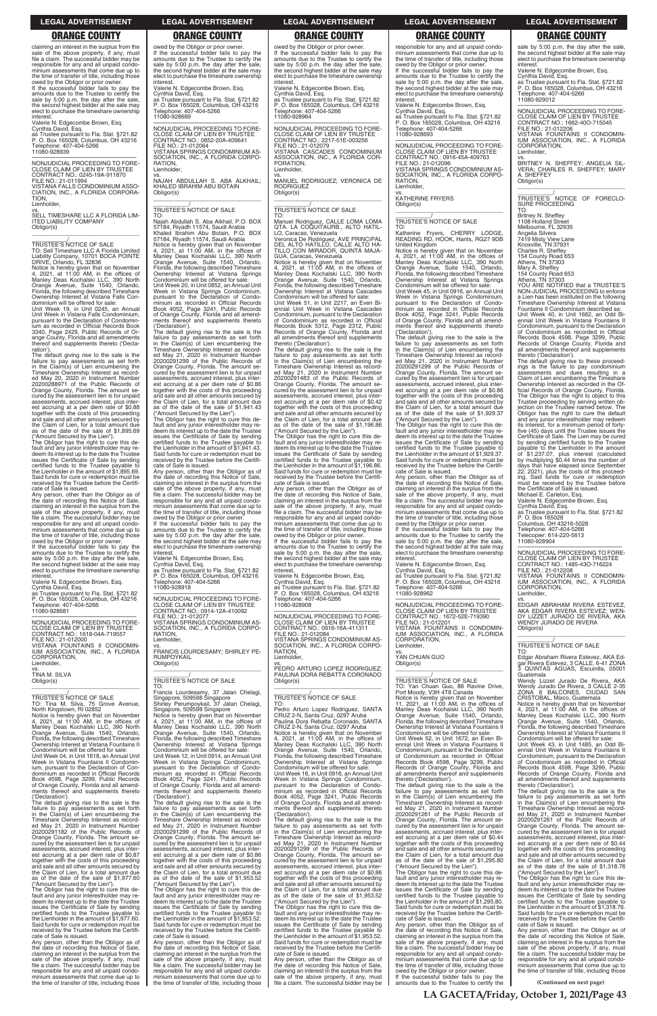**(Continued on next page)**

claiming an interest in the surplus from the sale of the above property, if any, must file a claim. The successful bidder may be responsible for any and all unpaid condominium assessments that come due up to the time of transfer of title, including those owed by the Obligor or prior owner.

If the successful bidder fails to pay the amounts due to the Trustee to certify the sale by 5:00 p.m. the day after the sale, the second highest bidder at the sale may elect to purchase the timeshare ownership interest.

### vs. SELL TIMESHARE LLC A FLORIDA LIM-ITED LIABILITY COMPANY Obligor(s)  $\overline{\phantom{a}}$  , and the set of the set of the set of the set of the set of the set of the set of the set of the set of the set of the set of the set of the set of the set of the set of the set of the set of the set of the s

Valerie N. Edgecombe Brown, Esq. Cynthia David, Esq. as Trustee pursuant to Fla. Stat. §721.82 P. O. Box 165028, Columbus, OH 43216 Telephone: 407-404-5266 11080-928939

—————————————————— NONJUDICIAL PROCEEDING TO FORE-CLOSE CLAIM OF LIEN BY TRUSTEE CONTRACT NO.: 0245-19A-911870 FILE NO.: 21-011994 VISTANA FALLS CONDOMINIUM ASSO-CIATION, INC., A FLORIDA CORPORA-**TION** Lienholder,

\_\_\_\_\_\_\_\_\_\_\_/ TRUSTEE'S NOTICE OF SALE TO: Sell Timeshare LLC A Florida Limited Liability Company, 10701 BOCA POINTE DRIVE, Orlando, FL 32836

Notice is hereby given that on November 4, 2021, at 11:00 AM, in the offices of Manley Deas Kochalski LLC, 390 North Orange Avenue, Suite 1540, Orlando, Florida, the following described Timeshare Ownership Interest at Vistana Falls Con-

dominium will be offered for sale: Unit Week 19, in Unit 0245, an Annual Unit Week in Vistana Falls Condominium, pursuant to the Declaration of Condomin-ium as recorded in Official Records Book 3340, Page 2429, Public Records of Orange County, Florida and all amendments thereof and supplements thereto ('Declaration').

owed by the Obligor or prior owner.<br>If the successful bidder fails to pay the<br>amounts due to the Trustee to certify the<br>sale by 5:00 p.m. the day after the sale,<br>the second highest bidder at the sale may<br>elect to purchase interest.

The default giving rise to the sale is the failure to pay assessments as set forth in the Claim(s) of Lien encumbering the Timeshare Ownership Interest as record-ed May 20, 2020 in Instrument Number 20200288971 of the Public Records of Orange County, Florida. The amount se-cured by the assessment lien is for unpaid assessments, accrued interest, plus interest accruing at a per diem rate of \$0.88 together with the costs of this proceeding and sale and all other amounts secured by the Claim of Lien, for a total amount due as of the date of the sale of \$1,895.69 ("Amount Secured by the Lien").

The Obligor has the right to cure this de-fault and any junior interestholder may redeem its interest up to the date the Trustee issues the Certificate of Sale by sending certified funds to the Trustee payable to the Lienholder in the amount of \$1,895.69. Said funds for cure or redemption must be received by the Trustee before the Certificate of Sale is issued.

Any person, other than the Obligor as of the date of recording this Notice of Sale, claiming an interest in the surplus from the sale of the above property, if any, must file a claim. The successful bidder may be responsible for any and all unpaid condo-minium assessments that come due up to the time of transfer of title, including those

Telephone: 407-404-5266 11080-928689

**RATION** Lienholder,

 $\overline{\phantom{a}}$  ,  $\overline{\phantom{a}}$  ,  $\overline{\phantom{a}}$  ,  $\overline{\phantom{a}}$  ,  $\overline{\phantom{a}}$  ,  $\overline{\phantom{a}}$  ,  $\overline{\phantom{a}}$  ,  $\overline{\phantom{a}}$  ,  $\overline{\phantom{a}}$  ,  $\overline{\phantom{a}}$  ,  $\overline{\phantom{a}}$  ,  $\overline{\phantom{a}}$  ,  $\overline{\phantom{a}}$  ,  $\overline{\phantom{a}}$  ,  $\overline{\phantom{a}}$  ,  $\overline{\phantom{a}}$ \_\_\_\_\_\_\_\_\_\_\_/ TRUSTEE'S NOTICE OF SALE

Valerie N. Edgecombe Brown, Esq. Cynthia David, Esq. as Trustee pursuant to Fla. Stat. §721.82 P. O. Box 165028, Columbus, OH 43216 Telephone: 407-404-5266 11080-928681

—————————————————— NONJUDICIAL PROCEEDING TO FORE-CLOSE CLAIM OF LIEN BY TRUSTEE CONTRACT NO.: 1618-04A-719557 FILE NO.: 21-012000 VISTANA FOUNTAINS II CONDOMIN-IUM ASSOCIATION, INC., A FLORIDA CORPORATION, Lienholder,

vs. TINA M. SILVA Obligor(s)

## \_\_\_\_\_\_\_\_\_\_\_/ TRUSTEE'S NOTICE OF SALE TO: Tina M. Silva, 75 Grove Avenue, North Kingstown, RI 02852

 $\overline{\phantom{a}}$  , and the set of the set of the set of the set of the set of the set of the set of the set of the set of the set of the set of the set of the set of the set of the set of the set of the set of the set of the s

Notice is hereby given that on November 4, 2021, at 11:00 AM, in the offices of Manley Deas Kochalski LLC, 390 North Orange Avenue, Suite 1540, Orlando, Florida, the following described Timeshare Ownership Interest at Vistana Fountains II

Condominium will be offered for sale: Unit Week 04, in Unit 1618, an Annual Unit Week in Vistana Fountains II Condominium, pursuant to the Declaration of Condominium as recorded in Official Records Book 4598, Page 3299, Public Records of Orange County, Florida and all amendments thereof and supplements thereto ('Declaration').

**RATION** Lienholder,

 $\overline{\phantom{a}}$  ,  $\overline{\phantom{a}}$  ,  $\overline{\phantom{a}}$  ,  $\overline{\phantom{a}}$  ,  $\overline{\phantom{a}}$  ,  $\overline{\phantom{a}}$  ,  $\overline{\phantom{a}}$  ,  $\overline{\phantom{a}}$  ,  $\overline{\phantom{a}}$  ,  $\overline{\phantom{a}}$  ,  $\overline{\phantom{a}}$  ,  $\overline{\phantom{a}}$  ,  $\overline{\phantom{a}}$  ,  $\overline{\phantom{a}}$  ,  $\overline{\phantom{a}}$  ,  $\overline{\phantom{a}}$ \_\_\_\_\_\_\_\_\_\_\_/ TRUSTEE'S NOTICE OF SALE

The default giving rise to the sale is the failure to pay assessments as set forth in the Claim(s) of Lien encumbering the Timeshare Ownership Interest as recorded May 21, 2020 in Instrument Number 20200291182 of the Public Records of Orange County, Florida. The amount se-cured by the assessment lien is for unpaid assessments, accrued interest, plus interest accruing at a per diem rate of \$0.87 together with the costs of this proceeding and sale and all other amounts secured by the Claim of Lien, for a total amount due as of the date of the sale of \$1,977.60 ("Amount Secured by the Lien").

The Obligor has the right to cure this de-fault and any junior interestholder may re-deem its interest up to the date the Trustee issues the Certificate of Sale by sending certified funds to the Trustee payable to the Lienholder in the amount of \$1,977.60. Said funds for cure or redemption must be received by the Trustee before the Certificate of Sale is issued.

Any person, other than the Obligor as of the date of recording this Notice of Sale, claiming an interest in the surplus from the sale of the above property, if any, must file a claim. The successful bidder may be responsible for any and all unpaid condominium assessments that come due up to the time of transfer of title, including those

owed by the Obligor or prior owner. If the successful bidder fails to pay the amounts due to the Trustee to certify the sale by 5:00 p.m. the day after the sale, the second highest bidder at the sale may elect to purchase the timeshare ownership

—————————————————— NONJUDICIAL PROCEEDING TO FORE-CLOSE CLAIM OF LIEN BY TRUSTEE CONTRACT NO.: 2217-51E-003256 FILE NO.: 21-012079 VISTANA CASCADES CONDOMINIUM ASSOCIATION, INC., A FLORIDA COR-PORATION, enholder,

owed by the Obligor or prior owner. If the successful bidder fails to pay the amounts due to the Trustee to certify the sale by 5:00 p.m. the day after the sale, the second highest bidder at the sale may elect to purchase the timeshare ownership interest. Valerie N. Edgecombe Brown, Esq. Cynthia David, Esq. as Trustee pursuant to Fla. Stat. §721.82 P. O. Box 165028, Columbus, OH 43216

> vs. MANUEL RODRIGUEZ; VERONICA DE RODRIGUEZ Obligor(s)  $\overline{\phantom{a}}$  , and the set of the set of the set of the set of the set of the set of the set of the set of the set of the set of the set of the set of the set of the set of the set of the set of the set of the set of the s

—————————————————— NONJUDICIAL PROCEEDING TO FORE-CLOSE CLAIM OF LIEN BY TRUSTEE CONTRACT NO.: 0852-20A-409641

FILE NO.: 21-012064

VISTANA SPRINGS CONDOMINIUM AS-SOCIATION, INC., A FLORIDA CORPO-

vs. NAJAH ABDULLAH S. ABA ALKHAIL; KHALED IBRAHIM ABU BOTAIN

Obligor(s)

TO: Najah Abdullah S. Aba Alkhail, P.O. BOX 57184, Riyadh 11574, Saudi Arabia Khaled Ibrahim Abu Botain, P.O. BOX 57184, Riyadh 11574, Saudi Arabia

Notice is hereby given that on November 4, 2021, at 11:00 AM, in the offices of Manley Deas Kochalski LLC, 390 North Orange Avenue, Suite 1540, Orlando, Florida, the following described Timeshare Ownership Interest at Vistana Springs Condominium will be offered for sale: Unit Week 20, in Unit 0852, an Annual Unit Week in Vistana Springs Condominium, pursuant to the Declaration of Condo-

> If the successful bidder fails to pay the amounts due to the Trustee to certify the sale by 5:00 p.m. the day after the sale, the second highest bidder at the sale may elect to purchase the timeshare ownership

minium as recorded in Official Records Book 4052, Page 3241, Public Records of Orange County, Florida and all amend-ments thereof and supplements thereto ('Declaration').

vs. PEDRO ARTURO LOPEZ RODRIGUEZ; PAULINA DORA REBATTA CORONADO Obligor(s)  $\overline{\phantom{a}}$  , and the set of the set of the set of the set of the set of the set of the set of the set of the set of the set of the set of the set of the set of the set of the set of the set of the set of the set of the s

The default giving rise to the sale is the failure to pay assessments as set forth in the Claim(s) of Lien encumbering the Timeshare Ownership Interest as recorded May 21, 2020 in Instrument Number 20200291299 of the Public Records of Orange County, Florida. The amount secured by the assessment lien is for unpaid assessments, accrued interest, plus interest accruing at a per diem rate of \$0.86 together with the costs of this proceeding and sale and all other amounts secured by the Claim of Lien, for a total amount due as of the date of the sale of \$1,941.43 ("Amount Secured by the Lien"). The Obligor has the right to cure this default and any junior interestholder may re-deem its interest up to the date the Trustee issues the Certificate of Sale by sending certified funds to the Trustee payable to the Lienholder in the amount of \$1,941.43. Said funds for cure or redemption must be received by the Trustee before the Certifi-cate of Sale is issued. Any person, other than the Obligor as of the date of recording this Notice of Sale, claiming an interest in the surplus from the sale of the above property, if any, must file a claim. The successful bidder may be responsible for any and all unpaid condominium assessments that come due up to the time of transfer of title, including those owed by the Obligor or prior owner. If the successful bidder fails to pay the amounts due to the Trustee to certify the sale by 5:00 p.m. the day after the sale, the second highest bidder at the sale may elect to purchase the timeshare ownership interest. Valerie N. Edgecombe Brown, Esq. Cynthia David, Esq. as Trustee pursuant to Fla. Stat. §721.82 P. O. Box 165028, Columbus, OH 43216

responsible for any and all unpaid condominium assessments that come due up to the time of transfer of title, including those owed by the Obligor or prior owner. If the successful bidder fails to pay the amounts due to the Trustee to certify the sale by 5:00 p.m. the day after the sale, the second highest bidder at the sale may elect to purchase the timeshare ownership<br>interest.

Telephone: 407-404-5266 11080-928918

—————————————————— NONJUDICIAL PROCEEDING TO FORE-CLOSE CLAIM OF LIEN BY TRUSTEE CONTRACT NO.: 0914-12A-410092

FILE NO.: 21-012077

VISTANA SPRINGS CONDOMINIUM AS-SOCIATION, INC., A FLORIDA CORPO-

vs. FRANCIS LOURDESAMY; SHIRLEY PE-

United Kingdom<br>Notice is hereby given that on November<br>4, 2021, at 11:00 AM, in the offices of<br>Manley Deas Kochalski LLC, 390 North<br>Orange Avenue, Suite 1540, Orlando,<br>Florida, the following described Timeshare Ownership Interest at Vistana Springs Condominium will be offered for sale: Unit Week 45, in Unit 0916, an Annual Unit Week in Vistana Springs Condominium, pursuant to the Declaration of Condo-minium as recorded in Official Records Book 4052, Page 3241, Public Records of Orange County, Florida and all amend-ments thereof and supplements thereto ('Declaration').

RUMPOYKAIL Obligor(s)

TO: Francis Lourdesamy, 37 Jalan Chelagi, Singapore, 509598 Singapore Shirley Perumpoykail, 37 Jalan Chelagi, Singapore, 509598 Singapore

Notice is hereby given that on November 4, 2021, at 11:00 AM, in the offices of Manley Deas Kochalski LLC, 390 North

Orange Avenue, Suite 1540, Orlando, Florida, the following described Timeshare Ownership Interest at Vistana Springs Condominium will be offered for sale: Unit Week 12, in Unit 0914, an Annual Unit Week in Vistana Springs Condominium, pursuant to the Declaration of Condo-

minium as recorded in Official Records Book 4052, Page 3241, Public Records of Orange County, Florida and all amendments thereof and supplements thereto ('Declaration').

The default giving rise to the sale is the failure to pay assessments as set forth in the Claim(s) of Lien encumbering the Timeshare Ownership Interest as recorded May 21, 2020 in Instrument Number 20200291299 of the Public Records of Orange County, Florida. The amount secured by the assessment lien is for unpaid assessments, accrued interest, plus interest accruing at a per diem rate of \$0.86 together with the costs of this proceeding and sale and all other amounts secured by the Claim of Lien, for a total amount due as of the date of the sale of \$1,953.52 ("Amount Secured by the Lien").

The Obligor has the right to cure this de-fault and any junior interestholder may re-deem its interest up to the date the Trustee issues the Certificate of Sale by sending certified funds to the Trustee payable to the Lienholder in the amount of \$1,953.52. Said funds for cure or redemption must be received by the Trustee before the Certificate of Sale is issued.

The default giving rise to the sale is the failure to pay assessments as set forth in the Claim(s) of Lien encumbering the Timeshare Ownership Interest as recorded May 21, 2020 in Instrument Number 20200291261 of the Public Records of Orange County, Florida. The amount secured by the assessment lien is for unpaid assessments, accrued interest, plus interest accruing at a per diem rate of \$0.44 together with the costs of this proceeding and sale and all other amounts secured by the Claim of Lien, for a total amount due as of the date of the sale of \$1,295.80 ("Amount Secured by the Lien").

The Obligor has the right to cure this default and any junior interestholder may re-deem its interest up to the date the Trustee issues the Certificate of Sale by sending certified funds to the Trustee payable to the Lienholder in the amount of \$1,295.80. Said funds for cure or redemption must be received by the Trustee before the Certifi-cate of Sale is issued.

Any person, other than the Obligor as of the date of recording this Notice of Sale, claiming an interest in the surplus from the sale of the above property, if any, must file a claim. The successful bidder may be responsible for any and all unpaid condominium assessments that come due up to the time of transfer of title, including those

sale by 5:00 p.m. the day after the sale, the second highest bidder at the sale may elect to purchase the timeshare ownership nterest

vs.<br>BRITNEY N. SHEFFEY; ANGELIA SIL-<br>VERA; CHARLES R. SHEFFEY; MARY<br>A. SHEFFEY Obligor(s)

interest. Valerie N. Edgecombe Brown, Esq. Cynthia David, Esq. as Trustee pursuant to Fla. Stat. §721.82 P. O. Box 165028, Columbus, OH 43216 Telephone: 407-404-5266 11080-928964

> Mary A. Sheffey<br>154 County Road 653<br>Athens, TN 37303<br>YOU ARE NOTIFIED that a TRUSTEE'S<br>NON-JUDICIAL PROCEEDING to enforce a Lien has been instituted on the following Timeshare Ownership Interest at Vistana Fountains II Condominium described as: Unit Week 40, in Unit 1662, an Odd Biennial Unit Week in Vistana Fountains II Condominium, pursuant to the Declaration

### \_\_\_\_\_\_\_\_\_\_\_/ TRUSTEE'S NOTICE OF SALE

TO: Manuel Rodriguez, CALLE LOMA LOMA QTA. LA COQUITAURB., ALTO HATIL-LO, Caracas, Venezuela Veronica De Rodriguez, AVE PRINCIPAL DEL ALTO HATILLO, CALLE ALTO HA-TILLO CON MIRADOR, QUINTA MAJA-GUA, Caracas, Venezuela

Notice is hereby given that on November 4, 2021, at 11:00 AM, in the offices of Manley Deas Kochalski LLC, 390 North Orange Avenue, Suite 1540, Orlando, Florida, the following described Timeshare Ownership Interest at Vistana Cascades Condominium will be offered for sale:

Unit Week 51, in Unit 2217, an Even Bi-ennial Unit Week in Vistana Cascades Condominium, pursuant to the Declaration of Condominium as recorded in Official Records Book 5312, Page 2312, Public Records of Orange County, Florida and all amendments thereof and supplements thereto ('Declaration').

The default giving rise to the sale is the failure to pay assessments as set forth in the Claim(s) of Lien encumbering the Timeshare Ownership Interest as recorded May 21, 2020 in Instrument Number<br>20200291483 of the Public Records of<br>Orange County, Florida. The amount se-<br>cured by the assessment lien is for unpaid<br>assessments, accrued interest, plus interest accruing at a per diem rate of \$0.42 together with the costs of this proceeding and sale and all other amounts secured by the Claim of Lien, for a total amount due as of the date of the sale of \$1,196.86 ("Amount Secured by the Lien").

The Obligor has the right to cure this de-fault and any junior interestholder may re-deem its interest up to the date the Trustee issues the Certificate of Sale by sending certified funds to the Trustee payable to the Lienholder in the amount of \$1,196.86. Said funds for cure or redemption must be received by the Trustee before the Certifi-cate of Sale is issued.

Any person, other than the Obligor as of the date of recording this Notice of Sale, claiming an interest in the surplus from the sale of the above property, if any, must file a claim. The successful bidder may be responsible for any and all unpaid condominium assessments that come due up to the time of transfer of title, including those owed by the Obligor or prior owner.

interest. Valerie N. Edgecombe Brown, Esq. Cynthia David, Esq. as Trustee pursuant to Fla. Stat. §721.82 P. O. Box 165028, Columbus, OH 43216 Telephone: 407-404-5266 11080-928908

—————————————————— NONJUDICIAL PROCEEDING TO FORE-CLOSE CLAIM OF LIEN BY TRUSTEE CONTRACT NO.: 0916-16A-411311 FILE NO.: 21-012084 VISTANA SPRINGS CONDOMINIUM AS-

SOCIATION, INC., A FLORIDA CORPO-**RATION** Lienholder,

### \_\_\_\_\_\_\_\_\_\_\_/ TRUSTEE'S NOTICE OF SALE

TO: Pedro Arturo Lopez Rodriguez, SANTA CRUZ 2-N, Santa Cruz, 0297 Aruba Paulina Dora Rebatta Coronado, SANTA CRUZ 2-N, Santa Cruz, 0297 Aruba Notice is hereby given that on November 4, 2021, at 11:00 AM, in the offices of Manley Deas Kochalski LLC, 390 North Orange Avenue, Suite 1540, Orlando, Florida, the following described Timeshare Ownership Interest at Vistana Springs Condominium will be offered for sale: Unit Week 16, in Unit 0916, an Annual Unit Week in Vistana Springs Condominium, pursuant to the Declaration of Condominium as recorded in Official Records Book 4052, Page 3241, Public Records of Orange County, Florida and all amend-ments thereof and supplements thereto ('Declaration'). The default giving rise to the sale is the failure to pay assessments as set forth in the Claim(s) of Lien encumbering the Timeshare Ownership Interest as recorded May 21, 2020 in Instrument Number 20200291299 of the Public Records of Orange County, Florida. The amount secured by the assessment lien is for unpaid assessments, accrued interest, plus interest accruing at a per diem rate of \$0.86 together with the costs of this proceeding and sale and all other amounts secured by the Claim of Lien, for a total amount due as of the date of the sale of \$1,953.52 ("Amount Secured by the Lien"). The Obligor has the right to cure this default and any junior interestholder may re-deem its interest up to the date the Trustee issues the Certificate of Sale by sending certified funds to the Trustee payable to the Lienholder in the amount of \$1,953.52. Said funds for cure or redemption must be received by the Trustee before the Certifi-cate of Sale is issued. Any person, other than the Obligor as of the date of recording this Notice of Sale, claiming an interest in the surplus from the sale of the above property, if any, must file a claim. The successful bidder may be

interest. Valerie N. Edgecombe Brown, Esq. Cynthia David, Esq. as Trustee pursuant to Fla. Stat. §721.82 P. O. Box 165028, Columbus, OH 43216 elephone: 407-404-5266 11080-928693

—————————————————— NONJUDICIAL PROCEEDING TO FORE-CLOSE CLAIM OF LIEN BY TRUSTEE CONTRACT NO.: 0916-45A-409763 FILE NO.: 21-012096 VISTANA SPRINGS CONDOMINIUM AS-SOCIATION, INC., A FLORIDA CORPO-**RATION** Lienholder,

vs. KATHERINE FRYERS Obligor(s)

\_\_\_\_\_\_\_\_\_\_\_\_\_\_\_\_\_\_\_\_\_\_\_\_\_\_\_\_\_\_\_\_\_

### \_\_\_\_\_\_\_\_\_\_\_/ TRUSTEE'S NOTICE OF SALE

TO: Katherine Fryers, CHERRY LODGE, READING RD, HOOK, Hants, RG27 9DB

The default giving rise to the sale is the failure to pay assessments as set forth in the Claim(s) of Lien encumbering the Timeshare Ownership Interest as record-ed May 21, 2020 in Instrument Number 20200291299 of the Public Records of Orange County, Florida. The amount se-cured by the assessment lien is for unpaid assessments, accrued interest, plus interest accruing at a per diem rate of \$0.86 together with the costs of this proceeding and sale and all other amounts secured by the Claim of Lien, for a total amount due as of the date of the sale of \$1,929.37 ("Amount Secured by the Lien").

The Obligor has the right to cure this de-fault and any junior interestholder may redeem its interest up to the date the Trustee issues the Certificate of Sale by sending certified funds to the Trustee payable to the Lienholder in the amount of \$1,929.37. Said funds for cure or redemption must be received by the Trustee before the Certificate of Sale is issued.

Any person, other than the Obligor as of the date of recording this Notice of Sale, claiming an interest in the surplus from the sale of the above property, if any, must file a claim. The successful bidder may be responsible for any and all unpaid condo-minium assessments that come due up to the time of transfer of title, including those

owed by the Obligor or prior owner. If the successful bidder fails to pay the amounts due to the Trustee to certify the sale by 5:00 p.m. the day after the sale the second highest bidder at the sale may elect to purchase the timeshare ownership interest.

Valerie N. Edgecombe Brown, Esq. Cynthia David, Esq.

as Trustee pursuant to Fla. Stat. §721.82 P. O. Box 165028, Columbus, OH 43216 Telephone: 407-404-5266 11080-928962

—————————————————— NONJUDICIAL PROCEEDING TO FORE-CLOSE CLAIM OF LIEN BY TRUSTEE CONTRACT NO.: 1672-52E-719390 FILE NO.: 21-012201 VISTANA FOUNTAINS II CONDOMIN-IUM ASSOCIATION, INC., A FLORIDA CORPORATION, Lienholder,

vs. YAN CHUAN GUO Obligor(s)

 $\overline{\phantom{a}}$  , and the set of the set of the set of the set of the set of the set of the set of the set of the set of the set of the set of the set of the set of the set of the set of the set of the set of the set of the s

\_\_\_\_\_\_\_\_\_\_\_/ TRUSTEE'S NOTICE OF SALE TO: Yan Chuan Guo, 88 Ravine Drive, Port Moody, V3H 4T8 Canada Notice is hereby given that on November 11, 2021, at 11:00 AM, in the offices of Manley Deas Kochalski LLC, 390 North Orange Avenue, Suite 1540, Orlando, Florida, the following described Timeshare Ownership Interest at Vistana Fountains II Condominium will be offered for sale: Unit Week 52, in Unit 1672, an Even Bi-ennial Unit Week in Vistana Fountains II

Condominium, pursuant to the Declaration of Condominium as recorded in Official Records Book 4598, Page 3299, Public Records of Orange County, Florida and all amendments thereof and supplements thereto ('Declaration').

Any person, other than the Obligor as of the date of recording this Notice of Sale, claiming an interest in the surplus from the sale of the above property, if any, must file a claim. The successful bidder may be responsible for any and all unpaid condominium assessments that come due up to the time of transfer of title, including those owed by the Obligor or prior owner.

If the successful bidder fails to pay the amounts due to the Trustee to certify the

Valerie N. Edgecombe Brown, Esq.

Cynthia David, Esq. as Trustee pursuant to Fla. Stat. §721.82 P. O. Box 165028, Columbus, OH 43216 Telephone: 407-404-5266 11080-929012

—————————————————— NONJUDICIAL PROCEEDING TO FORE-CLOSE CLAIM OF LIEN BY TRUSTEE CONTRACT NO.: 1662-40O-715045 FILE NO.: 21-012206

VISTANA FOUNTAINS II CONDOMIN-IUM ASSOCIATION, INC., A FLORIDA CORPORATION, Lienholder,

\_\_\_\_\_\_\_\_\_\_\_\_\_\_\_\_\_\_\_\_\_\_\_\_\_\_\_\_\_\_\_\_\_ \_\_\_\_\_\_\_\_\_\_\_/ TRUSTEE'S NOTICE OF FORECLO-SURE PROCEEDING TO:

Britney N. Sheffey 1108 Holland Stre Melbourne, FL 32935

Angelia Silvera 7419 Misty View Lane Knoxville, TN 37931 Charles R. Sheffey 154 County Road 653

Athens, TN 37303

of Condominium as recorded in Official Records Book 4598, Page 3299, Public Records of Orange County, Florida and all amendments thereof and supplements thereto ('Declaration'). The default giving rise to these proceed-

ings is the failure to pay condominium assessments and dues resulting in a Claim of Lien encumbering the Timeshare Ownership Interest as recorded in the Official Records of Orange County, Florida. The Obligor has the right to object to this Trustee proceeding by serving written ob-jection on the Trustee named below. The Obligor has the right to cure the default and any junior interestholder may redeem its interest, for a minimum period of forty-five (45) days until the Trustee issues the Certificate of Sale. The Lien may be cured by sending certified funds to the Trustee payable to the Lienholder in the amount of \$1,237.07, plus interest (calculated by multiplying \$0.44 times the number of days that have elapsed since September 22, 2021), plus the costs of this proceed-ing. Said funds for cure or redemption must be received by the Trustee before the Certificate of Sale is issued.

Michael E. Carleton, Esq. Valerie N. Edgecombe Brown, Esq.

Cynthia David, Esq. as Trustee pursuant to Fla. Stat. §721.82 P. O. Box 165028 Columbus, OH 43216-5028

Telephone: 407-404-5266 Telecopier: 614-220-5613 11080-928904

—————————————————— NONJUDICIAL PROCEEDING TO FORE-CLOSE CLAIM OF LIEN BY TRUSTEE CONTRACT NO.: 1485-43O-716224 FILE NO.: 21-012208 VISTANA FOUNTAINS II CONDOMIN-IUM ASSOCIATION, INC., A FLORIDA CORPORATION, Lienholder,

vs. EDGAR ABRAHAM RIVERA ESTEVEZ, AKA EDGAR RIVERA ESTEVEZ; WEN-DY LIZZET JURADO DE RIVERA, AKA WENDY JURADO DE RIVERA Obligor(s)

\_\_\_\_\_\_\_\_\_\_\_\_\_\_\_\_\_\_\_\_\_\_\_\_\_\_\_\_\_\_\_\_\_

\_\_\_\_\_\_\_\_\_\_\_/ TRUSTEE'S NOTICE OF SALE

TO: Edgar Abraham Rivera Estevez, AKA Edgar Rivera Estevez, 3 CALLE. 6-41 ZONA<br>3 QUINTAS AGUAS F QUINTAS AGUAS, Escuintla, 05001 Guatemala

Wendy Lizzet Jurado De Rivera, AKA<br>Wendy Jurado De Rivera, 3 CALLE 2-35<br>ZONA 8 BALCONES, CIUDAD SAN<br>CRISTOBAL, Mixco, Guatemala

Notice is hereby given that on November 4, 2021, at 11:00 AM, in the offices of Manley Deas Kochalski LLC, 390 North Orange Avenue, Suite 1540, Orlando, Florida, the following described Timeshare Ownership Interest at Vistana Fountains II

Condominium will be offered for sale: Unit Week 43, in Unit 1485, an Odd Bi-

ennial Unit Week in Vistana Fountains II Condominium, pursuant to the Declaration of Condominium as recorded in Official Records Book 4598, Page 3299, Public Records of Orange County, Florida and all amendments thereof and supplements thereto ('Declaration').

The default giving rise to the sale is the failure to pay assessments as set forth in the Claim(s) of Lien encumbering the Timeshare Ownership Interest as record-ed May 21, 2020 in Instrument Number 20200291261 of the Public Records of Orange County, Florida. The amount se-cured by the assessment lien is for unpaid assessments, accrued interest, plus interest accruing at a per diem rate of \$0.44 together with the costs of this proceeding and sale and all other amounts secured by the Claim of Lien, for a total amount due as of the date of the sale of \$1,318.76 ("Amount Secured by the Lien").

The Obligor has the right to cure this de-fault and any junior interestholder may redeem its interest up to the date the Trustee issues the Certificate of Sale by sending certified funds to the Trustee payable the Lienholder in the amount of \$1,318.76. Said funds for cure or redemption must be received by the Trustee before the Certificate of Sale is issued.

Any person, other than the Obligor as of the date of recording this Notice of Sale, claiming an interest in the surplus from the sale of the above property, if any, must file a claim. The successful bidder may be responsible for any and all unpaid condominium assessments that come due up to the time of transfer of title, including those

### **LEGAL ADVERTISEMENT LEGAL ADVERTISEMENT LEGAL ADVERTISEMENT LEGAL ADVERTISEMENT LEGAL ADVERTISEMENT**

### **ORANGE COUNTY ORANGE COUNTY ORANGE COUNTY ORANGE COUNTY ORANGE COUNTY**

**LA GACETA/Friday, October 1, 2021/Page 43**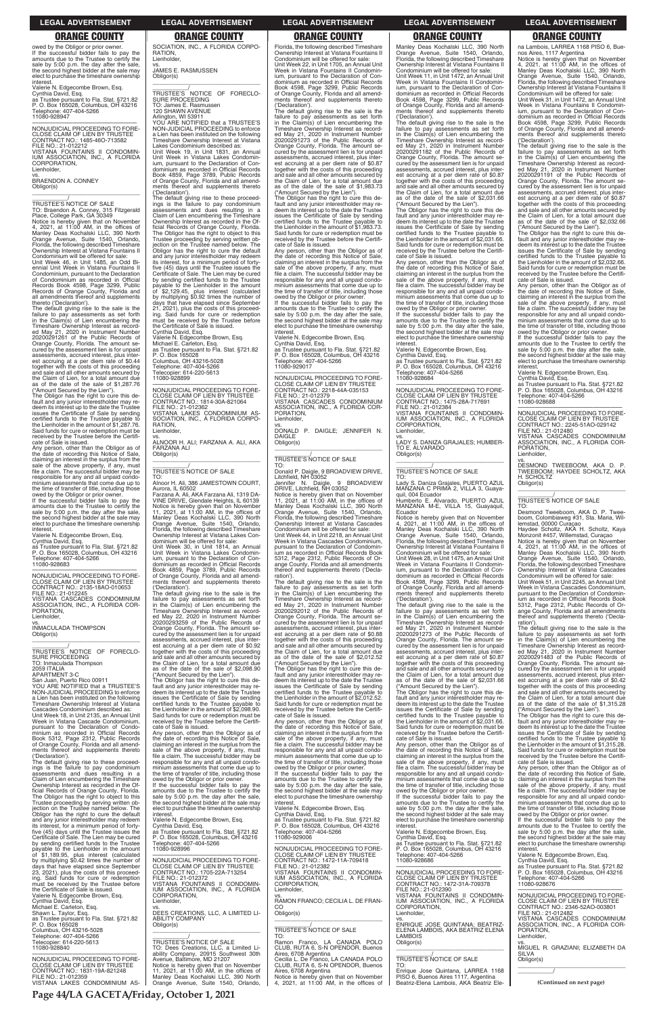owed by the Obligor or prior owner. If the successful bidder fails to pay the amounts due to the Trustee to certify the sale by 5:00 p.m. the day after the sale, the second highest bidder at the sale may elect to purchase the timeshare ownership interes

Valerie N. Edgecombe Brown, Esq. Cynthia David, Esq. as Trustee pursuant to Fla. Stat. §721.82 P. O. Box 165028, Columbus, OH 43216 Telephone: 407-404-5266 11080-928947

—————————————————— NONJUDICIAL PROCEEDING TO FORE-CLOSE CLAIM OF LIEN BY TRUSTEE CONTRACT NO.: 1485-46O-713582 FILE NO.: 21-012212 VISTANA FOUNTAINS II CONDOMIN-IUM ASSOCIATION, INC., A FLORIDA CORPORATION, Lienholder,

vs. BRAENDON A. CONNEY Obligor(s) \_\_\_\_\_\_\_\_\_\_\_\_\_\_\_\_\_\_\_\_\_\_\_\_\_\_\_\_\_\_\_\_\_

\_\_\_\_\_\_\_\_\_\_\_/ TRUSTEE'S NOTICE OF SALE

TO: Braendon A. Conney, 315 Fitzgerald Place, College Park, GA 30349 Notice is hereby given that on November 4, 2021, at 11:00 AM, in the offices of Manley Deas Kochalski LLC, 390 North Orange Avenue, Suite 1540, Orlando, Florida, the following described Timeshare Ownership Interest at Vistana Fountains II Condominium will be offered for sale:

Unit Week 46, in Unit 1485, an Odd Bi-ennial Unit Week in Vistana Fountains II Condominium, pursuant to the Declaration of Condominium as recorded in Official Records Book 4598, Page 3299, Public Records of Orange County, Florida and all amendments thereof and supplements

owed by the Obligor or prior owner. If the successful bidder fails to pay the amounts due to the Trustee to certify the sale by 5:00 p.m. the day after the sale, the second highest bidder at the sale may elect to purchase the timeshare ownership interest

—————————————————— NONJUDICIAL PROCEEDING TO FORE-CLOSE CLAIM OF LIEN BY TRUSTEE CONTRACT NO.: 2135-18AO-010653 FILE NO.: 21-012245 VISTANA CASCADES CONDOMINIUM ASSOCIATION, INC., A FLORIDA COR-PORATION, **Lienholder** 

thereto ('Declaration'). The default giving rise to the sale is the failure to pay assessments as set forth in the Claim(s) of Lien encumbering the Timeshare Ownership Interest as recorded May 21, 2020 in Instrument Number 20200291261 of the Public Records of Orange County, Florida. The amount secured by the assessment lien is for unpaid assessments, accrued interest, plus inter-est accruing at a per diem rate of \$0.44 together with the costs of this proceeding and sale and all other amounts secured by the Claim of Lien, for a total amount due as of the date of the sale of \$1,287.76

("Amount Secured by the Lien"). The Obligor has the right to cure this default and any junior interestholder may redeem its interest up to the date the Trustee issues the Certificate of Sale by sending certified funds to the Trustee payable to the Lienholder in the amount of \$1,287.76. Said funds for cure or redemption must be received by the Trustee before the Certifi-

cate of Sale is issued. Any person, other than the Obligor as of the date of recording this Notice of Sale, claiming an interest in the surplus from the sale of the above property, if any, must file a claim. The successful bidder may be responsible for any and all unpaid condo-minium assessments that come due up to the time of transfer of title, including those

Lienholder vs. JAMES E. RASMUSSEN Obligor(s)

Valerie N. Edgecombe Brown, Esq.

Cynthia David, Esq. as Trustee pursuant to Fla. Stat. §721.82 P. O. Box 165028, Columbus, OH 43216 Telephone: 407-404-5266 11080-928683

vs. INMACULADA THOMPSON Obligor(s)

\_\_\_\_\_\_\_\_\_\_\_\_\_\_\_\_\_\_\_\_\_\_\_\_\_\_\_\_\_\_\_\_\_

\_\_\_\_\_\_\_\_\_\_\_/ TRUSTEE'S NOTICE OF FORECLO-SURE PROCEEDING TO: Inmaculada Thompson 2059 ITALIA

APARTMENT 3-C

San Juan, Puerto Rico 00911 YOU ARE NOTIFIED that a TRUSTEE'S NON-JUDICIAL PROCEEDING to enforce a Lien has been instituted on the following Timeshare Ownership Interest at Vistana Cascades Condominium described as: Unit Week 18, in Unit 2135, an Annual Unit Week in Vistana Cascade Condominium, pursuant to the Declaration of Condominium as recorded in Official Records Book 5312, Page 2312, Public Records of Orange County, Florida and all amend-ments thereof and supplements thereto

### SOCIATION, INC., A FLORIDA CORPO-RATION,

\_\_\_\_\_\_\_\_\_\_\_\_\_\_\_\_\_\_\_\_\_\_\_\_\_\_\_\_\_\_\_\_\_

\_\_\_\_\_\_\_\_\_\_\_/ TRUSTEE'S NOTICE OF FORECLO-SURE PROCEEDING TO: James E. Rasmussen 120 SHAWN AVENUE

Arlington, WI 53911 YOU ARE NOTIFIED that a TRUSTEE'S NON-JUDICIAL PROCEEDING to enforce a Lien has been instituted on the following Timeshare Ownership Interest at Vistana Lakes Condominium described as: Unit Week 19, in Unit 1831, an Annual Unit Week in Vistana Lakes Condomin-

ium, pursuant to the Declaration of Con-dominium as recorded in Official Records Book 4859, Page 3789, Public Records of Orange County, Florida and all amend-ments thereof and supplements thereto ('Declaration').

The default giving rise to these proceed-ings is the failure to pay condominium assessments and dues resulting in a Claim of Lien encumbering the Timeshare Ownership Interest as recorded in the Official Records of Orange County, Florida. The Obligor has the right to object to this Trustee proceeding by serving written objection on the Trustee named below. The Obligor has the right to cure the default and any junior interestholder may redeem its interest, for a minimum period of fortyfive (45) days until the Trustee issues the Certificate of Sale. The Lien may be cured by sending certified funds to the Trustee<br>payable to the Lienholder in the amount<br>of \$2,129.45, plus interest (calculated<br>by multiplying \$0.92 times the number of<br>days that have elapsed since September<br>21, 2021), plus the ing. Said funds for cure or redemption must be received by the Trustee before the Certificate of Sale is issued.

Cynthia David, Esq.

Valerie N. Edgecombe Brown, Esq. Michael E. Carleton, Esq. as Trustee pursuant to Fla. Stat. §721.82 P. O. Box 165028 Columbus, OH 43216-5028 Telephone: 407-404-5266 Telecopier: 614-220-5613 11080-928899

—————————————————— NONJUDICIAL PROCEEDING TO FORE-CLOSE CLAIM OF LIEN BY TRUSTEE CONTRACT NO.: 1814-30A-821064 FILE NO.: 21-012362 VISTANA LAKES CONDOMINIUM AS-SOCIATION, INC., A FLORIDA CORPO-RATION, Lienholder,

vs. ALNOOR H. ALI; FARZANA A. ALI, AKA FARZANA ALI Obligor(s) \_\_\_\_\_\_\_\_\_\_\_\_\_\_\_\_\_\_\_\_\_\_\_\_\_\_\_\_\_\_\_\_\_

### \_\_\_\_\_\_\_\_\_\_\_/ TRUSTEE'S NOTICE OF SALE

TO: Alnoor H. Ali, 386 JAMESTOWN COURT, Aurora, IL 60502

Farzana A. Ali, AKA Farzana Ali, 1319 DA-VINE DRIVE, Glendale Heights, IL 60139 Notice is hereby given that on November 11, 2021, at 11:00 AM, in the offices of Manley Deas Kochalski LLC, 390 North Orange Avenue, Suite 1540, Orlando, Florida, the following described Timeshare Ownership Interest at Vistana Lakes Con-

dominium will be offered for sale: Unit Week 30, in Unit 1814, an Annual Unit Week in Vistana Lakes Condominium, pursuant to the Declaration of Condominium as recorded in Official Records Book 4859, Page 3789, Public Records of Orange County, Florida and all amendments thereof and supplements thereto ('Declaration').

The default giving rise to the sale is the failure to pay assessments as set forth in the Claim(s) of Lien encumbering the Timeshare Ownership Interest as recorded May 22, 2020 in Instrument Number 20200293259 of the Public Records of Orange County, Florida. The amount secured by the assessment lien is for unpaid assessments, accrued interest, plus interest accruing at a per diem rate of \$0.92 together with the costs of this proceeding and sale and all other amounts secured by the Claim of Lien, for a total amount due as of the date of the sale of \$2,098.90 ("Amount Secured by the Lien").

The Obligor has the right to cure this de-fault and any junior interestholder may re-deem its interest up to the date the Trustee issues the Certificate of Sale by sending certified funds to the Trustee payable to the Lienholder in the amount of \$2,098.90. Said funds for cure or redemption must be received by the Trustee before the Certifi-cate of Sale is issued.

—————————————————— NONJUDICIAL PROCEEDING TO FORE-CLOSE CLAIM OF LIEN BY TRUSTEE CONTRACT NO.: 1475-28A-717691 FILE NO.: 21-012384 VISTANA FOUNTAINS II CONDOMIN-IUM ASSOCIATION, INC., A FLORIDA CORPORATION, Lienholder,

Any person, other than the Obligor as of the date of recording this Notice of Sale, claiming an interest in the surplus from the sale of the above property, if any, must

Florida, the following described Timeshare Ownership Interest at Vistana Fountains II Condominium will be offered for sale: Unit Week 22, in Unit 1705, an Annual Unit Week in Vistana Fountains II Condominium, pursuant to the Declaration of Con-dominium as recorded in Official Records Book 4598, Page 3299, Public Records of Orange County, Florida and all amend-ments thereof and supplements thereto ('Declaration').

The default giving rise to the sale is the failure to pay assessments as set forth in the Claim(s) of Lien encumbering the Timeshare Ownership Interest as record-ed May 21, 2020 in Instrument Number 20200291273 of the Public Records of Orange County, Florida. The amount se-cured by the assessment lien is for unpaid assessments, accrued interest, plus interest accruing at a per diem rate of \$0.87 together with the costs of this proceeding and sale and all other amounts secured by the Claim of Lien, for a total amount due as of the date of the sale of \$1,983.73

("Amount Secured by the Lien"). The Obligor has the right to cure this de-fault and any junior interestholder may redeem its interest up to the date the Trustee issues the Certificate of Sale by sending certified funds to the Trustee payable to the Lienholder in the amount of \$1,983.73. Said funds for cure or redemption must be received by the Trustee before the Certificate of Sale is issued.

Any person, other than the Obligor as of the date of recording this Notice of Sale, claiming an interest in the surplus from the sale of the above property, if any, must file a claim. The successful bidder may be responsible for any and all unpaid condo-minium assessments that come due up to the time of transfer of title, including those owed by the Obligor or prior owner. If the successful bidder fails to pay the amounts due to the Trustee to certify the sale by 5:00 p.m. the day after the sale,

> Notice is hereby given that on November<br>4, 2021, at 11:00 AM, in the offices of<br>Manley Deas Kochalski LLC, 390 North<br>Orange Avenue, Suite 1540, Orlando,<br>Florida, the following described Timeshare<br>Ownership Interest at Vist Condominium will be offered for sale:

> Unit Week 51, in Unit 2245, an Annual Unit Week in Vistana Cascades Condominium, pursuant to the Declaration of Condominium as recorded in Official Records Book 5312, Page 2312, Public Records of Orange County, Florida and all amendments thereof and supplements thereto ('Declaration')

the second highest bidder at the sale may elect to purchase the timeshare ownership interest.

Valerie N. Edgecombe Brown, Esq. Cynthia David, Esq. as Trustee pursuant to Fla. Stat. §721.82 P. O. Box 165028, Columbus, OH 43216 Telephone: 407-404-5266 11080-929017

—————————————————— NONJUDICIAL PROCEEDING TO FORE-CLOSE CLAIM OF LIEN BY TRUSTEE CONTRACT NO.: 2218-44A-035153<br>FILE NO.: 21-012379<br>VISTANA CASCADES CONDOMINIUM<br>ASSOCIATION, INC., A FLORIDA COR-PORATION, Lienholder,

> The Obligor has the right to cure this default and any junior interestholder may re-deem its interest up to the date the Trustee issues the Certificate of Sale by sending certified funds to the Trustee payable to the Lienholder in the amount of \$1,315.28. Said funds for cure or redemption must be

vs. DONALD P. DAIGLE; JENNIFER N. DAIGLE Obligor(s) \_\_\_\_\_\_\_\_\_\_\_\_\_\_\_\_\_\_\_\_\_\_\_\_\_\_\_\_\_\_\_\_\_

### \_\_\_\_\_\_\_\_\_\_\_/ TRUSTEE'S NOTICE OF SALE

TO:<br>Donald P. Daigle, 9 BROADVIEW DRIVE,<br>Litchfield, NH 03052<br>Jennifer N. Daigle, 9 BROADVIEW<br>DRIVE, Litchfield, NH 03052

Notice is hereby given that on November 11, 2021, at 11:00 AM, in the offices of Manley Deas Kochalski LLC, 390 North Orange Avenue, Suite 1540, Orlando, Florida, the following described Timeshare Ownership Interest at Vistana Cascades Condominium will be offered for sale: Unit Week 44, in Unit 2218, an Annual Unit Week in Vistana Cascades Condominium, pursuant to the Declaration of Condomin ium as recorded in Official Records Book 5312, Page 2312, Public Records of Orange County, Florida and all amendments thereof and supplements thereto ('Declaration').

The default giving rise to the sale is the failure to pay assessments as set forth in the Claim(s) of Lien encumbering the Timeshare Ownership Interest as record-ed May 21, 2020 in Instrument Number 20200292012 of the Public Records of Orange County, Florida. The amount se-cured by the assessment lien is for unpaid assessments, accrued interest, plus interest accruing at a per diem rate of \$0.88 together with the costs of this proceeding and sale and all other amounts secured by the Claim of Lien, for a total amount due as of the date of the sale of \$2,012.52 ("Amount Secured by the Lien").

The Obligor has the right to cure this de-fault and any junior interestholder may redeem its interest up to the date the Trustee issues the Certificate of Sale by sending certified funds to the Trustee payable to the Lienholder in the amount of \$2,012.52. Said funds for cure or redemption must be received by the Trustee before the Certificate of Sale is issued.

Any person, other than the Obligor as of the date of recording this Notice of Sale, claiming an interest in the surplus from the sale of the above property, if any, must file a claim. The successful bidder may be

| ments thereof and supplements thereto                                        | sale of the above property, if any, must       | responsible for any and all unpaid condo-      | the date of recording this Notice of Sale.           | Said funds for cure or redemption must be      |
|------------------------------------------------------------------------------|------------------------------------------------|------------------------------------------------|------------------------------------------------------|------------------------------------------------|
| ('Declaration').                                                             | file a claim. The successful bidder may be     | minium assessments that come due up to         | claiming an interest in the surplus from the         | received by the Trustee before the Certifi-    |
| The default giving rise to these proceed-                                    | responsible for any and all unpaid condo-      | the time of transfer of title, including those | sale of the above property, if any, must             | cate of Sale is issued.                        |
| ings is the failure to pay condominium                                       | minium assessments that come due up to         | owed by the Obligor or prior owner.            | file a claim. The successful bidder may be           | Any person, other than the Obligor as of       |
| assessments and dues resulting in a                                          | the time of transfer of title, including those | If the successful bidder fails to pay the      | responsible for any and all unpaid condo-            | the date of recording this Notice of Sale,     |
| Claim of Lien encumbering the Timeshare                                      | owed by the Obligor or prior owner.            | amounts due to the Trustee to certify the      | minium assessments that come due up to               | claiming an interest in the surplus from the   |
| Ownership Interest as recorded in the Of-                                    | If the successful bidder fails to pay the      | sale by 5:00 p.m. the day after the sale,      | the time of transfer of title, including those       | sale of the above property, if any, must       |
| ficial Records of Orange County, Florida.                                    | amounts due to the Trustee to certify the      | the second highest bidder at the sale may      | owed by the Obligor or prior owner.                  | file a claim. The successful bidder may be     |
| The Obligor has the right to object to this                                  | sale by 5:00 p.m. the day after the sale,      | elect to purchase the timeshare ownership      | If the successful bidder fails to pay the            | responsible for any and all unpaid condo-      |
| Trustee proceeding by serving written ob-                                    | the second highest bidder at the sale may      | interest.                                      | amounts due to the Trustee to certify the            | minium assessments that come due up to         |
| jection on the Trustee named below. The                                      | elect to purchase the timeshare ownership      | Valerie N. Edgecombe Brown, Esg.               | sale by 5:00 p.m. the day after the sale,            | the time of transfer of title, including those |
| Obligor has the right to cure the default                                    | interest.                                      | Cynthia David, Esg.                            | the second highest bidder at the sale may            | owed by the Obligor or prior owner.            |
| and any junior interestholder may redeem                                     | Valerie N. Edgecombe Brown, Esq.               | as Trustee pursuant to Fla. Stat. §721.82      | elect to purchase the timeshare ownership            | If the successful bidder fails to pay the      |
| its interest, for a minimum period of forty-                                 | Cynthia David, Esg.                            | P. O. Box 165028, Columbus, OH 43216           | interest.                                            | amounts due to the Trustee to certify the      |
| five (45) days until the Trustee issues the                                  | as Trustee pursuant to Fla. Stat. §721.82      | Telephone: 407-404-5266                        | Valerie N. Edgecombe Brown, Esq.                     | sale by 5:00 p.m. the day after the sale,      |
| Certificate of Sale. The Lien may be cured                                   | P. O. Box 165028, Columbus, OH 43216           | 11080-929006                                   | Cynthia David, Esq.                                  | the second highest bidder at the sale may      |
| by sending certified funds to the Trustee                                    | Telephone: 407-404-5266                        |                                                | as Trustee pursuant to Fla. Stat. §721.82            | elect to purchase the timeshare ownership      |
| payable to the Lienholder in the amount                                      | 11080-928996                                   | NONJUDICIAL PROCEEDING TO FORE-                | P. O. Box 165028, Columbus, OH 43216                 | interest.                                      |
| of \$1,189.95, plus interest (calculated                                     |                                                | CLOSE CLAIM OF LIEN BY TRUSTEE                 | Telephone: 407-404-5266                              | Valerie N. Edgecombe Brown, Esg.               |
| by multiplying \$0.42 times the number of                                    | NONJUDICIAL PROCEEDING TO FORE-                | CONTRACT NO.: 1472-11A-709418                  | 11080-928686                                         | Cynthia David, Esq.                            |
| days that have elapsed since September                                       | CLOSE CLAIM OF LIEN BY TRUSTEE                 | FILE NO.: 21-012382                            |                                                      | as Trustee pursuant to Fla. Stat. §721.82      |
| 23, 2021), plus the costs of this proceed-                                   | CONTRACT NO.: 1705-22A-713254                  | VISTANA FOUNTAINS II CONDOMIN-                 | NONJUDICIAL PROCEEDING TO FORE-                      | P. O. Box 165028, Columbus, OH 43216           |
| ing. Said funds for cure or redemption                                       | FILE NO.: 21-012372                            | IUM ASSOCIATION, INC., A FLORIDA               | CLOSE CLAIM OF LIEN BY TRUSTEE                       | Telephone: 407-404-5266                        |
|                                                                              | VISTANA FOUNTAINS II CONDOMIN-                 | CORPORATION.                                   |                                                      | 11080-928676                                   |
| must be received by the Trustee before<br>the Certificate of Sale is issued. | IUM ASSOCIATION, INC., A FLORIDA               | Lienholder,                                    | CONTRACT NO.: 1472-31A-709378<br>FILE NO.: 21-012390 |                                                |
|                                                                              |                                                |                                                | VISTANA FOUNTAINS II CONDOMIN-                       | NONJUDICIAL PROCEEDING TO FORE-                |
| Valerie N. Edgecombe Brown, Esq.                                             | CORPORATION,                                   |                                                |                                                      | CLOSE CLAIM OF LIEN BY TRUSTEE                 |
| Cynthia David, Esg.                                                          | Lienholder.                                    | RAMON FRANCO: CECILIA L. DE FRAN-<br>CO        | IUM ASSOCIATION, INC., A FLORIDA<br>CORPORATION.     |                                                |
| Michael E. Carleton, Esq.                                                    | VS.                                            |                                                |                                                      | CONTRACT NO.: 2346-52AO-003801                 |
| Shawn L. Taylor, Esq.                                                        | DEES CREATIONS, LLC, A LIMITED LI-             | Obligor(s)                                     | Lienholder.                                          | FILE NO.: 21-012482                            |
| as Trustee pursuant to Fla. Stat. §721.82                                    | <b>ABILITY COMPANY</b>                         |                                                |                                                      | VISTANA CASCADES CONDOMINIUM                   |
| P. O. Box 165028                                                             | Obligor(s)                                     |                                                | <b>ENRIQUE JOSE QUINTANA: BEATRIZ-</b>               | ASSOCIATION, INC., A FLORIDA COR-              |
| Columbus, OH 43216-5028                                                      |                                                | TRUSTEE'S NOTICE OF SALE                       | ELENA LAMBOIS, AKA BEATRIZ ELENA                     | PORATION.                                      |
| Telephone: 407-404-5266                                                      |                                                | TO:                                            | <b>LAMBOIS</b>                                       | Lienholder.                                    |
| Telecopier: 614-220-5613                                                     | <b>TRUSTEE'S NOTICE OF SALE</b>                | Ramon Franco, LA CANADA POLO                   | Obligor(s)                                           | VS.                                            |
| 11080-928840                                                                 | TO: Dees Creations, LLC, a Limited Li-         | CLUB, RUTA 6, S-N OPENDOR, Buenos              |                                                      | MIGUEL R. GRAZIANI; ELIZABETH DA               |
|                                                                              | ability Company, 20915 Southwest 30th          | Aires, 6708 Argentina                          |                                                      | <b>SILVA</b>                                   |
| NONJUDICIAL PROCEEDING TO FORE-                                              | Avenue, Baltimore, MD 21207                    | Cecilia L. De Franco, LA CANADA POLO           | <b>TRUSTEE'S NOTICE OF SALE</b>                      | Obligor(s)                                     |
| CLOSE CLAIM OF LIEN BY TRUSTEE                                               | Notice is hereby given that on November        | CLUB, RUTA 6, S-N OPENDOR, Buenos              | TO:                                                  |                                                |
| CONTRACT NO.: 1831-19A-821248                                                | 11, 2021, at 11:00 AM, in the offices of       | Aires, 6708 Argentina                          | Enrique Jose Quintana, LARREA 1168                   |                                                |
| FILE NO.: 21-012359                                                          | Manley Deas Kochalski LLC, 390 North           | Notice is hereby given that on November        | PISO 6, Buenos Aires 1117, Argentina                 |                                                |
| VISTANA LAKES CONDOMINIUM AS-                                                | Orange Avenue, Suite 1540, Orlando,            | 4. 2021. at 11:00 AM. in the offices of        | Beatriz-Elena Lambois, AKA Beatriz Ele-              | (Continued on next page)                       |

Manley Deas Kochalski LLC, 390 North Orange Avenue, Suite 1540, Orlando, Florida, the following described Timeshare Ownership Interest at Vistana Fountains II Condominium will be offered for sale:

Unit Week 11, in Unit 1472, an Annual Unit Week in Vistana Fountains II Condominium, pursuant to the Declaration of Condominium as recorded in Official Records Book 4598, Page 3299, Public Records of Orange County, Florida and all amend-ments thereof and supplements thereto ('Declaration').

The default giving rise to the sale is the failure to pay assessments as set forth in the Claim(s) of Lien encumbering the Timeshare Ownership Interest as recorded May 21, 2020 in Instrument Number 20200291182 of the Public Records of Orange County, Florida. The amount secured by the assessment lien is for unpaid assessments, accrued interest, plus interest accruing at a per diem rate of \$0.87 together with the costs of this proceeding and sale and all other amounts secured by the Claim of Lien, for a total amount due as of the date of the sale of \$2,031.66 ("Amount Secured by the Lien").

The Obligor has the right to cure this de-fault and any junior interestholder may re-deem its interest up to the date the Trustee issues the Certificate of Sale by sending certified funds to the Trustee payable to the Lienholder in the amount of \$2,031.66. Said funds for cure or redemption must be received by the Trustee before the Certifi-cate of Sale is issued.

Any person, other than the Obligor as of the date of recording this Notice of Sale, claiming an interest in the surplus from the sale of the above property, if any, must file a claim. The successful bidder may be responsible for any and all unpaid condominium assessments that come due up to the time of transfer of title, including those owed by the Obligor or prior owner.

If the successful bidder fails to pay the amounts due to the Trustee to certify the sale by 5:00 p.m. the day after the sale, the second highest bidder at the sale may elect to purchase the timeshare ownership

interest. Valerie N. Edgecombe Brown, Esq. Cynthia David, Esq. as Trustee pursuant to Fla. Stat. §721.82 P. O. Box 165028, Columbus, OH 43216 Telephone: 407-404-5266 11080-928684

vs. LADY S. DANIZA GRAJALES; HUMBER-O E. ALVARADO Obligor(s) \_\_\_\_\_\_\_\_\_\_\_\_\_\_\_\_\_\_\_\_\_\_\_\_\_\_\_\_\_\_\_\_\_

### \_\_\_\_\_\_\_\_\_\_\_/ TRUSTEE'S NOTICE OF SALE

TO: Lady S. Daniza Grajales, PUERTO AZUL MANZANA C PRIMA 2, VILLA 3, Guayaquil, 004 Ecuador Humberto E. Alvarado, PUERTO AZUL MANZANA M-E, VILLA 15, Guayaquil,

Ecuador Notice is hereby given that on November 4, 2021, at 11:00 AM, in the offices of Manley Deas Kochalski LLC, 390 North Orange Avenue, Suite 1540, Orlando, Florida, the following described Timeshare

Ownership Interest at Vistana Fountains II Condominium will be offered for sale: Unit Week 28, in Unit 1475, an Annual Unit Week in Vistana Fountains II Condomin-ium, pursuant to the Declaration of Condominium as recorded in Official Records Book 4598, Page 3299, Public Records of Orange County, Florida and all amendments thereof and supplements thereto

('Declaration'). The default giving rise to the sale is the failure to pay assessments as set forth<br>in the Claim(s) of Lien encumbering the<br>Timeshare Ownership Interest as record-<br>ed May 21, 2020 in Instrument Number<br>20200291273 of the Public Records of<br>Orange County, Florida. The cured by the assessment lien is for unpaid assessments, accrued interest, plus inter-est accruing at a per diem rate of \$0.87 together with the costs of this proceeding and sale and all other amounts secured by the Claim of Lien, for a total amount due as of the date of the sale of \$2,031.66 ("Amount Secured by the Lien"). The Obligor has the right to cure this de-

fault and any junior interestholder may redeem its interest up to the date the Trustee issues the Certificate of Sale by sending certified funds to the Trustee payable to the Lienholder in the amount of \$2,031.66. Said funds for cure or redemption must be received by the Trustee before the Certifi-

cate of Sale is issued. Any person, other than the Obligor as of

na Lambois, LARREA 1168 PISO 6, Bue-

nos Aires, 1117 Argentina Notice is hereby given that on November 4, 2021, at 11:00 AM, in the offices of Manley Deas Kochalski LLC, 390 North Orange Avenue, Suite 1540, Orlando, Florida, the following described Timeshare Ownership Interest at Vistana Fountains II Condominium will be offered for sale:

Unit Week 31, in Unit 1472, an Annual Unit Week in Vistana Fountains II Condominium, pursuant to the Declaration of Con-dominium as recorded in Official Records Book 4598, Page 3299, Public Records of Orange County, Florida and all amend-ments thereof and supplements thereto ('Declaration').

The default giving rise to the sale is the failure to pay assessments as set forth in the Claim(s) of Lien encumbering the Timeshare Ownership Interest as record-ed May 21, 2020 in Instrument Number 20200291191 of the Public Records of Orange County, Florida. The amount se-cured by the assessment lien is for unpaid assessments, accrued interest, plus interest accruing at a per diem rate of \$0.87 together with the costs of this proceeding and sale and all other amounts secured by the Claim of Lien, for a total amount due as of the date of the sale of \$2,032.66 ("Amount Secured by the Lien").

The Obligor has the right to cure this de-fault and any junior interestholder may redeem its interest up to the date the Trustee issues the Certificate of Sale by sending certified funds to the Trustee payable to the Lienholder in the amount of \$2,032.66. Said funds for cure or redemption must be received by the Trustee before the Certificate of Sale is issued.

Any person, other than the Obligor as of the date of recording this Notice of Sale, claiming an interest in the surplus from the sale of the above property, if any, must file a claim. The successful bidder may be responsible for any and all unpaid condo-minium assessments that come due up to the time of transfer of title, including those

owed by the Obligor or prior owner. If the successful bidder fails to pay the amounts due to the Trustee to certify the sale by 5:00 p.m. the day after the sale, the second highest bidder at the sale may elect to purchase the timeshare ownership interest.

Valerie N. Edgecombe Brown, Esq. Cynthia David, Esq.

as Trustee pursuant to Fla. Stat. §721.82 P. O. Box 165028, Columbus, OH 43216 Telephone: 407-404-5266 11080-928688

—————————————————— NONJUDICIAL PROCEEDING TO FORE-CLOSE CLAIM OF LIEN BY TRUSTEE CONTRACT NO.: 2245-51AO-029142 FILE NO.: 21-012480

VISTANA CASCADES CONDOMINIUM ASSOCIATION, INC., A FLORIDA COR-PORATION, Lienholder,

vs. DESMOND TWEEBOOM, AKA D. P. TWEEBOOM; HAYDEE SCHOLTZ, AKA H. SCHOLTZ Obligor(s) \_\_\_\_\_\_\_\_\_\_\_\_\_\_\_\_\_\_\_\_\_\_\_\_\_\_\_\_\_\_\_\_\_

### \_\_\_\_\_\_\_\_\_\_\_/ TRUSTEE'S NOTICE OF SALE

TO: Desmond Tweeboom, AKA D. P. Tweeboom, Colombiaweg #31, Sta. Maria, Wil-

lemstad, 00000 Curaçao Haydee Scholtz, AKA H. Scholtz, Kaya Monzonit #457, Willemstad, Curaçao

The default giving rise to the sale is the failure to pay assessments as set forth in the Claim(s) of Lien encumbering the Timeshare Ownership Interest as recorded May 21, 2020 in Instrument Number 20200291483 of the Public Records of Orange County, Florida. The amount se-cured by the assessment lien is for unpaid assessments, accrued interest, plus interest accruing at a per diem rate of \$0.42 together with the costs of this proceeding and sale and all other amounts secured by the Claim of Lien, for a total amount due as of the date of the sale of \$1,315.28 ("Amount Secured by the Lien").

**Page 44/LA GACETA/Friday, October 1, 2021**

### **LEGAL ADVERTISEMENT LEGAL ADVERTISEMENT LEGAL ADVERTISEMENT LEGAL ADVERTISEMENT LEGAL ADVERTISEMENT**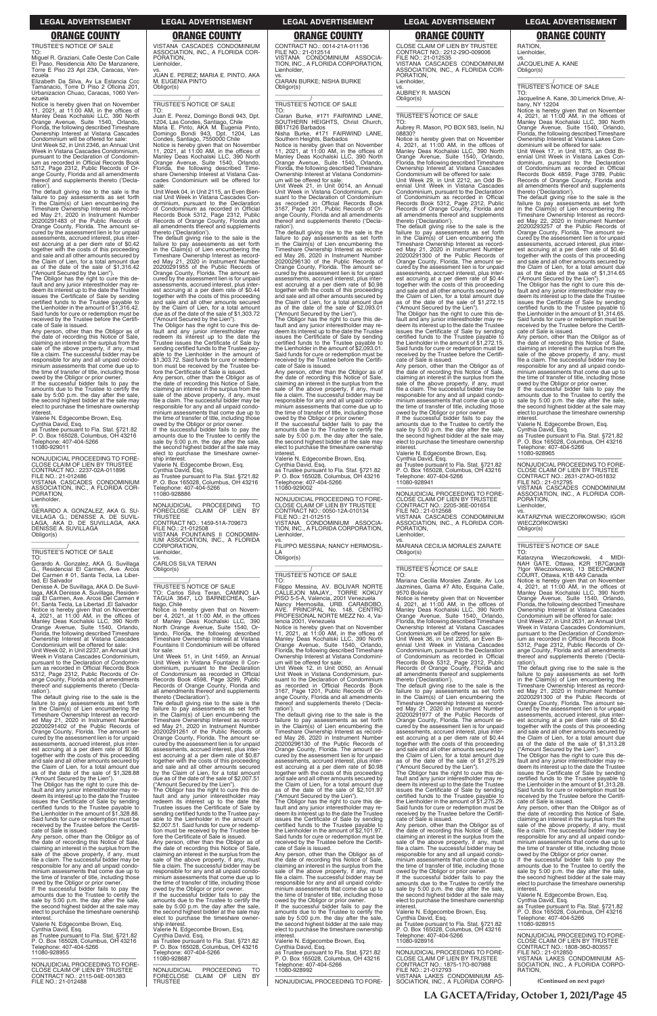TRUSTEE'S NOTICE OF SALE TO:

Miguel R. Graziani, Calle Oeste Con Calle El Paso, Residencia Alto De Manzanere, Torre E Piso 23 Apt 23A, Caracas, Venezuela

Elizabeth Da Silva, Av La Estancia Ccc Tamanacio, Torre D Piso 2 Oficina 201, Urbanizacion Chuao, Caracas, 1060 Ven-

ezuela Notice is hereby given that on November 11, 2021, at 11:00 AM, in the offices of Manley Deas Kochalski LLC, 390 North Orange Avenue, Suite 1540, Orlando, Florida, the following described Timeshare Ownership Interest at Vistana Cascades Condominium will be offered for sale:

Unit Week 52, in Unit 2346, an Annual Unit Week in Vistana Cascades Condominium, pursuant to the Declaration of Condominium as recorded in Official Records Book 5312, Page 2312, Public Records of Or-ange County, Florida and all amendments thereof and supplements thereto ('Decla-

owed by the Obligor or prior owner. If the successful bidder fails to pay the amounts due to the Trustee to certify the sale by 5:00 p.m. the day after the sale, the second highest bidder at the sale may elect to purchase the timeshare ownership interest

ration'). The default giving rise to the sale is the failure to pay assessments as set forth in the Claim(s) of Lien encumbering the Timeshare Ownership Interest as recorded May 21, 2020 in Instrument Number 20200291483 of the Public Records of Orange County, Florida. The amount secured by the assessment lien is for unpaid assessments, accrued interest, plus inter-est accruing at a per diem rate of \$0.42 together with the costs of this proceeding and sale and all other amounts secured by the Claim of Lien, for a total amount due as of the date of the sale of \$1,316.42

vs.<br>GERARDO A. GONZALEZ, AKA G. SU-<br>VILLAGA G.; DENISSE A. DE SUVIL-<br>LAGA, AKA D. DE SUVILLAGA, AKA<br>DENISSE A. SUVILLAGA Obligor(s)

("Amount Secured by the Lien"). The Obligor has the right to cure this default and any junior interestholder may re-deem its interest up to the date the Trustee issues the Certificate of Sale by sending certified funds to the Trustee payable to the Lienholder in the amount of \$1,316.42. Said funds for cure or redemption must be received by the Trustee before the Certifi-

cate of Sale is issued. Any person, other than the Obligor as of the date of recording this Notice of Sale, claiming an interest in the surplus from the sale of the above property, if any, must file a claim. The successful bidder may be responsible for any and all unpaid condo-minium assessments that come due up to the time of transfer of title, including those

Valerie N. Edgecombe Brown, Esq.

Cynthia David, Esq. as Trustee pursuant to Fla. Stat. §721.82 P. O. Box 165028, Columbus, OH 43216 Telephone: 407-404-5266

11080-929011 —————————————————— NONJUDICIAL PROCEEDING TO FORE-CLOSE CLAIM OF LIEN BY TRUSTEE CONTRACT NO.: 2237-02A-011896

FILE NO.: 21-012486 VISTANA CASCADES CONDOMINIUM ASSOCIATION, INC., A FLORIDA COI PORATION,

### **Lienholder**

### VISTANA CASCADES CONDOMINIUM ASSOCIATION, INC., A FLORIDA COR-PORATION, **Lienholder**

\_\_\_\_\_\_\_\_\_\_\_\_\_\_\_\_\_\_\_\_\_\_\_\_\_\_\_\_\_\_\_\_\_

TO: Juan E. Perez, Domingo Bondi 943, Dpt. 1204, Las Condes, Santiago, Chile Maria E. Pinto, AKA M. Eugenia Pinto, Domingo Bondi 943, Dpt. 1204, Las National E. Frinci, Friest, M. D. Degenie<br>Domingo Bondi 943, Dpt. 120<br>Condes, Santiago, 7550000 Chile

### \_\_\_\_\_\_\_\_\_\_\_/ TRUSTEE'S NOTICE OF SALE TO:

Gerardo A. Gonzalez, AKA G. Suvillaga G., Residencial El Carmen, Ave. Arcos Del Carmen # 01, Santa Tecla, La Libertad, El Salvador

Denisse A. De Suvillaga, AKA D. De Suvil-laga, AKA Denisse A. Suvillaga, Residencial El Carmen, Ave. Arcos Del Carmen # 01, Santa Tecla, La Libertad ,El Salvador<br>Notice is hereby given that on November<br>4, 2021, at 11:00 AM, in the offices of<br>Manley Deas Kochalski LLC, 390 North<br>Orange Avenue, Suite 1540, Orlando, Florida, the following described Timeshare Ownership Interest at Vistana Cascades Condominium will be offered for sale:

Unit Week 02, in Unit 2237, an Annual Unit Week in Vistana Cascades Condominium, pursuant to the Declaration of Condominium as recorded in Official Records Book 5312, Page 2312, Public Records of Or-ange County, Florida and all amendments thereof and supplements thereto ('Declaration').

fore the Certificate of Sale is issued.<br>Any person, other than the Obligor as of person, other than the Obligor the date of recording this Notice of Sale, claiming an interest in the surplus from the sale of the above property, if any, must file a claim. The successful bidder may be responsible for any and all unpaid condominium assessments that come due up to the time of transfer of title, including those

The default giving rise to the sale is the failure to pay assessments as set forth in the Claim(s) of Lien encumbering the Timeshare Ownership Interest as recorded May 21, 2020 in Instrument Number 20200291402 of the Public Records of Orange County, Florida. The amount secured by the assessment lien is for unpaid

NONJUDICIAL PROCEEDING TO NONJUDICIAL PROCEEDING TO FORECLOSE CLAIM OF LIEN BY TRUSTEE CONTRACT NO.: 1459-51A-709673 FILE NO.: 21-012508 VISTANA FOUNTAINS II CONDOMIN-IUM ASSOCIATION, INC., A FLORIDA

assessments, accrued interest, plus inter-est accruing at a per diem rate of \$0.66 together with the costs of this proceeding and sale and all other amounts secured b the Claim of Lien, for a total amount as of the date of the sale of \$1,328.88 ("Amount Secured by the Lien"). The Obligor has the right to cure this de-

fault and any junior interestholder may redeem its interest up to the date the Trustee issues the Certificate of Sale by sending certified funds to the Trustee payable to the Lienholder in the amount of \$1,328.88. Said funds for cure or redemption must be received by the Trustee before the Certifi-

cate of Sale is issued. Any person, other than the Obligor as of the date of recording this Notice of Sale, claiming an interest in the surplus from the sale of the above property, if any, must file a claim. The successful bidder may be responsible for any and all unpaid condo-minium assessments that come due up to the time of transfer of title, including those owed by the Obligor or prior owner. If the successful bidder fails to pay the

amounts due to the Trustee to certify the sale by 5:00 p.m. the day after the sale, the second highest bidder at the sale may elect to purchase the timeshare ownership interest Valerie N. Edgecombe Brown, Esq.

Cynthia David, Esq. as Trustee pursuant to Fla. Stat. §721.82 P. O. Box 165028, Columbus, OH 43216 Telephone: 407-404-5266 11080-928955

—————————————————— NONJUDICIAL PROCEEDING TO FORE-CLOSE CLAIM OF LIEN BY TRUSTEE CONTRACT NO.: 2115-04E-001383 FILE NO.: 21-012488

vs. JUAN E. PEREZ; MARIA E. PINTO, AKA M. EUGENIA PINTO Obligor(s) \_\_\_\_\_\_\_\_\_\_\_\_\_\_\_\_\_\_\_\_\_\_\_\_\_\_\_\_\_\_\_\_\_

### \_\_\_\_\_\_\_\_\_\_\_/ TRUSTEE'S NOTICE OF SALE

Southern Heights, Barbados Notice is hereby given that on November 11, 2021, at 11:00 AM, in the offices of Manley Deas Kochalski LLC, 390 North Orange Avenue, Suite 1540, Orlando, Florida, the following described Timeshare Ownership Interest at Vistana Condomini-

um will be offered for sale: Unit Week 21, in Unit 0014, an Annual Unit Week in Vistana Condominium, pursuant to the Declaration of Condominium as recorded in Official Records Book 3167, Page 1201, Public Records of Orange County, Florida and all amendments ereof and supplements thereto ('Decla-

Notice is hereby given that on November 11, 2021, at 11:00 AM, in the offices of Manley Deas Kochalski LLC, 390 North Orange Avenue, Suite 1540, Orlando, Florida, the following described Time-share Ownership Interest at Vistana Cascades Condominium will be offered for

sale: Unit Week 04, in Unit 2115, an Even Biennial Unit Week in Vistana Cascades Condominium, pursuant to the Declaration of Condominium as recorded in Official Records Book 5312, Page 2312, Public Records of Orange County, Florida and all amendments thereof and supplements thereto ('Declaration').

> If the successful bidder fails to pay the amounts due to the Trustee to certify the sale by 5:00 p.m. the day after the sale, the second highest bidder at the sale may elect to purchase the timeshare ownership nterest

The default giving rise to the sale is the failure to pay assessments as set forth in the Claim(s) of Lien encumbering the Timeshare Ownership Interest as record-ed May 21, 2020 in Instrument Number 20200291955 of the Public Records of Orange County, Florida. The amount se-cured by the assessment lien is for unpaid assessments, accrued interest, plus interest accruing at a per diem rate of \$0.44 together with the costs of this proceeding and sale and all other amounts secured by the Claim of Lien, for a total amount due as of the date of the sale of \$1,303.72

> TO: Filippo Messina, AV. BOLIVAR NORTE CALLEJON MAJAY,, TORRE KOKUY PISO 5-5-A, Valencia, 2001 Venezuela Nancy Hermosilla, URB. CARABOBO,<br>AVE. PRINCIPAL No. 148, CENTRO<br>PROFESIONAL.NORTE.MEZZ.No.4,Va-

("Amount Secured by the Lien"). The Obligor has the right to cure this de-fault and any junior interestholder may redeem its interest up to the date the Trustee issues the Certificate of Sale by sending certified funds to the Trustee payable to the Lienholder in the amount of \$1,303.72. Said funds for cure or redemp-tion must be received by the Trustee be-

owed by the Obligor or prior owner. If the successful bidder fails to pay the amounts due to the Trustee to certify the sale by  $5:00$  p.m. the day after the sale the second highest bidder at the sale may elect to purchase the timeshare ownership interest.

Valerie N. Edgecombe Brown, Esq. Cynthia David, Esq.

as Trustee pursuant to Fla. Stat. §721.82 P. O. Box 165028, Columbus, OH 43216 Telephone: 407-404-5266 11080-928886

CLOSE CLAIM OF LIEN BY TRUSTEE CONTRACT NO.: 2212-29O-009006 FILE NO.: 21-012535 VISTANA CASCADES CONDOMINIUM ASSOCIATION, INC., A FLORIDA COR-PORATION, **Lienholder** 

CORPORATION, Lienholder,

vs. CARLOS SILVA TERAN Obligor(s)

\_\_\_\_\_\_\_\_\_\_\_\_\_\_\_\_\_\_\_\_\_\_\_\_\_\_\_\_\_\_\_\_\_

# \_\_\_\_\_\_\_\_\_\_\_/ TRUSTEE'S NOTICE OF SALE TO: Carlos Silva Teran, CAMINO LA TAGUA 3647, LO BARNECHEA, San-

tiago, Chile Notice is hereby given that on Novem-ber 4, 2021, at 11:00 AM, in the offices of Manley Deas Kochalski LLC, 390 North Orange Avenue, Suite 1540, Orlando, Florida, the following described Timeshare Ownership Interest at Vistana Fountains II Condominium will be offered for sale:

failure to pay assessments as set forth<br>in the Claim(s) of Lien encumbering the<br>Timeshare Ownership Interest as record-<br>ed May 21, 2020 in Instrument Number<br>20200291300 of the Public Records of<br>Orange County, Florida. The cured by the assessment lien is for unpaid assessments, accrued interest, plus inter-est accruing at a per diem rate of \$0.44 together with the costs of this proceeding and sale and all other amounts secured by the Claim of Lien, for a total amount due as of the date of the sale of \$1,272.15

Unit Week 51, in Unit 1459, an Annual Unit Week in Vistana Fountains II Condominium, pursuant to the Declaration of Condominium as recorded in Official Records Book 4598, Page 3299, Public Records of Orange County, Florida and all amendments thereof and supplements thereto ('Declaration').

the date of recording this Notice of Sale,<br>claiming an interest in the surplus from the<br>sale of the above property, if any, must<br>file a claim. The successful bidder may be responsible for any and all unpaid condo-minium assessments that come due up to the time of transfer of title, including those

The default giving rise to the sale is the failure to pay assessments as set forth in the Claim(s) of Lien encumbering the Timeshare Ownership Interest as recorded May 21, 2020 in Instrument Number 20200291261 of the Public Records of Orange County, Florida. The amount se-cured by the assessment lien is for unpaid assessments, accrued interest, plus interest accruing at a per diem rate of \$0.87 together with the costs of this proceeding and sale and all other amounts secured by the Claim of Lien, for a total amount due as of the date of the sale of \$2,007.51 ("Amount Secured by the Lien"). The Obligor has the right to cure this de-fault and any junior interestholder may redeem its interest up to the date the Trustee issues the Certificate of Sale by sending certified funds to the Trustee pay-able to the Lienholder in the amount of \$2,007.51. Said funds for cure or redemption must be received by the Trustee be-fore the Certificate of Sale is issued. Any person, other than the Obligor as of the date of recording this Notice of Sale, claiming an interest in the surplus from the sale of the above property, if any, must file a claim. The successful bidder may be responsible for any and all unpaid condominium assessments that come due up to the time of transfer of title, including those owed by the Obligor or prior owner. If the successful bidder fails to pay the amounts due to the Trustee to certify the sale by 5:00 p.m. the day after the sale, the second highest bidder at the sale may elect to purchase the timeshare ownership interest. Valerie N. Edgecombe Brown, Esq. Cynthia David, Esq. as Trustee pursuant to Fla. Stat. §721.82 P. O. Box 165028, Columbus, OH 43216 Telephone: 407-404-5266 11080-928687

—————————————————— NONJUDICIAL PROCEEDING TO FORECLOSE CLAIM OF LIEN BY TRUSTEE

CONTRACT NO.: 0014-21A-011136 FILE NO.: 21-012514 VISTANA CONDOMINIUM ASSOCIA-TION, INC., A FLORIDA CORPORATION, Lienholder,

vs. CIARAN BURKE; NISHA BURKE Obligor(s) \_\_\_\_\_\_\_\_\_\_\_\_\_\_\_\_\_\_\_\_\_\_\_\_\_\_\_\_\_\_\_\_\_

### \_\_\_\_\_\_\_\_\_\_\_/ TRUSTEE'S NOTICE OF SALE

TO:

Ciaran Burke, #171 FAIRWIND LANE, SOUTHERN HEIGHTS, Christ Church, BB17126 Barbados Nisha Burke, #171 FAIRWIND LANE,

> The Obligor has the right to cure this default and any junior interestholder may re-deem its interest up to the date the Trustee issues the Certificate of Sale by sending certified funds to the Trustee payable to the Lienholder in the amount of \$1,314.65. Said funds for cure or redemption must be received by the Trustee before the Certifi-cate of Sale is issued.

ration'). The default giving rise to the sale is the failure to pay assessments as set forth in the Claim(s) of Lien encumbering the Timeshare Ownership Interest as record-ed May 26, 2020 in Instrument Number 20200296130 of the Public Records of Orange County, Florida. The amount secured by the assessment lien is for unpaid assessments, accrued interest, plus interest accruing at a per diem rate of \$0.98 together with the costs of this proceeding and sale and all other amounts secured by the Claim of Lien, for a total amount due as of the date of the sale of \$2,093.01 ("Amount Secured by the Lien").

> WIECZORKOWSKI Obligor(s)

Katarzyna

ration')

The Obligor has the right to cure this de-fault and any junior interestholder may re-deem its interest up to the date the Trustee issues the Certificate of Sale by sending certified funds to the Trustee payable to the Lienholder in the amount of \$2,093.01. Said funds for cure or redemption must be received by the Trustee before the Certifi-cate of Sale is issued.

Any person, other than the Obligor as of the date of recording this Notice of Sale, claiming an interest in the surplus from the sale of the above property, if any, must file a claim. The successful bidder may be responsible for any and all unpaid condominium assessments that come due up to the time of transfer of title, including those owed by the Obligor or prior owner.

Valerie N. Edgecombe Brown, Esq. Cynthia David, Esq. as Trustee pursuant to Fla. Stat. §721.82 P. O. Box 165028, Columbus, OH 43216 elephone: 407-404-5266 11080-929002

—————————————————— NONJUDICIAL PROCEEDING TO FORE-CLOSE CLAIM OF LIEN BY TRUSTEE CONTRACT NO.: 0050-12A-010134 FILE NO.: 21-012515 VISTANA CONDOMINIUM ASSOCIA-TION, INC., A FLORIDA CORPORATION,

**Lienholder** 

vs. FILIPPO MESSINA; NANCY HERMOSIL-LA Obligor(s)

\_\_\_\_\_\_\_\_\_\_\_\_\_\_\_\_\_\_\_\_\_\_\_\_\_\_\_\_\_\_\_\_\_

### \_\_\_\_\_\_\_\_\_\_\_/ TRUSTEE'S NOTICE OF SALE

lencia 2001, Venezuela Notice is hereby given that on November 11, 2021, at 11:00 AM, in the offices of Manley Deas Kochalski LLC, 390 North Orange Avenue, Suite 1540, Orlando, Florida, the following described Timeshare Ownership Interest at Vistana Condomini-um will be offered for sale:

Unit Week 12, in Unit 0050, an Annual Unit Week in Vistana Condominium, pur-suant to the Declaration of Condominium as recorded in Official Records Book 3167, Page 1201, Public Records of Or-ange County, Florida and all amendments thereof and supplements thereto ('Decla-

ration'). The default giving rise to the sale is the failure to pay assessments as set forth in the Claim(s) of Lien encumbering the Timeshare Ownership Interest as recorded May 26, 2020 in Instrument Number

20200296130 of the Public Records of Orange County, Florida. The amount secured by the assessment lien is for unpaid assessments, accrued interest, plus interest accruing at a per diem rate of \$0.98 together with the costs of this proceeding and sale and all other amounts secured by the Claim of Lien, for a total amount due as of the date of the sale of \$2,101.97 ("Amount Secured by the Lien"). The Obligor has the right to cure this de-

fault and any junior interestholder may redeem its interest up to the date the Trustee issues the Certificate of Sale by sending certified funds to the Trustee payable to the Lienholder in the amount of \$2,101.97. Said funds for cure or redemption must be received by the Trustee before the Certifi-

cate of Sale is issued. Any person, other than the Obligor as of the date of recording this Notice of Sale,<br>claiming an interest in the surplus from the<br>sale of the above property, if any, must<br>file a claim. The successful bidder may be responsible for any and all unpaid condo-minium assessments that come due up to the time of transfer of title, including those owed by the Obligor or prior owner. If the successful bidder fails to pay the

amounts due to the Trustee to certify the sale by 5:00 p.m. the day after the sale, the second highest bidder at the sale may elect to purchase the timeshare ownership interest. Valerie N. Edgecombe Brown, Esq.

Cynthia David, Esq. as Trustee pursuant to Fla. Stat. §721.82 P. O. Box 165028, Columbus, OH 43216 Telephone: 407-404-5266 11080-928992

—————————————————— NONJUDICIAL PROCEEDING TO FORE-

vs. AUBREY R. MASON Obligor(s)

\_\_\_\_\_\_\_\_\_\_\_\_\_\_\_\_\_\_\_\_\_\_\_\_\_\_\_\_\_\_\_\_\_

### \_\_\_\_\_\_\_\_\_\_\_/ TRUSTEE'S NOTICE OF SALE

TO: Aubrey R. Mason, PO BOX 583, Iselin, NJ 08830?

Notice is hereby given that on November 4, 2021, at 11:00 AM, in the offices of Manley Deas Kochalski LLC, 390 North Orange Avenue, Suite 1540, Orlando, Florida, the following described Timeshare Ownership Interest at Vistana Cascades Condominium will be offered for sale:

Unit Week 29, in Unit 2212, an Odd Biennial Unit Week in Vistana Cascades Condominium, pursuant to the Declaration of Condominium as recorded in Official Records Book 5312, Page 2312, Public Records of Orange County, Florida and all amendments thereof and supplements thereto ('Declaration'). The default giving rise to the sale is the

("Amount Secured by the Lien"). The Obligor has the right to cure this default and any junior interestholder may redeem its interest up to the date the Trustee issues the Certificate of Sale by sending certified funds to the Trustee payable to the Lienholder in the amount of \$1,272.15. Said funds for cure or redemption must be received by the Trustee before the Certificate of Sale is issued. Any person, other than the Obligor as of

owed by the Obligor or prior owner. If the successful bidder fails to pay the amounts due to the Trustee to certify the sale by 5:00 p.m. the day after the sale, the second highest bidder at the sale may elect to purchase the timeshare ownership interest.

Valerie N. Edgecombe Brown, Esq.

Cynthia David, Esq. as Trustee pursuant to Fla. Stat. §721.82 P. O. Box 165028, Columbus, OH 43216 Telephone: 407-404-5266 11080-928941

—————————————————— NONJUDICIAL PROCEEDING TO FORE-CLOSE CLAIM OF LIEN BY TRUSTEE CONTRACT NO.: 2205-36E-001654 FILE NO.: 21-012568

VISTANA CASCADES CONDOMINIUM ASSOCIATION, INC., A FLORIDA COR-PORATION, Lienholder,

vs. MARIANA CECILIA MORALES ZARATE Obligor(s) \_\_\_\_\_\_\_\_\_\_\_\_\_\_\_\_\_\_\_\_\_\_\_\_\_\_\_\_\_\_\_\_\_

### \_\_\_\_\_\_\_\_\_\_\_/ TRUSTEE'S NOTICE OF SALE

TO: Mariana Cecilia Morales Zarate, Av Los Jazmines, Gama #7 Alto, Esquina Calle, 9570 Bolivia

Notice is hereby given that on November 4, 2021, at 11:00 AM, in the offices of Manley Deas Kochalski LLC, 390 North Orange Avenue, Suite 1540, Orlando, Florida, the following described Timeshare Ownership Interest at Vistana Cascades Condominium will be offered for sale:

Unit Week 36, in Unit 2205, an Even Bi-ennial Unit Week in Vistana Cascades Condominium, pursuant to the Declaration of Condominium as recorded in Official Records Book 5312, Page 2312, Public Records of Orange County, Florida and all amendments thereof and supplements thereto ('Declaration').

The default giving rise to the sale is the failure to pay assessments as set forth in the Claim(s) of Lien encumbering the Timeshare Ownership Interest as recorded May 21, 2020 in Instrument Number 20200291977 of the Public Records of Orange County, Florida. The amount secured by the assessment lien is for unpaid assessments, accrued interest, plus est accruing at a per diem rate of \$0.44 together with the costs of this proceeding and sale and all other amounts secured by

the Claim of Lien, for a total amount due as of the date of the sale of \$1,275.29 ("Amount Secured by the Lien").

The Obligor has the right to cure this default and any junior interestholder may re-deem its interest up to the date the Trustee issues the Certificate of Sale by sending certified funds to the Trustee payable to the Lienholder in the amount of \$1,275.29. Said funds for cure or redemption must be received by the Trustee before the Certifi-cate of Sale is issued.

Any person, other than the Obligor as of the date of recording this Notice of Sale, claiming an interest in the surplus from the sale of the above property, if any, must file a claim. The successful bidder may be responsible for any and all unpaid condominium assessments that come due up to the time of transfer of title, including those owed by the Obligor or prior owner. If the successful bidder fails to pay the amounts due to the Trustee to certify the sale by 5:00 p.m. the day after the sale, the second highest bidder at the sale may

elect to purchase the timeshare ownership<br>interest.

interest. Valerie N. Edgecombe Brown, Esq. Cynthia David, Esq. as Trustee pursuant to Fla. Stat. §721.82 P. O. Box 165028, Columbus, OH 43216

Telephone: 407-404-5266 11080-928916

—————————————————— NONJUDICIAL PROCEEDING TO FORE-CLOSE CLAIM OF LIEN BY TRUSTEE CONTRACT NO.: 1875-17O-807988 FILE NO.: 21-012793 VISTANA LAKES CONDOMINIUM AS-SOCIATION, INC., A FLORIDA CORPO- RATION, Lienholder,

vs. JACQUELINE A. KANE Obligor(s)

\_\_\_\_\_\_\_\_\_\_\_\_\_\_\_\_\_\_\_\_\_\_\_\_\_\_\_\_\_\_\_\_\_

\_\_\_\_\_\_\_\_\_\_\_/ TRUSTEE'S NOTICE OF SALE

TO: Jacqueline A. Kane, 30 Limerick Drive, Albany, NY 12204

Notice is hereby given that on November 4, 2021, at 11:00 AM, in the offices of Manley Deas Kochalski LLC, 390 North Orange Avenue, Suite 1540, Orlando, Florida, the following described Timeshare Ownership Interest at Vistana Lakes Condominium will be offered for sale:

Unit Week 17, in Unit 1875, an Odd Bi-ennial Unit Week in Vistana Lakes Condominium, pursuant to the Declaration of Condominium as recorded in Official Records Book 4859, Page 3789, Public Records of Orange County, Florida and all amendments thereof and supplements thereto ('Declaration').

The default giving rise to the sale is the failure to pay assessments as set forth in the Claim(s) of Lien encumbering the Timeshare Ownership Interest as recorded May 22, 2020 in Instrument Number 20200293257 of the Public Records of Orange County, Florida. The amount secured by the assessment lien is for unpaid assessments, accrued interest, plus interest accruing at a per diem rate of \$0.46 together with the costs of this proceeding and sale and all other amounts secured by the Claim of Lien, for a total amount due as of the date of the sale of \$1,314.65 ("Amount Secured by the Lien").

Any person, other than the Obligor as of the date of recording this Notice of Sale, claiming an interest in the surplus from the sale of the above property, if any, must file a claim. The successful bidder may be responsible for any and all unpaid condominium assessments that come due up to the time of transfer of title, including those owed by the Obligor or prior owner.

If the successful bidder fails to pay the amounts due to the Trustee to certify the sale by 5:00 p.m. the day after the sale, the second highest bidder at the sale may elect to purchase the timeshare ownership interest.

Valerie N. Edgecombe Brown, Esq. Cynthia David, Esq. as Trustee pursuant to Fla. Stat. §721.82 P. O. Box 165028, Columbus, OH 43216 Telephone: 407-404-5266 11080-928965

—————————————————— NONJUDICIAL PROCEEDING TO FORE-CLOSE CLAIM OF LIEN BY TRUSTEE CONTRACT NO.: 2631-27AO-051832 FILE NO.: 21-012795 VISTANA CASCADES CONDOMINIUM ASSOCIATION, INC., A FLORIDA COR-PORATION, Lienholder,

vs. KATARZYNA WIECZORKOWSKI; IGOR

\_\_\_\_\_\_\_\_\_\_\_\_\_\_\_\_\_\_\_\_\_\_\_\_\_\_\_\_\_\_\_\_\_ \_\_\_\_\_\_\_\_\_\_\_/ TRUSTEE'S NOTICE OF SALE

Katarzyna Wieczorkowski, 4 MIDI-<br>NAH GATE, Ottawa, K2R 1B7Canada<br>?Igor Wieczorkowski, 13 BEECHMONT<br>COURT,Ottawa, K1B 4A9Canada

Notice is hereby given that on November 4, 2021, at 11:00 AM, in the offices of Manley Deas Kochalski LLC, 390 North

Orange Avenue, Suite 1540, Orlando, Florida, the following described Timeshare Ownership Interest at Vistana Cascades Condominium will be offered for sale: Unit Week 27, in Unit 2631, an Annual Unit Week in Vistana Cascades Condominium, pursuant to the Declaration of Condominium as recorded in Official Records Book 5312, Page 2312, Public Records of Orange County, Florida and all amendments thereof and supplements thereto ('Decla-

The default giving rise to the sale is the failure to pay assessments as set forth in the Claim(s) of Lien encumbering the Timeshare Ownership Interest as recorded May 21, 2020 in Instrument Number 20200291300 of the Public Records of Orange County, Florida. The amount se-cured by the assessment lien is for unpaid assessments, accrued interest, plus inter-

est accruing at a per diem rate of \$0.42 together with the costs of this proceeding and sale and all other amounts secured by

the Claim of Lien, for a total amount due as of the date of the sale of \$1,313.28 ("Amount Secured by the Lien").

The Obligor has the right to cure this de-fault and any junior interestholder may re-deem its interest up to the date the Trustee issues the Certificate of Sale by sending certified funds to the Trustee payable to the Lienholder in the amount of \$1,313.28. Said funds for cure or redemption must be received by the Trustee before the Certificate of Sale is issued.

Any person, other than the Obligor as of the date of recording this Notice of Sale, claiming an interest in the surplus from the sale of the above property, if any, must file a claim. The successful bidder may be responsible for any and all unpaid condominium assessments that come due up to the time of transfer of title, including those owed by the Obligor or prior owner. If the successful bidder fails to pay the amounts due to the Trustee to certify the sale by 5:00 p.m. the day after the sale,

the second highest bidder at the sale may elect to purchase the timeshare ownership interest. Valerie N. Edgecombe Brown, Esq.

Cynthia David, Esq. as Trustee pursuant to Fla. Stat. §721.82 P. O. Box 165028, Columbus, OH 43216 Telephone: 407-404-5266 11080-928915

—————————————————— NONJUDICIAL PROCEEDING TO FORE-CLOSE CLAIM OF LIEN BY TRUSTEE CONTRACT NO.: 1808-36O-803557 FILE NO.: 21-012850 VISTANA LAKES CONDOMINIUM AS-SOCIATION, INC., A FLORIDA CORPO-RATION,

**LA GACETA/Friday, October 1, 2021/Page 45**

**(Continued on next page)**

### **LEGAL ADVERTISEMENT LEGAL ADVERTISEMENT LEGAL ADVERTISEMENT LEGAL ADVERTISEMENT LEGAL ADVERTISEMENT**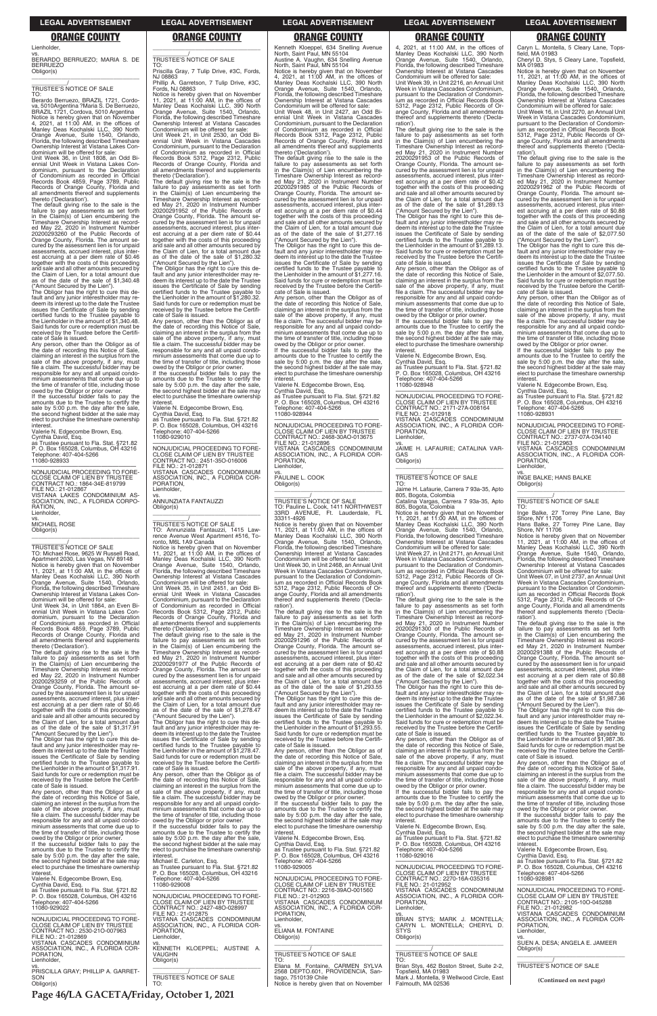### Lienholder,

vs. BERARDO BERRUEZO; MARIA S. DE BERRUEZO Obligor(s) \_\_\_\_\_\_\_\_\_\_\_\_\_\_\_\_\_\_\_\_\_\_\_\_\_\_\_\_\_\_\_\_\_

### \_\_\_\_\_\_\_\_\_\_\_/ TRUSTEE'S NOTICE OF SALE

TO: Berardo Berruezo, BRAZIL 1721, Cordova, 5010Argentina ?Maria S. De Berruezo,<br>BRAZIL 1721, Cordova, 5010 Argentina<br>Notice is hereby given that on November 4, 2021, at 11:00 AM, in the offices of Manley Deas Kochalski LLC, 390 North Orange Avenue, Suite 1540, Orlando, Florida, the following described Timeshare Ownership Interest at Vistana Lakes Con-dominium will be offered for sale:

Unit Week 36, in Unit 1808, an Odd Bi-ennial Unit Week in Vistana Lakes Con-dominium, pursuant to the Declaration of Condominium as recorded in Official Records Book 4859, Page 3789, Public Records of Orange County, Florida and all amendments thereof and supplements thereto ('Declaration'). The default giving rise to the sale is the

failure to pay assessments as set forth in the Claim(s) of Lien encumbering the Timeshare Ownership Interest as recorded May 22, 2020 in Instrument Number 20200293260 of the Public Records of Orange County, Florida. The amount secured by the assessment lien is for unpaid assessments, accrued interest, plus inter-est accruing at a per diem rate of \$0.46 together with the costs of this proceeding and sale and all other amounts secured by the Claim of Lien, for a total amount due as of the date of the sale of \$1,340.48 ("Amount Secured by the Lien"). The Obligor has the right to cure this de-

fault and any junior interestholder may re-deem its interest up to the date the Trustee issues the Certificate of Sale by sending certified funds to the Trustee payable to the Lienholder in the amount of \$1,340.48. Said funds for cure or redemption must be received by the Trustee before the Certifi-cate of Sale is issued. Any person, other than the Obligor as of

the date of recording this Notice of Sale, claiming an interest in the surplus from the sale of the above property, if any, must file a claim. The successful bidder may be responsible for any and all unpaid condominium assessments that come due up to the time of transfer of title, including those owed by the Obligor or prior owner. If the successful bidder fails to pay the

amounts due to the Trustee to certify the sale by 5:00 p.m. the day after the sale, the second highest bidder at the sale may elect to purchase the timeshare ownership

interest. Valerie N. Edgecombe Brown, Esq.

Cynthia David, Esq. as Trustee pursuant to Fla. Stat. §721.82 P. O. Box 165028, Columbus, OH 43216 Telephone: 407-404-5266 11080-928933

—————————————————— NONJUDICIAL PROCEEDING TO FORE-CLOSE CLAIM OF LIEN BY TRUSTEE CONTRACT NO.: 1864-34E-819799 FILE NO.: 21-012867 VISTANA LAKES CONDOMINIUM AS-SOCIATION, INC., A FLORIDA CORPO-RATION, Lienholder,

vs. MICHAEL ROSE Obligor(s)

 $\overline{\phantom{a}}$  , and the set of the set of the set of the set of the set of the set of the set of the set of the set of the set of the set of the set of the set of the set of the set of the set of the set of the set of the s \_\_\_\_\_\_\_\_\_\_\_/ TRUSTEE'S NOTICE OF SALE

\_\_\_\_\_\_\_\_\_\_\_\_\_\_\_\_\_\_\_\_\_\_\_\_\_\_\_\_\_\_\_\_\_

\_\_\_\_\_\_\_\_\_\_\_/ TRUSTEE'S NOTICE OF SALE TO: Michael Rose, 9625 W Russell Road, Apartment 2030, Las Vegas, NV 89148 Notice is hereby given that on November 11, 2021, at 11:00 AM, in the offices of Manley Deas Kochalski LLC, 390 North Orange Avenue, Suite 1540, Orlando, Florida, the following described Timeshare Ownership Interest at Vistana Lakes Con-dominium will be offered for sale: Unit Week 34, in Unit 1864, an Even Bi-

ennial Unit Week in Vistana Lakes Con-dominium, pursuant to the Declaration of Condominium as recorded in Official Records Book 4859, Page 3789, Public Records of Orange County, Florida and all amendments thereof and supplements

thereto ('Declaration'). The default giving rise to the sale is the failure to pay assessments as set forth in the Claim(s) of Lien encumbering the Timeshare Ownership Interest as record-ed May 22, 2020 in Instrument Number 20200293259 of the Public Records of Orange County, Florida. The amount se-cured by the assessment lien is for unpaid assessments, accrued interest, plus inter-est accruing at a per diem rate of \$0.46 together with the costs of this proceeding and sale and all other amounts secured by the Claim of Lien, for a total amount due as of the date of the sale of \$1,317.91 ("Amount Secured by the Lien").

elect to purchase the timeshare ownership Valerie N. Edgecombe Brown, Esq. Cynthia David, Esq. as Trustee pursuant to Fla. Stat. §721.82 P. O. Box 165028, Columbus, OH 43216 Telephone: 407-404-5266 —————————————————— NONJUDICIAL PROCEEDING TO FORE-CLOSE CLAIM OF LIEN BY TRUSTEE CONTRACT NO.: 2451-35O-016006 FILE NO.: 21-012871 VISTANA CASCADES CONDOMINIUM SSOCIATION, INC., A FLORIDA COR-

PORATION, Lienholder,

The Obligor has the right to cure this de-fault and any junior interestholder may re-

TO:

Priscilla Gray, 7 Tulip Drive, #3C, Fords, NJ 08863 Phillip A. Garretson, 7 Tulip Drive, #3C,

Fords, NJ 08863

Notice is hereby given that on November 11, 2021, at 11:00 AM, in the offices of Manley Deas Kochalski LLC, 390 North Orange Avenue, Suite 1540, Orlando, Florida, the following described Timeshare

Ownership Interest at Vistana Cascades Condominium will be offered for sale: Unit Week 21, in Unit 2530, an Odd Biennial Unit Week in Vistana Cascades Condominium, pursuant to the Declaration of Condominium as recorded in Official Records Book 5312, Page 2312, Public Records of Orange County, Florida and all amendments thereof and supplements thereto ('Declaration'). The default giving rise to the sale is the failure to pay assessments as set forth in the Claim(s) of Lien encumbering the Timeshare Ownership Interest as record-ed May 21, 2020 in Instrument Number 20200291952 of the Public Records of Orange County, Florida. The amount se-cured by the assessment lien is for unpaid assessments, accrued interest, plus interest accruing at a per diem rate of \$0.44 together with the costs of this proceeding and sale and all other amounts secured by the Claim of Lien, for a total amount due as of the date of the sale of \$1,280.32

("Amount Secured by the Lien"). The Obligor has the right to cure this de-fault and any junior interestholder may re-

deem its interest up to the date the Trustee issues the Certificate of Sale by sending certified funds to the Trustee payable to

the Lienholder in the amount of \$1,280.32. Said funds for cure or redemption must be received by the Trustee before the Certifi-

cate of Sale is issued. Any person, other than the Obligor as of the date of recording this Notice of Sale,

claiming an interest in the surplus from the sale of the above property, if any, must file a claim. The successful bidder may be

responsible for any and all unpaid condo-minium assessments that come due up to the time of transfer of title, including those

11080-929010

vs. ANNUNZIATA FANTAUZZI

**interest** 

Obligor(s) \_\_\_\_\_\_\_\_\_\_\_\_\_\_\_\_\_\_\_\_\_\_\_\_\_\_\_\_\_\_\_\_\_ \_\_\_\_\_\_\_\_\_\_\_/ TRUSTEE'S NOTICE OF SALE

TO: Annunziata Fantauzzi, 1415 Law-rence Avenue West Apartment #516, To-

ronto, M6L 1A9 Canada Notice is hereby given that on November 11, 2021, at 11:00 AM, in the offices of Manley Deas Kochalski LLC, 390 North Orange Avenue, Suite 1540, Orlando, Florida, the following described Timeshare Ownership Interest at Vistana Cascades Condominium will be offered for sale: Unit Week 35, in Unit 2451, an Odd Bi-

ennial Unit Week in Vistana Cascades Condominium, pursuant to the Declaration of Condominium as recorded in Official all amendments thereof and supplements

Records Book 5312, Page 2312, Public Records of Orange County, Florida and thereto ('Declaration'). The default giving rise to the sale is the

failure to pay assessments as set forth in the Claim(s) of Lien encumbering the Timeshare Ownership Interest as record-ed May 21, 2020 in Instrument Number 20200291977 of the Public Records of Orange County, Florida. The amount se-cured by the assessment lien is for unpaid assessments, accrued interest, plus inter-est accruing at a per diem rate of \$0.44 together with the costs of this proceeding and sale and all other amounts secured by the Claim of Lien, for a total amount due as of the date of the sale of \$1,278.47

("Amount Secured by the Lien"). The Obligor has the right to cure this de-

fault and any junior interestholder may redeem its interest up to the date the Trustee issues the Certificate of Sale by sending certified funds to the Trustee payable to

owed by the Obligor or prior owner. If the successful bidder fails to pay the amounts due to the Trustee to certify the sale by 5:00 p.m. the day after the sale, the second highest bidder at the sale may Lienholder,

Kenneth Kloeppel, 634 Snelling Avenue North, Saint Paul, MN 55104 Austine A. Vaughn, 634 Snelling Avenue North, Saint Paul, MN 55104 Notice is hereby given that on November 4, 2021, at 11:00 AM, in the offices of Manley Deas Kochalski LLC, 390 North

Orange Avenue, Suite 1540, Orlando, Florida, the following described Timeshare Ownership Interest at Vistana Cascades Condominium will be offered for sale: Unit Week 48, in Unit 2427, an Odd Bi-ennial Unit Week in Vistana Cascades

Condominium, pursuant to the Declaration of Condominium as recorded in Official Records Book 5312, Page 2312, Public Records of Orange County, Florida and all amendments thereof and supplements thereto ('Declaration').

The default giving rise to the sale is the failure to pay assessments as set forth in the Claim(s) of Lien encumbering the Timeshare Ownership Interest as record-ed May 21, 2020 in Instrument Number 20200291985 of the Public Records of Orange County, Florida. The amount se-cured by the assessment lien is for unpaid assessments, accrued interest, plus interest accruing at a per diem rate of \$0.44 together with the costs of this proceeding and sale and all other amounts secured by the Claim of Lien, for a total amount due as of the date of the sale of \$1,277.16 ("Amount Secured by the Lien").

The Obligor has the right to cure this de-fault and any junior interestholder may re-deem its interest up to the date the Trustee issues the Certificate of Sale by sending certified funds to the Trustee payable to the Lienholder in the amount of \$1,277.16. Said funds for cure or redemption must be received by the Trustee before the Certifi-cate of Sale is issued.

Any person, other than the Obligor as of the date of recording this Notice of Sale, claiming an interest in the surplus from the sale of the above property, if any, must file a claim. The successful bidder may be responsible for any and all unpaid condominium assessments that come due up to the time of transfer of title, including those owed by the Obligor or prior owner.

If the successful bidder fails to pay the amounts due to the Trustee to certify the sale by 5:00 p.m. the day after the sale, the second highest bidder at the sale may elect to purchase the timeshare ownership interest.

Valerie N. Edgecombe Brown, Esq. Cynthia David, Esq. as Trustee pursuant to Fla. Stat. §721.82

P. O. Box 165028, Columbus, OH 43216 Telephone: 407-404-5266 11080-928944

—————————————————— NONJUDICIAL PROCEEDING TO FORE-CLOSE CLAIM OF LIEN BY TRUSTEE CONTRACT NO.: 2468-30AO-013675 FILE NO.: 21-012896 VISTANA CASCADES CONDOMINIUM ASSOCIATION, INC., A FLORIDA COR-PORATION,

vs. PAULINE L. COOK Obligor(s)

# \_\_\_\_\_\_\_\_\_\_\_\_\_\_\_\_\_\_\_\_\_\_\_\_\_\_\_\_\_\_\_\_\_

\_\_\_\_\_\_\_\_\_\_\_/ TRUSTEE'S NOTICE OF SALE TO: Pauline L. Cook, 1411 NORTHWEST 33RD AVENUE, Ft. Lauderdale, FL 33311-4926

Notice is hereby given that on November 11, 2021, at 11:00 AM, in the offices of Manley Deas Kochalski LLC, 390 North Orange Avenue, Suite 1540, Orlando, Florida, the following described Timeshare Ownership Interest at Vistana Cascades Condominium will be offered for sale: Unit Week 30, in Unit 2468, an Annual Unit Week in Vistana Cascades Condominium, pursuant to the Declaration of Condomin-

ium as recorded in Official Records Book 5312, Page 2312, Public Records of Orange County, Florida and all amendments thereof and supplements thereto ('Declaration').

The default giving rise to the sale is the failure to pay assessments as set forth in the Claim(s) of Lien encumbering the Timeshare Ownership Interest as record-ed May 21, 2020 in Instrument Number 20200291296 of the Public Records of Orange County, Florida. The amount se-cured by the assessment lien is for unpaid assessments, accrued interest, plus interest accruing at a per diem rate of \$0.42 together with the costs of this proceeding and sale and all other amounts secured by the Claim of Lien, for a total amount due as of the date of the sale of \$1,293.55 ("Amount Secured by the Lien").

The Obligor has the right to cure this de-fault and any junior interestholder may re-deem its interest up to the date the Trustee issues the Certificate of Sale by sending certified funds to the Trustee payable to the Lienholder in the amount of \$1,293.55. Said funds for cure or redemption must be received by the Trustee before the Certifi-cate of Sale is issued.

| deem its interest up to the date the Trustee<br>issues the Certificate of Sale by sending<br>certified funds to the Trustee payable to<br>the Lienholder in the amount of \$1.317.91.<br>Said funds for cure or redemption must be<br>received by the Trustee before the Certifi-<br>cate of Sale is issued.<br>Any person, other than the Obligor as of<br>the date of recording this Notice of Sale,<br>claiming an interest in the surplus from the<br>sale of the above property, if any, must<br>file a claim. The successful bidder may be<br>responsible for any and all unpaid condo-<br>minium assessments that come due up to<br>the time of transfer of title, including those<br>owed by the Obligor or prior owner.<br>If the successful bidder fails to pay the<br>amounts due to the Trustee to certify the<br>sale by 5:00 p.m. the day after the sale,<br>the second highest bidder at the sale may<br>elect to purchase the timeshare ownership<br>interest.<br>Valerie N. Edgecombe Brown, Esg.<br>Cynthia David, Esq.<br>as Trustee pursuant to Fla. Stat. §721.82<br>P. O. Box 165028, Columbus, OH 43216<br>Telephone: 407-404-5266<br>11080-929022<br>NONJUDICIAL PROCEEDING TO FORE-<br>CLOSE CLAIM OF LIEN BY TRUSTEE<br>CONTRACT NO.: 2530-210-007963<br>FILE NO.: 21-012869<br>VISTANA CASCADES CONDOMINIUM<br>ASSOCIATION, INC., A FLORIDA COR-<br>PORATION, | certified furtus to trie Frustee payable to<br>the Lienholder in the amount of \$1,278.47.<br>Said funds for cure or redemption must be<br>received by the Trustee before the Certifi-<br>cate of Sale is issued.<br>Any person, other than the Obligor as of<br>the date of recording this Notice of Sale,<br>claiming an interest in the surplus from the<br>sale of the above property, if any, must<br>file a claim. The successful bidder may be<br>responsible for any and all unpaid condo-<br>minium assessments that come due up to<br>the time of transfer of title, including those<br>owed by the Obligor or prior owner.<br>If the successful bidder fails to pay the<br>amounts due to the Trustee to certify the<br>sale by 5:00 p.m. the day after the sale,<br>the second highest bidder at the sale may<br>elect to purchase the timeshare ownership<br>interest.<br>Michael E. Carleton, Esq.<br>as Trustee pursuant to Fla. Stat. §721.82<br>P. O. Box 165028, Columbus, OH 43216<br>Telephone: 407-404-5266<br>11080-929008<br>NONJUDICIAL PROCEEDING TO FORE-<br>CLOSE CLAIM OF LIEN BY TRUSTEE<br>CONTRACT NO.: 2427-480-028997<br>FILE NO.: 21-012875<br>VISTANA CASCADES CONDOMINIUM<br>ASSOCIATION, INC., A FLORIDA COR-<br>PORATION.<br>Lienholder.<br>VS.<br>KENNETH KLOEPPEL: AUSTINE A.<br><b>VAUGHN</b> | cale of oale is issued.<br>Any person, other than the Obligor as of<br>the date of recording this Notice of Sale.<br>claiming an interest in the surplus from the<br>sale of the above property, if any, must<br>file a claim. The successful bidder may be<br>responsible for any and all unpaid condo-<br>minium assessments that come due up to<br>the time of transfer of title, including those<br>owed by the Obligor or prior owner.<br>If the successful bidder fails to pay the<br>amounts due to the Trustee to certify the<br>sale by 5:00 p.m. the day after the sale,<br>the second highest bidder at the sale may<br>elect to purchase the timeshare ownership<br>interest.<br>Valerie N. Edgecombe Brown, Esq.<br>Cynthia David, Esq.<br>as Trustee pursuant to Fla. Stat. §721.82<br>P. O. Box 165028, Columbus, OH 43216<br>Telephone: 407-404-5266<br>11080-929005<br>NONJUDICIAL PROCEEDING TO FORE-<br>CLOSE CLAIM OF LIEN BY TRUSTEE<br>CONTRACT NO.: 2216-39AO-001560<br>FILE NO.: 21-012903<br>VISTANA CASCADES CONDOMINIUM<br>ASSOCIATION, INC., A FLORIDA COR-<br>PORATION.<br>Lienholder.<br>VS.<br>ELIANA M. FONTAINE<br>Obligor(s)<br>TRUSTEE'S NOTICE OF SALE | trie date of recording this notice of Sale.<br>claiming an interest in the surplus from the<br>sale of the above property, if any, must<br>file a claim. The successful bidder may be<br>responsible for any and all unpaid condo-<br>minium assessments that come due up to<br>the time of transfer of title, including those<br>owed by the Obligor or prior owner.<br>If the successful bidder fails to pay the<br>amounts due to the Trustee to certify the<br>sale by 5:00 p.m. the day after the sale,<br>the second highest bidder at the sale may<br>elect to purchase the timeshare ownership<br>interest.<br>Valerie N. Edgecombe Brown, Esq.<br>Cynthia David, Esg.<br>as Trustee pursuant to Fla. Stat. §721.82<br>P. O. Box 165028, Columbus, OH 43216<br>Telephone: 407-404-5266<br>11080-929016<br>NONJUDICIAL PROCEEDING TO FORE-<br>CLOSE CLAIM OF LIEN BY TRUSTEE<br>CONTRACT NO.: 2270-16A-035316<br>FILE NO.: 21-012952<br>VISTANA CASCADES CONDOMINIUM<br>ASSOCIATION, INC., A FLORIDA COR-<br>PORATION.<br>Lienholder,<br>VS.<br>BRIAN STYS: MARK J. MONTELLA:<br>CARYN L. MONTELLA; CHERYL D.<br><b>STYS</b><br>Obligor(s)<br>TRUSTEE'S NOTICE OF SALE | Salu furius for cure or regerription must be<br>received by the Trustee before the Certifi-<br>cate of Sale is issued.<br>Any person, other than the Obligor as of<br>the date of recording this Notice of Sale,<br>claiming an interest in the surplus from the<br>sale of the above property, if any, must<br>file a claim. The successful bidder may be<br>responsible for any and all unpaid condo-<br>minium assessments that come due up to<br>the time of transfer of title, including those<br>owed by the Obligor or prior owner.<br>If the successful bidder fails to pay the<br>amounts due to the Trustee to certify the<br>sale by 5:00 p.m. the day after the sale,<br>the second highest bidder at the sale may<br>elect to purchase the timeshare ownership<br>interest.<br>Valerie N. Edgecombe Brown, Esg.<br>Cynthia David, Esq.<br>as Trustee pursuant to Fla. Stat. §721.82<br>P. O. Box 165028, Columbus, OH 43216<br>Telephone: 407-404-5266<br>11080-928981<br>NONJUDICIAL PROCEEDING TO FORE-<br>CLOSE CLAIM OF LIEN BY TRUSTEE<br>CONTRACT NO.: 2105-100-045288<br>FILE NO.: 21-012982<br>VISTANA CASCADES CONDOMINIUM<br>ASSOCIATION, INC., A FLORIDA COR-<br>PORATION.<br>Lienholder,<br>VS.<br>SUEN A. DESA: ANGELA E. JAMEER<br>Obligor(s) |
|------------------------------------------------------------------------------------------------------------------------------------------------------------------------------------------------------------------------------------------------------------------------------------------------------------------------------------------------------------------------------------------------------------------------------------------------------------------------------------------------------------------------------------------------------------------------------------------------------------------------------------------------------------------------------------------------------------------------------------------------------------------------------------------------------------------------------------------------------------------------------------------------------------------------------------------------------------------------------------------------------------------------------------------------------------------------------------------------------------------------------------------------------------------------------------------------------------------------------------------------------------------------------------------------------------------------------------------------------------------------------------------|----------------------------------------------------------------------------------------------------------------------------------------------------------------------------------------------------------------------------------------------------------------------------------------------------------------------------------------------------------------------------------------------------------------------------------------------------------------------------------------------------------------------------------------------------------------------------------------------------------------------------------------------------------------------------------------------------------------------------------------------------------------------------------------------------------------------------------------------------------------------------------------------------------------------------------------------------------------------------------------------------------------------------------------------------------------------------------------------------------------------------------------------------------------------------------------------------------------------------------------------------------------------------------------------------------------------------------------|--------------------------------------------------------------------------------------------------------------------------------------------------------------------------------------------------------------------------------------------------------------------------------------------------------------------------------------------------------------------------------------------------------------------------------------------------------------------------------------------------------------------------------------------------------------------------------------------------------------------------------------------------------------------------------------------------------------------------------------------------------------------------------------------------------------------------------------------------------------------------------------------------------------------------------------------------------------------------------------------------------------------------------------------------------------------------------------------------------------------------------------------------------------------------------------------|-------------------------------------------------------------------------------------------------------------------------------------------------------------------------------------------------------------------------------------------------------------------------------------------------------------------------------------------------------------------------------------------------------------------------------------------------------------------------------------------------------------------------------------------------------------------------------------------------------------------------------------------------------------------------------------------------------------------------------------------------------------------------------------------------------------------------------------------------------------------------------------------------------------------------------------------------------------------------------------------------------------------------------------------------------------------------------------------------------------------------------------------------------------------------------|--------------------------------------------------------------------------------------------------------------------------------------------------------------------------------------------------------------------------------------------------------------------------------------------------------------------------------------------------------------------------------------------------------------------------------------------------------------------------------------------------------------------------------------------------------------------------------------------------------------------------------------------------------------------------------------------------------------------------------------------------------------------------------------------------------------------------------------------------------------------------------------------------------------------------------------------------------------------------------------------------------------------------------------------------------------------------------------------------------------------------------------------------------------------------------------------------------------------------------------------------------------------------|
| Lienholder,<br>VS.<br>PRISCILLA GRAY; PHILLIP A. GARRET-                                                                                                                                                                                                                                                                                                                                                                                                                                                                                                                                                                                                                                                                                                                                                                                                                                                                                                                                                                                                                                                                                                                                                                                                                                                                                                                                 | Obligor(s)                                                                                                                                                                                                                                                                                                                                                                                                                                                                                                                                                                                                                                                                                                                                                                                                                                                                                                                                                                                                                                                                                                                                                                                                                                                                                                                             | TO:<br>Eliana M. Fontaine. CARMEN SYLVA<br>2568 DEPTO.601, PROVIDENCIA, San-                                                                                                                                                                                                                                                                                                                                                                                                                                                                                                                                                                                                                                                                                                                                                                                                                                                                                                                                                                                                                                                                                                               | TO:<br>Brian Stys, 462 Boston Street, Suite 2-2,<br>Topsfield, MA 01983                                                                                                                                                                                                                                                                                                                                                                                                                                                                                                                                                                                                                                                                                                                                                                                                                                                                                                                                                                                                                                                                                                       | TRUSTEE'S NOTICE OF SALE                                                                                                                                                                                                                                                                                                                                                                                                                                                                                                                                                                                                                                                                                                                                                                                                                                                                                                                                                                                                                                                                                                                                                                                                                                                 |
| SON<br>Obligor(s)                                                                                                                                                                                                                                                                                                                                                                                                                                                                                                                                                                                                                                                                                                                                                                                                                                                                                                                                                                                                                                                                                                                                                                                                                                                                                                                                                                        | TRUSTEE'S NOTICE OF SALE<br>TO:                                                                                                                                                                                                                                                                                                                                                                                                                                                                                                                                                                                                                                                                                                                                                                                                                                                                                                                                                                                                                                                                                                                                                                                                                                                                                                        | tiago, 7510139 Chile<br>Notice is hereby given that on November                                                                                                                                                                                                                                                                                                                                                                                                                                                                                                                                                                                                                                                                                                                                                                                                                                                                                                                                                                                                                                                                                                                            | Mark J. Montella, 9 Wellwood Circle, East<br>Falmouth, MA 02536                                                                                                                                                                                                                                                                                                                                                                                                                                                                                                                                                                                                                                                                                                                                                                                                                                                                                                                                                                                                                                                                                                               | (Continued on next page)                                                                                                                                                                                                                                                                                                                                                                                                                                                                                                                                                                                                                                                                                                                                                                                                                                                                                                                                                                                                                                                                                                                                                                                                                                                 |

4, 2021, at 11:00 AM, in the offices of Manley Deas Kochalski LLC, 390 North Orange Avenue, Suite 1540, Orlando, Florida, the following described Timeshare Ownership Interest at Vistana Cascades Condominium will be offered for sale: Unit Week 39, in Unit 2216, an Annual Unit Week in Vistana Cascades Condominium, pursuant to the Declaration of Condomin-ium as recorded in Official Records Book 5312, Page 2312, Public Records of Or-ange County, Florida and all amendments thereof and supplements thereto ('Declaration'). The default giving rise to the sale is the

failure to pay assessments as set forth in the Claim(s) of Lien encumbering the Timeshare Ownership Interest as record-ed May 21, 2020 in Instrument Number 20200291953 of the Public Records of Orange County, Florida. The amount se-cured by the assessment lien is for unpaid assessments, accrued interest, plus inter-est accruing at a per diem rate of \$0.42 together with the costs of this proceeding and sale and all other amounts secured by the Claim of Lien, for a total amount due as of the date of the sale of \$1,289.13

("Amount Secured by the Lien"). The Obligor has the right to cure this de-fault and any junior interestholder may redeem its interest up to the date the Trustee issues the Certificate of Sale by sending certified funds to the Trustee payable to the Lienholder in the amount of \$1,289.13. Said funds for cure or redemption must be received by the Trustee before the Certifi-

cate of Sale is issued. Any person, other than the Obligor as of the date of recording this Notice of Sale, claiming an interest in the surplus from the sale of the above property, if any, must file a claim. The successful bidder may be responsible for any and all unpaid condo-minium assessments that come due up to the time of transfer of title, including those

owed by the Obligor or prior owner. If the successful bidder fails to pay the amounts due to the Trustee to certify the sale by 5:00 p.m. the day after the sale, the second highest bidder at the sale may elect to purchase the timeshare ownership interest.

Valerie N. Edgecombe Brown, Esq. Cynthia David, Esq.

as Trustee pursuant to Fla. Stat. §721.82 P. O. Box 165028, Columbus, OH 43216 Telephone: 407-404-5266 11080-928948

—————————————————— NONJUDICIAL PROCEEDING TO FORE-CLOSE CLAIM OF LIEN BY TRUSTEE CONTRACT NO.: 2171-27A-008164 FILE NO.: 21-012918 VISTANA CASCADES CONDOMINIUM ASSOCIATION, INC., A FLORIDA COR-PORATION, Lienholder,

vs. JAIME H. LAFAURIE; CATALINA VAR-GAS Obligor(s) \_\_\_\_\_\_\_\_\_\_\_\_\_\_\_\_\_\_\_\_\_\_\_\_\_\_\_\_\_\_\_\_\_

### \_\_\_\_\_\_\_\_\_\_\_/ TRUSTEE'S NOTICE OF SALE

TO: Jaime H. Lafaurie, Carrera 7 93a-35, Apto

805, Bogota, Colombia Notice is hereby given that on November 11, 2021, at 11:00 AM, in the offices of Manley Deas Kochalski LLC, 390 North Orange Avenue, Suite 1540, Orlando, Florida, the following described Timeshare Ownership Interest at Vistana Cascades Condominium will be offered for sale: Unit Week 27, in Unit 2171, an Annual Unit

Week in Vistana Cascades Condominium, pursuant to the Declaration of Condomin-ium as recorded in Official Records Book 5312, Page 2312, Public Records of Or-ange County, Florida and all amendments thereof and supplements thereto ('Decla-

ration'). The default giving rise to the sale is the failure to pay assessments as set forth in the Claim(s) of Lien encumbering the Timeshare Ownership Interest as record-ed May 21, 2020 in Instrument Number 20200291300 of the Public Records of Orange County, Florida. The amount se-cured by the assessment lien is for unpaid assessments, accrued interest, plus inter-est accruing at a per diem rate of \$0.88 together with the costs of this proceeding and sale and all other amounts secured by the Claim of Lien, for a total amount due as of the date of the sale of \$2,022.34

("Amount Secured by the Lien"). The Obligor has the right to cure this de-fault and any junior interestholder may redeem its interest up to the date the Trustee issues the Certificate of Sale by sending certified funds to the Trustee payable to the Lienholder in the amount of \$2,022.34. Said funds for cure or redemption must be received by the Trustee before the Certifi-

cate of Sale is issued. Any person, other than the Obligor as of the date of recording this Notice of Sale,

805, Bogota, Colombia Catalina Vargas, Carrera 7 93a-35, Apto TO:

Caryn L. Montella, 5 Cleary Lane, Topsfield, MA 01983 Cheryl D. Stys, 5 Cleary Lane, Topsfield, MA 01983

Notice is hereby given that on November 11, 2021, at 11:00 AM, in the offices of Manley Deas Kochalski LLC, 390 North Orange Avenue, Suite 1540, Orlando, Florida, the following described Timeshare Ownership Interest at Vistana Cascades

Condominium will be offered for sale: Unit Week 16, in Unit 2270, an Annual Unit Week in Vistana Cascades Condominium, pursuant to the Declaration of Condominium as recorded in Official Records Book 5312, Page 2312, Public Records of Orange County, Florida and all amendments thereof and supplements thereto ('Declaration').

The default giving rise to the sale is the failure to pay assessments as set forth in the Claim(s) of Lien encumbering the Timeshare Ownership Interest as record-ed May 21, 2020 in Instrument Number 20200291962 of the Public Records of Orange County, Florida. The amount se-cured by the assessment lien is for unpaid assessments, accrued interest, plus interest accruing at a per diem rate of \$0.88 together with the costs of this proceeding and sale and all other amounts secured by the Claim of Lien, for a total amount due as of the date of the sale of \$2,077.50 ("Amount Secured by the Lien").

The Obligor has the right to cure this de-fault and any junior interestholder may redeem its interest up to the date the Trustee issues the Certificate of Sale by sending certified funds to the Trustee payable to the Lienholder in the amount of \$2,077.50. Said funds for cure or redemption must be received by the Trustee before the Certifi-cate of Sale is issued.

Any person, other than the Obligor as of the date of recording this Notice of Sale, claiming an interest in the surplus from the sale of the above property, if any, must file a claim. The successful bidder may be responsible for any and all unpaid condominium assessments that come due up to the time of transfer of title, including those owed by the Obligor or prior owner.

If the successful bidder fails to pay the amounts due to the Trustee to certify the sale by 5:00 p.m. the day after the sale, the second highest bidder at the sale may elect to purchase the timeshare ownership interest.

Valerie N. Edgecombe Brown, Esq. Cynthia David, Esq. as Trustee pursuant to Fla. Stat. §721.82 P. O. Box 165028, Columbus, OH 43216 Telephone: 407-404-5266 11080-928931

—————————————————— NONJUDICIAL PROCEEDING TO FORE-CLOSE CLAIM OF LIEN BY TRUSTEE CONTRACT NO.: 2737-07A-034140 FILE NO.: 21-012963 VISTANA CASCADES CONDOMINIUM ASSOCIATION, INC., A FLORIDA COR-PORATION,

Lienholder,

vs. INGE BALKE; HANS BALKE Obligor(s)

\_\_\_\_\_\_\_\_\_\_\_\_\_\_\_\_\_\_\_\_\_\_\_\_\_\_\_\_\_\_\_\_\_

\_\_\_\_\_\_\_\_\_\_\_/ TRUSTEE'S NOTICE OF SALE

Inge Balke, 27 Torrey Pine Lane, Bay Shore, NY 11706

Hans Balke, 27 Torrey Pine Lane, Bay Shore, NY 11706 Notice is hereby given that on November

11, 2021, at 11:00 AM, in the offices of Manley Deas Kochalski LLC, 390 North Orange Avenue, Suite 1540, Orlando, Florida, the following described Timeshare Ownership Interest at Vistana Cascades Condominium will be offered for sale:

Unit Week 07, in Unit 2737, an Annual Unit Week in Vistana Cascades Condominium, pursuant to the Declaration of Condominium as recorded in Official Records Book 5312, Page 2312, Public Records of Or-ange County, Florida and all amendments thereof and supplements thereto ('Decla-

ration'). The default giving rise to the sale is the failure to pay assessments as set forth in the Claim(s) of Lien encumbering the Timeshare Ownership Interest as recorded May 21, 2020 in Instrument Number 20200291388 of the Public Records of Orange County, Florida. The amount secured by the assessment lien is for unpaid assessments, accrued interest, plus inter-est accruing at a per diem rate of \$0.88 together with the costs of this proceeding and sale and all other amounts secured by the Claim of Lien, for a total amount due as of the date of the sale of \$1,987.36 ("Amount Secured by the Lien").

The Obligor has the right to cure this default and any junior interestholder may re-deem its interest up to the date the Trustee issues the Certificate of Sale by sending certified funds to the Trustee payable to the Lienholder in the amount of \$1,987.36. Said funds for cure or redemption must be

**Page 46/LA GACETA/Friday, October 1, 2021**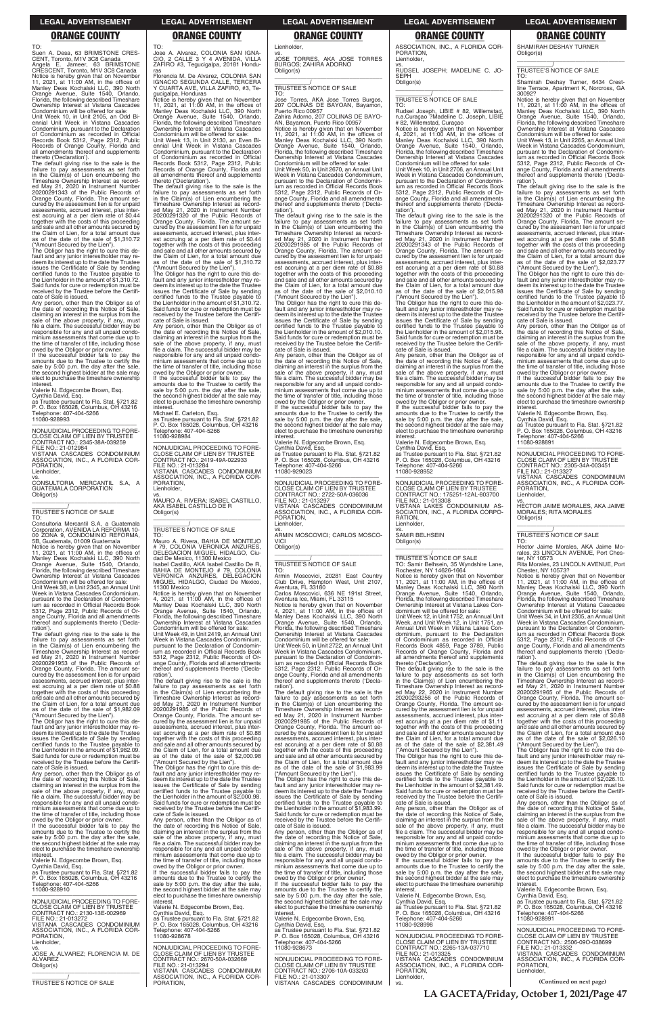TO: Suen A. Desa, 63 BRIMSTONE CRES-CENT, Toronto, M1V 3C8 Canada Angela E. Jameer, 63 BRIMSTONE CRESCENT, Toronto, M1V 3C8 Canada Notice is hereby given that on November 11, 2021, at 11:00 AM, in the offices of Manley Deas Kochalski LLC, 390 North Orange Avenue, Suite 1540, Orlando, Florida, the following described Timeshare Ownership Interest at Vistana Cascades

Condominium will be offered for sale: Unit Week 10, in Unit 2105, an Odd Biennial Unit Week in Vistana Cascades Condominium, pursuant to the Declaration of Condominium as recorded in Official Records Book 5312, Page 2312, Public Records of Orange County, Florida and all amendments thereof and supplements thereto ('Declaration').

The default giving rise to the sale is the failure to pay assessments as set forth in the Claim(s) of Lien encumbering the Timeshare Ownership Interest as record-ed May 21, 2020 in Instrument Number 20200291343 of the Public Records of Orange County, Florida. The amount se-cured by the assessment lien is for unpaid assessments, accrued interest, plus interest accruing at a per diem rate of \$0.44 together with the costs of this proceeding and sale and all other amounts secured by the Claim of Lien, for a total amount due as of the date of the sale of \$1,310.72 ("Amount Secured by the Lien").

The Obligor has the right to cure this de-fault and any junior interestholder may redeem its interest up to the date the Trustee issues the Certificate of Sale by sending certified funds to the Trustee payable to the Lienholder in the amount of \$1,310.72. Said funds for cure or redemption must be received by the Trustee before the Certificate of Sale is issued.

Any person, other than the Obligor as of the date of recording this Notice of Sale, claiming an interest in the surplus from the sale of the above property, if any, must file a claim. The successful bidder may be responsible for any and all unpaid condo-minium assessments that come due up to the time of transfer of title, including those

owed by the Obligor or prior owner. If the successful bidder fails to pay the amounts due to the Trustee to certify the sale by 5:00 p.m. the day after the sale, the second highest bidder at the sale may elect to purchase the timeshare ownership interest.

Valerie N. Edgecombe Brown, Esq. Cynthia David, Esq. as Trustee pursuant to Fla. Stat. §721.82 P. O. Box 165028, Columbus, OH 43216 Telephone: 407-404-5266 11080-928993

—————————————————— NONJUDICIAL PROCEEDING TO FORE-CLOSE CLAIM OF LIEN BY TRUSTEE CONTRACT NO.: 2345-38A-039259 FILE NO.: 21-012984 VISTANA CASCADES CONDOMINIUM ASSOCIATION, INC., A FLORIDA COR-PORATION, Lienholder,

vs. CONSULTORIA MERCANTIL S.A, A GUATEMALA CORPORATION Obligor(s) \_\_\_\_\_\_\_\_\_\_\_\_\_\_\_\_\_\_\_\_\_\_\_\_\_\_\_\_\_\_\_\_\_

\_\_\_\_\_\_\_\_\_\_\_/ TRUSTEE'S NOTICE OF SALE

TO: Consultoria Mercantil S.A, a Guatemala Corporation, AVENIDA LA REFORMA 10- 00 ZONA 9, CONDOMINIO REFORMA, 5B, Guatemala, 01009 Guatemala

Notice is hereby given that on November<br>11, 2021, at 11:00 AM, in the offices of<br>Manley Deas Kochalski LLC, 390 North<br>Orange Avenue, Suite 1540, Orlando,<br>Florida, the following described Timeshare Ownership Interest at Vistana Cascades Condominium will be offered for sale: Unit Week 38, in Unit 2345, an Annual Unit Week in Vistana Cascades Condominium, pursuant to the Declaration of Condomin-ium as recorded in Official Records Book 5312, Page 2312, Public Records of Orange County, Florida and all amendments thereof and supplements thereto ('Declaration')

The default giving rise to the sale is the failure to pay assessments as set forth in the Claim(s) of Lien encumbering the Timeshare Ownership Interest as record-ed May 21, 2020 in Instrument Number 20200291953 of the Public Records of Orange County, Florida. The amount se-cured by the assessment lien is for unpaid assessments, accrued interest, plus interest accruing at a per diem rate of \$0.88 together with the costs of this proceeding and sale and all other amounts secured by the Claim of Lien, for a total amount due as of the date of the sale of \$1,982.09 ("Amount Secured by the Lien").

owed by the Obligor or prior owner. If the successful bidder fails to pay the amounts due to the Trustee to certify the sale by 5:00 p.m. the day after the sale, the second highest bidder at the sale may elect to purchase the timeshare ownership interest

The Obligor has the right to cure this de-fault and any junior interestholder may redeem its interest up to the date the Trustee issues the Certificate of Sale by sending certified funds to the Trustee payable to

the Lienholder in the amount of \$1,982.09. Said funds for cure or redemption must be received by the Trustee before the Certificate of Sale is issued.

Any person, other than the Obligor as of the date of recording this Notice of Sale, claiming an interest in the surplus from the sale of the above property, if any, must file a claim. The successful bidder may be responsible for any and all unpaid condominium assessments that come due up to the time of transfer of title, including those

owed by the Obligor or prior owner. If the successful bidder fails to pay the amounts due to the Trustee to certify the sale by 5:00 p.m. the day after the sale, the second highest bidder at the sale may elect to purchase the timeshare ownership interest.

the Claim of Lien, for a total amount due as of the date of the sale of \$2,000.98 ("Amount Secured by the Lien").

Valerie N. Edgecombe Brown, Esq. Cynthia David, Esq. as Trustee pursuant to Fla. Stat. §721.82 P. O. Box 165028, Columbus, OH 43216 Telephone: 407-404-5266 11080-928910

If the successful bidder fails to pay the amounts due to the Trustee to certify the sale by 5:00 p.m. the day after the sale, the second highest bidder at the sale may elect to purchase the timeshare ownership nterest.

—————————————————— NONJUDICIAL PROCEEDING TO FORE-CLOSE CLAIM OF LIEN BY TRUSTEE CONTRACT NO.: 2130-13E-002969 FILE NO.: 21-013272 VISTANA CASCADES CONDOMINIUM ASSOCIATION, INC., A FLORIDA COR-PORATION, Lienholder,

vs. JOSE A. ALVAREZ; FLORENCIA M. DE ALVAREZ Obligor(s) \_\_\_\_\_\_\_\_\_\_\_\_\_\_\_\_\_\_\_\_\_\_\_\_\_\_\_\_\_\_\_\_\_

\_\_\_\_\_\_\_\_\_\_\_/ TRUSTEE'S NOTICE OF SALE

TO:

Jose A. Alvarez, COLONIA SAN IGNA-CIO, 2 CALLE 3 Y 4 AVENIDA, VILLA

vs. JOSE TORRES, AKA JOSE TORRES BURGOS; ZAHIRA ADORNO Obligor(s)  $\overline{\phantom{a}}$  , and the set of the set of the set of the set of the set of the set of the set of the set of the set of the set of the set of the set of the set of the set of the set of the set of the set of the set of the s

ZAFIRO #3, Tegucigalpa, 20181 Honduras Florencia M. De Alvarez, COLONIA SAN IGNACIO SEGUNDA CALLE, TERCERA Y CUARTA AVE, VILLA ZAFIRO, #3, Te-

gucigalpa, Honduras Notice is hereby given that on November 11, 2021, at 11:00 AM, in the offices of Manley Deas Kochalski LLC, 390 North Orange Avenue, Suite 1540, Orlando, Florida, the following described Timeshare Ownership Interest at Vistana Cascades Condominium will be offered for sale:

Unit Week 13, in Unit 2130, an Even Biennial Unit Week in Vistana Cascades Condominium, pursuant to the Declaration of Condominium as recorded in Official Records Book 5312, Page 2312, Public Records of Orange County, Florida and all amendments thereof and supplements thereto ('Declaration'). The default giving rise to the sale is the

failure to pay assessments as set forth in the Claim(s) of Lien encumbering the Timeshare Ownership Interest as recorded May 21, 2020 in Instrument Number 20200291320 of the Public Records of Orange County, Florida. The amount secured by the assessment lien is for unpaid assessments, accrued interest, plus inter-est accruing at a per diem rate of \$0.44 together with the costs of this proceeding and sale and all other amounts secured by the Claim of Lien, for a total amount due as of the date of the sale of \$1,310.72

> owed by the Obligor or prior owner. If the successful bidder fails to pay the amounts due to the Trustee to certify the sale by 5:00 p.m. the day after the sale, the second highest bidder at the sale may elect to purchase the timeshare ownership **interest**

("Amount Secured by the Lien"). The Obligor has the right to cure this default and any junior interestholder may re-deem its interest up to the date the Trustee issues the Certificate of Sale by sending certified funds to the Trustee payable to the Lienholder in the amount of \$1,310.72. Said funds for cure or redemption must be received by the Trustee before the Certifi-

cate of Sale is issued. Any person, other than the Obligor as of the date of recording this Notice of Sale,<br>claiming an interest in the surplus from the<br>sale of the above property, if any, must<br>file a claim. The successful bidder may be responsible for any and all unpaid condo-minium assessments that come due up to the time of transfer of title, including those

Michael E. Carleton, Esq.

as Trustee pursuant to Fla. Stat. §721.82 P. O. Box 165028, Columbus, OH 43216 Telephone: 407-404-5266 11080-928984

> owed by the Obligor or prior owner. If the successful bidder fails to pay the amounts due to the Trustee to certify the sale by 5:00 p.m. the day after the sale, the second highest bidder at the sale may elect to purchase the timeshare ownership interest

—————————————————— NONJUDICIAL PROCEEDING TO FORE-CLOSE CLAIM OF LIEN BY TRUSTEE CONTRACT NO.: 2419-49A-022933 FILE NO.: 21-013284 VISTANA CASCADES CONDOMINIUM ASSOCIATION, INC., A FLORIDA COR-PORATION, Lienholder,

vs. MAURO A. RIVERA; ISABEL CASTILLO, AKA ISABEL CASTILLO DE R Obligor(s) \_\_\_\_\_\_\_\_\_\_\_\_\_\_\_\_\_\_\_\_\_\_\_\_\_\_\_\_\_\_\_\_\_

PORATION, Lienholder

### \_\_\_\_\_\_\_\_\_\_\_/ TRUSTEE'S NOTICE OF SALE

TO: Mauro A. Rivera, BAHIA DE MONTEJO # 79, COLONIA VERONICA ANZURES, DELEGACION MIGUEL HIDALGO, Ciudad De Mexico, 11300 Mexico Isabel Castillo, AKA Isabel Castillo De R, BAHIA DE MONTEJO # 79, COLONIA VERONICA ANZURES, DELEGACION MIGUEL HIDALGO, Ciudad De Mexico,

11300 Mexico Notice is hereby given that on November 4, 2021, at 11:00 AM, in the offices of Manley Deas Kochalski LLC, 390 North Orange Avenue, Suite 1540, Orlando, Florida, the following described Timeshare Ownership Interest at Vistana Cascades Condominium will be offered for sale:

Unit Week 49, in Unit 2419, an Annual Unit Week in Vistana Cascades Condominium, pursuant to the Declaration of Condominium as recorded in Official Records Book 5312, Page 2312, Public Records of Orange County, Florida and all amendments thereof and supplements thereto ('Decla-ration').

The default giving rise to the sale is the failure to pay assessments as set forth in the Claim(s) of Lien encumbering the Timeshare Ownership Interest as recorded May 21, 2020 in Instrument Number 20200291985 of the Public Records of Orange County, Florida. The amount secured by the assessment lien is for unpaid assessments, accrued interest, plus interest accruing at a per diem rate of \$0.88 together with the costs of this proceeding and sale and all other amounts secured by

 $\overline{\phantom{a}}$  , and the set of the set of the set of the set of the set of the set of the set of the set of the set of the set of the set of the set of the set of the set of the set of the set of the set of the set of the s \_\_\_\_\_\_\_\_\_\_\_/ TRUSTEE'S NOTICE OF SALE

The Obligor has the right to cure this default and any junior interestholder may re-deem its interest up to the date the Trustee issues the Certificate of Sale by sending certified funds to the Trustee payable to the Lienholder in the amount of \$2,000.98. Said funds for cure or redemption must be received by the Trustee before the Certifi-cate of Sale is issued.

Any person, other than the Obligor as of the date of recording this Notice of Sale, claiming an interest in the surplus from the sale of the above property, if any, must file a claim. The successful bidder may be responsible for any and all unpaid condominium assessments that come due up to the time of transfer of title, including those owed by the Obligor or prior owner.

Valerie N. Edgecombe Brown, Esq. Cynthia David, Esq. as Trustee pursuant to Fla. Stat. §721.82 P. O. Box 165028, Columbus, OH 43216 Telephone: 407-404-5266 11080-928678

—————————————————— NONJUDICIAL PROCEEDING TO FORE-CLOSE CLAIM OF LIEN BY TRUSTEE CONTRACT NO.: 2670-50A-032669 FILE NO.: 21-013294 VISTANA CASCADES CONDOMINIUM ASSOCIATION, INC., A FLORIDA COR-PORATION,

SHAMIRAH DESHAY TURNER Obligor(s)  $\overline{\phantom{a}}$  , and the set of the set of the set of the set of the set of the set of the set of the set of the set of the set of the set of the set of the set of the set of the set of the set of the set of the set of the s

Lienholder,

### \_\_\_\_\_\_\_\_\_\_\_/ TRUSTEE'S NOTICE OF SALE

TO: Jose Torres, AKA Jose Torres Burgos, 207 COLINAS DE BAYOAN, Bayamon, Puerto Rico 00957 Zahira Adorno, 207 COLINAS DE BAYO-

AN, Bayamon, Puerto Rico 00957 Notice is hereby given that on November 11, 2021, at 11:00 AM, in the offices of Manley Deas Kochalski LLC, 390 North Orange Avenue, Suite 1540, Orlando, Florida, the following described Timeshare Ownership Interest at Vistana Cascades Condominium will be offered for sale: Unit Week 50, in Unit 2670, an Annual Unit

Week in Vistana Cascades Condominium, pursuant to the Declaration of Condomin-ium as recorded in Official Records Book 5312, Page 2312, Public Records of Orange County, Florida and all amendments thereof and supplements thereto ('Declaration').

> owed by the Obligor or prior owner. If the successful bidder fails to pay the amounts due to the Trustee to certify the sale by 5:00 p.m. the day after the sale, the second highest bidder at the sale may elect to purchase the timeshare ownership **interest**

The default giving rise to the sale is the failure to pay assessments as set forth in the Claim(s) of Lien encumbering the Timeshare Ownership Interest as record-ed May 21, 2020 in Instrument Number 20200291985 of the Public Records of Orange County, Florida. The amount se-cured by the assessment lien is for unpaid assessments, accrued interest, plus interest accruing at a per diem rate of \$0.88 together with the costs of this proceeding and sale and all other amounts secured by the Claim of Lien, for a total amount due as of the date of the sale of \$2,010.10

> TO: Hector Jaime Morales, AKA Jaime Morales, 23 LINCOLN AVENUE, Port Ches-<br>ter, NY 10573

Unit Week 34, in Unit 2305, an Annual Unit Week in Vistana Cascades Condominium, pursuant to the Declaration of Condominium as recorded in Official Records Book 5312, Page 2312, Public Records of Orange County, Florida and all amendments reof and supplements thereto ('Declaration')

("Amount Secured by the Lien"). The Obligor has the right to cure this de-fault and any junior interestholder may redeem its interest up to the date the Trustee issues the Certificate of Sale by sending certified funds to the Trustee payable to the Lienholder in the amount of \$2,010.10. Said funds for cure or redemption must be received by the Trustee before the Certificate of Sale is issued.

Any person, other than the Obligor as of the date of recording this Notice of Sale, claiming an interest in the surplus from the sale of the above property, if any, must file a claim. The successful bidder may be responsible for any and all unpaid condo-minium assessments that come due up to the time of transfer of title, including those

Valerie N. Edgecombe Brown, Esq. Cynthia David, Esq.

as Trustee pursuant to Fla. Stat. §721.82 P. O. Box 165028, Columbus, OH 43216 Telephone: 407-404-5266 11080-929023

—————————————————— NONJUDICIAL PROCEEDING TO FORE-CLOSE CLAIM OF LIEN BY TRUSTEE CONTRACT NO.: 2722-50A-036036 FILE NO.: 21-013297 VISTANA CASCADES CONDOMINIUM ASSOCIATION, INC., A FLORIDA COR-PORATION, Lienholder,

vs. ARMIN MOSCOVICI; CARLOS MOSCO-VICI

Obligor(s) \_\_\_\_\_\_\_\_\_\_\_\_\_\_\_\_\_\_\_\_\_\_\_\_\_\_\_\_\_\_\_\_\_

### \_\_\_\_\_\_\_\_\_\_\_/ TRUSTEE'S NOTICE OF SALE

TO: Armin Moscovici, 20281 East Country Club Drive, Hampton West, Unit 2107, Aventura, FL 33180 Carlos Moscovici, 636 NE 191st Street,

Aventura Ice, Miami, FL 33115 Notice is hereby given that on November 4, 2021, at 11:00 AM, in the offices of Manley Deas Kochalski LLC, 390 North Orange Avenue, Suite 1540, Orlando, Florida, the following described Timeshare

Ownership Interest at Vistana Cascades Condominium will be offered for sale: Unit Week 50, in Unit 2722, an Annual Unit Week in Vistana Cascades Condominium, pursuant to the Declaration of Condominium as recorded in Official Records Book 5312, Page 2312, Public Records of Or-ange County, Florida and all amendments thereof and supplements thereto ('Declaration').

The default giving rise to the sale is the failure to pay assessments as set forth in the Claim(s) of Lien encumbering the Timeshare Ownership Interest as recorded May 21, 2020 in Instrument Number 20200291985 of the Public Records of Orange County, Florida. The amount secured by the assessment lien is for unpaid assessments, accrued interest, plus inter-est accruing at a per diem rate of \$0.88

together with the costs of this proceeding and sale and all other amounts secured by the Claim of Lien, for a total amount due as of the date of the sale of \$1,983.99 ("Amount Secured by the Lien"). The Obligor has the right to cure this de-

fault and any junior interestholder may redeem its interest up to the date the Trustee issues the Certificate of Sale by sending certified funds to the Trustee payable to the Lienholder in the amount of \$1,983.99. Said funds for cure or redemption must be received by the Trustee before the Certificate of Sale is issued.

Any person, other than the Obligor as of the date of recording this Notice of Sale, claiming an interest in the surplus from the sale of the above property, if any, must file a claim. The successful bidder may be responsible for any and all unpaid condo-minium assessments that come due up to the time of transfer of title, including those

Valerie N. Edgecombe Brown, Esq. Cynthia David, Esq. as Trustee pursuant to Fla. Stat. §721.82 P. O. Box 165028, Columbus, OH 43216

Telephone: 407-404-5266 11080-928673

—————————————————— NONJUDICIAL PROCEEDING TO FORE-CLOSE CLAIM OF LIEN BY TRUSTEE CONTRACT NO.: 2706-10A-033203 FILE NO.: 21-013307 VISTANA CASCADES CONDOMINIUM ASSOCIATION, INC., A FLORIDA COR-

vs. RUDSEL JOSEPH; MADELINE C. JO-

SEPH Obligor(s)

\_\_\_\_\_\_\_\_\_\_\_\_\_\_\_\_\_\_\_\_\_\_\_\_\_\_\_\_\_\_\_\_\_ \_\_\_\_\_\_\_\_\_\_\_/ TRUSTEE'S NOTICE OF SALE

TO:

ration')

Rudsel Joseph, LIBIE # 82, Willemstad, n.a.Curaçao ?Madeline C. Joseph, LIBIE

# 82, Willemstad, Curaçao

Notice is hereby given that on November 4, 2021, at 11:00 AM, in the offices of Manley Deas Kochalski LLC, 390 North Orange Avenue, Suite 1540, Orlando, Florida, the following described Timeshare Ownership Interest at Vistana Cascades Condominium will be offered for sale: Unit Week 10, in Unit 2706, an Annual Unit Week in Vistana Cascades Condominium, pursuant to the Declaration of Condomin-ium as recorded in Official Records Book 5312, Page 2312, Public Records of Orange County, Florida and all amendments thereof and supplements thereto ('Decla-

The default giving rise to the sale is the failure to pay assessments as set forth in the Claim(s) of Lien encumbering the Timeshare Ownership Interest as record-ed May 21, 2020 in Instrument Number 20200291343 of the Public Records of

Orange County, Florida. The amount se-cured by the assessment lien is for unpaid assessments, accrued interest, plus interest accruing at a per diem rate of \$0.88 together with the costs of this proceeding and sale and all other amounts secured by the Claim of Lien, for a total amount due as of the date of the sale of \$2,015.98 ("Amount Secured by the Lien"). The Obligor has the right to cure this de-fault and any junior interestholder may redeem its interest up to the date the Trustee issues the Certificate of Sale by sending certified funds to the Trustee payable to the Lienholder in the amount of \$2,015.98. Said funds for cure or redemption must be received by the Trustee before the Certifi-

cate of Sale is issued.

**interest** 

Any person, other than the Obligor as of the date of recording this Notice of Sale, claiming an interest in the surplus from the sale of the above property, if any, must file a claim. The successful bidder may be responsible for any and all unpaid condo-minium assessments that come due up to the time of transfer of title, including those owed by the Obligor or prior owner. If the successful bidder fails to pay the amounts due to the Trustee to certify the sale by 5:00 p.m. the day after the sale, the second highest bidder at the sale may elect to purchase the timeshare ownership

Valerie N. Edgecombe Brown, Esq. Cynthia David, Esq. as Trustee pursuant to Fla. Stat. §721.82 P. O. Box 165028, Columbus, OH 43216 Telephone: 407-404-5266

11080-928952

—————————————————— NONJUDICIAL PROCEEDING TO FORE-CLOSE CLAIM OF LIEN BY TRUSTEE CONTRACT NO.: 175251-12AL-803700 FILE NO.: 21-013308 VISTANA LAKES CONDOMINIUM AS-SOCIATION, INC., A FLORIDA CORPO-

RATION, Lienholder, vs. SAMIR BELHSEIN Obligor(s)

TO: Samir Belhsein, 35 Wyndshire Lane, Rochester, NY 14626-1664 Notice is hereby given that on November 11, 2021, at 11:00 AM, in the offices of Manley Deas Kochalski LLC, 390 North

Orange Avenue, Suite 1540, Orlando, Florida, the following described Timeshare Ownership Interest at Vistana Lakes Con-

dominium will be offered for sale: Unit Week 12, in Unit 1752, an Annual Unit Week, and Unit Week 12, in Unit 1751, an Annual Unit Week in Vistana Lakes Condominium, pursuant to the Declaration of Condominium as recorded in Official Records Book 4859, Page 3789, Public Records of Orange County, Florida and all amendments thereof and supplements

thereto ('Declaration').

The default giving rise to the sale is the failure to pay assessments as set forth in the Claim(s) of Lien encumbering the Timeshare Ownership Interest as record-ed May 22, 2020 in Instrument Number 20200293256 of the Public Records of Orange County, Florida. The amount se-cured by the assessment lien is for unpaid assessments, accrued interest, plus interest accruing at a per diem rate of \$1.11 together with the costs of this proceeding and sale and all other amounts secured by

the Claim of Lien, for a total amount due as of the date of the sale of \$2,381.49 ("Amount Secured by the Lien").

The Obligor has the right to cure this de-fault and any junior interestholder may redeem its interest up to the date the Trustee issues the Certificate of Sale by sending certified funds to the Trustee payable to the Lienholder in the amount of \$2,381.49. Said funds for cure or redemption must be received by the Trustee before the Certificate of Sale is issued.

Any person, other than the Obligor as of the date of recording this Notice of Sale, claiming an interest in the surplus from the sale of the above property, if any, must file a claim. The successful bidder may be responsible for any and all unpaid condominium assessments that come due up to the time of transfer of title, including those owed by the Obligor or prior owner. If the successful bidder fails to pay the amounts due to the Trustee to certify the

sale by 5:00 p.m. the day after the sale, the second highest bidder at the sale may elect to purchase the timeshare ownership interest.

Valerie N. Edgecombe Brown, Esq. Cynthia David, Esq. as Trustee pursuant to Fla. Stat. §721.82 P. O. Box 165028, Columbus, OH 43216 Telephone: 407-404-5266 11080-928998

—————————————————— NONJUDICIAL PROCEEDING TO FORE-CLOSE CLAIM OF LIEN BY TRUSTEE CONTRACT NO.: 2265-13A-037710 FILE NO.: 21-013325 VISTANA CASCADES CONDOMINIUM ASSOCIATION, INC., A FLORIDA COR-PORATION, Lienholder,

vs.

\_\_\_\_\_\_\_\_\_\_\_/ TRUSTEE'S NOTICE OF SALE

TO: Shamirah Deshay Turner, 6434 Crestline Terrace, Apartment K, Norcross, GA 30092?

Notice is hereby given that on November 11, 2021, at 11:00 AM, in the offices of Manley Deas Kochalski LLC, 390 North Orange Avenue, Suite 1540, Orlando, Florida, the following described Timeshare Ownership Interest at Vistana Cascades Condominium will be offered for sale:

Unit Week 13, in Unit 2265, an Annual Unit Week in Vistana Cascades Condominium, pursuant to the Declaration of Condominium as recorded in Official Records Book 5312, Page 2312, Public Records of Or-ange County, Florida and all amendments thereof and supplements thereto ('Decla-

ration'). The default giving rise to the sale is the failure to pay assessments as set forth in the Claim(s) of Lien encumbering the Timeshare Ownership Interest as recorded May 21, 2020 in Instrument Number 20200291320 of the Public Records of Orange County, Florida. The amount secured by the assessment lien is for unpaid assessments, accrued interest, plus inter-est accruing at a per diem rate of \$0.88 together with the costs of this proceeding and sale and all other amounts secured by the Claim of Lien, for a total amount due as of the date of the sale of \$2,023.77

("Amount Secured by the Lien"). The Obligor has the right to cure this default and any junior interestholder may redeem its interest up to the date the Trustee issues the Certificate of Sale by sending certified funds to the Trustee payable to the Lienholder in the amount of \$2,023.77. Said funds for cure or redemption must be received by the Trustee before the Certifi-

cate of Sale is issued. Any person, other than the Obligor as of the date of recording this Notice of Sale,<br>claiming an interest in the surplus from the<br>sale of the above property, if any, must<br>file a claim. The successful bidder may be responsible for any and all unpaid condo-minium assessments that come due up to the time of transfer of title, including those

Valerie N. Edgecombe Brown, Esq.

Cynthia David, Esq. as Trustee pursuant to Fla. Stat. §721.82 P. O. Box 165028, Columbus, OH 43216 Telephone: 407-404-5266 11080-928891

—————————————————— NONJUDICIAL PROCEEDING TO FORE-CLOSE CLAIM OF LIEN BY TRUSTEE CONTRACT NO.: 2305-34A-003451 FILE NO.: 21-013327

VISTANA CASCADES CONDOMINIUM ASSOCIATION, INC., A FLORIDA COR-PORATION, Lienholder,

vs. HECTOR JAIME MORALES, AKA JAIME MORALES; RITA MORALES Obligor(s) \_\_\_\_\_\_\_\_\_\_\_\_\_\_\_\_\_\_\_\_\_\_\_\_\_\_\_\_\_\_\_\_\_

\_\_\_\_\_\_\_\_\_\_\_/ TRUSTEE'S NOTICE OF SALE

ter, NY 10573 Rita Morales, 23 LINCOLN AVENUE, Port Chester, NY 10573?

Notice is hereby given that on November 11, 2021, at 11:00 AM, in the offices of Manley Deas Kochalski LLC, 390 North Orange Avenue, Suite 1540, Orlando, Florida, the following described Timeshare Ownership Interest at Vistana Cascades Condominium will be offered for sale:

The default giving rise to the sale is the failure to pay assessments as set forth in the Claim(s) of Lien encumbering the Timeshare Ownership Interest as recorded May 21, 2020 in Instrument Number 20200291965 of the Public Records of Orange County, Florida. The amount secured by the assessment lien is for unpaid assessments, accrued interest, plus interest accruing at a per diem rate of \$0.88 together with the costs of this proceeding and sale and all other amounts secured by the Claim of Lien, for a total amount due as of the date of the sale of \$2,026.10 ("Amount Secured by the Lien"). The Obligor has the right to cure this de-fault and any junior interestholder may re-deem its interest up to the date the Trustee issues the Certificate of Sale by sending certified funds to the Trustee payable to the Lienholder in the amount of \$2,026.10. Said funds for cure or redemption must be received by the Trustee before the Certificate of Sale is issued. Any person, other than the Obligor as of the date of recording this Notice of Sale, claiming an interest in the surplus from the sale of the above property, if any, must file a claim. The successful bidder may be responsible for any and all unpaid condominium assessments that come due up to the time of transfer of title, including those owed by the Obligor or prior owner. If the successful bidder fails to pay the amounts due to the Trustee to certify the sale by 5:00 p.m. the day after the sale, the second highest bidder at the sale may elect to purchase the timeshare ownership

interest. Valerie N. Edgecombe Brown, Esq. Cynthia David, Esq. as Trustee pursuant to Fla. Stat. §721.82 P. O. Box 165028, Columbus, OH 43216 Telephone: 407-404-5266 11080-928991

—————————————————— NONJUDICIAL PROCEEDING TO FORE-CLOSE CLAIM OF LIEN BY CONTRACT NO.: 2506-09O-038699 FILE NO.: 21-013332 VISTANA CASCADES CONDOMINIUM ASSOCIATION, INC., A FLORIDA COR-PORATION, Lienholder,

**(Continued on next page)**

**LA GACETA/Friday, October 1, 2021/Page 47**

### **LEGAL ADVERTISEMENT LEGAL ADVERTISEMENT LEGAL ADVERTISEMENT LEGAL ADVERTISEMENT LEGAL ADVERTISEMENT**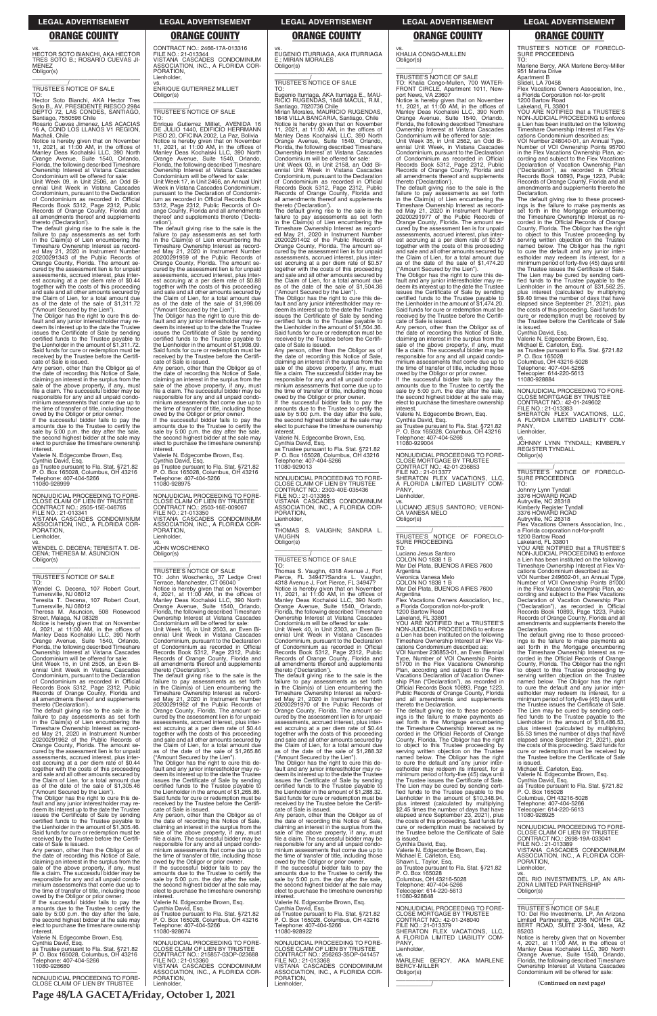**Page 48/LA GACETA/Friday, October 1, 2021**

vs. HECTOR SOTO BIANCHI, AKA HECTOR TRES SOTO B.; ROSARIO CUEVAS JI-MENEZ Obligor(s)

\_\_\_\_\_\_\_\_\_\_\_\_\_\_\_\_\_\_\_\_\_\_\_\_\_\_\_\_\_\_\_\_\_

### \_\_\_\_\_\_\_\_\_\_\_/ TRUSTEE'S NOTICE OF SALE

TO:

Hector Soto Bianchi, AKA Hector Tres Soto B., AV. PRESIDENTE RIESCO 2984 DEPTO 72, LAS CONDES, SANTIAGO, Santiago, 7550598 Chile Rosario Cuevas Jimenez, LAS ACACIAS

Notice is hereby given that on November<br>11, 2021, at 11:00 AM, in the offices of<br>Manley Deas Kochalski LLC, 390 North<br>Orange Avenue, Suite 1540, Orlando,<br>Florida, the following described Timeshare Ownership Interest at Vistana Cascades Condominium will be offered for sale: Unit Week 09, in Unit 2506, an Odd Bi-

16 A, COND LOS LLANOS V1 REGION, Machali, Chile

ennial Unit Week in Vistana Cascades Condominium, pursuant to the Declaration of Condominium as recorded in Official Records Book 5312, Page 2312, Public Records of Orange County, Florida and all amendments thereof and supplements thereto ('Declaration').

owed by the Obligor or prior owner. If the successful bidder fails to pay the amounts due to the Trustee to certify the sale by 5:00 p.m. the day after the sale, the second highest bidder at the sale may elect to purchase the timeshare ownership **interest** 

The default giving rise to the sale is the failure to pay assessments as set forth<br>Timeshare Ownership Interest as record-<br>Ed May 21, 2020 in Instrument Number<br>ed May 21, 2020 in Instrument Number<br>20200291343 of the Public Records of Orange County, Florida. The amount secured by the assessment lien is for unpaid assessments, accrued interest, plus interest accruing at a per diem rate of \$0.44 together with the costs of this proceeding and sale and all other amounts secured by the Claim of Lien, for a total amount due as of the date of the sale of \$1,311.72 ("Amount Secured by the Lien").

The Obligor has the right to cure this de-fault and any junior interestholder may redeem its interest up to the date the Trustee issues the Certificate of Sale by sending certified funds to the Trustee payable to the Lienholder in the amount of \$1,311.72. Said funds for cure or redemption must be received by the Trustee before the Certificate of Sale is issued.

Any person, other than the Obligor as of the date of recording this Notice of Sale, claiming an interest in the surplus from the sale of the above property, if any, must file a claim. The successful bidder may be responsible for any and all unpaid condo-minium assessments that come due up to the time of transfer of title, including those

Valerie N. Edgecombe Brown, Esq.

Cynthia David, Esq. as Trustee pursuant to Fla. Stat. §721.82 P. O. Box 165028, Columbus, OH 43216 Telephone: 407-404-5266 11080-928999

—————————————————— NONJUDICIAL PROCEEDING TO FORE-CLOSE CLAIM OF LIEN BY TRUSTEE CONTRACT NO.: 2505-15E-046765 FILE NO.: 21-013341 VISTANA CASCADES CONDOMINIUM ASSOCIATION, INC., A FLORIDA COR-PORATION, Lienholder,

### vs. ENRIQUE GUTIERREZ MILLIET Obligor(s)  $\overline{\phantom{a}}$  ,  $\overline{\phantom{a}}$  ,  $\overline{\phantom{a}}$  ,  $\overline{\phantom{a}}$  ,  $\overline{\phantom{a}}$  ,  $\overline{\phantom{a}}$  ,  $\overline{\phantom{a}}$  ,  $\overline{\phantom{a}}$  ,  $\overline{\phantom{a}}$  ,  $\overline{\phantom{a}}$  ,  $\overline{\phantom{a}}$  ,  $\overline{\phantom{a}}$  ,  $\overline{\phantom{a}}$  ,  $\overline{\phantom{a}}$  ,  $\overline{\phantom{a}}$  ,  $\overline{\phantom{a}}$

vs. WENDEL C. DECENA; TERESITA T. DE-CENA; THERESA M. ASUNCION Obligor(s) \_\_\_\_\_\_\_\_\_\_\_\_\_\_\_\_\_\_\_\_\_\_\_\_\_\_\_\_\_\_\_\_\_

### \_\_\_\_\_\_\_\_\_\_\_/ TRUSTEE'S NOTICE OF SALE

TO: Wendel C. Decena, 107 Robert Court, Turnersville, NJ 08012 Teresita T. Decena, 107 Robert Court, Turnersville, NJ 08012

Theresa M. Asuncion, 508 Rosewood Street, Malaga, NJ 08328

Notice is hereby given that on November 4, 2021, at 11:00 AM, in the offices of Manley Deas Kochalski LLC, 390 North Orange Avenue, Suite 1540, Orlando, Florida, the following described Timeshare Ownership Interest at Vistana Cascades Condominium will be offered for sale: Unit Week 15, in Unit 2505, an Even Bi-

ennial Unit Week in Vistana Cascades Condominium, pursuant to the Declaration of Condominium as recorded in Official Records Book 5312, Page 2312, Public Records of Orange County, Florida and all amendments thereof and supplements thereto ('Declaration').

cate of Sale is issued.<br>Any person, other tha person, other than the Obligor as of the date of recording this Notice of Sale, claiming an interest in the surplus from the sale of the above property, if any, must file a claim. The successful bidder may be responsible for any and all unpaid condo-minium assessments that come due up to the time of transfer of title, including those

The default giving rise to the sale is the failure to pay assessments as set forth in the Claim(s) of Lien encumbering the Timeshare Ownership Interest as recorded May 21, 2020 in Instrument Number 20200291962 of the Public Records of Orange County, Florida. cured by the assessment lien is for unpaid assessments, accrued interest, plus interest accruing at a per diem rate of \$0.44 together with the costs of this proceeding and sale and all other amounts secured by the Claim of Lien, for a total amount due as of the date of the sale of \$1,305.46 ("Amount Secured by the Lien"). The Obligor has the right to cure this de-fault and any junior interestholder may redeem its interest up to the date the Trustee issues the Certificate of Sale by sending certified funds to the Trustee payable to the Lienholder in the amount of \$1,305.46. Said funds for cure or redemption must be received by the Trustee before the Certificate of Sale is issued. Any person, other than the Obligor as of<br>the date of recording this Notice of Sale date of recording this Notice of Sale, claiming an interest in the surplus from the sale of the above property, if any, must file a claim. The successful bidder may be responsible for any and all unpaid condominium assessments that come due up to the time of transfer of title, including those owed by the Obligor or prior owner. If the successful bidder fails to pay the amounts due to the Trustee to certify the sale by 5:00 p.m. the day after the sale, the second highest bidder at the sale may elect to purchase the timeshare ownership

interest. Valerie N. Edgecombe Brown, Esq. Cynthia David, Esq. as Trustee pursuant to Fla. Stat. §721.82 P. O. Box 165028, Columbus, OH 43216 Telephone: 407-404-5266 11080-928680

—————————————————— NONJUDICIAL PROCEEDING TO FORE-CLOSE CLAIM OF LIEN BY TRUSTEE

CONTRACT NO.: 2466-17A-013316 FILE NO.: 21-013344 VISTANA CASCADES CONDOMINIUM ASSOCIATION, INC., A FLORIDA COR-**PORATION** Lienholder,

### \_\_\_\_\_\_\_\_\_\_\_/ TRUSTEE'S NOTICE OF SALE TO:

TO:<br>Eugenio Iturriaga, AKA Iturriaga E., MAU-<br>RICIO RUGENDAS, 1848 MACUL, R.M.,<br>Santiago, 7820736 Chile<br>Mirian Morales, MAURICIO RUGENDAS,<br>1848 VILLA BANCARIA, Santiago, Chile<br>Notice is hereby given that on November<br>11, 20 Orange Avenue, Suite 1540, Orlando, Florida, the following described Timeshare Ownership Interest at Vistana Cascades Condominium will be offered for sale: Unit Week 03, in Unit 2158, an Odd Biennial Unit Week in Vistana Cascades

Enrique Gutierrez Milliet, AVENIDA 16 DE JULIO 1440, EDIFICIO HERRMANN PISO 20, OFICINA 2002, La Paz, Bolivia Notice is hereby given that on November 11, 2021, at 11:00 AM, in the offices of Manley Deas Kochalski LLC, 390 North Orange Avenue, Suite 1540, Orlando, Florida, the following described Timeshare Ownership Interest at Vistana Cascades Condominium will be offered for sale: Unit Week 17, in Unit 2466, an Annual Unit Week in Vistana Cascades Condominium, pursuant to the Declaration of Condominium as recorded in Official Records Book 5312, Page 2312, Public Records of Orange County, Florida and all amendments thereof and supplements thereto ('Declaration').

The default giving rise to the sale is the failure to pay assessments as set forth in the Claim(s) of Lien encumbering the Timeshare Ownership Interest as record-ed May 21, 2020 in Instrument Number 20200291959 of the Public Records of Orange County, Florida. The amount se-cured by the assessment lien is for unpaid assessments, accrued interest, plus interest accruing at a per diem rate of \$0.88 together with the costs of this proceeding and sale and all other amounts secured by the Claim of Lien, for a total amount due as of the date of the sale of \$1,998.09

("Amount Secured by the Lien"). The Obligor has the right to cure this default and any junior interestholder may redeem its interest up to the date the Trustee issues the Certificate of Sale by sending certified funds to the Trustee payable to the Lienholder in the amount of \$1,998.09. Said funds for cure or redemption must be received by the Trustee before the Certifi-

owed by the Obligor or prior owner. If the successful bidder fails to pay the amounts due to the Trustee to certify the sale by 5:00 p.m. the day after the sale the second highest bidder at the sale may elect to purchase the timeshare ownership interest.

Valerie N. Edgecombe Brown, Esq.

Cynthia David, Esq. as Trustee pursuant to Fla. Stat. §721.82 P. O. Box 165028, Columbus, OH 43216 Telephone: 407-404-5266 11080-928975

—————————————————— NONJUDICIAL PROCEEDING TO FORE-CLOSE CLAIM OF LIEN BY TRUSTEE CONTRACT NO.: 2503-16E-009067 FILE NO.: 21-013350 VISTANA CASCADES CONDOMINIUM ASSOCIATION, INC., A FLORIDA COR-PORATION, Lienholder,

vs. JOHN WOSCHENKO Obligor(s)

\_\_\_\_\_\_\_\_\_\_\_\_\_\_\_\_\_\_\_\_\_\_\_\_\_\_\_\_\_\_\_\_\_

### \_\_\_\_\_\_\_\_\_\_\_/ TRUSTEE'S NOTICE OF SALE

TO: John Woschenko, 37 Ledge Crest Terrace, Manchester, CT 06040 Notice is hereby given that on November 4, 2021, at 11:00 AM, in the offices of Manley Deas Kochalski LLC, 390 North Orange Avenue, Suite 1540, Orlando, Florida, the following described Timeshare Ownership Interest at Vistana Cascades Condominium will be offered for sale: Unit Week 16, in Unit 2503, an Even Biennial Unit Week in Vistana Cascades Condominium, pursuant to the Declaration of Condominium as recorded in Official Records Book 5312, Page 2312, Public Records of Orange County, Florida and all amendments thereof and supplements thereto ('Declaration').

—————————————————— NONJUDICIAL PROCEEDING TO FORE-CLOSE MORTGAGE BY TRUSTEE CONTRACT NO.: 42-01-236853 FILE NO.: 21-013377 SHERATON FLEX VACATIONS, LLC, A FLORIDA LIMITED LIABILITY COM-PANY

COLON NO 1838 1 B Mar Del Plata, BUENOS AIRES 7600 **Argentina** 

The default giving rise to the sale is the failure to pay assessments as set forth in the Claim(s) of Lien encumbering the Timeshare Ownership Interest as record-ed May 21, 2020 in Instrument Number 20200291962 of the Public Records of Orange County, Florida. The amount se-cured by the assessment lien is for unpaid assessments, accrued interest, plus interest accruing at a per diem rate of \$0.44 together with the costs of this proceeding and sale and all other amounts secured by ien, for a total am as of the date of the sale of \$1,265.86 ("Amount Secured by the Lien"). The Obligor has the right to cure this de-fault and any junior interestholder may redeem its interest up to the date the Trustee issues the Certificate of Sale by sending certified funds to the Trustee payable to the Lienholder in the amount of \$1,265.86. Said funds for cure or redemption must be received by the Trustee before the Certificate of Sale is issued. Any person, other than the Obligor as of the date of recording this Notice of Sale, claiming an interest in the surplus from the sale of the above property, if any, must file a claim. The successful bidder may be responsible for any and all unpaid condominium assessments that come due up to the time of transfer of title, including those owed by the Obligor or prior owner. If the successful bidder fails to pay the amounts due to the Trustee to certify the sale by 5:00 p.m. the day after the sale, the second highest bidder at the sale may elect to purchase the timeshare ownership

interest. Valerie N. Edgecombe Brown, Esq. Cynthia David, Esq. as Trustee pursuant to Fla. Stat. §721.82 P. O. Box 165028, Columbus, OH 43216 Telephone: 407-404-5266 11080-928674

—————————————————— NONJUDICIAL PROCEEDING TO FORE-CLOSE CLAIM OF LIEN BY TRUSTEE CONTRACT NO.: 215857-03OP-023688 FILE NO.: 21-013360 VISTANA CASCADES CONDOMINIUM ASSOCIATION, INC., A FLORIDA COR-**PORATION** Lienholder,

vs. EUGENIO ITURRIAGA, AKA ITURRIAGA E.; MIRIAN MORALES E.; minum<br>Obligor(s) \_\_\_\_\_\_\_\_\_\_\_\_\_\_\_\_\_\_\_\_\_\_\_\_\_\_\_\_\_\_\_\_\_

> VOI Number 248040-01, an Annual Type, Number of VOI Ownership Points 95700 in the Flex Vacations Ownership Plan, according and subject to the Flex Vacations Declaration of Vacation Ownership Plan ("Declaration"), as recorded in Official Records Book 10893, Page 1223, Public Records of Orange County, Florida and all amendments and supplements thereto the **Declaration**

### \_\_\_\_\_\_\_\_\_\_\_/ TRUSTEE'S NOTICE OF SALE

Condominium, pursuant to the Declaration of Condominium as recorded in Official Records Book 5312, Page 2312, Public Records of Orange County, Florida and all amendments thereof and supplements thereto ('Declaration'). The default giving rise to the sale is the

failure to pay assessments as set forth in the Claim(s) of Lien encumbering the Timeshare Ownership Interest as record-ed May 21, 2020 in Instrument Number 20200291402 of the Public Records of Orange County, Florida. The amount secured by the assessment lien is for unpaid assessments, accrued interest, plus interest accruing at a per diem rate of \$0.57 together with the costs of this proceeding and sale and all other amounts secured by the Claim of Lien, for a total amount due as of the date of the sale of \$1,504.36

("Amount Secured by the Lien"). The Obligor has the right to cure this de-fault and any junior interestholder may redeem its interest up to the date the Trustee issues the Certificate of Sale by sending certified funds to the Trustee payable to the Lienholder in the amount of \$1,504.36. Said funds for cure or redemption must be received by the Trustee before the Certificate of Sale is issued.

Any person, other than the Obligor as of the date of recording this Notice of Sale,<br>claiming an interest in the surplus from the<br>sale of the above property, if any, must<br>file a claim. The successful bidder may be responsible for any and all unpaid condominium assessments that come due up to the time of transfer of title, including those owed by the Obligor or prior owner. If the successful bidder fails to pay the

amounts due to the Trustee to certify the sale by 5:00 p.m. the day after the sale, the second highest bidder at the sale may elect to purchase the timeshare ownership interest.

Valerie N. Edgecombe Brown, Esq.

Cynthia David, Esq. as Trustee pursuant to Fla. Stat. §721.82 P. O. Box 165028, Columbus, OH 43216 Telephone: 407-404-5266 11080-929013

—————————————————— NONJUDICIAL PROCEEDING TO FORE-CLOSE CLAIM OF LIEN BY TRUSTEE CONTRACT NO.: 2303-40E-035436 FILE NO.: 21-013365 VISTANA CASCADES CONDOMINIUM ASSOCIATION, INC., A FLORIDA COR-PORATION, Lienholder,

vs. THOMAS S. VAUGHN; SANDRA L. VAUGHN Obligor(s) \_\_\_\_\_\_\_\_\_\_\_\_\_\_\_\_\_\_\_\_\_\_\_\_\_\_\_\_\_\_\_\_\_

\_\_\_\_\_\_\_\_\_\_\_/ TRUSTEE'S NOTICE OF SALE

TO: Thomas S. Vaughn, 4318 Avenue J, Fort Pierce, FL 34947?Sandra L. Vaughn, 4318 Avenue J, Fort Pierce, FL 34947? Notice is hereby given that on November 11, 2021, at 11:00 AM, in the offices of Manley Deas Kochalski LLC, 390 North Orange Avenue, Suite 1540, Orlando, Florida, the following described Timeshare Ownership Interest at Vistana Cascades Condominium will be offered for sale: Unit Week 40, in Unit 2303, an Even Biennial Unit Week in Vistana Cascades Condominium, pursuant to the Declaration of Condominium as recorded in Official Records Book 5312, Page 2312, Public Records of Orange County, Florida and all amendments thereof and supplements thereto ('Declaration').

vs. KHALIA CONGO-MULLEN Obligor(s)

\_\_\_\_\_\_\_\_\_\_\_\_\_\_\_\_\_\_\_\_\_\_\_\_\_\_\_\_\_\_\_\_\_ \_\_\_\_\_\_\_\_\_\_\_/ TRUSTEE'S NOTICE OF SALE TO: Khalia Congo-Mullen, 700 WATER-FRONT CIRCLE, Apartment 1011, New-

port News, VA 23607 Notice is hereby given that on November 11, 2021, at 11:00 AM, in the offices of Manley Deas Kochalski LLC, 390 North Orange Avenue, Suite 1540, Orlando, Florida, the following described Timeshare Ownership Interest at Vistana Cascades

Condominium will be offered for sale: Unit Week 35, in Unit 2562, an Odd Biennial Unit Week, in Vistana Cascades Condominium, pursuant to the Declaration of Condominium as recorded in Official Records Book 5312, Page 2312, Public Records of Orange County, Florida and all amendments thereof and supplements thereto ('Declaration').

The default giving rise to the sale is the failure to pay assessments as set forth in the Claim(s) of Lien encumbering the Timeshare Ownership Interest as record-ed May 21, 2020 in Instrument Number 20200291977 of the Public Records of Orange County, Florida. The amount secured by the assessment lien is for unpaid assessments, accrued interest, plus interest accruing at a per diem rate of \$0.57 together with the costs of this proceeding and sale and all other amounts secured by the Claim of Lien, for a total amount due as of the date of the sale of \$1,474.20 ("Amount Secured by the Lien").

The Obligor has the right to cure this de-fault and any junior interestholder may redeem its interest up to the date the Trustee issues the Certificate of Sale by sending certified funds to the Trustee payable to the Lienholder in the amount of \$1,474.20. Said funds for cure or redemption must be received by the Trustee before the Certificate of Sale is issued.

The default giving rise to the sale is the failure to pay assessments as set forth in the Claim(s) of Lien encumbering the Timeshare Ownership Interest as record-ed May 21, 2020 in Instrument Number 20200291970 of the Public Records of Orange County, Florida. The amount secured by the assessment lien is for unpaid assessments, accrued interest, plus interest accruing at a per diem rate of \$0.44 together with the costs of this proceeding and sale and all other amounts secured by laim of Lien, for a total amo as of the date of the sale of \$1,288.32 ("Amount Secured by the Lien"). The Obligor has the right to cure this de-fault and any junior interestholder may redeem its interest up to the date the Trustee issues the Certificate of Sale by sending certified funds to the Trustee payable to the Lienholder in the amount of \$1,288.32. Said funds for cure or redemption must be received by the Trustee before the Certifi-cate of Sale is issued. Any person, other than the Obligor as of the date of recording this Notice of Sale, claiming an interest in the surplus from the sale of the above property, if any, must file a claim. The successful bidder may be responsible for any and all unpaid condominium assessments that come due up to the time of transfer of title, including those owed by the Obligor or prior owner. If the successful bidder fails to pay the amounts due to the Trustee to certify the sale by 5:00 p.m. the day after the sale, the second highest bidder at the sale may elect to purchase the timeshare ownership interest. Valerie N. Edgecombe Brown, Esq. Cynthia David, Esq. as Trustee pursuant to Fla. Stat. §721.82 P. O. Box 165028, Columbus, OH 43216 Telephone: 407-404-5266 11080-928922 —————————————————— NONJUDICIAL PROCEEDING TO FORE-CLOSE CLAIM OF LIEN BY TRUSTEE CONTRACT NO.: 256263-35OP-041457 FILE NO.: 21-013368 VISTANA CASCADES CONDOMINIUM ASSOCIATION, INC., A FLORIDA COR-PORATION, Lienholder, is issued. 11080-928848 PANY, Lienholder, BERCY-MILLER Obligor(s) \_\_\_\_\_\_\_\_\_\_\_\_\_\_\_\_\_\_\_\_\_\_\_\_\_\_\_\_\_\_\_\_\_

Any person, other than the Obligor as of the date of recording this Notice of Sale, claiming an interest in the surplus from the sale of the above property, if any, must file a claim. The successful bidder may be responsible for any and all unpaid condominium assessments that come due up to the time of transfer of title, including those owed by the Obligor or prior owner.

If the successful bidder fails to pay the amounts due to the Trustee to certify the sale by 5:00 p.m. the day after the sale, the second highest bidder at the sale may elect to purchase the timeshare ownership

interest. Valerie N. Edgecombe Brown, Esq. Cynthia David, Esq. as Trustee pursuant to Fla. Stat. §721.82 P. O. Box 165028, Columbus, OH 43216 Telephone: 407-404-5266 11080-929004

Lienholder,

vs. LUCIANO JESUS SANTORO; VERONI-CA VANESA MELO Obligor(s) \_\_\_\_\_\_\_\_\_\_\_\_\_\_\_\_\_\_\_\_\_\_\_\_\_\_\_\_\_\_\_\_\_

\_\_\_\_\_\_\_\_\_\_\_/ TRUSTEE'S NOTICE OF FORECLO-SURE PROCEEDING TO:

Luciano Jesus Santoro

Veronica Vanesa Melo

COLON NO 1838 1 B Mar Del Plata, BUENOS AIRES 7600

Argentina Flex Vacations Owners Association, Inc.,

a Florida Corporation not-for-profit 1200 Bartow Road

Lakeland, FL 33801 YOU ARE NOTIFIED that a TRUSTEE'S NON-JUDICIAL PROCEEDING to enforce

a Lien has been instituted on the following Timeshare Ownership Interest at Flex Va-

cations Condominium described as: VOI Number 236853-01, an Even Biennial Type, Number of VOI Ownership Points 51700 in the Flex Vacations Ownership Plan, according and subject to the Flex Vacations Declaration of Vacation Ownership Plan ("Declaration"), as recorded in Official Records Book 10893, Page 1223, Public Records of Orange County, Florida and all amendments and supplements thereto the Declaration.

\_\_\_\_\_\_\_\_\_\_\_/ **(Continued on next page)**

### **LEGAL ADVERTISEMENT LEGAL ADVERTISEMENT LEGAL ADVERTISEMENT LEGAL ADVERTISEMENT LEGAL ADVERTISEMENT**

### **ORANGE COUNTY ORANGE COUNTY ORANGE COUNTY ORANGE COUNTY ORANGE COUNTY**

TRUSTEE'S NOTICE OF FORECLO-SURE PROCEEDING TO:

Marlene Bercy, AKA Marlene Bercy-Miller 951 Marina Drive

Apartment B Slidell, LA 70458

Flex Vacations Owners Association, Inc., a Florida Corporation not-for-profit 1200 Bartow Road Lakeland, FL 33801

YOU ARE NOTIFIED that a TRUSTEE'S NON-JUDICIAL PROCEEDING to enforce a Lien has been instituted on the following Timeshare Ownership Interest at Flex Vacations Condominium described as:

The default giving rise to these proceed-ings is the failure to make payments as set forth in the Mortgage encumbering the Timeshare Ownership Interest as recorded in the Official Records of Orange County, Florida. The Obligor has the right to object to this Trustee proceeding by serving written objection on the Trustee named below. The Obligor has the right to cure the default and any junior inter-estholder may redeem its interest, for a minimum period of forty-five (45) days until the Trustee issues the Certificate of Sale. The Lien may be cured by sending certi-fied funds to the Trustee payable to the Lienholder in the amount of \$31,562.25, plus interest (calculated by multiplying \$9.40 times the number of days that have elapsed since September 21, 2021), plus the costs of this proceeding. Said funds for cure or redemption must be received by the Trustee before the Certificate of Sale is issued.

The default giving rise to these proceed-ings is the failure to make payments as set forth in the Mortgage encumbering the Timeshare Ownership Interest as recorded in the Official Records of Orange County, Florida. The Obligor has the right to object to this Trustee proceeding by serving written objection on the Trustee named below. The Obligor has the right to cure the default and any junior inter-estholder may redeem its interest, for a minimum period of forty-five (45) days until the Trustee issues the Certificate of Sale. The Lien may be cured by sending certi-fied funds to the Trustee payable to the Lienholder in the amount of \$10,348.94, plus interest (calculated by multiplying \$2.45 times the number of days that have elapsed since September 23, 2021), plus the costs of this proceeding. Said funds for cure or redemption must be received by the Trustee before the Certificate of Sale Cynthia David, Esq. Valerie N. Edgecombe Brown, Esq. Michael E. Carleton, Esq. Shawn L. Taylor, Esq. as Trustee pursuant to Fla. Stat. §721.82 P. O. Box 165028 Columbus, OH 43216-5028 Telephone: 407-404-5266 Telecopier: 614-220-5613 —————————————————— NONJUDICIAL PROCEEDING TO FORE-CLOSE MORTGAGE BY TRUSTEE CONTRACT NO.: 42-01-248040 FILE NO.: 21-013379 SHERATON FLEX VACATIONS, LLC, A FLORIDA LIMITED LIABILITY COMvs. MARLENE BERCY, AKA MARLENE the Trustee issues the Certificate of Sale. The Lien may be cured by sending certi-<br>fied funds to the Trustee payable to the fied funds to the Trustee payable Lienholder in the amount of \$18,486.53, plus interest (calculated by multiplying \$5.53 times the number of days that have elapsed since September 21, 2021), plus the costs of this proceeding. Said fu cure or redemption must be received by the Trustee before the Certificate of Sale is issued. Michael E. Carleton, Esq. Valerie N. Edgecombe Brown, Esq. Cynthia David, Esq. as Trustee pursuant to Fla. Stat. §721.82 P. O. Box 165028 Columbus, OH 43216-5028 Telephone: 407-404-5266 Telecopier: 614-220-5613 11080-928925 —————————————————— NONJUDICIAL PROCEEDING TO FORE-CLOSE CLAIM OF LIEN BY TRUSTEE CONTRACT NO.: 2698-19A-033041 FILE NO.: 21-013389 VISTANA CASCADES CONDOMINIUM ASSOCIATION, INC., A FLORIDA COR-PORATION, Lienholder, vs. DEL RIO INVESTMENTS, LP, AN ARI-ZONA LIMITED PARTNERSHIP Obligor(s) \_\_\_\_\_\_\_\_\_\_\_\_\_\_\_\_\_\_\_\_\_\_\_\_\_\_\_\_\_\_\_\_\_ \_\_\_\_\_\_\_\_\_\_\_/ TRUSTEE'S NOTICE OF SALE TO: Del Rio Investments, LP, An Arizona Limited Partnership, 2036 NORTH GIL-BERT ROAD, SUITE 2-304, Mesa, AZ 85203 Notice is hereby given that on November 4, 2021, at 11:00 AM, in the offices of Manley Deas Kochalski LLC, 390 North Orange Avenue, Suite 1540, Orlando, Florida, the following described Timeshare Ownership Interest at Vistana Cascades

Cynthia David, Esq.

Valerie N. Edgecombe Brown, Esq. Michael E. Carleton, Esq. as Trustee pursuant to Fla. Stat. §721.82 P. O. Box 165028 Columbus, OH 43216-5028 Telephone: 407-404-5266 Telecopier: 614-220-5613

11080-928884

—————————————————— NONJUDICIAL PROCEEDING TO FORE-CLOSE MORTGAGE BY TRUSTEE

CONTRACT NO.: 42-01-249602 FILE NO.: 21-013383 SHERATON FLEX VACATIONS, LLC, A FLORIDA LIMITED LIABILITY COM-PANY,

Lienholder, vs.

JOHNNY LYNN TYNDALL; KIMBERLY REGISTER TYNDALL Obligor(s) \_\_\_\_\_\_\_\_\_\_\_\_\_\_\_\_\_\_\_\_\_\_\_\_\_\_\_\_\_\_\_\_\_

\_\_\_\_\_\_\_\_\_\_\_/ TRUSTEE'S NOTICE OF FORECLO-SURE PROCEEDING TO:

Johnny Lynn Tyndall 3376 HOWARD ROAD Autryville, NC 28318 Kimberly Register Tyndall 3376 HOWARD ROAD

Autryville, NC 28318

Flex Vacations Owners Association, Inc., a Florida corporation not-for-profit

1200 Bartow Road Lakeland, FL 33801

YOU ARE NOTIFIED that a TRUSTEE'S NON-JUDICIAL PROCEEDING to enforce a Lien has been instituted on the following Timeshare Ownership Interest at Flex Vacations Condominium described as: VOI Number 249602-01, an Annual Type, Number of VOI Ownership Points 81000 in the Flex Vacations Ownership Plan, according and subject to the Flex Vacations Declaration of Vacation Ownership Plan

("Declaration"), as recorded in Official Records Book 10893, Page 1223, Public Records of Orange County, Florida and all amendments and supplements thereto the

Declaration.

The default giving rise to these proceedings is the failure to make payments as set forth in the Mortgage encumbering the Timeshare Ownership Interest as recorded in the Official Records of Orange County, Florida. The Obligor has the right to object to this Trustee proceeding by

serving written objection on the Trustee<br>named below. The Obligor has the right<br>to cure the default and any junior inter-<br>estholder may redeem its interest, for a<br>minimum period of forty-five (45) days until

Condominium will be offered for sale: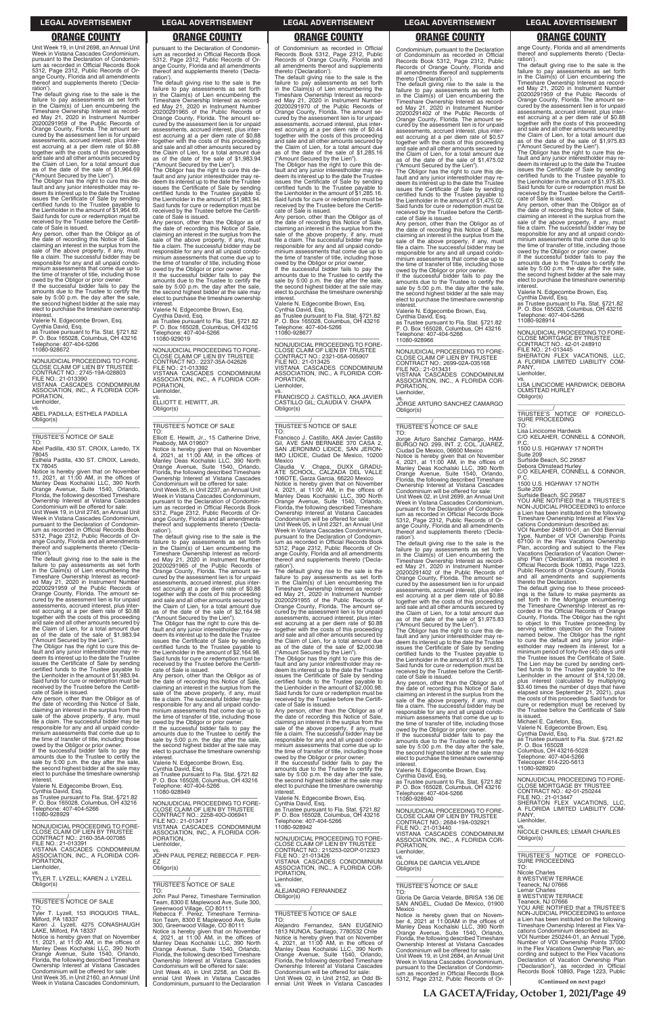Unit Week 19, in Unit 2698, an Annual Unit Week in Vistana Cascades Condominium, pursuant to the Declaration of Condomin-ium as recorded in Official Records Book 5312, Page 2312, Public Records of Orange County, Florida and all amendments thereof and supplements thereto ('Declaration').

The default giving rise to the sale is the failure to pay assessments as set forth in the Claim(s) of Lien encumbering the Timeshare Ownership Interest as record-ed May 21, 2020 in Instrument Number 20200291959 of the Public Records of Orange County, Florida. The amount se-cured by the assessment lien is for unpaid assessments, accrued interest, plus interest accruing at a per diem rate of \$0.88 together with the costs of this proceeding and sale and all other amounts secured by the Claim of Lien, for a total amount due as of the date of the sale of \$1,964.69 ("Amount Secured by the Lien"). The Obligor has the right to cure this de-

fault and any junior interestholder may redeem its interest up to the date the Trustee issues the Certificate of Sale by sending certified funds to the Trustee payable to the Lienholder in the amount of \$1,964.69. Said funds for cure or redemption must be received by the Trustee before the Certificate of Sale is issued.

Any person, other than the Obligor as of the date of recording this Notice of Sale, claiming an interest in the surplus from the sale of the above property, if any, must file a claim. The successful bidder may be responsible for any and all unpaid condo-minium assessments that come due up to the time of transfer of title, including those owed by the Obligor or prior owner.

If the successful bidder fails to pay the amounts due to the Trustee to certify the sale by 5:00 p.m. the day after the sale, the second highest bidder at the sale may elect to purchase the timeshare ownership interest.

Valerie N. Edgecombe Brown, Esq. Cynthia David, Esq. as Trustee pursuant to Fla. Stat. §721.82 P. O. Box 165028, Columbus, OH 43216 Telephone: 407-404-5266 11080-928672

—————————————————— NONJUDICIAL PROCEEDING TO FORE-CLOSE CLAIM OF LIEN BY TRUSTEE CONTRACT NO.: 2745-19A-028803 FILE NO.: 21-013390 VISTANA CASCADES CONDOMINIUM ASSOCIATION, INC., A FLORIDA COR-PORATION, Lienholder,

vs. ABEL PADILLA; ESTHELA PADILLA Obligor(s) \_\_\_\_\_\_\_\_\_\_\_\_\_\_\_\_\_\_\_\_\_\_\_\_\_\_\_\_\_\_\_\_\_

\_\_\_\_\_\_\_\_\_\_\_/ TRUSTEE'S NOTICE OF SALE TO:

Abel Padilla, 430 ST. CROIX, Laredo, TX 78045 Esthela Padilla, 430 ST. CROIX, Laredo,

TX 78045 Notice is hereby given that on November 11, 2021, at 11:00 AM, in the offices of Manley Deas Kochalski LLC, 390 North Orange Avenue, Suite 1540, Orlando,

Florida, the following described Timeshare Ownership Interest at Vistana Cascades Condominium will be offered for sale: Unit Week 19, in Unit 2745, an Annual Unit Week in Vistana Cascades Condominium, pursuant to the Declaration of Condomin-

ium as recorded in Official Records Book 5312, Page 2312, Public Records of Orange County, Florida and all amendments thereof and supplements thereto ('Declaration') The default giving rise to the sale is the

failure to pay assessments as set forth in the Claim(s) of Lien encumbering the Timeshare Ownership Interest as recorded May 21, 2020 in Instrument Number 20200291959 of the Public Records of Orange County, Florida. The amount se-cured by the assessment lien is for unpaid assessments, accrued interest, plus interest accruing at a per diem rate of \$0.88 together with the costs of this proceeding and sale and all other amounts secured by the Claim of Lien, for a total amount due as of the date of the sale of \$1,983.94 ("Amount Secured by the Lien").

The Obligor has the right to cure this de-fault and any junior interestholder may redeem its interest up to the date the Trustee issues the Certificate of Sale by sending certified funds to the Trustee payable to the Lienholder in the amount of \$1,983.94. Said funds for cure or redemption must be received by the Trustee before the Certificate of Sale is issued.

Any person, other than the Obligor as of the date of recording this Notice of Sale, claiming an interest in the surplus from the sale of the above property, if any, must file a claim. The successful bidder may be responsible for any and all unpaid condominium assessments that come due up to the time of transfer of title, including those owed by the Obligor or prior owner.

The default giving rise to the sale is the failure to pay assessments as set forth in the Claim(s) of Lien encumbering the Timeshare Ownership Interest as recorded May 21, 2020 in Instrument Number 20200291965 of the Public Records of Orange County, Florida. The amount secured by the assessment lien is for unpaid assessments, accrued interest, plus interest accruing at a per diem rate of \$0.88 together with the costs of this proceeding and sale and all other amounts secured by the Claim of Lien, for a total amount due as of the date of the sale of \$2,164.98 ("Amount Secured by the Lien").

pursuant to the Declaration of Condominium as recorded in Official Records Book 5312, Page 2312, Public Records of Orange County, Florida and all amendments thereof and supplements thereto ('Decla-

ration'). The default giving rise to the sale is the failure to pay assessments as set forth in the Claim(s) of Lien encumbering the Timeshare Ownership Interest as recorded May 21, 2020 in Instrument Number 20200291965 of the Public Records of Orange County, Florida. The amount secured by the assessment lien is for unpaid assessments, accrued interest, plus interest accruing at a per diem rate of \$0.88 together with the costs of this proceeding and sale and all other amounts secured by the Claim of Lien, for a total amount due as of the date of the sale of \$1,983.94 ("Amount Secured by the Lien").

The Obligor has the right to cure this default and any junior interestholder may re-deem its interest up to the date the Trustee issues the Certificate of Sale by sending certified funds to the Trustee payable to the Lienholder in the amount of \$1,285.16. Said funds for cure or redemption must be received by the Trustee before the Certifi-cate of Sale is issued.

The Obligor has the right to cure this de-fault and any junior interestholder may redeem its interest up to the date the Trustee issues the Certificate of Sale by sending certified funds to the Trustee payable to the Lienholder in the amount of \$1,983.94. Said funds for cure or redemption must be received by the Trustee before the Certificate of Sale is issued.

> vs. FRANCISCO J. CASTILLO, AKA JAVIER CASTILLO GIL; CLAUDIA V. CHAPA Obligor(s)  $\overline{\phantom{a}}$  ,  $\overline{\phantom{a}}$  ,  $\overline{\phantom{a}}$  ,  $\overline{\phantom{a}}$  ,  $\overline{\phantom{a}}$  ,  $\overline{\phantom{a}}$  ,  $\overline{\phantom{a}}$  ,  $\overline{\phantom{a}}$  ,  $\overline{\phantom{a}}$  ,  $\overline{\phantom{a}}$  ,  $\overline{\phantom{a}}$  ,  $\overline{\phantom{a}}$  ,  $\overline{\phantom{a}}$  ,  $\overline{\phantom{a}}$  ,  $\overline{\phantom{a}}$  ,  $\overline{\phantom{a}}$

Any person, other than the Obligor as of the date of recording this Notice of Sale, claiming an interest in the surplus from the sale of the above property, if any, must file a claim. The successful bidder may be responsible for any and all unpaid condominium assessments that come due up to the time of transfer of title, including those owed by the Obligor or prior owner. If the successful bidder fails to pay the

amounts due to the Trustee to certify the sale by 5:00 p.m. the day after the sale, the second highest bidder at the sale may elect to purchase the timeshare ownership interest.

Valerie N. Edgecombe Brown, Esq. Cynthia David, Esq. as Trustee pursuant to Fla. Stat. §721.82 P. O. Box 165028, Columbus, OH 43216 Telephone: 407-404-5266

11080-929019 —————————————————— NONJUDICIAL PROCEEDING TO FORE-CLOSE CLAIM OF LIEN BY TRUSTEE CONTRACT NO.: 2237-35A-042626 FILE NO.: 21-013392 VISTANA CASCADES CONDOMINIUM ASSOCIATION, INC., A FLORIDA COR-PORATION,

Lienholder, vs. ELLIOTT E. HEWITT, JR. Obligor(s)

\_\_\_\_\_\_\_\_\_\_\_\_\_\_\_\_\_\_\_\_\_\_\_\_\_\_\_\_\_\_\_\_\_

### \_\_\_\_\_\_\_\_\_\_\_/ TRUSTEE'S NOTICE OF SALE

TO: Elliott E. Hewitt, Jr., 15 Catherine Drive, Peabody, MA 01960?

Notice is hereby given that on November 4, 2021, at 11:00 AM, in the offices of Manley Deas Kochalski LLC, 390 North Orange Avenue, Suite 1540, Orlando, Florida, the following described Timeshare Ownership Interest at Vistana Cascades Condominium will be offered for sale: Unit Week 35, in Unit 2237, an Annual Unit

Week in Vistana Cascades Condominium, pursuant to the Declaration of Condominium as recorded in Official Records Book 5312, Page 2312, Public Records of Orange County, Florida and all amendments thereof and supplements thereto ('Declaration').

ondominium, pursuant to the Declaration of Condominium as recorded in Official Records Book 5312, Page 2312, Public Records of Orange County, Florida and all amendments thereof and supplements thereto ('Declaration'). The default giving rise to the sale is the

owed by the Obligor or prior owner. If the successful bidder fails to pay the amounts due to the Trustee to certify the sale by 5:00 p.m. the day after the sale, the second highest bidder at the sale may elect to purchase the timeshare ownership **interest** 

The Obligor has the right to cure this de-fault and any junior interestholder may redeem its interest up to the date the Trustee issues the Certificate of Sale by sending certified funds to the Trustee payable to the Lienholder in the amount of \$2,164.98. Said funds for cure or redemption must be received by the Trustee before the Certificate of Sale is issued.

vs. JORGE ARTURO SANCHEZ CAMARGO Obligor(s)  $\overline{\phantom{a}}$  , and the set of the set of the set of the set of the set of the set of the set of the set of the set of the set of the set of the set of the set of the set of the set of the set of the set of the set of the s

Any person, other than the Obligor as of the date of recording this Notice of Sale, claiming an interest in the surplus from the sale of the above property, if any, must file a claim. The successful bidder may be responsible for any and all unpaid condominium assessments that come due up to the time of transfer of title, including those owed by the Obligor or prior owner.

If the successful bidder fails to pay the amounts due to the Trustee to certify the sale by 5:00 p.m. the day after the sale, the second highest bidder at the sale may

the date of recording this Notice of Sale, claiming an interest in the surplus from the sale of the above property, if any, must file a claim. The successful bidder may be responsible for any and all unpaid condo-minium assessments that come due up to the time of transfer of title, including those

of Condominium as recorded in Official Records Book 5312, Page 2312, Public Records of Orange County, Florida and all amendments thereof and supplements thereto ('Declaration').

The default giving rise to the sale is the failure to pay assessments as set forth in the Claim(s) of Lien encumbering the Timeshare Ownership Interest as recorded May 21, 2020 in Instrument Number 20200291970 of the Public Records of Orange County, Florida. The amount secured by the assessment lien is for unpaid assessments, accrued interest, plus interest accruing at a per diem rate of \$0.44 together with the costs of this proceeding and sale and all other amounts secured by the Claim of Lien, for a total amount due as of the date of the sale of \$1,285.16 ("Amount Secured by the Lien").

The Obligor has the right to cure this default and any junior interestholder may re-deem its interest up to the date the Trustee issues the Certificate of Sale by sending certified funds to the Trustee payable to the Lienholder in the amount of \$1,975.83. Said funds for cure or redemption must be received by the Trustee before the Certifi-cate of Sale is issued. Any person, other than the Obligor as of

Any person, other than the Obligor as of the date of recording this Notice of Sale, claiming an interest in the surplus from the sale of the above property, if any, must file a claim. The successful bidder may be responsible for any and all unpaid condominium assessments that come due up to the time of transfer of title, including those owed by the Obligor or prior owner. If the successful bidder fails to pay the amounts due to the Trustee to certify the sale by 5:00 p.m. the day after the sale, the second highest bidder at the sale may

elect to purchase the timeshare ownership<br>interest

interest. Valerie N. Edgecombe Brown, Esq. Cynthia David, Esq. as Trustee pursuant to Fla. Stat. §721.82 P. O. Box 165028, Columbus, OH 43216 Telephone: 407-404-5266 11080-928677

—————————————————— NONJUDICIAL PROCEEDING TO FORE-CLOSE CLAIM OF LIEN BY TRUSTEE CONTRACT NO.: 2321-05A-005907 FILE NO.: 21-013425 VISTANA CASCADES CONDOMINIUM ASSOCIATION, INC., A FLORIDA COR-PORATION, Lienholder,

### \_\_\_\_\_\_\_\_\_\_\_/ TRUSTEE'S NOTICE OF SALE

TO: Francisco J. Castillo, AKA Javier Castillo Gil, AVE SAN BERNABE 370 CASA 2, SAN JERONIMO LIDICE, SAN JERON-IMO LIDICE, Ciudad De Mexico, 10200 Mexico

Claudia V. Chapa, DUXX GRADU-ATE SCHOOL, CALZADA DEL VALLE 106OTE, Garza Garcia, 66220 Mexico

Notice is hereby given that on November 4, 2021, at 11:00 AM, in the offices of Manley Deas Kochalski LLC, 390 North Orange Avenue, Suite 1540, Orlando, Florida, the following described Timeshare Ownership Interest at Vistana Cascades Condominium will be offered for sale:

Unit Week 05, in Unit 2321, an Annual Unit Week in Vistana Cascades Condominium, pursuant to the Declaration of Condominium as recorded in Official Records Book 5312, Page 2312, Public Records of Orange County, Florida and all amendments thereof and supplements thereto ('Declaration').

The default giving rise to the sale is the failure to pay assessments as set forth in the Claim(s) of Lien encumbering the Timeshare Ownership Interest as recorded May 21, 2020 in Instrument Number 20200291955 of the Public Records of Orange County, Florida. The amount se-cured by the assessment lien is for unpaid assessments, accrued interest, plus interest accruing at a per diem rate of \$0.88 together with the costs of this proceeding and sale and all other amounts secured by the Claim of Lien, for a total amount due as of the date of the sale of \$2,000.98 ("Amount Secured by the Lien").

The Obligor has the right to cure this de-fault and any junior interestholder may redeem its interest up to the date the Trustee issues the Certificate of Sale by sending certified funds to the Trustee payable to the Lienholder in the amount of \$2,000.98. Said funds for cure or redemption must be received by the Trustee before the Certificate of Sale is issued.

Any person, other than the Obligor as of the date of recording this Notice of Sale, claiming an interest in the surplus from the sale of the above property, if any, must file a claim. The successful bidder may be responsible for any and all unpaid condominium assessments that come due up to

| Owed by the Obligor of prior Owner.<br>If the successful bidder fails to pay the<br>amounts due to the Trustee to certify the<br>sale by 5:00 p.m. the day after the sale,<br>the second highest bidder at the sale may<br>elect to purchase the timeshare ownership | the second nighest blood at the sale may<br>elect to purchase the timeshare ownership<br>interest.<br>Valerie N. Edgecombe Brown, Esg.<br>Cynthia David, Esq.<br>as Trustee pursuant to Fla. Stat. §721.82      | THING ASSESSMENTS that come due up to<br>the time of transfer of title, including those<br>owed by the Obligor or prior owner.<br>If the successful bidder fails to pay the<br>amounts due to the Trustee to certify the<br>sale by 5:00 p.m. the day after the sale, | sale by 5:00 p.m. the day after the sale.<br>the second highest bidder at the sale may<br>elect to purchase the timeshare ownership<br>interest.<br>Valerie N. Edgecombe Brown. Esg.<br>Cynthia David, Esg.           | <b>F. O. DUA TUJUZU</b><br>Columbus, OH 43216-5028<br>Telephone: 407-404-5266<br>Telecopier: 614-220-5613<br>11080-928920                                                                                    |
|----------------------------------------------------------------------------------------------------------------------------------------------------------------------------------------------------------------------------------------------------------------------|-----------------------------------------------------------------------------------------------------------------------------------------------------------------------------------------------------------------|-----------------------------------------------------------------------------------------------------------------------------------------------------------------------------------------------------------------------------------------------------------------------|-----------------------------------------------------------------------------------------------------------------------------------------------------------------------------------------------------------------------|--------------------------------------------------------------------------------------------------------------------------------------------------------------------------------------------------------------|
| interest.<br>Valerie N. Edgecombe Brown, Esg.<br>Cynthia David, Esq.<br>as Trustee pursuant to Fla. Stat. §721.82<br>P. O. Box 165028, Columbus, OH 43216                                                                                                            | P. O. Box 165028, Columbus, OH 43216<br>Telephone: 407-404-5266<br>11080-928949<br>NONJUDICIAL PROCEEDING TO FORE-                                                                                              | the second highest bidder at the sale may<br>elect to purchase the timeshare ownership<br>interest.<br>Valerie N. Edgecombe Brown, Esq.                                                                                                                               | as Trustee pursuant to Fla. Stat. §721.82<br>P. O. Box 165028, Columbus, OH 43216<br>Telephone: 407-404-5266<br>11080-928940                                                                                          | NONJUDICIAL PROCEEDING TO FORE-<br><b>CLOSE MORTGAGE BY TRUSTEE</b><br>CONTRACT NO.: 42-01-250244<br>FILE NO.: 21-013447<br>SHERATON FLEX VACATIONS, LLC,                                                    |
| Telephone: 407-404-5266<br>11080-928929<br>NONJUDICIAL PROCEEDING TO FORE-                                                                                                                                                                                           | CLOSE CLAIM OF LIEN BY TRUSTEE<br>CONTRACT NO.: 2258-400-006941<br>FILE NO.: 21-013417<br>VISTANA CASCADES CONDOMINIUM                                                                                          | Cynthia David, Esq.<br>as Trustee pursuant to Fla. Stat. §721.82<br>P. O. Box 165028, Columbus, OH 43216<br>Telephone: 407-404-5266<br>11080-928942                                                                                                                   | NONJUDICIAL PROCEEDING TO FORE-<br>CLOSE CLAIM OF LIEN BY TRUSTEE<br>CONTRACT NO.: 2684-19A-032921<br>FILE NO.: 21-013440                                                                                             | A FLORIDA LIMITED LIABILITY COM-<br>PANY.<br>Lienholder.<br>VS.                                                                                                                                              |
| CLOSE CLAIM OF LIEN BY TRUSTEE<br>CONTRACT NO.: 2160-35A-007085<br>FILE NO.: 21-013391<br>VISTANA CASCADES CONDOMINIUM                                                                                                                                               | ASSOCIATION. INC., A FLORIDA COR-<br>PORATION.<br>Lienholder.<br>VS.                                                                                                                                            | NONJUDICIAL PROCEEDING TO FORE-<br>CLOSE CLAIM OF LIEN BY TRUSTEE<br>CONTRACT NO.: 215253-02OP-012323                                                                                                                                                                 | VISTANA CASCADES CONDOMINIUM<br>ASSOCIATION, INC., A FLORIDA COR-<br>PORATION.<br>Lienholder,                                                                                                                         | NICOLE CHARLES; LEMAR CHARLES<br>Obligor(s)                                                                                                                                                                  |
| ASSOCIATION, INC., A FLORIDA COR-<br>PORATION.<br>Lienholder,<br>VS.                                                                                                                                                                                                 | JOHN PAUL PEREZ: REBECCA F. PER-<br>EZ<br>Obligor(s)                                                                                                                                                            | FILE NO.: 21-013426<br>VISTANA CASCADES CONDOMINIUM<br>ASSOCIATION, INC., A FLORIDA COR-<br>PORATION.                                                                                                                                                                 | VS.<br><b>GLORIA DE GARCIA VELARDE</b><br>Obligor(s)                                                                                                                                                                  | TRUSTEE'S NOTICE OF FORECLO-<br><b>SURE PROCEEDING</b><br>TO:<br>Nicole Charles                                                                                                                              |
| TYLER T. LYZELL; KAREN J. LYZELL<br>Obligor(s)<br>TRUSTEE'S NOTICE OF SALE                                                                                                                                                                                           | TRUSTEE'S NOTICE OF SALE<br>TO:<br>John Paul Perez, Timeshare Termination<br>Team, 8300 E Maplewood Ave, Suite 300,                                                                                             | Lienholder.<br>VS.<br>ALEJANDRO FERNANDEZ<br>Obligor(s)                                                                                                                                                                                                               | TRUSTEE'S NOTICE OF SALE<br>TO:<br>Gloria De Garcia Velarde, BRISA 136 DE                                                                                                                                             | <b>8 WESTVIEW TERRACE</b><br>Teaneck, NJ 07666<br>Lemar Charles<br><b>8 WESTVIEW TERRACE</b><br>Teaneck. NJ 07666                                                                                            |
| TO:<br>Tyler T. Lyzell, 153 IROQUOIS TRAIL,<br>Milford, PA 18337<br>Karen J. Lyzell, 4275 CONASHAUGH                                                                                                                                                                 | Greenwood Village, CO 80111<br>Rebecca F. Perez, Timeshare Termina-<br>tion Team, 8300 E Maplewood Ave. Suite<br>300, Greenwood Village, CO 80111                                                               | <b>TRUSTEE'S NOTICE OF SALE</b><br>TO:<br>Alejandro Fernandez, SAN EUGENIO                                                                                                                                                                                            | SAN ANGEL, Ciudad De Mexico, 01900<br>Mexico<br>Notice is hereby given that on Novem-<br>ber 4, 2021 at 11:00 AM in the offices of<br>Manley Deas Kochalski LLC, 390 North                                            | YOU ARE NOTIFIED that a TRUSTEE'S<br>NON-JUDICIAL PROCEEDING to enforce<br>a Lien has been instituted on the following<br>Timeshare Ownership Interest at Flex Va-                                           |
| LAKE, Milford, PA 18337<br>Notice is hereby given that on November<br>11, 2021, at 11:00 AM, in the offices of<br>Manley Deas Kochalski LLC, 390 North<br>Orange Avenue, Suite 1540, Orlando,                                                                        | Notice is hereby given that on November<br>4. 2021. at 11:00 AM, in the offices of<br>Manley Deas Kochalski LLC, 390 North<br>Orange Avenue, Suite 1540, Orlando,                                               | 1813 NUNOA, Santiago, 7780532 Chile<br>Notice is hereby given that on November<br>4, 2021, at 11:00 AM, in the offices of<br>Manley Deas Kochalski LLC, 390 North                                                                                                     | Orange Avenue, Suite 1540, Orlando,<br>Florida, the following described Timeshare<br>Ownership Interest at Vistana Cascades<br>Condominium will be offered for sale:                                                  | cations Condominium described as:<br>VOI Number 250244-01, an Annual Type,<br>Number of VOI Ownership Points 37000<br>in the Flex Vacations Ownership Plan, ac-<br>cording and subject to the Flex Vacations |
| Florida, the following described Timeshare<br>Ownership Interest at Vistana Cascades<br>Condominium will be offered for sale:<br>Unit Week 35. in Unit 2160, an Annual Unit                                                                                          | Florida, the following described Timeshare<br>Ownership Interest at Vistana Cascades<br>Condominium will be offered for sale:<br>Unit Week 40, in Unit 2258, an Odd Bi-<br>ennial Unit Week in Vistana Cascades | Orange Avenue, Suite 1540, Orlando,<br>Florida, the following described Timeshare<br>Ownership Interest at Vistana Cascades<br>Condominium will be offered for sale:<br>Unit Week 02, in Unit 2152, an Odd Bi-                                                        | Unit Week 19. in Unit 2684, an Annual Unit<br>Week in Vistana Cascades Condominium.<br>pursuant to the Declaration of Condomin-<br>jum as recorded in Official Records Book<br>5312, Page 2312, Public Records of Or- | Declaration of Vacation Ownership Plan<br>("Declaration"), as recorded in Official<br>Records Book 10893, Page 1223, Public                                                                                  |
| Week in Vistana Cascades Condominium.                                                                                                                                                                                                                                | Condominium, pursuant to the Declaration                                                                                                                                                                        | ennial Unit Week in Vistana Cascades                                                                                                                                                                                                                                  |                                                                                                                                                                                                                       | (Continued on next page)                                                                                                                                                                                     |

failure to pay assessments as set forth in the Claim(s) of Lien encumbering the Timeshare Ownership Interest as record-ed May 21, 2020 in Instrument Number 20200291402 of the Public Records of Orange County, Florida. The amount se-cured by the assessment lien is for unpaid assessments, accrued interest, plus inter-est accruing at a per diem rate of \$0.57 together with the costs of this proceeding and sale and all other amounts secured by the Claim of Lien, for a total amount due as of the date of the sale of \$1,475.02

("Amount Secured by the Lien"). The Obligor has the right to cure this de-fault and any junior interestholder may redeem its interest up to the date the Trustee issues the Certificate of Sale by sending certified funds to the Trustee payable to the Lienholder in the amount of \$1,475.02. Said funds for cure or redemption must be received by the Trustee before the Certifi-

cate of Sale is issued. Any person, other than the Obligor as of the date of recording this Notice of Sale, claiming an interest in the surplus from the sale of the above property, if any, must file a claim. The successful bidder may be responsible for any and all unpaid condo-minium assessments that come due up to the time of transfer of title, including those

Valerie N. Edgecombe Brown, Esq. Cynthia David, Esq.

as Trustee pursuant to Fla. Stat. §721.82 P. O. Box 165028, Columbus, OH 43216 Telephone: 407-404-5266 11080-928966

—————————————————— NONJUDICIAL PROCEEDING TO FORE-CLOSE CLAIM OF LIEN BY TRUSTEE CONTRACT NO.: 2699-02A-035168 FILE NO.: 21-013431 VISTANA CASCADES CONDOMINIUM ASSOCIATION, INC., A FLORIDA COR-PORATION,

Lienholder,

### \_\_\_\_\_\_\_\_\_\_\_/ TRUSTEE'S NOTICE OF SALE

TO: Jorge Arturo Sanchez Camargo, HAM-BURGO NO. 299, INT. 2, COL. JUAREZ, Ciudad De Mexico, 06600 Mexico

Notice is hereby given that on November 4, 2021, at 11:00 AM, in the offices of Manley Deas Kochalski LLC, 390 North Orange Avenue, Suite 1540, Orlando, Florida, the following described Timeshare Ownership Interest at Vistana Cascades Condominium will be offered for sale:

Unit Week 02, in Unit 2699, an Annual Unit Week in Vistana Cascades Condominium, pursuant to the Declaration of Condominium as recorded in Official Records Book 5312, Page 2312, Public Records of Or-ange County, Florida and all amendments thereof and supplements thereto ('Decla-

ration'). The default giving rise to the sale is the failure to pay assessments as set forth in the Claim(s) of Lien encumbering the Timeshare Ownership Interest as recorded May 21, 2020 in Instrument Number 20200291402 of the Public Records of Orange County, Florida. The amount secured by the assessment lien is for unpaid assessments, accrued interest, plus inter-est accruing at a per diem rate of \$0.88 together with the costs of this proceeding and sale and all other amounts secured by the Claim of Lien, for a total amount due as of the date of the sale of \$1,975.83 ("Amount Secured by the Lien"). The Obligor has the right to cure this de-

fault and any junior interestholder may re-deem its interest up to the date the Trustee issues the Certificate of Sale by sending certified funds to the Trustee payable to the Lienholder in the amount of \$1,975.83. Said funds for cure or redemption must be received by the Trustee before the Certifi-cate of Sale is issued. Any person, other than the Obligor as of

owed by the Obligor or prior owner. If the successful bidder fails to pay the amounts due to the Trustee to certify the sale by 5:00 p.m. the day after the sale,

ange County, Florida and all amendments thereof and supplements thereto ('Decla-ration').

The default giving rise to the sale is the failure to pay assessments as set forth in the Claim(s) of Lien encumbering the Timeshare Ownership Interest as recorded May 21, 2020 in Instrument Number 20200291959 of the Public Records of Orange County, Florida. The amount secured by the assessment lien is for unpaid assessments, accrued interest, plus inter-est accruing at a per diem rate of \$0.88 together with the costs of this proceeding and sale and all other amounts secured by the Claim of Lien, for a total amount due as of the date of the sale of \$1,975.83 ("Amount Secured by the Lien").

the date of recording this Notice of Sale, claiming an interest in the surplus from the sale of the above property, if any, must file a claim. The successful bidder may be responsible for any and all unpaid condominium assessments that come due up to the time of transfer of title, including those owed by the Obligor or prior owner. If the successful bidder fails to pay the

amounts due to the Trustee to certify the sale by 5:00 p.m. the day after the sale, the second highest bidder at the sale may elect to purchase the timeshare ownership interest. Valerie N. Edgecombe Brown, Esq.

Cynthia David, Esq. as Trustee pursuant to Fla. Stat. §721.82 P. O. Box 165028, Columbus, OH 43216 Telephone: 407-404-5266 11080-928914

—————————————————— NONJUDICIAL PROCEEDING TO FORE-CLOSE MORTGAGE BY TRUSTEE CONTRACT NO.: 42-01-248910 FILE NO.: 21-013445 SHERATON FLEX VACATIONS, LLC, A FLORIDA LIMITED LIABILITY COM-

PANY, Lienholder, vs.

LISA LINCICOME HARDWICK; DEBORA OLMSTEAD HURLEY Obligor(s)

\_\_\_\_\_\_\_\_\_\_\_\_\_\_\_\_\_\_\_\_\_\_\_\_\_\_\_\_\_\_\_\_\_ \_\_\_\_\_\_\_\_\_\_\_/ TRUSTEE'S NOTICE OF FORECLO-SURE PROCEEDING

TO: Lisa Lincicome Hardwick

C/O KELAHER, CONNELL & CONNOR, P.C. 1500 U.S. HIGHWAY 17 NORTH

Suite 209

Surfside Beach, SC 29587 Debora Olmstead Hurley

C/O KELAHER, CONNELL & CONNOR, P.C. 1500 U.S. HIGHWAY 17 NOTH

Suite 209

Surfside Beach, SC 29587 YOU ARE NOTIFIED that a TRUSTEE'S NON-JUDICIAL PROCEEDING to enforce a Lien has been instituted on the following Timeshare Ownership Interest at Flex Va-

cations Condominium described as: VOI Number 248910-01, an Odd Biennial Type, Number of VOI Ownership Points 67100 in the Flex Vacations Ownership Plan, according and subject to the Flex Vacations Declaration of Vacation Ownership Plan ("Declaration"), as recorded in Official Records Book 10893, Page 1223, Public Records of Orange County, Florida and all amendments and supplements thereto the Declaration.

The default giving rise to these proceedings is the failure to make payments as set forth in the Mortgage encumbering the Timeshare Ownership Interest as recorded in the Official Records of Orange County, Florida. The Obligor has the right to object to this Trustee proceeding by serving written objection on the Trustee<br>named below. The Obligor has the right<br>to cure the default and any junior inter-<br>estholder may redeem its interest, for a<br>minimum period of forty-five (45) days until<br>the Trustee is The Lien may be cured by sending certi-fied funds to the Trustee payable to the Lienholder in the amount of \$14,120.08, plus interest (calculated by multiplying \$3.40 times the number of days that have elapsed since September 21, 2021), plus the costs of this proceeding. Said funds for cure or redemption must be received by the Trustee before the Certificate of Sale is issued.

Michael E. Carleton, Esq. Valerie N. Edgecombe Brown, Esq.

Cynthia David, Esq. as Trustee pursuant to Fla. Stat. §721.82 P. O. Box 165028 Columbus, OH 43216-5028

**LA GACETA/Friday, October 1, 2021/Page 49**

### **LEGAL ADVERTISEMENT LEGAL ADVERTISEMENT LEGAL ADVERTISEMENT LEGAL ADVERTISEMENT LEGAL ADVERTISEMENT**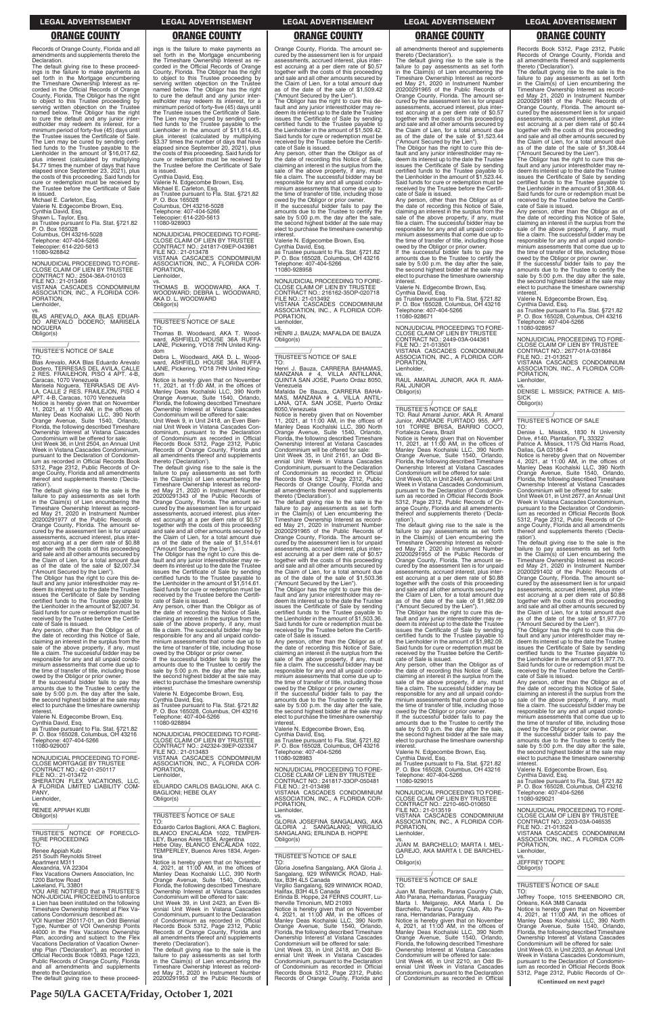**Page 50/LA GACETA/Friday, October 1, 2021**

Records of Orange County, Florida and all amendments and supplements thereto the Declaration.

The default giving rise to these proceed-ings is the failure to make payments as set forth in the Mortgage encumbering the Timeshare Ownership Interest as re-corded in the Official Records of Orange County, Florida. The Obligor has the right to object to this Trustee proceeding by serving written objection on the Trustee named below. The Obligor has the right to cure the default and any junior inter-estholder may redeem its interest, for a minimum period of forty-five (45) days until the Trustee issues the Certificate of Sale. The Lien may be cured by sending certified funds to the Trustee payable to the Lienholder in the amount of \$16,017.62, plus interest (calculated by multiplying \$4.77 times the number of days that have elapsed since September 23, 2021), plus the costs of this proceeding. Said funds for cure or redemption must be received by the Trustee before the Certificate of Sale is issued.

Michael E. Carleton, Esq. Valerie N. Edgecombe Brown, Esq. Cynthia David, Esq. Shawn L. Taylor, Esq. as Trustee pursuant to Fla. Stat. §721.82 P. O. Box 165028 Columbus, OH 43216-5028 Telephone: 407-404-5266 Telecopier: 614-220-5613 11080-928842

—————————————————— NONJUDICIAL PROCEEDING TO FORE-CLOSE CLAIM OF LIEN BY TRUSTEE CONTRACT NO.: 2504-36A-010103 FILE NO.: 21-013466 VISTANA CASCADES CONDOMINIUM ASSOCIATION, INC., A FLORIDA COR-PORATION, Lienholder,

vs. BLAS AREVALO, AKA BLAS EDUAR-DO AREVALO DODERO; MARISELA **NOGUERA** Obligor(s) \_\_\_\_\_\_\_\_\_\_\_\_\_\_\_\_\_\_\_\_\_\_\_\_\_\_\_\_\_\_\_\_\_

\_\_\_\_\_\_\_\_\_\_\_/ TRUSTEE'S NOTICE OF SALE

TO: Blas Arevalo, AKA Blas Eduardo Arevalo Dodero, TERRESAS DEL AVILA, CALLE 2 RES. FRAILEHON, PISO 4 APT. 4-B,

Caracas, 1070 Venezuela Marisela Noguera, TERRASAS DE AVI-LA, CALLE 2 RES. FRAILEJON, PISO 4

the date of recording this Notice of Sale,<br>claiming an interest in the surplus from the<br>sale of the above property, if any, must<br>file a claim. The successful bidder may be responsible for any and all unpaid condo-minium assessments that come due up to the time of transfer of title, including those

APT. 4-B, Caracas, 1070 Venezuela Notice is hereby given that on November 11, 2021, at 11:00 AM, in the offices of Manley Deas Kochalski LLC, 390 North Orange Avenue, Suite 1540, Orlando, Florida, the following described Timeshare Ownership Interest at Vistana Cascades Condominium will be offered for sale:

Unit Week 36, in Unit 2504, an Annual Unit Week in Vistana Cascades Condominium, pursuant to the Declaration of Condominium as recorded in Official Records Book 5312, Page 2312, Public Records of Or-ange County, Florida and all amendments thereof and supplements thereto ('Decla-

ration'). The default giving rise to the sale is the failure to pay assessments as set forth in the Claim(s) of Lien encumbering the Timeshare Ownership Interest as recorded May 21, 2020 in Instrument Number 20200291977 of the Public Records of Orange County, Florida. The amount secured by the assessment lien is for unpaid assessments, accrued interest, plus inter-est accruing at a per diem rate of \$0.88 together with the costs of this proceeding and sale and all other amounts secured by the Claim of Lien, for a total amount due as of the date of the sale of \$2,007.34

("Amount Secured by the Lien"). The Obligor has the right to cure this default and any junior interestholder may re-deem its interest up to the date the Trustee issues the Certificate of Sale by sending certified funds to the Trustee payable to the Lienholder in the amount of \$2,007.34. Said funds for cure or redemption must be received by the Trustee before the Certificate of Sale is issued. Any person, other than the Obligor as of

vs. THOMAS B. WOODWARD, AKA T. WOODWARD; DEBRA L. WOODWARD, AKA D. L. WOODWARD Obligor(s)  $\overline{\phantom{a}}$  , and the set of the set of the set of the set of the set of the set of the set of the set of the set of the set of the set of the set of the set of the set of the set of the set of the set of the set of the s

owed by the Obligor or prior owner. If the successful bidder fails to pay the amounts due to the Trustee to certify the sale by 5:00 p.m. the day after the sale, the second highest bidder at the sale may elect to purchase the timeshare ownership

interest. Valerie N. Edgecombe Brown, Esq. Cynthia David, Esq. as Trustee pursuant to Fla. Stat. §721.82 P. O. Box 165028, Columbus, OH 43216

Telephone: 407-404-5266 11080-929007

ings is the failure to make payments as set forth in the Mortgage encumbering the Timeshare Ownership Interest as recorded in the Official Records of Orange County, Florida. The Obligor has the right to object to this Trustee proceeding by serving written objection on the Trustee named below. The Obligor has the right to cure the default and any junior inter-estholder may redeem its interest, for a minimum period of forty-five (45) days until the Trustee issues the Certificate of Sale. The Lien may be cured by sending certi-fied funds to the Trustee payable to the Lienholder in the amount of \$11,614.45, plus interest (calculated by multiplying \$3.37 times the number of days that have elapsed since September 20, 2021), plus the costs of this proceeding. Said funds for cure or redemption must be received by the Trustee before the Certificate of Sale is issued.

> vs. HENRI J. BAUZA; MAFALDA DE BAUZA Obligor(s)  $\overline{\phantom{a}}$  ,  $\overline{\phantom{a}}$  ,  $\overline{\phantom{a}}$  ,  $\overline{\phantom{a}}$  ,  $\overline{\phantom{a}}$  ,  $\overline{\phantom{a}}$  ,  $\overline{\phantom{a}}$  ,  $\overline{\phantom{a}}$  ,  $\overline{\phantom{a}}$  ,  $\overline{\phantom{a}}$  ,  $\overline{\phantom{a}}$  ,  $\overline{\phantom{a}}$  ,  $\overline{\phantom{a}}$  ,  $\overline{\phantom{a}}$  ,  $\overline{\phantom{a}}$  ,  $\overline{\phantom{a}}$

Cynthia David, Esq. Valerie N. Edgecombe Brown, Esq. Michael E. Carleton, Esq. as Trustee pursuant to Fla. Stat. §721.82 P. O. Box 165028 Columbus, OH 43216-5028 Telephone: 407-404-5266 Telecopier: 614-220-5613 11080-928903

> venezuera<br>Mafalda De Bauza, CARRERA BAHA-<br>MAS, MANZANA # 4, VILLA ANTIL-MAS, MANZANA # 4, VILLA ANTIL-LANA, QTA. SAN JOSE, Puerto Ordaz 8050,Venezuela

—————————————————— NONJUDICIAL PROCEEDING TO FORE-CLOSE CLAIM OF LIEN BY TRUSTEE CONTRACT NO.: 241817-09EP-043981 FILE NO.: 21-013478 VISTANA CASCADES CONDOMINIUM ASSOCIATION, INC., A FLORIDA COR-PORATION, Lienholder,

\_\_\_\_\_\_\_\_\_\_\_/ TRUSTEE'S NOTICE OF SALE

TO:

Thomas B. Woodward, AKA T. Woodward, ASHFIELD HOUSE 36A RUFFA LANE, Pickering, YO18 7HN United King-dom

Debra L. Woodward, AKA D. L. Wood-ASHFIELD HOUSE 36A RUFFA LANE, Pickering, YO18 7HN United Kingdom

Notice is hereby given that on November 11, 2021, at 11:00 AM, in the offices of Manley Deas Kochalski LLC, 390 North Orange Avenue, Suite 1540, Orlando, Florida, the following described Timeshare Ownership Interest at Vistana Cascades

> owed by the Obligor or prior owner. If the successful bidder fails to pay the amounts due to the Trustee to certify the sale by 5:00 p.m. the day after the sale the second highest bidder at the sale may elect to purchase the timeshare ownership interest

Condominium will be offered for sale: Unit Week 9, in Unit 2418, an Even Biennial Unit Week in Vistana Cascades Condominium, pursuant to the Declaration of Condominium as recorded in Official Records Book 5312, Page 2312, Public Records of Orange County, Florida and all amendments thereof and supplements thereto ('Declaration').

The default giving rise to the sale is the failure to pay assessments as set forth in the Claim(s) of Lien encumbering the Timeshare Ownership Interest as record-ed May 21, 2020 in Instrument Number 20200291343 of the Public Records of Orange County, Florida. The amount se-cured by the assessment lien is for unpaid assessments, accrued interest, plus interest accruing at a per diem rate of \$0.57 together with the costs of this proceeding and sale and all other amounts secured by the Claim of Lien, for a total amount due as of the date of the sale of \$1,514.61

("Amount Secured by the Lien"). The Obligor has the right to cure this de-fault and any junior interestholder may redeem its interest up to the date the Trustee issues the Certificate of Sale by sending certified funds to the Trustee payable to the Lienholder in the amount of \$1,514.61. Said funds for cure or redemption must be received by the Trustee before the Certificate of Sale is issued.

Any person, other than the Obligor as of the date of recording this Notice of Sale, claiming an interest in the surplus from the sale of the above property, if any, must file a claim. The successful bidder may be responsible for any and all unpaid condominium assessments that come due up to the time of transfer of title, including those If the successful bidder fails to pay the amounts due to the Trustee to certify the sale by 5:00 p.m. the day after the sale, the second highest bidder at the sale may elect to purchase the timeshare ownership interes

owed by the Obligor or prior owner. If the successful bidder fails to pay the amounts due to the Trustee to certify the sale by 5:00 p.m. the day after the sale, the second highest bidder at the sale may elect to purchase the timeshare ownership interest.

TO: Raul Amaral Junior, AKA R. Amaral Junior, ANDRADE FURTADO 955, APT 10. Hadi Affland String, AND 955, APT<br>Junior, ANDRADE FURTADO 955, APT<br>101 TORRE BRISA, BARRIO COCO,

Valerie N. Edgecombe Brown, Esq. Cynthia David, Esq.

as Trustee pursuant to Fla. Stat. §721.82 P. O. Box 165028, Columbus, OH 43216 Telephone: 407-404-5266 11080-928894

—————————————————— NONJUDICIAL PROCEEDING TO FORE-CLOSE CLAIM OF LIEN BY TRUSTEE CONTRACT NO.: 242324-39EP-023347

Orange County, Florida. The amount se-cured by the assessment lien is for unpaid assessments, accrued interest, plus interest accruing at a per diem rate of \$0.57 together with the costs of this proceeding and sale and all other amounts secured by the Claim of Lien, for a total amount due as of the date of the sale of \$1,509.42 ("Amount Secured by the Lien").

The Obligor has the right to cure this de-fault and any junior interestholder may redeem its interest up to the date the Trustee issues the Certificate of Sale by sending certified funds to the Trustee payable the Lienholder in the amount of \$1,509.42. Said funds for cure or redemption must be received by the Trustee before the Certificate of Sale is issued.

Any person, other than the Obligor as of the date of recording this Notice of Sale, claiming an interest in the surplus from the sale of the above property, if any, must file a claim. The successful bidder may be responsible for any and all unpaid condominium assessments that come due up to the time of transfer of title, including those owed by the Obligor or prior owner.

> the date of recording this Notice of Sale,<br>claiming an interest in the surplus from the<br>sale of the above property, if any, must<br>file a claim. The successful bidder may be responsible for any and all unpaid condo-minium assessments that come due up to the time of transfer of title, including those

> owed by the Obligor or prior owner. If the successful bidder fails to pay the amounts due to the Trustee to certify the sale by 5:00 p.m. the day after the sale, the second highest bidder at the sale may elect to purchase the timeshare ownership interest

> —————————————————— NONJUDICIAL PROCEEDING TO FORE-CLOSE CLAIM OF LIEN BY TRUSTEE CONTRACT NO.: 2677-01A-031864 FILE NO.: 21-013521 VISTANA CASCADES CONDOMINIUM ASSOCIATION, INC., A FLORIDA COR-PORATION, **Lienholder**

If the successful bidder fails to pay the amounts due to the Trustee to certify the sale by 5:00 p.m. the day after the sale the second highest bidder at the sale may elect to purchase the timeshare ownership interest.

> TO: Denise L. Missick, 1830 N University<br>Drive, #140, Plantation, FL 33322

Valerie N. Edgecombe Brown, Esq. Cynthia David, Esq. as Trustee pursuant to Fla. Stat. §721.82 P. O. Box 165028, Columbus, OH 43216

Telephone: 407-404-5266 11080-928958

> Drive, #140, Plantation, FL 33322<br>Patrice A. Missick, 1175 Old Harris Road,<br>Dallas, GA 03186-4<br>Notice is hereby given that on November<br>4, 2021, at 11:00 AM, in the offices of<br>Manley Deas Kochalski LLC, 390 North<br>Orange Ave Florida, the following described Timeshare Ownership Interest at Vistana Cascades Condominium will be offered for sale:

> Unit Week 01, in Unit 2677, an Annual Unit Week in Vistana Cascades Condominium, pursuant to the Declaration of Condominium as recorded in Official Records Book 5312, Page 2312, Public Records of Or-ange County, Florida and all amendments thereof and supplements thereto ('Declaration'

—————————————————— NONJUDICIAL PROCEEDING TO FORE-CLOSE CLAIM OF LIEN BY TRUSTEE CONTRACT NO.: 216162-35OP-020718 FILE NO.: 21-013492 VISTANA CASCADES CONDOMINIUM ASSOCIATION, INC., A FLORIDA COR-PORATION,

Lienholder,

\_\_\_\_\_\_\_\_\_\_\_/ TRUSTEE'S NOTICE OF SALE

TO: Henri J. Bauza, CARRERA BAHAMAS, MANZANA # 4, VILLA ANTILLANA, QUINTA SAN JOSE, Puerto Ordaz 8050, Venezuela

Notice is hereby given that on November 11, 2021, at 11:00 AM, in the offices of Manley Deas Kochalski LLC, 390 North Orange Avenue, Suite 1540, Orlando, Florida, the following described Timeshare Ownership Interest at Vistana Cascades Condominium will be offered for sale: Unit Week 35, in Unit 2161, an Odd Bi-

> the date of recording this Notice of Sale,<br>claiming an interest in the surplus from the<br>sale of the above property, if any, must<br>file a claim. The successful bidder may be responsible for any and all unpaid condo-minium assessments that come due up to the time of transfer of title, including those

ennial Unit Week in Vistana Cascades Condominium, pursuant to the Declaration of Condominium as recorded in Official Records Book 5312, Page 2312, Public Records of Orange County, Florida and all amendments thereof and supplements thereto ('Declaration').

The default giving rise to the sale is the failure to pay assessments as set forth in the Claim(s) of Lien encumbering the Timeshare Ownership Interest as record-ed May 21, 2020 in Instrument Number 20200291965 of the Public Records of Orange County, Florida. The amount se-cured by the assessment lien is for unpaid assessments, accrued interest, plus interest accruing at a per diem rate of \$0.57 together with the costs of this proceeding and sale and all other amounts secured by the Claim of Lien, for a total amount due as of the date of the sale of \$1,503.36 ("Amount Secured by the Lien").

The Obligor has the right to cure this de-fault and any junior interestholder may redeem its interest up to the date the Trustee issues the Certificate of Sale by sending certified funds to the Trustee payable the Lienholder in the amount of \$1,503.36. Said funds for cure or redemption must be received by the Trustee before the Certificate of Sale is issued.

Any person, other than the Obligor as of the date of recording this Notice of Sale, claiming an interest in the surplus from the sale of the above property, if any, must file a claim. The successful bidder may be responsible for any and all unpaid condominium assessments that come due up to the time of transfer of title, including those

Valerie N. Edgecombe Brown, Esq. Cynthia David, Esq.

as Trustee pursuant to Fla. Stat. §721.82 P. O. Box 165028, Columbus, OH 43216

| 11080-929007                                                                         | CONTRACT NO.: 242324-39EP-023347<br>FILE NO.: 21-013483                               | P. O. Box 165028, Columbus, OH 43216<br>Telephone: 407-404-5266                      | interest.<br>Valerie N. Edgecombe Brown. Esg.                                     | sale by 5:00 p.m. the day after the sale,<br>the second highest bidder at the sale may |
|--------------------------------------------------------------------------------------|---------------------------------------------------------------------------------------|--------------------------------------------------------------------------------------|-----------------------------------------------------------------------------------|----------------------------------------------------------------------------------------|
| NONJUDICIAL PROCEEDING TO FORE-                                                      | VISTANA CASCADES CONDOMINIUM                                                          | 11080-928983                                                                         | Cynthia David, Esg.                                                               | elect to purchase the timeshare ownership                                              |
| <b>CLOSE MORTGAGE BY TRUSTEE</b><br>CONTRACT NO.: 42-01-250117                       | ASSOCIATION, INC., A FLORIDA COR-<br>PORATION.                                        | NONJUDICIAL PROCEEDING TO FORE-                                                      | as Trustee pursuant to Fla. Stat. §721.82<br>P. O. Box 165028, Columbus, OH 43216 | interest.<br>Valerie N. Edgecombe Brown, Esg.                                          |
| FILE NO.: 21-013472                                                                  | Lienholder,                                                                           | CLOSE CLAIM OF LIEN BY TRUSTEE                                                       | Telephone: 407-404-5266                                                           | Cynthia David, Esq.                                                                    |
| SHERATON FLEX VACATIONS, LLC,<br>A FLORIDA LIMITED LIABILITY COM-                    | VS.<br>EDUARDO CARLOS BAGLIONI. AKA C.                                                | CONTRACT NO.: 241817-33OP-050481<br>FILE NO.: 21-013498                              | 11080-929015                                                                      | as Trustee pursuant to Fla. Stat. §721.82<br>P. O. Box 165028, Columbus, OH 43216      |
| PANY.                                                                                | <b>BAGLIONI: HEBE OLAY</b>                                                            | VISTANA CASCADES CONDOMINIUM                                                         | NONJUDICIAL PROCEEDING TO FORE-                                                   | Telephone: 407-404-5266                                                                |
| Lienholder,<br>vs.                                                                   | Obligor(s)                                                                            | ASSOCIATION, INC., A FLORIDA COR-<br>PORATION.                                       | CLOSE CLAIM OF LIEN BY TRUSTEE<br>CONTRACT NO.: 2210-46O-010650                   | 11080-929021                                                                           |
| <b>RENEE APPIAH KUBI</b>                                                             |                                                                                       | Lienholder,                                                                          | FILE NO.: 21-013519                                                               | NONJUDICIAL PROCEEDING TO FORE-                                                        |
| Obligor(s)                                                                           | TRUSTEE'S NOTICE OF SALE<br>TO:                                                       | VS.<br>GLORIA JOSEFINA SANGALANG, AKA                                                | VISTANA CASCADES CONDOMINIUM<br>ASSOCIATION, INC., A FLORIDA COR-                 | CLOSE CLAIM OF LIEN BY TRUSTEE<br>CONTRACT NO.: 2203-03A-046535                        |
|                                                                                      | Eduardo Carlos Baglioni, AKA C. Baglioni,                                             | GLORIA J. SANGALANG: VIRGILIO                                                        | PORATION.                                                                         | FILE NO.: 21-013524                                                                    |
| TRUSTEE'S NOTICE OF FORECLO-                                                         | BLANCO ENCALADA 1022, TEMPER-                                                         | SANGALANG; ERLINDA B. HOPPE                                                          | Lienholder,                                                                       | VISTANA CASCADES CONDOMINIUM                                                           |
| SURE PROCEEDING<br>TO:                                                               | LEY. Buenos Aires 1834. Argentina<br>Hebe Olay, BLANCO ENCALADA 1022,                 | Obligor(s)                                                                           | VS.<br>JUAN M. BARCHELLO: MARTA I. MEL-                                           | ASSOCIATION, INC., A FLORIDA COR-<br>PORATION.                                         |
| Renee Appiah Kubi                                                                    | TEMPERLEY, Buenos Aires 1834, Argen-                                                  |                                                                                      | GAREJO. AKA MARTA I. DE BARCHEL-                                                  | Lienholder.                                                                            |
| 251 South Reynolds Street<br><b>Apartment M311</b>                                   | tina<br>Notice is hereby given that on November                                       | TRUSTEE'S NOTICE OF SALE<br>TO:                                                      | LO.<br>Obligor(s)                                                                 | VS.<br>JEFFREY TOOPE                                                                   |
| Alexandria, VA 22304                                                                 | 4, 2021, at 11:00 AM, in the offices of                                               | Gloria Josefina Sangalang, AKA Gloria J.                                             |                                                                                   | Obligor(s)                                                                             |
| Flex Vacations Owners Association. Inc.<br>1200 Bartow Road                          | Manley Deas Kochalski LLC, 390 North<br>Orange Avenue, Suite 1540, Orlando,           | Sangalang, 929 WINWICK ROAD, Hali-<br>fax. B3H 4L5 Canada                            | TRUSTEE'S NOTICE OF SALE                                                          |                                                                                        |
| Lakeland, FL 33801                                                                   | Florida, the following described Timeshare                                            | Virgilio Sangalang, 929 WINWICK ROAD,                                                | TO:                                                                               | TRUSTEE'S NOTICE OF SALE                                                               |
| YOU ARE NOTIFIED that a TRUSTEE'S<br>NON-JUDICIAL PROCEEDING to enforce              | Ownership Interest at Vistana Cascades<br>Condominium will be offered for sale:       | Halifax, B3H 4L5 Canada<br>Erlinda B. Hoppe, 24 FERNS COURT, Lu-                     | Juan M. Barchello, Parana Country Club,<br>Alto Parana, Hernandarias, Paraguay    | TO:<br>Jeffrey Toope, 1015 SHEENBORO CR,                                               |
| a Lien has been instituted on the following                                          | Unit Week 39, in Unit 2423, an Even Bi-                                               | therville Timonium. MD 21093                                                         | Marta I. Melgarejo, AKA Marta I. De                                               | Orleans, K4A 3M8 Canada                                                                |
| Timeshare Ownership Interest at Flex Va-                                             | ennial Unit Week in Vistana Cascades                                                  | Notice is hereby given that on November<br>4, 2021, at $11:00$ AM, in the offices of | Barchello, Parana Country Club, Alto Pa-                                          | Notice is hereby given that on November<br>4, 2021, at $11:00$ AM, in the offices of   |
| cations Condominium described as:<br>VOI Number 250117-01, an Odd Biennial           | Condominium, pursuant to the Declaration<br>of Condominium as recorded in Official    | Manley Deas Kochalski LLC, 390 North                                                 | rana, Hernandarias, Paraguay<br>Notice is hereby given that on November           | Manley Deas Kochalski LLC, 390 North                                                   |
| Type, Number of VOI Ownership Points                                                 | Records Book 5312, Page 2312, Public                                                  | Orange Avenue, Suite 1540, Orlando,                                                  | 4, 2021, at 11:00 AM, in the offices of                                           | Orange Avenue, Suite 1540, Orlando,                                                    |
| 44000 in the Flex Vacations Ownership<br>Plan, according and subject to the Flex     | Records of Orange County, Florida and<br>all amendments thereof and supplements       | Florida, the following described Timeshare<br>Ownership Interest at Vistana Cascades | Manley Deas Kochalski LLC, 390 North<br>Orange Avenue, Suite 1540, Orlando,       | Florida, the following described Timeshare<br>Ownership Interest at Vistana Cascades   |
| Vacations Declaration of Vacation Owner-                                             | thereto ('Declaration').                                                              | Condominium will be offered for sale:                                                | Florida, the following described Timeshare                                        | Condominium will be offered for sale:                                                  |
| ship Plan ("Declaration"), as recorded in<br>Official Records Book 10893, Page 1223, | The default giving rise to the sale is the<br>failure to pay assessments as set forth | Unit Week 33, in Unit 2418, an Odd Bi-<br>ennial Unit Week in Vistana Cascades       | Ownership Interest at Vistana Cascades<br>Condominium will be offered for sale:   | Unit Week 03, in Unit 2203, an Annual Unit<br>Week in Vistana Cascades Condominium,    |
| Public Records of Orange County, Florida                                             | in the Claim(s) of Lien encumbering the                                               | Condominium, pursuant to the Declaration                                             | Unit Week 46, in Unit 2210, an Odd Bi-                                            | pursuant to the Declaration of Condomin-                                               |
| and all amendments and supplements<br>thereto the Declaration.                       | Timeshare Ownership Interest as record-<br>ed May 21, 2020 in Instrument Number       | of Condominium as recorded in Official<br>Records Book 5312, Page 2312, Public       | ennial Unit Week in Vistana Cascades<br>Condominium, pursuant to the Declaration  | jum as recorded in Official Records Book<br>5312, Page 2312, Public Records of Or-     |
| The default giving rise to these proceed-                                            | 20200291953 of the Public Records of                                                  | Records of Orange County, Florida and                                                | of Condominium as recorded in Official                                            | (Continued on next page)                                                               |
|                                                                                      |                                                                                       |                                                                                      |                                                                                   |                                                                                        |

all amendments thereof and supplements thereto ('Declaration').

The default giving rise to the sale is the failure to pay assessments as set forth in the Claim(s) of Lien encumbering the Timeshare Ownership Interest as recorded May 21, 2020 in Instrument Number 20200291965 of the Public Records of Orange County, Florida. The amount secured by the assessment lien is for unpaid assessments, accrued interest, plus interest accruing at a per diem rate of \$0.57 together with the costs of this proceeding and sale and all other amounts secured by the Claim of Lien, for a total amount due as of the date of the sale of \$1,523.44 ("Amount Secured by the Lien").

The Obligor has the right to cure this de-fault and any junior interestholder may re-deem its interest up to the date the Trustee issues the Certificate of Sale by sending certified funds to the Trustee payable to the Lienholder in the amount of \$1,523.44. Said funds for cure or redemption must be received by the Trustee before the Certifi-cate of Sale is issued.

Any person, other than the Obligor as of the date of recording this Notice of Sale, claiming an interest in the surplus from the sale of the above property, if any, must file a claim. The successful bidder may be responsible for any and all unpaid condominium assessments that come due up to the time of transfer of title, including those owed by the Obligor or prior owner.

Valerie N. Edgecombe Brown, Esq. Cynthia David, Esq. as Trustee pursuant to Fla. Stat. §721.82

P. O. Box 165028, Columbus, OH 43216 Telephone: 407-404-5266 11080-928671

—————————————————— NONJUDICIAL PROCEEDING TO FORE-CLOSE CLAIM OF LIEN BY TRUSTEE CONTRACT NO.: 2449-03A-044361 FILE NO.: 21-013501 VISTANA CASCADES CONDOMINIUM ASSOCIATION, INC., A FLORIDA COR-PORATION, Lienholder,

vs. RAUL AMARAL JUNIOR, AKA R. AMA-RAL JUNIOR Obligor(s) \_\_\_\_\_\_\_\_\_\_\_\_\_\_\_\_\_\_\_\_\_\_\_\_\_\_\_\_\_\_\_\_\_

# \_\_\_\_\_\_\_\_\_\_\_/ TRUSTEE'S NOTICE OF SALE

Fortaleza Ceara, Brazil Notice is hereby given that on November 11, 2021, at 11:00 AM, in the offices of Manley Deas Kochalski LLC, 390 North Orange Avenue, Suite 1540, Orlando, Florida, the following described Timeshare Ownership Interest at Vistana Cascades Condominium will be offered for sale:

Unit Week 03, in Unit 2449, an Annual Unit Week in Vistana Cascades Condominium, pursuant to the Declaration of Condominium as recorded in Official Records Book 5312, Page 2312, Public Records of Or-ange County, Florida and all amendments thereof and supplements thereto ('Decla-

ration'). The default giving rise to the sale is the failure to pay assessments as set forth<br>in the Claim(s) of Lien encumbering the<br>Timeshare Ownership Interest as record-<br>ed May 21, 2020 in Instrument Number<br>20200291955 of the Public Records of<br>Orange County, Florida. The cured by the assessment lien is for unpaid assessments, accrued interest, plus inter-est accruing at a per diem rate of \$0.88 together with the costs of this proceeding and sale and all other amounts secured by the Claim of Lien, for a total amount due as of the date of the sale of \$1,982.09 ("Amount Secured by the Lien"). The Obligor has the right to cure this de-

fault and any junior interestholder may redeem its interest up to the date the Trustee issues the Certificate of Sale by sending certified funds to the Trustee payable to the Lienholder in the amount of \$1,982.09. Said funds for cure or redemption must be received by the Trustee before the Certifi-

cate of Sale is issued. Any person, other than the Obligor as of the date of recording this Notice of Sale, claiming an interest in the surplus from the sale of the above property, if any, must file a claim. The successful bidder may be responsible for any and all unpaid condo-minium assessments that come due up to the time of transfer of title, including those

owed by the Obligor or prior owner. If the successful bidder fails to pay the amounts due to the Trustee to certify the sale by 5:00 p.m. the day after the sale, the second highest bidder at the sale may elect to purchase the timeshare ownership

Records Book 5312, Page 2312, Public Records of Orange County, Florida and all amendments thereof and supplements thereto ('Declaration').

The default giving rise to the sale is the failure to pay assessments as set forth in the Claim(s) of Lien encumbering the Timeshare Ownership Interest as recorded May 21, 2020 in Instrument Number 20200291981 of the Public Records of Orange County, Florida. The amount secured by the assessment lien is for unpaid assessments, accrued interest, plus inter-est accruing at a per diem rate of \$0.44 together with the costs of this proceeding and sale and all other amounts secured by the Claim of Lien, for a total amount due as of the date of the sale of \$1,308.44

("Amount Secured by the Lien"). The Obligor has the right to cure this default and any junior interestholder may redeem its interest up to the date the Trustee issues the Certificate of Sale by sending certified funds to the Trustee payable to the Lienholder in the amount of \$1,308.44. Said funds for cure or redemption must be received by the Trustee before the Certifi-cate of Sale is issued. Any person, other than the Obligor as of

Valerie N. Edgecombe Brown, Esq.

Cynthia David, Esq. as Trustee pursuant to Fla. Stat. §721.82 P. O. Box 165028, Columbus, OH 43216 Telephone: 407-404-5266 11080-928957

vs. DENISE L. MISSICK; PATRICE A. MIS-SICK Obligor(s) \_\_\_\_\_\_\_\_\_\_\_\_\_\_\_\_\_\_\_\_\_\_\_\_\_\_\_\_\_\_\_\_\_

\_\_\_\_\_\_\_\_\_\_\_/ TRUSTEE'S NOTICE OF SALE

The default giving rise to the sale is the failure to pay assessments as set forth in the Claim(s) of Lien encumbering the Timeshare Ownership Interest as recorded May 21, 2020 in Instrument Number 20200291402 of the Public Records of Orange County, Florida. The amount secured by the assessment lien is for unpaid assessments, accrued interest, plus inter-est accruing at a per diem rate of \$0.88 together with the costs of this proceeding and sale and all other amounts secured by the Claim of Lien, for a total amount due as of the date of the sale of \$1,977.70

("Amount Secured by the Lien"). The Obligor has the right to cure this default and any junior interestholder may redeem its interest up to the date the Trustee issues the Certificate of Sale by sending certified funds to the Trustee payable to the Lienholder in the amount of \$1,977.70. Said funds for cure or redemption must be received by the Trustee before the Certifi-cate of Sale is issued. Any person, other than the Obligor as of

owed by the Obligor or prior owner. If the successful bidder fails to pay the amounts due to the Trustee to certify the sale by 5:00 p.m. the day after the sale,

### **LEGAL ADVERTISEMENT LEGAL ADVERTISEMENT LEGAL ADVERTISEMENT LEGAL ADVERTISEMENT LEGAL ADVERTISEMENT**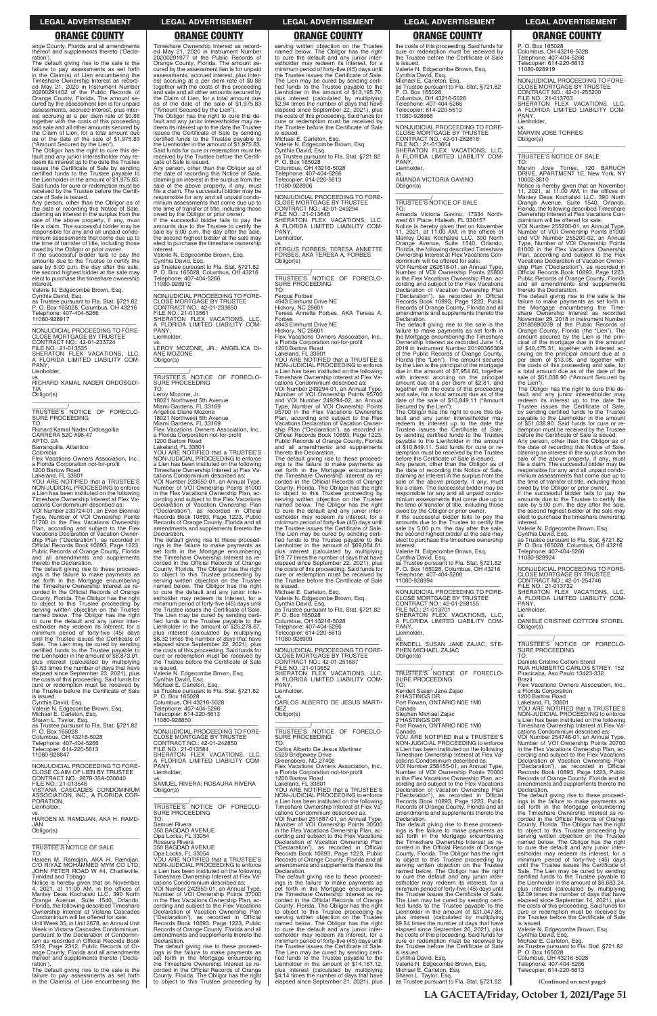**LA GACETA/Friday, October 1, 2021/Page 51**

ange County, Florida and all amendments thereof and supplements thereto ('Declaration')

The default giving rise to the sale is the failure to pay assessments as set forth in the Claim(s) of Lien encumbering the Timeshare Ownership Interest as recorded May 21, 2020 in Instrument Number 20200291402 of the Public Records of Orange County, Florida. The amount secured by the assessment lien is for unpaid assessments, accrued interest, plus interest accruing at a per diem rate of \$0.88 together with the costs of this proceeding and sale and all other amounts secured by the Claim of Lien, for a total amount due as of the date of the sale of \$1,975.83 ("Amount Secured by the Lien").

The Obligor has the right to cure this de-fault and any junior interestholder may re-deem its interest up to the date the Trustee issues the Certificate of Sale by sending certified funds to the Trustee payable to the Lienholder in the amount of \$1,975.83. Said funds for cure or redemption must be received by the Trustee before the Certificate of Sale is issued.

Any person, other than the Obligor as of the date of recording this Notice of Sale, claiming an interest in the surplus from the sale of the above property, if any, must file a claim. The successful bidder may be responsible for any and all unpaid condominium assessments that come due up to the time of transfer of title, including those owed by the Obligor or prior owner. If the successful bidder fails to pay the amounts due to the Trustee to certify the sale by 5:00 p.m. the day after the sale,

the second highest bidder at the sale may elect to purchase the timeshare ownership interest. Valerie N. Edgecombe Brown, Esq.

Cynthia David, Esq. as Trustee pursuant to Fla. Stat. §721.82 P. O. Box 165028, Columbus, OH 43216 Telephone: 407-404-5266 11080-928917

—————————————————— NONJUDICIAL PROCEEDING TO FORE-CLOSE MORTGAGE BY TRUSTEE CONTRACT NO.: 42-01-233724 FILE NO.: 21-013535 SHERATON FLEX VACATIONS, LLC, A FLORIDA LIMITED LIABILITY COM-**PANY** Lienholder,

vs. RICHARD KAMAL NADER ORDOSGOI-

TIA Obligor(s) \_\_\_\_\_\_\_\_\_\_\_\_\_\_\_\_\_\_\_\_\_\_\_\_\_\_\_\_\_\_\_\_\_

\_\_\_\_\_\_\_\_\_\_\_/ TRUSTEE'S NOTICE OF FORECLO-SURE PROCEEDING TO:

Richard Kamal Nader Ordosgoitia CARRERA 52C #96-47 APTO. 2A

Barranquilla, Atlantico

Colombia Flex Vacations Owners Association, Inc., a Florida Corporation not-for-profit

1200 Bartow Road Lakeland, FL 33801 YOU ARE NOTIFIED that a TRUSTEE'S NON-JUDICIAL PROCEEDING to enforce a Lien has been instituted on the following Timeshare Ownership Interest at Flex Va-

cations Condominium described as: VOI Number 233724-01, an Even Biennial Type, Number of VOI Ownership Points 51700 in the Flex Vacations Ownership Plan, according and subject to the Flex Vacations Declaration of Vacation Ownership Plan ("Declaration"), as recorded in Official Records Book 10893, Page 1223, Public Records of Orange County, Florida and all amendments and supplements thereto the Declaration.

Any person, other than the Obligor as of the date of recording this Notice of Sale, claiming an interest in the surplus from the sale of the above property, if any, must file a claim. The successful bidder may be responsible for any and all unpaid condominium assessments that come due up to the time of transfer of title, including those owed by the Obligor or prior owner

The default giving rise to these proceed-ings is the failure to make payments as set forth in the Mortgage encumbering the Timeshare Ownership Interest as recorded in the Official Records of Orange County, Florida. The Obligor has the right to object to this Trustee proceeding by serving written objection on the Trustee named below. The Obligor has the right to cure the default and any junior interestholder may redeem its interest, for a minimum period of forty-five (45) days until the Trustee issues the Certificate of Sale. The Lien may be cured by sending certified funds to the Trustee payable to the Lienholder in the amount of \$8,873.91, plus interest (calculated by multiplying \$1.63 times the number of days that have elapsed since September 23, 2021), plus the costs of this proceeding. Said funds for cure or redemption must be received by the Trustee before the Certificate of Sale

\_\_\_\_\_\_\_\_\_\_\_/ TRUSTEE'S NOTICE OF FORECLO-SURE PROCEEDING

is issued. Cynthia David, Esq. Valerie N. Edgecombe Brown, Esq. Michael E. Carleton, Esq. Shawn L. Taylor, Esq. as Trustee pursuant to Fla. Stat. §721.82 P. O. Box 165028 Columbus, OH 43216-5028 Telephone: 407-404-5266

Timeshare Ownership Interest as recorded May 21, 2020 in Instrument Number 20200291977 of the Public Records of Orange County, Florida. The amount secured by the assessment lien is for unpaid assessments, accrued interest, plus interest accruing at a per diem rate of \$0.88 together with the costs of this proceeding and sale and all other amounts secured by the Claim of Lien, for a total amount due as of the date of the sale of \$1,975.83 ("Amount Secured by the Lien").

> vs. FERGUS FORBES; TERESA ANNETTE FORBES, AKA TERESA A. FORBES Obligor(s)  $\overline{\phantom{a}}$  , and the set of the set of the set of the set of the set of the set of the set of the set of the set of the set of the set of the set of the set of the set of the set of the set of the set of the set of the s

TRUSTEE'S <sup>/</sup>NOTICE OF FORECLO-<br>SURE PROCEEDING<br>TO:

The Obligor has the right to cure this de-fault and any junior interestholder may redeem its interest up to the date the Trustee issues the Certificate of Sale by sending certified funds to the Trustee payable to the Lienholder in the amount of \$1,975.83. Said funds for cure or redemption must be received by the Trustee before the Certificate of Sale is issued.

If the successful bidder fails to pay the amounts due to the Trustee to certify the sale by 5:00 p.m. the day after the sale, the second highest bidder at the sale may elect to purchase the timeshare ownership interest.

Valerie N. Edgecombe Brown, Esq. Cynthia David, Esq. as Trustee pursuant to Fla. Stat. §721.82 P. O. Box 165028, Columbus, OH 43216 Telephone: 407-404-5266 11080-928912

—————————————————— NONJUDICIAL PROCEEDING TO FORE-CLOSE MORTGAGE BY TRUSTEE CONTRACT NO.: 42-01-233650 FILE NO.: 21-013561 SHERATON FLEX VACATIONS, LLC, A FLORIDA LIMITED LIABILITY COM-PANY Lienholder,

vs.

LEROY MOZONE, JR.; ANGELICA DI-ANE MOZONE Obligor(s) \_\_\_\_\_\_\_\_\_\_\_\_\_\_\_\_\_\_\_\_\_\_\_\_\_\_\_\_\_\_\_\_\_

TO: Leroy Mozone, Jr. 18021 Northwest 5th Avenue Miami Gardens, FL 33169 Angelica Diane Mozone

18021 Northwest 5th Avenue Miami Gardens, FL 33169 Flex Vacations Owners Association, Inc., a Florida Corporation not-for-profit

1200 Bartow Road Lakeland, FL 33801

YOU ARE NOTIFIED that a TRUSTEE'S NON-JUDICIAL PROCEEDING to enforce a Lien has been instituted on the following Timeshare Ownership Interest at Flex Va-

cations Condominium described as: VOI Number 233650-01, an Annual Type, Number of VOI Ownership Points 81000 in the Flex Vacations Ownership Plan, according and subject to the Flex Vacations Declaration of Vacation Ownership Plan ("Declaration"), as recorded in Official Records Book 10893, Page 1223, Public Records of Orange County, Florida and all amendments and supplements thereto the Declaration.

TO: Amanda Victoria Gavino, 17334 North-west 61 Place, Hialeah, FL 33015? Notice is hereby given that on November<br>11, 2021, at 11:00 AM, in the offices of<br>Manley Deas Kochalski LLC, 390 North<br>Orange Avenue, Suite 1540, Orlando,<br>Florida, the following described Timeshare<br>Ownership Interest at Fle

The default giving rise to these proceed-ings is the failure to make payments as set forth in the Mortgage encumbering the Timeshare Ownership Interest as re-corded in the Official Records of Orange County, Florida. The Obligor has the right to object to this Trustee proceeding by serving written objection on the Trustee named below. The Obligor has the right to cure the default and any junior inter-estholder may redeem its interest, for a minimum period of forty-five (45) days until the Trustee issues the Certificate of Sale. The Lien may be cured by sending certified funds to the Trustee payable to the Lienholder in the amount of \$25,278.67, plus interest (calculated by multiplying \$6.32 times the number of days that have elapsed since September 22, 2021), plus the costs of this proceeding. Said funds for cure or redemption must be received by the Trustee before the Certificate of Sale

The Obligor has the right to cure this default and any junior interestholder may redeem its interest up to the date the Trustee issues the Certificate of Sale, by sending certified funds to the Trustee payable to the Lienholder in the amount of \$10,849.11. Said funds for cure or redemption must be received by the Trustee before the Certificate of Sale is issued. Any person, other than the Obligor as of

is issued. Valerie N. Edgecombe Brown, Esq. Cynthia David, Esq. Michael E. Carleton, Esq. as Trustee pursuant to Fla. Stat. §721.82 P. O. Box 165028 Columbus, OH 43216-5028 Telephone: 407-404-5266 Telecopier: 614-220-5613 11080-928850

—————————————————— NONJUDICIAL PROCEEDING TO FORE-CLOSE MORTGAGE BY TRUSTEE CONTRACT NO.: 42-01-242850

PANY Lienholder,

vs. MARVIN JOSE TORRES Obligor(s)  $\overline{\phantom{a}}$  , and the set of the set of the set of the set of the set of the set of the set of the set of the set of the set of the set of the set of the set of the set of the set of the set of the set of the set of the s

TO:<br>Marvin Jose Torres, 120 BARUCH DRIVE, APARTMENT 1E, New York, NY 10002-3610

serving written objection on the Trustee named below. The Obligor has the right to cure the default and any junior inter-estholder may redeem its interest, for a minimum period of forty-five (45) days until the Trustee issues the Certificate of Sale. The Lien may be cured by sending certified funds to the Trustee payable to the<br>Lienholder in the amount of \$13,195.70, plus interest (calculated by multiplying \$2.94 times the number of days that have elapsed since September 22, 2021), plus the costs of this proceeding. Said funds for cure or redemption must be received by the Trustee before the Certificate of Sale is issued.

Michael E. Carleton, Esq. Valerie N. Edgecombe Brown, Esq. Cynthia David, Esq. as Trustee pursuant to Fla. Stat. §721.82 P. O. Box 165028 Columbus, OH 43216-5028 Telephone: 407-404-5266 Telecopier: 614-220-5613

11080-928906

—————————————————— NONJUDICIAL PROCEEDING TO FORE-CLOSE MORTGAGE BY TRUSTEE CONTRACT NO.: 42-01-249294 FILE NO.: 21-013648 SHERATON FLEX VACATIONS, LLC, A FLORIDA LIMITED LIABILITY COM-PANY, Lienholder,

Fergus Forbes 4943 Elmhurst Drive NE Hickory, NC 28601 Teresa Annette Forbes, AKA Teresa A.

Forbes 4943 Elmhurst Drive NE

Hickory, NC 28601 Flex Vacations Owners Association, Inc.,

—————————————————— NONJUDICIAL PROCEEDING TO FORE-CLOSE MORTGAGE BY TRUSTEE CONTRACT NO.: 42-01-254746 FILE NO.: 21-013732 SHERATON FLEX VACATIONS, LLC, A FLORIDA LIMITED LIABILITY COM-A FLO<br>PANY,

 $\overline{\phantom{a}}$  , and the set of the set of the set of the set of the set of the set of the set of the set of the set of the set of the set of the set of the set of the set of the set of the set of the set of the set of the s \_\_\_\_\_\_\_\_\_\_\_/<br>TRUSTEE'S NOTICE OF FORECLO-<br>SURE PROCEEDING

a Florida Corporation not-for-profit 1200 Bartow Road Lakeland, FL 33801 YOU ARE NOTIFIED that a TRUSTEE'S NON-JUDICIAL PROCEEDING to enforce a Lien has been instituted on the following

Timeshare Ownership Interest at Flex Va-

cations Condominium described as: VOI Number 249294-01, an Annual Type, Number of VOI Ownership Points 95700 and VOI Number 249294-02, an Annual Type, Number of VOI Ownership Points 95700 in the Flex Vacations Ownership Plan, according and subject to the Flex Vacations Declaration of Vacation Ownership Plan ("Declaration"), as recorded in Official Records Book 10893, Page 1223, Public Records of Orange County, Florida and all amendments and supplements thereto the Declaration.

The default giving rise to these proceed-ings is the failure to make payments as set forth in the Mortgage encumbering the Timeshare Ownership Interest as recorded in the Official Records of Orange County, Florida. The Obligor has the right to object to this Trustee proceeding by serving written objection on the Trustee named below. The Obligor has the right to cure the default and any junior inter-estholder may redeem its interest, for a minimum period of forty-five (45) days until the Trustee issues the Certificate of Sale. The Lien may be cured by sending certified funds to the Trustee payable to the<br>Lienholder in the amount of \$69,064.61, plus interest (calculated by multiplying \$19.77 times the number of days that have elapsed since September 22, 2021), plus the costs of this proceeding. Said funds for cure or redemption must be received by the Trustee before the Certificate of Sale is issued.

Michael E. Carleton, Esq. Valerie N. Edgecombe Brown, Esq. Cynthia David, Esq. as Trustee pursuant to Fla. Stat. §721.82 P. O. Box 165028 Columbus, OH 43216-5028

Telephone: 407-404-5266 Telecopier: 614-220-5613 11080-928909

—————————————————— NONJUDICIAL PROCEEDING TO FORE-CLOSE MORTGAGE BY TRUSTEE CONTRACT NO.: 42-01-251687 FILE NO.: 21-013652 SHERATON FLEX VACATIONS, LLC, A FLORIDA LIMITED LIABILITY COM-PANY, Lienholder,

vs. CARLOS ALBERTO DE JESUS MARTI-NEZ Obligor(s)

\_\_\_\_\_\_\_\_\_\_\_\_\_\_\_\_\_\_\_\_\_\_\_\_\_\_\_\_\_\_\_\_\_ \_\_\_\_\_\_\_\_\_\_\_/ TRUSTEE'S NOTICE OF FORECLO-SURE PROCEEDING TO:

| P. O. Box 165028<br>Columbus, OH 43216-5028<br>Telephone: 407-404-5266<br>Telecopier: 614-220-5613<br>11080-928847<br>NONJUDICIAL PROCEEDING TO FORE-<br>CLOSE CLAIM OF LIEN BY TRUSTEE<br>CONTRACT NO.: 2678-35A-030840<br>FILE NO.: 21-013546<br>VISTANA CASCADES CONDOMINIUM<br>ASSOCIATION, INC., A FLORIDA COR-<br>PORATION,<br>Lienholder,<br>VS.<br>HAROEN M. RAMDJAN, AKA H. RAMD-<br>JAN<br>Obligor(s)<br>TRUSTEE'S NOTICE OF SALE<br>TO:<br>Haroen M. Ramdjan, AKA H. Ramdjan,<br>C/O RIYAZ MOHAMMED MYM CO LTD.<br>JOHN PETER ROAD W #4, Charlieville,<br>Trinidad and Tobago<br>Notice is hereby given that on November<br>4, 2021, at $11:00$ AM, in the offices of<br>Manley Deas Kochalski LLC, 390 North<br>Orange Avenue, Suite 1540, Orlando,<br>Florida, the following described Timeshare<br>Ownership Interest at Vistana Cascades<br>Condominium will be offered for sale:<br>Unit Week 35, in Unit 2678, an Annual Unit<br>Week in Vistana Cascades Condominium,<br>pursuant to the Declaration of Condomin-<br>jum as recorded in Official Records Book<br>5312, Page 2312, Public Records of Or-<br>ange County, Florida and all amendments<br>thereof and supplements thereto ('Decla-<br>ration'). | NONJUDICIAL PROCEEDING TO FORE-<br><b>CLOSE MORTGAGE BY TRUSTEE</b><br>CONTRACT NO.: 42-01-242850<br>FILE NO.: 21-013584<br>SHERATON FLEX VACATIONS, LLC,<br>A FLORIDA LIMITED LIABILITY COM-<br>PANY.<br>Lienholder.<br>VS.<br>SAMUEL RIVERA: ROSAURA RIVERA<br>Obligor(s)<br>TRUSTEE'S NOTICE OF FORECLO-<br>SURE PROCEEDING<br>TO:<br>Samuel Rivera<br>350 BAGDAD AVENUE<br>Opa Locka, FL 33054<br>Rosaura Rivera<br>350 BAGDAD AVENUE<br>Opa Locka, FL 33054<br>YOU ARE NOTIFIED that a TRUSTEE'S<br>NON-JUDICIAL PROCEEDING to enforce<br>a Lien has been instituted on the following<br>Timeshare Ownership Interest at Flex Va-<br>cations Condominium described as:<br>VOI Number 242850-01, an Annual Type,<br>Number of VOI Ownership Points 37000<br>in the Flex Vacations Ownership Plan, ac-<br>cording and subject to the Flex Vacations<br>Declaration of Vacation Ownership Plan<br>("Declaration"), as recorded in Official<br>Records Book 10893, Page 1223, Public<br>Records of Orange County, Florida and all<br>amendments and supplements thereto the<br>Declaration.<br>The default giving rise to these proceed-<br>ings is the failure to make payments as<br>set forth in the Mortgage encumbering<br>the Timeshare Ownership Interest as re- | TRUSTEE'S NOTICE OF FORECLO-<br><b>SURE PROCEEDING</b><br>TO:<br>Carlos Alberto De Jesus Martinez<br>5529 Bridgeway Drive<br>Greensboro, NC 27406<br>Flex Vacations Owners Association, Inc.,<br>a Florida Corporation not-for-profit<br>1200 Bartow Road<br>Lakeland. FL 33801<br>YOU ARE NOTIFIED that a TRUSTEE'S<br>NON-JUDICIAL PROCEEDING to enforce<br>a Lien has been instituted on the following<br>Timeshare Ownership Interest at Flex Va-<br>cations Condominium described as:<br>VOI Number 251687-01, an Annual Type,<br>Number of VOI Ownership Points 30500<br>in the Flex Vacations Ownership Plan, ac-<br>cording and subject to the Flex Vacations<br>Declaration of Vacation Ownership Plan<br>("Declaration"), as recorded in Official<br>Records Book 10893, Page 1223, Public<br>Records of Orange County, Florida and all<br>amendments and supplements thereto the<br>Declaration.<br>The default giving rise to these proceed-<br>ings is the failure to make payments as<br>set forth in the Mortgage encumbering<br>the Timeshare Ownership Interest as re-<br>corded in the Official Records of Orange<br>County, Florida. The Obligor has the right<br>to object to this Trustee proceeding by<br>serving written objection on the Trustee<br>named below. The Obligor has the right<br>to cure the default and any junior inter-<br>estholder may redeem its interest, for a<br>minimum period of forty-five (45) days until<br>the Trustee issues the Certificate of Sale.<br>The Lien may be cured by sending certi-<br>fied funds to the Trustee payable to the<br>Lienholder in the amount of \$14,167.12, | Canada<br>YOU ARE NOTIFIED that a TRUSTEE'S<br>NON-JUDICIAL PROCEEDING to enforce<br>a Lien has been instituted on the following<br>Timeshare Ownership Interest at Flex Va-<br>cations Condominium described as:<br>VOI Number 258155-01, an Annual Type,<br>Number of VOI Ownership Points 70000<br>in the Flex Vacations Ownership Plan, ac-<br>cording and subject to the Flex Vacations<br>Declaration of Vacation Ownership Plan<br>("Declaration"), as recorded in Official<br>Records Book 10893, Page 1223, Public<br>Records of Orange County, Florida and all<br>amendments and supplements thereto the<br>Declaration.<br>The default giving rise to these proceed-<br>ings is the failure to make payments as<br>set forth in the Mortgage encumbering<br>the Timeshare Ownership Interest as re-<br>corded in the Official Records of Orange<br>County, Florida. The Obligor has the right<br>to object to this Trustee proceeding by<br>serving written objection on the Trustee<br>named below. The Obligor has the right<br>to cure the default and any junior inter-<br>estholder may redeem its interest, for a<br>minimum period of forty-five (45) days until<br>the Trustee issues the Certificate of Sale.<br>The Lien may be cured by sending certi-<br>fied funds to the Trustee payable to the<br>Lienholder in the amount of \$31,047.86,<br>plus interest (calculated by multiplying<br>\$9.54 times the number of days that have<br>elapsed since September 26, 2021), plus<br>the costs of this proceeding. Said funds for<br>cure or redemption must be received by<br>the Trustee before the Certificate of Sale<br>is issued.<br>Cynthia David, Esq.<br>Valerie N. Edgecombe Brown, Esg. | cations Condominium described as:<br>VOI Number 254746-01, an Annual Type,<br>Number of VOI Ownership Points 20700<br>in the Flex Vacations Ownership Plan, ac-<br>cording and subject to the Flex Vacations<br>Declaration of Vacation Ownership Plan<br>("Declaration"), as recorded in Official<br>Records Book 10893, Page 1223, Public<br>Records of Orange County, Florida and all<br>amendments and supplements thereto the<br>Declaration.<br>The default giving rise to these proceed-<br>ings is the failure to make payments as<br>set forth in the Mortgage encumbering<br>the Timeshare Ownership Interest as re-<br>corded in the Official Records of Orange<br>County, Florida. The Obligor has the right<br>to object to this Trustee proceeding by<br>serving written objection on the Trustee<br>named below. The Obligor has the right<br>to cure the default and any junior inter-<br>estholder may redeem its interest, for a<br>minimum period of forty-five (45) days<br>until the Trustee issues the Certificate of<br>Sale. The Lien may be cured by sending<br>certified funds to the Trustee payable to<br>the Lienholder in the amount of \$8,683.24.<br>plus interest (calculated by multiplying<br>\$2.09 times the number of days that have<br>elapsed since September 14, 2021), plus<br>the costs of this proceeding. Said funds for<br>cure or redemption must be received by<br>the Trustee before the Certificate of Sale<br>is issued.<br>Valerie N. Edgecombe Brown, Esg.<br>Cynthia David, Esq.<br>Michael E. Carleton, Esq.<br>as Trustee pursuant to Fla. Stat. §721.82<br>P. O. Box 165028<br>Columbus, OH 43216-5028<br>Telephone: 407-404-5266 |
|-------------------------------------------------------------------------------------------------------------------------------------------------------------------------------------------------------------------------------------------------------------------------------------------------------------------------------------------------------------------------------------------------------------------------------------------------------------------------------------------------------------------------------------------------------------------------------------------------------------------------------------------------------------------------------------------------------------------------------------------------------------------------------------------------------------------------------------------------------------------------------------------------------------------------------------------------------------------------------------------------------------------------------------------------------------------------------------------------------------------------------------------------------------------------------------------------------------------------------|--------------------------------------------------------------------------------------------------------------------------------------------------------------------------------------------------------------------------------------------------------------------------------------------------------------------------------------------------------------------------------------------------------------------------------------------------------------------------------------------------------------------------------------------------------------------------------------------------------------------------------------------------------------------------------------------------------------------------------------------------------------------------------------------------------------------------------------------------------------------------------------------------------------------------------------------------------------------------------------------------------------------------------------------------------------------------------------------------------------------------------------------------------------------------------------------------------------------------------------------------------------------------|-----------------------------------------------------------------------------------------------------------------------------------------------------------------------------------------------------------------------------------------------------------------------------------------------------------------------------------------------------------------------------------------------------------------------------------------------------------------------------------------------------------------------------------------------------------------------------------------------------------------------------------------------------------------------------------------------------------------------------------------------------------------------------------------------------------------------------------------------------------------------------------------------------------------------------------------------------------------------------------------------------------------------------------------------------------------------------------------------------------------------------------------------------------------------------------------------------------------------------------------------------------------------------------------------------------------------------------------------------------------------------------------------------------------------------------------------------------------------------------------------------------------------------------------------------------------------------------------------------------------------------------------------|---------------------------------------------------------------------------------------------------------------------------------------------------------------------------------------------------------------------------------------------------------------------------------------------------------------------------------------------------------------------------------------------------------------------------------------------------------------------------------------------------------------------------------------------------------------------------------------------------------------------------------------------------------------------------------------------------------------------------------------------------------------------------------------------------------------------------------------------------------------------------------------------------------------------------------------------------------------------------------------------------------------------------------------------------------------------------------------------------------------------------------------------------------------------------------------------------------------------------------------------------------------------------------------------------------------------------------------------------------------------------------------------------------------------------------------------------------------------------------------------------------------------------------------------------------------------------------------------------------------------------------------------------------------------------------------------------------------------------|--------------------------------------------------------------------------------------------------------------------------------------------------------------------------------------------------------------------------------------------------------------------------------------------------------------------------------------------------------------------------------------------------------------------------------------------------------------------------------------------------------------------------------------------------------------------------------------------------------------------------------------------------------------------------------------------------------------------------------------------------------------------------------------------------------------------------------------------------------------------------------------------------------------------------------------------------------------------------------------------------------------------------------------------------------------------------------------------------------------------------------------------------------------------------------------------------------------------------------------------------------------------------------------------------------------------------------------------------------------------------------------------------------------------------------------------------------------------------------------------------------------------------------------------------------------------------------------------------------------------------------------------------------------------------------------------|
| The default giving rise to the sale is the<br>failure to pay assessments as set forth                                                                                                                                                                                                                                                                                                                                                                                                                                                                                                                                                                                                                                                                                                                                                                                                                                                                                                                                                                                                                                                                                                                                         | corded in the Official Records of Orange<br>County, Florida. The Obligor has the right                                                                                                                                                                                                                                                                                                                                                                                                                                                                                                                                                                                                                                                                                                                                                                                                                                                                                                                                                                                                                                                                                                                                                                                   | plus interest (calculated by multiplying<br>\$4.14 times the number of days that have                                                                                                                                                                                                                                                                                                                                                                                                                                                                                                                                                                                                                                                                                                                                                                                                                                                                                                                                                                                                                                                                                                                                                                                                                                                                                                                                                                                                                                                                                                                                                         | Michael E. Carleton, Esq.<br>Shawn L. Taylor, Esg.                                                                                                                                                                                                                                                                                                                                                                                                                                                                                                                                                                                                                                                                                                                                                                                                                                                                                                                                                                                                                                                                                                                                                                                                                                                                                                                                                                                                                                                                                                                                                                                                                                                                        | Telecopier: 614-220-5613                                                                                                                                                                                                                                                                                                                                                                                                                                                                                                                                                                                                                                                                                                                                                                                                                                                                                                                                                                                                                                                                                                                                                                                                                                                                                                                                                                                                                                                                                                                                                                                                                                                                   |
| in the Claim(s) of Lien encumbering the                                                                                                                                                                                                                                                                                                                                                                                                                                                                                                                                                                                                                                                                                                                                                                                                                                                                                                                                                                                                                                                                                                                                                                                       | to object to this Trustee proceeding by                                                                                                                                                                                                                                                                                                                                                                                                                                                                                                                                                                                                                                                                                                                                                                                                                                                                                                                                                                                                                                                                                                                                                                                                                                  | elapsed since September 21, 2021), plus                                                                                                                                                                                                                                                                                                                                                                                                                                                                                                                                                                                                                                                                                                                                                                                                                                                                                                                                                                                                                                                                                                                                                                                                                                                                                                                                                                                                                                                                                                                                                                                                       | as Trustee pursuant to Fla. Stat. §721.82                                                                                                                                                                                                                                                                                                                                                                                                                                                                                                                                                                                                                                                                                                                                                                                                                                                                                                                                                                                                                                                                                                                                                                                                                                                                                                                                                                                                                                                                                                                                                                                                                                                                                 | (Continued on next page)<br>$T A Q A Q T T A T T 1 Q A 1 Q A Q Q A D Q$                                                                                                                                                                                                                                                                                                                                                                                                                                                                                                                                                                                                                                                                                                                                                                                                                                                                                                                                                                                                                                                                                                                                                                                                                                                                                                                                                                                                                                                                                                                                                                                                                    |
|                                                                                                                                                                                                                                                                                                                                                                                                                                                                                                                                                                                                                                                                                                                                                                                                                                                                                                                                                                                                                                                                                                                                                                                                                               |                                                                                                                                                                                                                                                                                                                                                                                                                                                                                                                                                                                                                                                                                                                                                                                                                                                                                                                                                                                                                                                                                                                                                                                                                                                                          |                                                                                                                                                                                                                                                                                                                                                                                                                                                                                                                                                                                                                                                                                                                                                                                                                                                                                                                                                                                                                                                                                                                                                                                                                                                                                                                                                                                                                                                                                                                                                                                                                                               |                                                                                                                                                                                                                                                                                                                                                                                                                                                                                                                                                                                                                                                                                                                                                                                                                                                                                                                                                                                                                                                                                                                                                                                                                                                                                                                                                                                                                                                                                                                                                                                                                                                                                                                           |                                                                                                                                                                                                                                                                                                                                                                                                                                                                                                                                                                                                                                                                                                                                                                                                                                                                                                                                                                                                                                                                                                                                                                                                                                                                                                                                                                                                                                                                                                                                                                                                                                                                                            |

the costs of this proceeding. Said funds for cure or redemption must be received by the Trustee before the Certificate of Sale is issued. Valerie N. Edgecombe Brown, Esq. Cynthia David, Esq. Michael E. Carleton, Esq. as Trustee pursuant to Fla. Stat. §721.82 P. O. Box 165028 Columbus, OH 43216-5028 Telephone: 407-404-5266 Telecopier: 614-220-5613 11080-928868

—————————————————— NONJUDICIAL PROCEEDING TO FORE-CLOSE MORTGAGE BY TRUSTEE CONTRACT NO.: 42-01-262618 FILE NO.: 21-013654 SHERATON FLEX VACATIONS, LLC, A FLORIDA LIMITED LIABILITY COM-PANY, Lienholder,

vs. AMANDA VICTORIA GAVINO Obligor(s) \_\_\_\_\_\_\_\_\_\_\_\_\_\_\_\_\_\_\_\_\_\_\_\_\_\_\_\_\_\_\_\_\_

### \_\_\_\_\_\_\_\_\_\_\_/ TRUSTEE'S NOTICE OF SALE

dominium will be offered for sale: VOI Number 262618-01, an Annual Type, Number of VOI Ownership Points 25800 in the Flex Vacations Ownership Plan, according and subject to the Flex Vacations Declaration of Vacation Ownership Plan ("Declaration"), as recorded in Official Records Book 10893, Page 1223, Public Records of Orange County, Florida and all amendments and supplements thereto the Declaration.

The default giving rise to the sale is the failure to make payments as set forth in the Mortgage encumbering the Timeshare Ownership Interest as recorded June 14, 2019 in Instrument Number 20190366369 of the Public Records of Orange County, Florida (the "Lien"). The amount secured by the Lien is the principal of the mortgage due in the amount of \$7,954.60, together with interest accruing on the principal amount due at a per diem of \$2.81, and together with the costs of this proceeding and sale, for a total amount due as of the date of the sale of \$10,849.11 ("Amount Secured by the Lien").

the date of recording this Notice of Sale, claiming an interest in the surplus from the sale of the above property, if any, must file a claim. The successful bidder may be responsible for any and all unpaid condominium assessments that come due up to the time of transfer of title, including those owed by the Obligor or prior owner. If the successful bidder fails to pay the

amounts due to the Trustee to certify the sale by 5:00 p.m. the day after the sale, the second highest bidder at the sale may elect to purchase the timeshare ownership interest.

Valerie N. Edgecombe Brown, Esq.

Cynthia David, Esq. as Trustee pursuant to Fla. Stat. §721.82 P. O. Box 165028, Columbus, OH 43216 Telephone: 407-404-5266 11080-928994

—————————————————— NONJUDICIAL PROCEEDING TO FORE-CLOSE MORTGAGE BY TRUSTEE CONTRACT NO.: 42-01-258155

FILE NO.: 21-013701 SHERATON FLEX VACATIONS, LLC, A FLORIDA LIMITED LIABILITY COM-

vs. KENDELL SUSAN JANE ZAJAC; STE-PHEN MICHAEL ZAJAC Obligor(s)

\_\_\_\_\_\_\_\_\_\_\_\_\_\_\_\_\_\_\_\_\_\_\_\_\_\_\_\_\_\_\_\_\_ \_\_\_\_\_\_\_\_\_\_\_/ TRUSTEE'S NOTICE OF FORECLO-SURE PROCEEDING TO:

Kendell Susan Jane Zajac 2 HASTINGS DR Port Rowan, ONTARIO N0E 1M0

Canada

Stephen Michael Zajac 2 HASTINGS DR Port Rowan, ONTARIO N0E 1M0

P. O. Box 165028 Columbus, OH 43216-5028 Telephone: 407-404-5266 Telecopier: 614-220-5613 11080-928919

—————————————————— NONJUDICIAL PROCEEDING TO FORE-CLOSE MORTGAGE BY TRUSTEE CONTRACT NO.: 42-01-255200 FILE NO.: 21-013703 SHERATON FLEX VACATIONS, LLC, A FLORIDA LIMITED LIABILITY COM-A FLU<br>PANY, Lienholder,

\_\_\_\_\_\_\_\_\_\_\_/ TRUSTEE'S NOTICE OF SALE

Notice is hereby given that on November 11, 2021, at 11:00 AM, in the offices of Manley Deas Kochalski LLC, 390 North Orange Avenue, Suite 1540, Orlando, Florida, the following described Timeshare Ownership Interest at Flex Vacations Condominium will be offered for sale:

VOI Number 255200-01, an Annual Type, Number of VOI Ownership Points 81000 and VOI Number 255200-02, an Annual Type, Number of VOI Ownership Points 81000 in the Flex Vacations Ownership Plan, according and subject to the Flex Vacations Declaration of Vacation Ownership Plan ("Declaration"), as recorded in Official Records Book 10893, Page 1223, Public Records of Orange County, Florida and all amendments and supplements thereto the Declaration.

The default giving rise to the sale is the failure to make payments as set forth in the Mortgage encumbering the Timeshare Ownership Interest as recorded November 29, 2018 in Instrument Number 20180690039 of the Public Records of Orange County, Florida (the "Lien"). The amount secured by the Lien is the principal of the mortgage due in the amount of \$40,475.31, together with interest accruing on the principal amount due at a per diem of \$13.08, and together with the costs of this proceeding and sale, for a total amount due as of the date of the sale of \$51,038.90 ("Amount Secured by the Lien").

The Obligor has the right to cure this default and any junior interestholder may redeem its interest up to the date the Trustee issues the Certificate of Sale, by sending certified funds to the Trustee payable to the Lienholder in the amount of \$51,038.90. Said funds for cure or redemption must be received by the Trustee

before the Certificate of Sale is issued. Any person, other than the Obligor as of the date of recording this Notice of Sale, claiming an interest in the surplus from the sale of the above property, if any, must file a claim. The successful bidder may be responsible for any and all unpaid condominium assessments that come due up to the time of transfer of title, including those owed by the Obligor or prior owner.

If the successful bidder fails to pay the amounts due to the Trustee to certify the sale by 5:00 p.m. the day after the sale, the second highest bidder at the sale may elect to purchase the timeshare ownership interest.

Valerie N. Edgecombe Brown, Esq.

Cynthia David, Esq. as Trustee pursuant to Fla. Stat. §721.82 P. O. Box 165028, Columbus, OH 43216 Telephone: 407-404-5266 11080-928924

Lienholder, vs. DANIELE CRISTINE COTTONI STOREL

Obligor(s)

TO:

Daniele Cristine Cottoni Storel RUA HUMBERTO CARLOS STREY, 152 Piracicaba, Aso Paulo 13423-332

Flex Vacations Owners Association, Inc.,

Brazil

a Florida Corporation

1200 Bartow Road Lakeland, FL 33801 YOU ARE NOTIFIED that a TRUSTEE'S NON-JUDICIAL PROCEEDING to enforce a Lien has been instituted on the following Timeshare Ownership Interest at Flex Va-

### **LEGAL ADVERTISEMENT LEGAL ADVERTISEMENT LEGAL ADVERTISEMENT LEGAL ADVERTISEMENT LEGAL ADVERTISEMENT**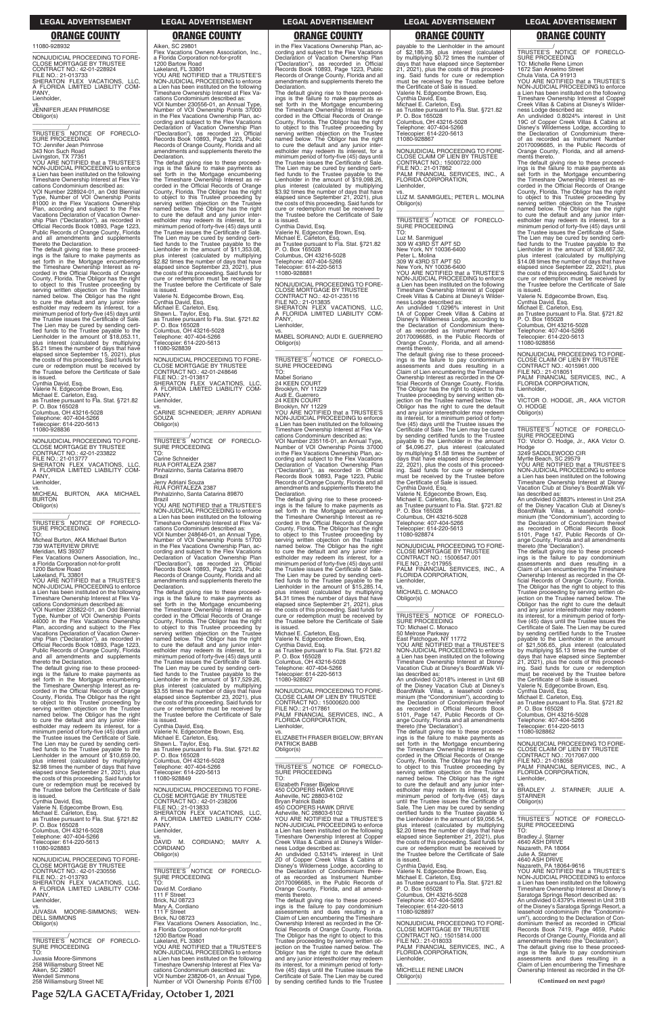**Page 52/LA GACETA/Friday, October 1, 2021**

11080-928932

—————————————————— NONJUDICIAL PROCEEDING TO FORE-CLOSE MORTGAGE BY TRUSTEE CONTRACT NO.: 42-01-228924 FILE NO.: 21-013733 SHERATON FLEX VACATIONS, LLC, A FLORIDA LIMITED LIABILITY COM-PANY, Lienholder, vs. JENNIFER JEAN PRIMROSE

Obligor(s) \_\_\_\_\_\_\_\_\_\_\_\_\_\_\_\_\_\_\_\_\_\_\_\_\_\_\_\_\_\_\_\_\_

\_\_\_\_\_\_\_\_\_\_\_/ TRUSTEE'S NOTICE OF FORECLO-SURE PROCEEDING TO: Jennifer Jean Primrose 343 Non Such Road Livingston, TX 77351 YOU ARE NOTIFIED that a TRUSTEE'S

NON-JUDICIAL PROCEEDING to enforce a Lien has been instituted on the following Timeshare Ownership Interest at Flex Va-

cations Condominium described as: VOI Number 228924-01, an Odd Biennial Type, Number of VOI Ownership Points 81000 in the Flex Vacations Ownership Plan, according and subject to the Flex Vacations Declaration of Vacation Ownership Plan ("Declaration"), as recorded in Official Records Book 10893, Page 1223, Public Records of Orange County, Florida and all amendments and supplements thereto the Declaration.

—————————————————— NONJUDICIAL PROCEEDING TO FORE-CLOSE MORTGAGE BY TRUSTEE<br>CONTRACT NO.: 42-01-233822<br>FILE NO.: 21-013777<br>SHERATON FLEX VACATIONS, LLC,<br>A FLORIDA LIMITED LIABILITY COM-PANY, **Lienholder** 

YOU ARE NOTIFIED that a TRUSTEE'S NON-JUDICIAL PROCEEDING to enforce a Lien has been instituted on the following Timeshare Ownership Interest at Flex Va-

The default giving rise to these proceed-ings is the failure to make payments as set forth in the Mortgage encumbering the Timeshare Ownership Interest as recorded in the Official Records of Orange County, Florida. The Obligor has the right to object to this Trustee proceeding by serving written objection on the Trustee named below. The Obligor has the right to cure the default and any junior inter-estholder may redeem its interest, for a minimum period of forty-five (45) days until the Trustee issues the Certificate of Sale. The Lien may be cured by sending certi-fied funds to the Trustee payable to the Lienholder in the amount of \$18,053.11, plus interest (calculated by multiplying \$5.21 times the number of days that have elapsed since September 15, 2021), plus the costs of this proceeding. Said funds for cure or redemption must be received by the Trustee before the Certificate of Sale is issued.

Cynthia David, Esq.

Valerie N. Edgecombe Brown, Esq. Michael E. Carleton, Esq. as Trustee pursuant to Fla. Stat. §721.82 P. O. Box 165028 Columbus, OH 43216-5028 Telephone: 407-404-5266 Telecopier: 614-220-5613 11080-928836

vs. MICHEAL BURTON, AKA MICHAEL BURTON Obligor(s)

\_\_\_\_\_\_\_\_\_\_\_\_\_\_\_\_\_\_\_\_\_\_\_\_\_\_\_\_\_\_\_\_\_ \_\_\_\_\_\_\_\_\_\_\_/ TRUSTEE'S NOTICE OF FORECLO-SURE PROCEEDING

TO: Micheal Burton, AKA Michael Burton 739 WATERVIEW DRIVE

Meridian, MS 39307

Flex Vacations Owners Association, Inc., a Florida Corporation not-for-profit 1200 Bartow Road Lakeland, FL 33801

cations Condominium described as: VOI Number 233822-01, an Odd Biennial Type, Number of VOI Ownership Points 44000 in the Flex Vacations Ownership Plan, according and subject to the Flex Vacations Declaration of Vacation Ownership Plan ("Declaration"), as recorded in Official Records Book 10893, Page 1223, Public Records of Orange County, Florida and all amendments and supplements thereto the Declaration. Valerie N. Edgecombe Brown, Esq. Cynthia David, Esq. Michael E. Carleton, Esq. Shawn L. Taylor, Esq.

PANY Lienholder,

**SOUZA** Obligor(s)

The default giving rise to these proceed-ings is the failure to make payments as set forth in the Mortgage encumbering the Timeshare Ownership Interest as recorded in the Official Records of Orange County, Florida. The Obligor has the right to object to this Trustee proceeding by serving written objection on the Trustee named below. The Obligor has the right to cure the default and any junior inter-estholder may redeem its interest, for a minimum period of forty-five (45) days until the Trustee issues the Certificate of Sale.

Aiken, SC 29801

Flex Vacations Owners Association, Inc., a Florida Corporation not-for-profit

1200 Bartow Road Lakeland, FL 33801

YOU ARE NOTIFIED that a TRUSTEE'S NON-JUDICIAL PROCEEDING to enforce a Lien has been instituted on the following Timeshare Ownership Interest at Flex Vacations Condominium described as: VOI Number 230556-01, an Annual Type, Number of VOI Ownership Points 37000 in the Flex Vacations Ownership Plan, ac-cording and subject to the Flex Vacations cording and subject to the Text Text.<br>Declaration of Vacation Ownership Plan ("Declaration"), as recorded in Official Records Book 10893, Page 1223, Public Records of Orange County, Florida and all amendments and supplements thereto the

Declaration.

—————————————————— NONJUDICIAL PROCEEDING TO FORE-CLOSE MORTGAGE BY TRUSTEE CONTRACT NO.: 42-01-235116 FILE NO.: 21-013835 SHERATON FLEX VACATIONS, LLC, A FLORIDA LIMITED LIABILITY COM-PANY, **Lienholder** 

The default giving rise to these proceed-ings is the failure to make payments as set forth in the Mortgage encumbering

the Timeshare Ownership Interest as re-corded in the Official Records of Orange County, Florida. The Obligor has the right

\_\_\_\_\_\_\_\_\_\_\_/<br>TRUSTEE'S NOTICE OF FORECLO-<br>SURE PROCEEDING TO:

to object to this Trustee proceeding by serving written objection on the Trustee named below. The Obligor has the right

Mabel Soriano 24 KEEN COURT Brooklyn, NY 11229 Audi E. Guerrero 24 KEEN COURT Brooklyn, NY 11229 YOU ARE NOTIFIED that a TRUSTEE'S NON-JUDICIAL PROCEEDING to enforce a Lien has been instituted on the following Timeshare Ownership Interest at Flex Va-cations Condominium described as: VOI Number 235116-01, an Annual Type, Number of VOI Ownership Points 37000 in the Flex Vacations Ownership Plan, according and subject to the Flex Vacations<br>Declaration of Vacation Ownership Plan<br>("Declaration"), as recorded in Official<br>Records Book 10893, Page 1223, Public<br>Records of Orange County, Florida and all<br>amendments and suppl Declaration.

The default giving rise to these proceed-ings is the failure to make payments as set forth in the Mortgage encumbering the Timeshare Ownership Interest as re-corded in the Official Records of Orange County, Florida. The Obligor has the right to object to this Trustee proceeding by serving written objection on the Trustee named below. The Obligor has the right to cure the default and any junior inter-estholder may redeem its interest, for a minimum period of forty-five (45) days until the Trustee issues the Certificate of Sale. The Lien may be cured by sending certified funds to the Trustee payable to the Lienholder in the amount of \$15,285.14, plus interest (calculated by multiplying \$4.31 times the number of days that have elapsed since September 21, 2021), plus the costs of this proceeding. Said funds for cure or redemption must be received by the Trustee before the Certificate of Sale is issued. Michael E. Carleton, Esq.

to cure the default and any junior inter-estholder may redeem its interest, for a minimum period of forty-five (45) days until the Trustee issues the Certificate of Sale. The Lien may be cured by sending certi-fied funds to the Trustee payable to the Lienholder in the amount of \$11,353.08, plus interest (calculated by multiplying \$2.82 times the number of days that have elapsed since September 23, 2021), plus the costs of this proceeding. Said funds for cure or redemption must be received by the Trustee before the Certificate of Sale

is issued.

as Trustee pursuant to Fla. Stat. §721.82 P. O. Box 165028

Columbus, OH 43216-5028 Telephone: 407-404-5266 Telecopier: 614-220-5613 11080-928839

—————————————————— NONJUDICIAL PROCEEDING TO FORE-CLOSE MORTGAGE BY TRUSTEE CONTRACT NO.: 42-01-248646

FILE NO.: 21-013817 SHERATON FLEX VACATIONS, LLC, A FLORIDA LIMITED LIABILITY COM-

vs. CARINE SCHNEIDER; JERRY ADRIANI

\_\_\_\_\_\_\_\_\_\_\_\_\_\_\_\_\_\_\_\_\_\_\_\_\_\_\_\_\_\_\_\_\_ \_\_\_\_\_\_\_\_\_\_\_/ TRUSTEE'S NOTICE OF FORECLO-

SURE PROCEEDING

TO:

Carine Schneider

RUA FORTALEZA 2387 Pinhalzinho, Santa Catarina 89870

Brazil

Jerry Adriani Souza RUA FORTALEZA 2387 Pinhalzinho, Santa Catarina 89870

Brazil

**Declaration** 

YOU ARE NOTIFIED that a TRUSTEE'S NON-JUDICIAL PROCEEDING to enforce a Lien has been instituted on the following Timeshare Ownership Interest at Flex Vacations Condominium described as: VOI Number 248646-01, an Annual Type, Number of VOI Ownership Points 51700 in the Flex Vacations Ownership Plan, according and subject to the Flex Vacations Declaration of Vacation Ownership Plan ("Declaration"), as recorded in Official Records Book 10893, Page 1223, Public Records of Orange County, Florida and all amendments and supplements thereto the

The default giving rise to these proceedings is the failure to make payments as set forth in the Mortgage encumbering the Timeshare Ownership Interest as recorded in the Official Records of Orange County, Florida. The Obligor has the right to object to this Trustee proceeding by serving written objection on the Trustee named below. The Obligor has the right to cure the default and any junior interestholder may redeem its interest, for a minimum period of forty-five (45) days until the Trustee issues the Certificate of Sale. The Lien may be cured by sending certified funds to the Trustee payable to the Lienholder in the amount of \$17,529.26, plus interest (calculated by multiplying \$3.55 times the number of days that have elapsed since September 23, 2021), plus

the costs of this proceeding. Said funds for cure or redemption must be received by the Trustee before the Certificate of Sale

is issued.

Cynthia David, Esq. Valerie N. Edgecombe Brown, Esq. Michael E. Carleton, Esq.

in the Flex Vacations Ownership Plan, ac-cording and subject to the Flex Vacations Declaration of Vacation Ownership Plan ("Declaration"), as recorded in Official Records Book 10893, Page 1223, Public Records of Orange County, Florida and all amendments and supplements thereto the Declaration.

The default giving rise to these proceed-ings is the failure to make payments as set forth in the Mortgage encumbering the Timeshare Ownership Interest as re-corded in the Official Records of Orange County, Florida. The Obligor has the right to object to this Trustee proceeding by serving written objection on the Trustee named below. The Obligor has the right to cure the default and any junior inter-estholder may redeem its interest, for a minimum period of forty-five (45) days until the Trustee issues the Certificate of Sale. The Lien may be cured by sending certi-fied funds to the Trustee payable to the Lienholder in the amount of \$19,098.26. plus interest (calculated by multiplying \$3.92 times the number of days that have elapsed since September 21, 2021), plus the costs of this proceeding. Said funds for cure or redemption must be received by the Trustee before the Certificate of Sale is issued. Cynthia David, Esq.

Valerie N. Edgecombe Brown, Esq. Michael E. Carleton, Esq. as Trustee pursuant to Fla. Stat. §721.82 P. O. Box 165028 Columbus, OH 43216-5028 Telephone: 407-404-5266 Telecopier: 614-220-5613 11080-928881

> las described as:<br>An undivided 0.2883% interest in Unit 25A An undivided 0.2883% interest in Unit 25A<br>of the Disney Vacation Club at Disney's<br>BoardWalk Villas, a leasehold condo-<br>minium (the "Condominium"), according to<br>the Declaration of Condominium thereof<br>as recorded in Official thereto (the 'Declaration').

> The default giving rise to these proceed-ings is the failure to pay condominium assessments and dues resulting in a Claim of Lien encumbering the Timeshare Ownership Interest as recorded in the Official Records of Orange County, Florida. The Obligor has the right to object to this Trustee proceeding by serving written objection on the Trustee named below. The Obligor has the right to cure the default and any junior interestholder may redeem its interest, for a minimum period of fortyfive (45) days until the Trustee issues the Certificate of Sale. The Lien may be cured by sending certified funds to the Trustee<br>payable to the Lienholder in the amount<br>of \$21,506.65, plus interest (calculated<br>by multiplying \$5.13 times the number of<br>days that have elapsed since September<br>21, 2021), plus the

vs. MABEL SORIANO; AUDI E. GUERRERO Obligor(s) \_\_\_\_\_\_\_\_\_\_\_\_\_\_\_\_\_\_\_\_\_\_\_\_\_\_\_\_\_\_\_\_\_

Valerie N. Edgecombe Brown, Esq. Cynthia David, Esq. as Trustee pursuant to Fla. Stat. §721.82 P. O. Box 165028 Columbus, OH 43216-5028 Telephone: 407-404-5266 Telecopier: 614-220-5613 11080-928927

—————————————————— NONJUDICIAL PROCEEDING TO FORE-CLOSE CLAIM OF LIEN BY TRUSTEE CONTRACT NO.: 15000620.000 FILE NO.: 21-017861 PALM FINANCIAL SERVICES, INC., A FLORIDA CORPORATION, Lienholder,

vs. ELIZABETH FRASER BIGELOW; BRYAN

| The Lien may be cured by sending certi-<br>fied funds to the Trustee payable to the<br>Lienholder in the amount of \$10,659.00,<br>plus interest (calculated by multiplying<br>\$2.98 times the number of days that have<br>elapsed since September 21, 2021), plus<br>the costs of this proceeding. Said funds for | Shawn L. Taylor, Esg.<br>as Trustee pursuant to Fla. Stat. §721.82<br>P. O. Box 165028<br>Columbus, OH 43216-5028<br>Telephone: 407-404-5266<br>Telecopier: 614-220-5613<br>11080-928849 | <b>PATRICK BABB</b><br>Obligor(s)<br>TRUSTEE'S NOTICE OF FORECLO-<br><b>SURE PROCEEDING</b><br>TO:                                                                                                                            | set forth in the Mortgage encumbering<br>the Timeshare Ownership Interest as re-<br>corded in the Official Records of Orange<br>County, Florida. The Obligor has the right<br>to object to this Trustee proceeding by<br>serving written objection on the Trustee<br>named below. The Obligor has the right | NONJUDICIAL PROCEEDING TO FORE-<br>CLOSE CLAIM OF LIEN BY TRUSTEE<br>CONTRACT NO.: 7017067.000<br>FILE NO.: 21-018058<br>PALM FINANCIAL SERVICES, INC., A<br>FLORIDA CORPORATION,<br>Lienholder,                         |
|---------------------------------------------------------------------------------------------------------------------------------------------------------------------------------------------------------------------------------------------------------------------------------------------------------------------|------------------------------------------------------------------------------------------------------------------------------------------------------------------------------------------|-------------------------------------------------------------------------------------------------------------------------------------------------------------------------------------------------------------------------------|-------------------------------------------------------------------------------------------------------------------------------------------------------------------------------------------------------------------------------------------------------------------------------------------------------------|--------------------------------------------------------------------------------------------------------------------------------------------------------------------------------------------------------------------------|
| cure or redemption must be received by<br>the Trustee before the Certificate of Sale<br>is issued.<br>Cynthia David, Esq.<br>Valerie N. Edgecombe Brown, Esg.                                                                                                                                                       | NONJUDICIAL PROCEEDING TO FORE-<br><b>CLOSE MORTGAGE BY TRUSTEE</b><br>CONTRACT NO.: 42-01-238206<br>FILE NO.: 21-013833                                                                 | Elizabeth Fraser Bigelow<br>450 COOPERS HAWK DRIVE<br>Asheville, NC 28803-6102<br><b>Brvan Patrick Babb</b><br>450 COOPERS HAWK DRIVE                                                                                         | to cure the default and any junior inter-<br>estholder may redeem its interest, for a<br>minimum period of forty-five (45) days<br>until the Trustee issues the Certificate of<br>Sale. The Lien may be cured by sending                                                                                    | VS.<br>BRADLEY J.<br>STARNER: JULIE A.<br><b>STARNER</b><br>Obligor(s)                                                                                                                                                   |
| Michael E. Carleton, Esq.<br>as Trustee pursuant to Fla. Stat. §721.82<br>P. O. Box 165028<br>Columbus, OH 43216-5028<br>Telephone: 407-404-5266                                                                                                                                                                    | SHERATON FLEX VACATIONS. LLC.<br>A FLORIDA LIMITED LIABILITY COM-<br>PANY.<br>Lienholder,<br>VS.                                                                                         | Asheville, NC 28803-6102<br>YOU ARE NOTIFIED that a TRUSTEE'S<br>NON-JUDICIAL PROCEEDING to enforce<br>a Lien has been instituted on the following<br>Timeshare Ownership Interest at Copper                                  | certified funds to the Trustee payable to<br>the Lienholder in the amount of \$9,056.54,<br>plus interest (calculated by multiplying<br>\$2.20 times the number of days that have<br>elapsed since September 21, 2021), plus                                                                                | TRUSTEE'S NOTICE OF FORECLO-<br>SURE PROCEEDING<br>TO:<br>Bradley J. Starner                                                                                                                                             |
| Telecopier: 614-220-5613<br>11080-928883<br>NONJUDICIAL PROCEEDING TO FORE-<br><b>CLOSE MORTGAGE BY TRUSTEE</b>                                                                                                                                                                                                     | CORDIANO: MARY A.<br>DAVID M.<br><b>CORDIANO</b><br>Obligor(s)                                                                                                                           | Creek Villas & Cabins at Disney's Wilder-<br>ness Lodge described as:<br>An undivided 0.5314% interest in Unit<br>2D of Copper Creek Villas & Cabins at<br>Disney's Wilderness Lodge, according to                            | the costs of this proceeding. Said funds for<br>cure or redemption must be received by<br>the Trustee before the Certificate of Sale<br>is issued.<br>Cynthia David, Esg.                                                                                                                                   | 4640 ASH DRIVE<br>Nazareth, PA 18064<br>Julie A. Starner<br>4640 ASH DRIVE<br>Nazareth, PA 18064-9616                                                                                                                    |
| CONTRACT NO.: 42-01-230556<br>FILE NO.: 21-013793<br>SHERATON FLEX VACATIONS. LLC.<br>A FLORIDA LIMITED LIABILITY COM-                                                                                                                                                                                              | TRUSTEE'S NOTICE OF FORECLO-<br>SURE PROCEEDING<br>TO:<br>David M. Cordiano                                                                                                              | the Declaration of Condominium there-<br>of as recorded as Instrument Number<br>20170096685, in the Public Records of<br>Orange County, Florida, and all amend-                                                               | Valerie N. Edgecombe Brown, Esg.<br>Michael E. Carleton, Esg.<br>as Trustee pursuant to Fla. Stat. §721.82<br>P. O. Box 165028                                                                                                                                                                              | YOU ARE NOTIFIED that a TRUSTEE'S<br>NON-JUDICIAL PROCEEDING to enforce<br>a Lien has been instituted on the following<br>Timeshare Ownership Interest at Disney's                                                       |
| PANY.<br>Lienholder,<br>JUVASIA MOORE-SIMMONS:<br>WEN-<br><b>DELL SIMMONS</b>                                                                                                                                                                                                                                       | 111 F Street<br><b>Brick, NJ 08723</b><br>Mary A. Cordiano<br>111 F Street<br>Brick, NJ 08723                                                                                            | ments thereto.<br>The default giving rise to these proceed-<br>ings is the failure to pay condominium<br>assessments and dues resulting in a<br>Claim of Lien encumbering the Timeshare                                       | Columbus, OH 43216-5028<br>Telephone: 407-404-5266<br>Telecopier: 614-220-5613<br>11080-928897                                                                                                                                                                                                              | Saratoga Springs Resort described as:<br>An undivided 0.4379% interest in Unit 31B<br>of the Disney's Saratoga Springs Resort, a<br>leasehold condominium (the "Condomini-<br>um"), according to the Declaration of Con- |
| Obligor(s)<br>TRUSTEE'S NOTICE OF FORECLO-<br>SURE PROCEEDING                                                                                                                                                                                                                                                       | Flex Vacations Owners Association, Inc.,<br>a Florida Corporation not-for-profit<br>1200 Bartow Road<br>Lakeland. FL 33801<br>YOU ARE NOTIFIED that a TRUSTEE'S                          | Ownership Interest as recorded in the Of-<br>ficial Records of Orange County, Florida.<br>The Obligor has the right to object to this<br>Trustee proceeding by serving written ob-<br>jection on the Trustee named below. The | NONJUDICIAL PROCEEDING TO FORE-<br><b>CLOSE MORTGAGE BY TRUSTEE</b><br>CONTRACT NO.: 15015814.000<br>FILE NO.: 21-018033<br>PALM FINANCIAL SERVICES, INC., A                                                                                                                                                | dominium thereof as recorded in Official<br>Records Book 7419, Page 4659, Public<br>Records of Orange County, Florida and all<br>amendments thereto (the 'Declaration').<br>The default giving rise to these proceed-    |
| TO:<br>Juvasia Moore-Simmons<br>258 Williamsburg Street NE<br>Aiken, SC 29801                                                                                                                                                                                                                                       | NON-JUDICIAL PROCEEDING to enforce<br>a Lien has been instituted on the following<br>Timeshare Ownership Interest at Flex Va-<br>cations Condominium described as:                       | Obligor has the right to cure the default<br>and any junior interestholder may redeem<br>its interest, for a minimum period of forty-<br>five (45) days until the Trustee issues the                                          | FLORIDA CORPORATION,<br>Lienholder,<br>VS.<br>MICHELLE RENE LIMON                                                                                                                                                                                                                                           | ings is the failure to pay condominium<br>assessments and dues resulting in a<br>Claim of Lien encumbering the Timeshare<br>Ownership Interest as recorded in the Of-                                                    |
| <b>Wendell Simmons</b><br>258 Williamsburg Street NE                                                                                                                                                                                                                                                                | VOI Number 238206-01, an Annual Type,<br>Number of VOI Ownership Points 67100                                                                                                            | Certificate of Sale. The Lien may be cured<br>by sending certified funds to the Trustee                                                                                                                                       | Obligor(s)                                                                                                                                                                                                                                                                                                  | (Continued on next page)                                                                                                                                                                                                 |

TO: Luz M. Sanmiguel 309 W 43RD ST APT 5D New York, NY 10036-6400 Peter L. Molina 309 W 43RD ST APT 5D New York, NY 10036-6400 YOU ARE NOTIFIED that a TRUSTEE'S NON-JUDICIAL PROCEEDING to enforce a Lien has been instituted on the following Timeshare Ownership Interest at Copper Creek Villas & Cabins at Disney's Wilderness Lodge described as: An undivided 1.0296% interest in Unit 1A of Copper Creek Villas & Cabins at Disney's Wilderness Lodge, according to the Declaration of Condominium there-of as recorded as Instrument Number 20170096685, in the Public Records of Orange County, Florida, and all amend-ments thereto. The default giving rise to these proceed-ings is the failure to pay condominium assessments and dues resulting in a Claim of Lien encumbering the Timeshare Ownership Interest as recorded in the Of-ficial Records of Orange County, Florida. The Obligor has the right to object to this Trustee proceeding by serving written ob-jection on the Trustee named below. The Obligor has the right to cure the default and any junior interestholder may redeem its interest, for a minimum period of fortyfive (45) days until the Trustee issues the Certificate of Sale. The Lien may be cured by sending certified funds to the Trustee payable to the Lienholder in the amount<br>of \$4,096.27 plus interaction of \$4,096.27, plus interest (calculated by multiplying \$1.58 times the number of days that have elapsed since September 22, 2021), plus the costs of this proceed-ing. Said funds for cure or redemption must be received by the Trustee before the Certificate of Sale is issued. Valerie N. Edgecombe Brown, Esq. Michael E. Carleton, Esq. as Trustee pursuant to Fla. Stat. §721.82

Cynthia David, Esq. P. O. Box 165028 Columbus, OH 43216-5028 Telephone: 407-404-5266 Telecopier: 614-220-5613 11080-928874 —————————————————— NONJUDICIAL PROCEEDING TO FORE-

CLOSE MORTGAGE BY TRUSTEE CONTRACT NO.: 15006547.001 FILE NO.: 21-017955 PALM FINANCIAL SERVICES, INC., A FLORIDA CORPORATION, Lienholder,

vs. MICHAEL C. MONACO

Obligor(s) \_\_\_\_\_\_\_\_\_\_\_\_\_\_\_\_\_\_\_\_\_\_\_\_\_\_\_\_\_\_\_\_\_

\_\_\_\_\_\_\_\_\_\_\_/ TRUSTEE'S NOTICE OF FORECLO-SURE PROCEEDING TO: Michael C. Monaco 50 Melrose Parkway East Patchogue, NY 11772 YOU ARE NOTIFIED that a TRUSTEE'S NON-JUDICIAL PROCEEDING to enforce a Lien has been instituted on the following Timeshare Ownership Interest at Disney Vacation Club at Disney's BoardWalk Vil-

las described as: An undivided 0.2018% interest in Unit 6B of the Disney Vacation Club at Disney's BoardWalk Villas, a leasehold condo-minium (the "Condominium"), according to the Declaration of Condominium thereof as recorded in Official Records Book 5101, Page 147, Public Records of Orange County, Florida and all amendments thereto (the 'Declaration'). The default giving rise to these proceed-

ings is the failure to make payments as set forth in the Mortgage encumbering the Timeshare Ownership Interest as re-

\_\_\_\_\_\_\_\_\_\_\_/<br>TRUSTEE'S NOTICE OF FORECLO-<br>SURE PROCEEDING

TO: Michelle Rene Limon 1672 San Anselmo Street

Chula Vista, CA 91913

YOU ARE NOTIFIED that a TRUSTEE'S NON-JUDICIAL PROCEEDING to enforce a Lien has been instituted on the following Timeshare Ownership Interest at Copper Creek Villas & Cabins at Disney's Wilder-

ness Lodge described as: An undivided 0.8024% interest in Unit 19C of Copper Creek Villas & Cabins at Disney's Wilderness Lodge, according to the Declaration of Condominium there-of as recorded as Instrument Number 20170096685, in the Public Records of Orange County, Florida, and all amend-ments thereto.

The default giving rise to these proceed-ings is the failure to make payments as set forth in the Mortgage encumbering the Timeshare Ownership Interest as re-corded in the Official Records of Orange County, Florida. The Obligor has the right to object to this Trustee proceeding by serving written objection on the Trustee named below. The Obligor has the right to cure the default and any junior inter-estholder may redeem its interest, for a minimum period of forty-five (45) days until the Trustee issues the Certificate of Sale. The Lien may be cured by sending certi-fied funds to the Trustee payable to the Lienholder in the amount of \$38,667.32, plus interest (calculated by multiplying \$14.08 times the number of days that have elapsed since September 22, 2021), plus the costs of this proceeding. Said funds for cure or redemption must be received by the Trustee before the Certificate of Sale is issued.

Valerie N. Edgecombe Brown, Esq. Cynthia David, Esq.

Michael E. Carleton, Esq. as Trustee pursuant to Fla. Stat. §721.82 P. O. Box 165028

Columbus, OH 43216-5028 Telephone: 407-404-5266

Telecopier: 614-220-5613 11080-928856

—————————————————— NONJUDICIAL PROCEEDING TO FORE-CLOSE CLAIM OF LIEN BY TRUSTEE CONTRACT NO.: 4015961.000 FILE NO.: 21-018051 PALM FINANCIAL SERVICES, INC., A FLORIDA CORPORATION,

Lienholder, vs. VICTOR O. HODGE, JR., AKA VICTOR

O. HODGE Obligor(s) \_\_\_\_\_\_\_\_\_\_\_\_\_\_\_\_\_\_\_\_\_\_\_\_\_\_\_\_\_\_\_\_\_

\_\_\_\_\_\_\_\_\_\_\_/ TRUSTEE'S NOTICE OF FORECLO-SURE PROCEEDING TO: Victor O. Hodge, Jr., AKA Victor O.

Hodge 3249 SADDLEWOOD CIR

Myrtle Beach, SC 29579 YOU ARE NOTIFIED that a TRUSTEE'S NON-JUDICIAL PROCEEDING to enforce a Lien has been instituted on the following Timeshare Ownership Interest at Disney Vacation Club at Disney's BoardWalk Vil-

Valerie N. Edgecombe Brown, Esq. Cynthia David, Esq. Michael E. Carleton, Esq.

as Trustee pursuant to Fla. Stat. §721.82 P. O. Box 165028

Columbus, OH 43216-5028 Telephone: 407-404-5266 opier: 614-220-5613 11080-928862

—————————————————— NONJUDICIAL PROCEEDING TO FORE-CLOSE CLAIM OF LIEN BY TRUSTEE

### **LEGAL ADVERTISEMENT LEGAL ADVERTISEMENT LEGAL ADVERTISEMENT LEGAL ADVERTISEMENT LEGAL ADVERTISEMENT**

payable to the Lienholder in the amount<br>of \$2,186.39, plus interest (calculated<br>by multiplying \$0.72 times the number of<br>days that have elapsed since September<br>21, 2021), plus the costs of this proceeding. Said funds for cure or redemption must be received by the Trustee before the Certificate of Sale is issued. Valerie N. Edgecombe Brown, Esq. Cynthia David, Esq. Michael E. Carleton, Esq. as Trustee pursuant to Fla. Stat. §721.82 P. O. Box 165028 Columbus, OH 43216-5028 Telephone: 407-404-5266 Telecopier: 614-220-5613 11080-928867 —————————————————— NONJUDICIAL PROCEEDING TO FORE-CLOSE CLAIM OF LIEN BY TRUSTEE CONTRACT NO.: 15000722.000 FILE NO.: 21-017862 PALM FINANCIAL SERVICES, INC., A FLORIDA CORPORATION, **Lienholder** vs. LUZ M. SANMIGUEL; PETER L. MOLINA Obligor(s) \_\_\_\_\_\_\_\_\_\_\_\_\_\_\_\_\_\_\_\_\_\_\_\_\_\_\_\_\_\_\_\_\_ \_\_\_\_\_\_\_\_\_\_\_/<br>TRUSTEE'S NOTICE OF FORECLO-<br>SURE PROCEEDING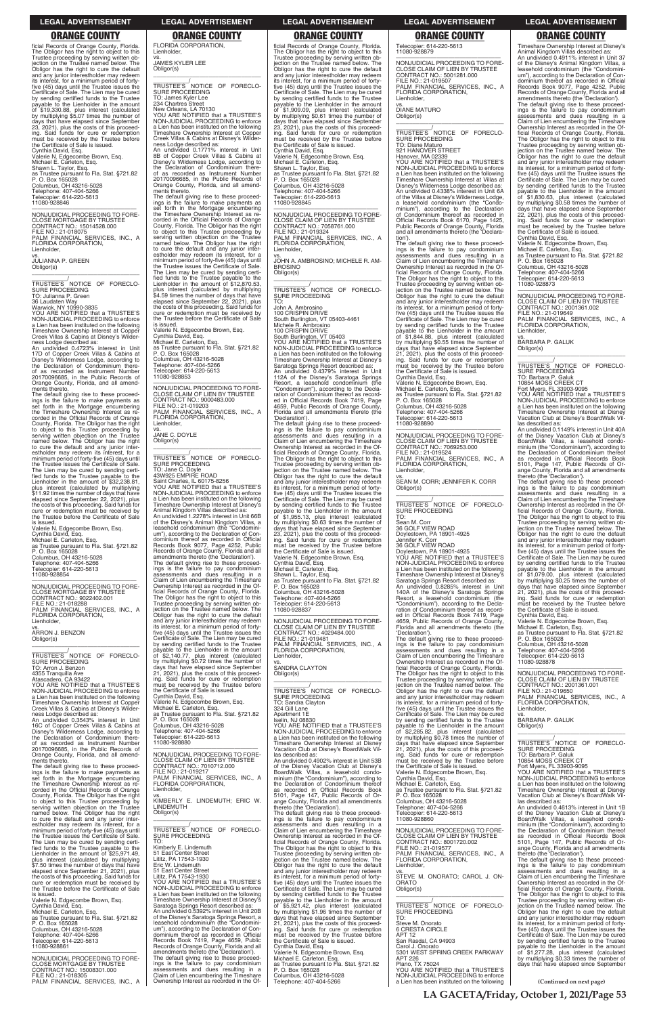**LA GACETA/Friday, October 1, 2021/Page 53**

ficial Records of Orange County, Florida. The Obligor has the right to object to this Trustee proceeding by serving written objection on the Trustee named below. The Obligor has the right to cure the default and any junior interestholder may redeem its interest, for a minimum period of forty-five (45) days until the Trustee issues the Certificate of Sale. The Lien may be cured by sending certified funds to the Trustee<br>payable to the Lienholder in the amount<br>of \$19,330.88, plus interest (calculated<br>by multiplying \$5.07 times the number of<br>days that have elapsed since September<br>23, 2021), plus the ing. Said funds for cure or redemption must be received by the Trustee before the Certificate of Sale is issued. Cynthia David, Esq. Valerie N. Edgecombe Brown, Esq. Michael E. Carleton, Esq. Shawn L. Taylor, Esq. as Trustee pursuant to Fla. Stat. §721.82 P. O. Box 165028 Columbus, OH 43216-5028 Telephone: 407-404-5266 Telecopier: 614-220-5613

11080-928846

—————————————————— NONJUDICIAL PROCEEDING TO FORE-CLOSE MORTGAGE BY TRUSTEE CONTRACT NO.: 15014528.000 FILE NO.: 21-018075 PALM FINANCIAL SERVICES, INC., A FLORIDA CORPORATION, Lienholder,

vs. JULIANNA P. GREEN Obligor(s)

\_\_\_\_\_\_\_\_\_\_\_\_\_\_\_\_\_\_\_\_\_\_\_\_\_\_\_\_\_\_\_\_\_

\_\_\_\_\_\_\_\_\_\_\_/ TRUSTEE'S NOTICE OF FORECLO-SURE PROCEEDING TO: Julianna P. Green 36 Laudaten Way

Warwick, NY 10990-3835

YOU ARE NOTIFIED that a TRUSTEE'S NON-JUDICIAL PROCEEDING to enforce a Lien has been instituted on the following Timeshare Ownership Interest at Copper Creek Villas & Cabins at Disney's Wilder-

ness Lodge described as: An undivided 0.4723% interest in Unit 17D of Copper Creek Villas & Cabins at Disney's Wilderness Lodge, according to the Declaration of Condominium there-of as recorded as Instrument Number 20170096685, in the Public Records of Orange County, Florida, and all amend-ments thereto.

The default giving rise to these proceed-ings is the failure to make payments as set forth in the Mortgage encumbering the Timeshare Ownership Interest as re-corded in the Official Records of Orange County, Florida. The Obligor has the right to object to this Trustee proceeding by serving written objection on the Trustee named below. The Obligor has the right to cure the default and any junior inter-estholder may redeem its interest, for a minimum period of forty-five (45) days until the Trustee issues the Certificate of Sale. The Lien may be cured by sending certi-fied funds to the Trustee payable to the Lienholder in the amount of \$32,238.81, plus interest (calculated by multiplying \$11.92 times the number of days that have elapsed since September 22, 2021), plus the costs of this proceeding. Said funds for cure or redemption must be received by the Trustee before the Certificate of Sale

FLORIDA CORPORATION, Lienholder

is issued. Valerie N. Edgecombe Brown, Esq. Cynthia David, Esq. Michael E. Carleton, Esq. as Trustee pursuant to Fla. Stat. §721.82 P. O. Box 165028 Columbus, OH 43216-5028 Telephone: 407-404-5266 Telecopier: 614-220-5613 11080-928854

—————————————————— NONJUDICIAL PROCEEDING TO FORE-CLOSE MORTGAGE BY TRUSTEE CONTRACT NO.: 9022402.001 FILE NO.: 21-018288 PALM FINANCIAL SERVICES, INC., A FLORIDA CORPORATION, Lienholder,

vs. ARRON J. BENZON Obligor(s)

\_\_\_\_\_\_\_\_\_\_\_\_\_\_\_\_\_\_\_\_\_\_\_\_\_\_\_\_\_\_\_\_\_

\_\_\_\_\_\_\_\_\_\_\_/ TRUSTEE'S NOTICE OF FORECLO-SURE PROCEEDING TO: Arron J. Benzon 4355 Tranquilla Ave Atascadero, CA 93422 YOU ARE NOTIFIED that a TRUSTEE'S NON-JUDICIAL PROCEEDING to enforce a Lien has been instituted on the following Timeshare Ownership Interest at Copper Creek Villas & Cabins at Disney's Wilder-ness Lodge described as: An undivided 0.3543% interest in Unit

16C of Copper Creek Villas & Cabins at Disney's Wilderness Lodge, according to the Declaration of Condominium thereof as recorded as Instrument Number 20170096685, in the Public Records of

vs. JAMES KYLER LEE Obligor(s)

> TRUSTEE'S<br>SURE PROCEEDING<br>TO: Diane Maturo<br>TO: Diane Maturo 921 HANOVER STREET Hanover, MA 02339 YOU ARE NOTIFIED that a TRUSTEE'S NON-JUDICIAL PROCEEDING to enforce a Lien has been instituted on the following Timeshare Ownership Interest at Villas at Disney's Wilderness Lodge described as: An undivided 0.4338% interest in Unit 6A of the Villas at Disney's Wilderness Lodge, a leasehold condominium (the "Condominium"), according to the Declaration of Condominium thereof as recorded in Official Records Book 6170, Page 1425, Public Records of Orange County, Florida and all amendments thereto (the 'Declara-

Columbus, OH 43216-5028 Telephone: 407-404-5266 Telecopier: 614-220-5613

11080-928880

\_\_\_\_\_\_\_\_\_\_\_/<br>TRUSTEE'S NOTICE OF FORECLO-<br>SURE PROCEEDING TO: Sean M. Corr 36 GOLF VIEW ROAD Doylestown, PA 18901-4925 Jennifer K. Corr 36 GOLF VIEW ROAD Doylestown, PA 18901-4925 YOU ARE NOTIFIED that a TRUSTEE'S NON-JUDICIAL PROCEEDING to enforce a Lien has been instituted on the following Timeshare Ownership Interest at Disney's Saratoga Springs Resort described as: An undivided 0.8285% interest in Unit 140A of the Disney's Saratoga Springs Resort, a leasehold condominium (the "Condominium"), according to the Decla-ration of Condominium thereof as record-ed in Official Records Book 7419, Page 4659, Public Records of Orange County, Florida and all amendments thereto (the 'Declaration').

\_\_\_\_\_\_\_\_\_\_\_\_\_\_\_\_\_\_\_\_\_\_\_\_\_\_\_\_\_\_\_\_\_ \_\_\_\_\_\_\_\_\_\_\_/ TRUSTEE'S NOTICE OF FORECLO-SURE PROCEEDING TO: James Kyler Lee 234 Chartres Street New Orleans, LA 70130 YOU ARE NOTIFIED that a TRUSTEE'S NON-JUDICIAL PROCEEDING to enforce a Lien has been instituted on the following Timeshare Ownership Interest at Copper Creek Villas & Cabins at Disney's Wilderness Lodge described as: An undivided 0.1771% interest in Unit 8B of Copper Creek Villas & Cabins at Disney's Wilderness Lodge, according to the Declaration of Condominium thereof as recorded as Instrument Number 20170096685, in the Public Records of Orange County, Florida, and all amendments thereto. The default giving rise to these proceedings is the failure to make payments as set forth in the Mortgage encumbering the Timeshare Ownership Interest as recorded in the Official Records of Orange County, Florida. The Obligor has the right to object to this Trustee proceeding by serving written objection on the Trustee named below. The Obligor has the right to cure the default and any junior interestholder may redeem its interest, for a minimum period of forty-five (45) days until the Trustee issues the Certificate of Sale. The Lien may be cured by sending certified funds to the Trustee payable to the<br>Lienholder in the amount of \$12,870.53, plus interest (calculated by multiplying \$4.59 times the number of days that have elapsed since September 22, 2021), plus the costs of this proceeding. Said funds for cure or redemption must be received by the Trustee before the Certificate of Sale is issued. Valerie N. Edgecombe Brown, Esq. Cynthia David, Esq. Michael E. Carleton, Esq. as Trustee pursuant to Fla. Stat. §721.82 P. O. Box 165028 Columbus, OH 43216-5028 Telephone: 407-404-5266 Telecopier: 614-220-5613 11080-928853 —————————————————— NONJUDICIAL PROCEEDING TO FORE-CLOSE CLAIM OF LIEN BY TRUSTEE CONTRACT NO.: 9000483.000 FILE NO.: 21-019203 PALM FINANCIAL SERVICES, INC., A FLORIDA CORPORATION, Lienholder, vs. JANE C. DOYLE Obligor(s) \_\_\_\_\_\_\_\_\_\_\_\_\_\_\_\_\_\_\_\_\_\_\_\_\_\_\_\_\_\_\_\_\_ \_\_\_\_\_\_\_\_\_\_\_\_\_/<br>TRUSTEE'S NOTICE OF FORECLO-SURE PROCEEDING TO: Jane C. Doyle 43W925 EMPIRE ROAD Saint Charles, IL 60175-8256 YOU ARE NOTIFIED that a TRUSTEE'S NON-JUDICIAL PROCEEDING to enforce a Lien has been instituted on the following Timeshare Ownership Interest at Disney's Animal Kingdom Villas described as: An undivided 1.2278% interest in Unit 66B of the Disney's Animal Kingdom Villas, a leasehold condominium (the "Condominium"), according to the Declaration of Condominium thereof as recorded in Official<br>Records 6 Orange County, Florida and all<br>amendments thereto (the 'Declaration').<br>amendments thereto (the 'Declaration').<br>The default giving rise to these proceedings is the failure to pay condominium assessments and dues resulting in a Claim of Lien encumbering the Timeshare Ownership Interest as recorded in the Official Records of Orange County, Florida. The Obligor has the right to object to this Trustee proceeding by serving written ob-jection on the Trustee named below. The Obligor has the right to cure the default and any junior interestholder may redeem<br>its interest, for a minimum period of fortyits interest, for a minimum period of forty-five (45) days until the Trustee issues the Certificate of Sale. The Lien may be cured by sending certified funds to the Trustee payable to the Lienholder in the amount of \$2,140.77, plus interest (calculated by multiplying \$0.72 times the number of days that have elapsed since September 21, 2021), plus the costs of this proceed-ing. Said funds for cure or redemption must be received by the Trustee before the Certificate of Sale is issued. Cynthia David, Esq. Valerie N. Edgecombe Brown, Esq. Michael E. Carleton, Esq. as Trustee pursuant to Fla. Stat. §721.82 P. O. Box 165028 \_\_\_\_\_\_\_\_\_\_\_\_\_\_\_\_\_\_\_\_\_\_\_\_\_\_\_\_\_\_\_\_\_

\_\_\_\_\_\_\_\_\_\_\_\_\_\_\_\_\_\_\_\_\_\_\_\_\_\_\_\_\_\_\_\_\_ \_\_\_\_\_\_\_\_\_\_\_/<br>TRUSTEE'S NOTICE OF FORECLO-<br>SURE PROCEEDING

| 20170096685. in the Public Records of<br>Orange County, Florida, and all amend-<br>ments thereto.<br>The default giving rise to these proceed-<br>ings is the failure to make payments as<br>set forth in the Mortgage encumbering<br>the Timeshare Ownership Interest as re-<br>corded in the Official Records of Orange<br>County, Florida. The Obligor has the right<br>to object to this Trustee proceeding by<br>serving written objection on the Trustee<br>named below. The Obligor has the right                                                                                                          | NONJUDICIAL PROCEEDING TO FORE-<br>CLOSE CLAIM OF LIEN BY TRUSTEE<br>CONTRACT NO.: 7010712.000<br>FILE NO.: 21-019217<br>PALM FINANCIAL SERVICES, INC., A<br>FLORIDA CORPORATION,<br>Lienholder,<br>VS.<br>KIMBERLY E. LINDEMUTH; ERIC W.<br><b>LINDEMUTH</b><br>Obligor(s)                                                                                                                                                                      | Vacation Club at Disney's BoardWalk Vil-<br>las described as:<br>An undivided 0.4902% interest in Unit 53B<br>of the Disney Vacation Club at Disney's<br>BoardWalk Villas, a leasehold condo-<br>minium (the "Condominium"), according to<br>the Declaration of Condominium thereof<br>as recorded in Official Records Book<br>5101, Page 147, Public Records of Or-<br>ange County, Florida and all amendments<br>thereto (the 'Declaration').<br>The default giving rise to these proceed-                                                                                                                                                 | 21, 2021), plus the costs of this proceed-<br>ing. Said funds for cure or redemption<br>must be received by the Trustee before<br>the Certificate of Sale is issued.<br>Valerie N. Edgecombe Brown, Esq.<br>Cynthia David, Esg.<br>Michael E. Carleton, Esq.<br>as Trustee pursuant to Fla. Stat. §721.82<br>P. O. Box 165028<br>Columbus, OH 43216-5028<br>Telephone: 407-404-5266<br>Telecopier: 614-220-5613 | <b>SURE PROCEEDING</b><br>TO: Barbara P. Galuk<br>10854 MOSS CREEK CT<br>Fort Myers, FL 33903-9095<br>YOU ARE NOTIFIED that a TRUSTEE'S<br>NON-JUDICIAL PROCEEDING to enforce<br>a Lien has been instituted on the following<br>Timeshare Ownership Interest at Disney<br>Vacation Club at Disney's BoardWalk Vil-<br>las described as:<br>An undivided 0.4613% interest in Unit 1B<br>of the Disney Vacation Club at Disney's                                                                                                                                                                           |
|-------------------------------------------------------------------------------------------------------------------------------------------------------------------------------------------------------------------------------------------------------------------------------------------------------------------------------------------------------------------------------------------------------------------------------------------------------------------------------------------------------------------------------------------------------------------------------------------------------------------|--------------------------------------------------------------------------------------------------------------------------------------------------------------------------------------------------------------------------------------------------------------------------------------------------------------------------------------------------------------------------------------------------------------------------------------------------|----------------------------------------------------------------------------------------------------------------------------------------------------------------------------------------------------------------------------------------------------------------------------------------------------------------------------------------------------------------------------------------------------------------------------------------------------------------------------------------------------------------------------------------------------------------------------------------------------------------------------------------------|-----------------------------------------------------------------------------------------------------------------------------------------------------------------------------------------------------------------------------------------------------------------------------------------------------------------------------------------------------------------------------------------------------------------|----------------------------------------------------------------------------------------------------------------------------------------------------------------------------------------------------------------------------------------------------------------------------------------------------------------------------------------------------------------------------------------------------------------------------------------------------------------------------------------------------------------------------------------------------------------------------------------------------------|
| to cure the default and any junior inter-<br>estholder may redeem its interest, for a<br>minimum period of forty-five (45) days until<br>the Trustee issues the Certificate of Sale.<br>The Lien may be cured by sending certi-<br>fied funds to the Trustee payable to the<br>Lienholder in the amount of \$25,971.49,<br>plus interest (calculated by multiplying<br>\$7.50 times the number of days that have<br>elapsed since September 21, 2021), plus<br>the costs of this proceeding. Said funds for<br>cure or redemption must be received by<br>the Trustee before the Certificate of Sale<br>is issued. | TRUSTEE'S NOTICE OF FORECLO-<br><b>SURE PROCEEDING</b><br>TO:<br>Kimberly E. Lindemuth<br>51 East Center Street<br>Lititz. PA 17543-1930<br>Eric W. Lindemuth<br>51 East Center Street<br>Lititz. PA 17543-1930<br>YOU ARE NOTIFIED that a TRUSTEE'S<br>NON-JUDICIAL PROCEEDING to enforce<br>a Lien has been instituted on the following                                                                                                        | ings is the failure to pay condominium<br>assessments and dues resulting in a<br>Claim of Lien encumbering the Timeshare<br>Ownership Interest as recorded in the Of-<br>ficial Records of Orange County, Florida.<br>The Obligor has the right to object to this<br>Trustee proceeding by serving written ob-<br>jection on the Trustee named below. The<br>Obligor has the right to cure the default<br>and any junior interestholder may redeem<br>its interest, for a minimum period of forty-<br>five (45) days until the Trustee issues the<br>Certificate of Sale. The Lien may be cured<br>by sending certified funds to the Trustee | 11080-928860<br>NONJUDICIAL PROCEEDING TO FORE-<br>CLOSE CLAIM OF LIEN BY TRUSTEE<br>CONTRACT NO.: 8001720.002<br>FILE NO.: 21-019577<br>PALM FINANCIAL SERVICES. INC., A<br>FLORIDA CORPORATION,<br>Lienholder.<br>VS.<br>STEVE M. ONORATO; CAROL J. ON-<br>ORATO<br>Obligor(s)                                                                                                                                | BoardWalk Villas, a leasehold condo-<br>minium (the "Condominium"), according to<br>the Declaration of Condominium thereof<br>as recorded in Official Records Book<br>5101, Page 147, Public Records of Or-<br>ange County, Florida and all amendments<br>thereto (the 'Declaration').<br>The default giving rise to these proceed-<br>ings is the failure to pay condominium<br>assessments and dues resulting in a<br>Claim of Lien encumbering the Timeshare<br>Ownership Interest as recorded in the Of-<br>ficial Records of Orange County, Florida.<br>The Obligor has the right to object to this |
| Valerie N. Edgecombe Brown, Esg.<br>Cynthia David, Esq.<br>Michael E. Carleton. Esg.<br>as Trustee pursuant to Fla. Stat. §721.82<br>P. O. Box 165028<br>Columbus, OH 43216-5028<br>Telephone: 407-404-5266<br>Telecopier: 614-220-5613<br>11080-928861                                                                                                                                                                                                                                                                                                                                                           | Timeshare Ownership Interest at Disney's<br>Saratoga Springs Resort described as:<br>An undivided 0.5392% interest in Unit 20B<br>of the Disney's Saratoga Springs Resort, a<br>leasehold condominium (the "Condomini-<br>um"), according to the Declaration of Con-<br>dominium thereof as recorded in Official<br>Records Book 7419, Page 4659, Public<br>Records of Orange County, Florida and all<br>amendments thereto (the 'Declaration'). | payable to the Lienholder in the amount<br>of \$5,921.42, plus interest (calculated<br>by multiplying \$1.96 times the number of<br>days that have elapsed since September<br>21, 2021), plus the costs of this proceed-<br>ing. Said funds for cure or redemption<br>must be received by the Trustee before<br>the Certificate of Sale is issued.<br>Cynthia David, Esg.<br>Valerie N. Edgecombe Brown, Esg.                                                                                                                                                                                                                                | TRUSTEE'S NOTICE OF FORECLO-<br>SURE PROCEEDING<br>TO:<br>Steve M. Onorato<br>6 CRESTA CIRCLE<br>APT <sub>12</sub><br>San Rasdal, CA 94903<br>Carol J. Onorato<br>5301 WEST SPRING CREEK PARKWAY                                                                                                                                                                                                                | Trustee proceeding by serving written ob-<br>jection on the Trustee named below. The<br>Obligor has the right to cure the default<br>and any junior interestholder may redeem<br>its interest, for a minimum period of forty-<br>five (45) days until the Trustee issues the<br>Certificate of Sale. The Lien may be cured<br>by sending certified funds to the Trustee<br>payable to the Lienholder in the amount<br>of \$1,277.28, plus interest (calculated                                                                                                                                           |
| NONJUDICIAL PROCEEDING TO FORE-<br><b>CLOSE MORTGAGE BY TRUSTEE</b><br>CONTRACT NO.: 15008301.000<br>FILE NO.: 21-018305<br>PALM FINANCIAL SERVICES, INC., A                                                                                                                                                                                                                                                                                                                                                                                                                                                      | The default giving rise to these proceed-<br>ings is the failure to pay condominium<br>assessments and dues resulting in a<br>Claim of Lien encumbering the Timeshare<br>Ownership Interest as recorded in the Of-                                                                                                                                                                                                                               | Michael E. Carleton, Esq.<br>as Trustee pursuant to Fla. Stat. §721.82<br>P. O. Box 165028<br>Columbus, OH 43216-5028<br>Telephone: 407-404-5266                                                                                                                                                                                                                                                                                                                                                                                                                                                                                             | <b>APT 226</b><br>Plano, TX 75024<br>YOU ARE NOTIFIED that a TRUSTEE'S<br>NON-JUDICIAL PROCEEDING to enforce<br>a Lien has been instituted on the following                                                                                                                                                                                                                                                     | by multiplying \$0.33 times the number of<br>days that have elapsed since September<br>(Continued on next page)                                                                                                                                                                                                                                                                                                                                                                                                                                                                                          |

—————————————————— NONJUDICIAL PROCEEDING TO FORE-CLOSE CLAIM OF LIEN BY TRUSTEE CONTRACT NO.: 4029484.000 FILE NO.: 21-019481 PALM FINANCIAL SERVICES, INC., A FLORIDA CORPORATION, Lienholder, vs. SANDRA CLAYTON

Obligor(s)

| TRUSTEE'S NOTICE OF FORECLO-                |
|---------------------------------------------|
| SURE PROCEEDING                             |
| TO: Sandra Clayton                          |
| 324 Gill Lane                               |
| Apartment 1E                                |
| Iselin. NJ 08830                            |
| YOU ARE NOTIFIED that a TRUSTEE'S           |
| NON-JUDICIAL PROCEEDING to enforce          |
| a Lien has been instituted on the following |
| Timeshare Ownership Interest at Disney      |

Telecopier: 614-220-5613 11080-928879

—————————————————— NONJUDICIAL PROCEEDING TO FORE-CLOSE CLAIM OF LIEN BY TRUSTEE CONTRACT NO.: 5001281.000 FILE NO.: 21-019507 PALM FINANCIAL SERVICES, INC., A FLORIDA CORPORATION, Lienholder, vs. DIANE MATURO

Obligor(s) \_\_\_\_\_\_\_\_\_\_\_\_\_\_\_\_\_\_\_\_\_\_\_\_\_\_\_\_\_\_\_\_\_

tion'). The default giving rise to these proceed-ings is the failure to pay condominium assessments and dues resulting in a Claim of Lien encumbering the Timeshare Ownership Interest as recorded in the Official Records of Orange County, Florida. The Obligor has the right to object to this Trustee proceeding by serving written objection on the Trustee named below. The Obligor has the right to cure the default and any junior interestholder may redeem its interest, for a minimum period of forty-five (45) days until the Trustee issues the Certificate of Sale. The Lien may be cured by sending certified funds to the Trustee payable to the Lienholder in the amount of \$1,844.88, plus interest (calculated by multiplying \$0.55 times the number of days that have elapsed since September 21, 2021), plus the costs of this proceeding. Said funds for cure or redemption must be received by the Trustee before the Certificate of Sale is issued.

Cynthia David, Esq. Valerie N. Edgecombe Brown, Esq. Michael E. Carleton, Esq. as Trustee pursuant to Fla. Stat. §721.82 P. O. Box 165028 Columbus, OH 43216-5028 Telephone: 407-404-5266 Telecopier: 614-220-5613 11080-928890

—————————————————— NONJUDICIAL PROCEEDING TO FORE-CLOSE CLAIM OF LIEN BY TRUSTEE CONTRACT NO.: 7069253.000 FILE NO.: 21-019524 PALM FINANCIAL SERVICES, INC., A FLORIDA CORPORATION, Lienholder,

vs. SEAN M. CORR; JENNIFER K. CORR Obligor(s) \_\_\_\_\_\_\_\_\_\_\_\_\_\_\_\_\_\_\_\_\_\_\_\_\_\_\_\_\_\_\_\_\_

ficial Records of Orange County, Florida. The Obligor has the right to object to this Trustee proceeding by serving written objection on the Trustee named below. The Obligor has the right to cure the default and any junior interestholder may redeem its interest, for a minimum period of forty-five (45) days until the Trustee issues the Certificate of Sale. The Lien may be cured by sending certified funds to the Trustee payable to the Lienholder in the amount of \$1,909.09, plus interest (calculated by multiplying \$0.61 times the number of days that have elapsed since September 23, 2021), plus the costs of this proceeding. Said funds for cure or redemption must be received by the Trustee before the Certificate of Sale is issued. Cynthia David, Esq. Valerie N. Edgecombe Brown, Esq. Michael E. Carleton, Esq. Shawn L. Taylor, Esq. as Trustee pursuant to Fla. Stat. §721.82 P. O. Box 165028 Columbus, OH 43216-5028 Telephone: 407-404-5266 Telecopier: 614-220-5613 11080-928845 —————————————————— NONJUDICIAL PROCEEDING TO FORE-CLOSE CLAIM OF LIEN BY TRUSTEE CONTRACT NO.: 7058761.000 FILE NO.: 21-019324 PALM FINANCIAL SERVICES, INC., A FLORIDA CORPORATION, Lienholder, vs. JOHN A. AMBROSINO; MICHELE R. AM-BROSINO Obligor(s) \_\_\_\_\_\_\_\_\_\_\_\_\_\_\_\_\_\_\_\_\_\_\_\_\_\_\_\_\_\_\_\_\_ \_\_\_\_\_\_\_\_\_\_\_/ TRUSTEE'S NOTICE OF FORECLO-SURE PROCEEDING TO: John A. Ambrosino 100 CRISPIN DRIVE South Burlington, VT 05403-4461 Michele R. Ambrosino 100 CRISPIN DRIVE South Burlington, VT 05403 YOU ARE NOTIFIED that a TRUSTEE'S NON-JUDICIAL PROCEEDING to enforce a Lien has been instituted on the following Timeshare Ownership Interest at Disney's Saratoga Springs Resort described as: An undivided 0.4379% interest in Unit 112A of the Disney's Saratoga Springs Resort, a leasehold condominium (the "Condominium"), according to the Declaration of Condominium thereof as record-ed in Official Records Book 7419, Page 4659, Public Records of Orange County, Florida and all amendments thereto (the 'Declaration'). The default giving rise to these proceedings is the failure to pay condominium assessments and dues resulting in a Claim of Lien encumbering the Timeshare Ownership Interest as recorded in the Of-ficial Records of Orange County, Florida. The Obligor has the right to object to this Trustee proceeding by serving written ob-jection on the Trustee named below. The Obligor has the right to cure the default and any junior interestholder may redeem its interest, for a minimum period of forty-five (45) days until the Trustee issues the Certificate of Sale. The Lien may be cured by sending certified funds to the Trustee payable to the Lienholder in the amount of \$1,955.13, plus interest (calculated by multiplying \$0.63 times the number of days that have elapsed since September 23, 2021), plus the costs of this proceed-ing. Said funds for cure or redemption must be received by the Trustee before the Certificate of Sale is issued. Valerie N. Edgecombe Brown, Esq. Cynthia David, Esq. Michael E. Carleton, Esq. Shawn L. Taylor, Esq. as Trustee pursuant to Fla. Stat. §721.82 P. O. Box 165028 Columbus, OH 43216-5028 Telephone: 407-404-5266 Telecopier: 614-220-5613 11080-928837 **ORANGE COUNTY ORANGE COUNTY ORANGE COUNTY ORANGE COUNTY ORANGE COUNTY**

> The default giving rise to these proceed-ings is the failure to pay condominium assessments and dues resulting in a Claim of Lien encumbering the Timeshare Ownership Interest as recorded in the Of-ficial Records of Orange County, Florida. The Obligor has the right to object to this Trustee proceeding by serving written ob-jection on the Trustee named below. The Obligor has the right to cure the default and any junior interestholder may redeem its interest, for a minimum period of fortyfive (45) days until the Trustee issues the Certificate of Sale. The Lien may be cured by sending certified funds to the Trustee payable to the Lienholder in the amount of \$2,285.82, plus interest (calculated by multiplying \$0.78 times the number of days that have elapsed since September

Timeshare Ownership Interest at Disney's Animal Kingdom Villas described as: An undivided 0.4911% interest in Unit 37 of the Disney's Animal Kingdom Villas, a leasehold condominium (the "Condomini-um"), according to the Declaration of Condominium thereof as recorded in Official Records Book 9077, Page 4252, Public Records of Orange County, Florida and all amendments thereto (the 'Declaration'). The default giving rise to these proceed-ings is the failure to pay condominium assessments and dues resulting in a Claim of Lien encumbering the Timeshare Claim of Lien encumbering the Timeshare<br>Ownership Interest as recorded in the Official Records of Orange County, Florida. The Obligor has the right to object to this Trustee proceeding by serving written objection on the Trustee named below. The Obligor has the right to cure the default and any junior interestholder may redeem its interest, for a minimum period of forty-five (45) days until the Trustee issues the Certificate of Sale. The Lien may be cured by sending certified funds to the Trustee payable to the Lienholder in the amount of \$1,830.63, plus interest (calculated by multiplying \$0.58 times the number of days that have elapsed since September 22, 2021), plus the costs of this proceeding. Said funds for cure or redemption must be received by the Trustee before the Certificate of Sale is issued. Cynthia David, Esq. Valerie N. Edgecombe Brown, Esq. Michael E. Carleton, Esq. as Trustee pursuant to Fla. Stat. §721.82 P. O. Box 165028 Columbus, OH 43216-5028 Telephone: 407-404-5266 Telecopier: 614-220-5613 11080-928873 —————————————————— NONJUDICIAL PROCEEDING TO FORE-CLOSE CLAIM OF LIEN BY TRUSTEE CONTRACT NO.: 2001361.002 FILE NO.: 21-019649 PALM FINANCIAL SERVICES, INC., A FLORIDA CORPORATION, Lienholder, vs. BARBARA P. GALUK Obligor(s) \_\_\_\_\_\_\_\_\_\_\_\_\_\_\_\_\_\_\_\_\_\_\_\_\_\_\_\_\_\_\_\_\_ \_\_\_\_\_\_\_\_\_\_\_\_/<br>TRUSTEE'S NOTICE OF FORECLO-<br>SURE PROCEEDING TO: Barbara P. Galuk 10854 MOSS CREEK CT Fort Myers, FL 33903-9095 YOU ARE NOTIFIED that a TRUSTEE'S NON-JUDICIAL PROCEEDING to enforce a Lien has been instituted on the following Timeshare Ownership Interest at Disney Vacation Club at Disney's BoardWalk Vil-las described as: An undivided 0.1149% interest in Unit 40A of the Disney Vacation Club at Disney's BoardWalk Villas, a leasehold condominium (the "Condominium"), according to the Declaration of Condominium thereof as recorded in Official Records Book 5101, Page 147, Public Records of Or-ange County, Florida and all amendments thereto (the 'Declaration'). The default giving rise to these proceed-ings is the failure to pay condominium assessments and dues resulting in a

Claim of Lien encumbering the Timeshare Ownership Interest as recorded in the Of-ficial Records of Orange County, Florida. The Obligor has the right to object to this Trustee proceeding by serving written ob-jection on the Trustee named below. The Obligor has the right to cure the default and any junior interestholder may redeem its interest, for a minimum period of fortyfive (45) days until the Trustee issues the Certificate of Sale. The Lien may be cured by sending certified funds to the Trustee payable to the Lienholder in the amount of \$1,079.00, plus interest (calculated by multiplying \$0.25 times the number of days that have elapsed since September 21, 2021), plus the costs of this proceed-ing. Said funds for cure or redemption must be received by the Trustee before the Certificate of Sale is issued. Cynthia David, Esq.

Valerie N. Edgecombe Brown, Esq. Michael E. Carleton, Esq. as Trustee pursuant to Fla. Stat. §721.82 P. O. Box 165028

Columbus, OH 43216-5028 Telephone: 407-404-5266 Telecopier: 614-220-5613 11080-928878

—————————————————— NONJUDICIAL PROCEEDING TO FORE-CLOSE CLAIM OF LIEN BY TRUSTEE CONTRACT NO.: 2001361.001 FILE NO.: 21-019650 PALM FINANCIAL SERVICES, INC., A FLORIDA CORPORATION, Lienholder,

vs. BARBARA P. GALUK Obligor(s)

### **LEGAL ADVERTISEMENT LEGAL ADVERTISEMENT LEGAL ADVERTISEMENT LEGAL ADVERTISEMENT LEGAL ADVERTISEMENT**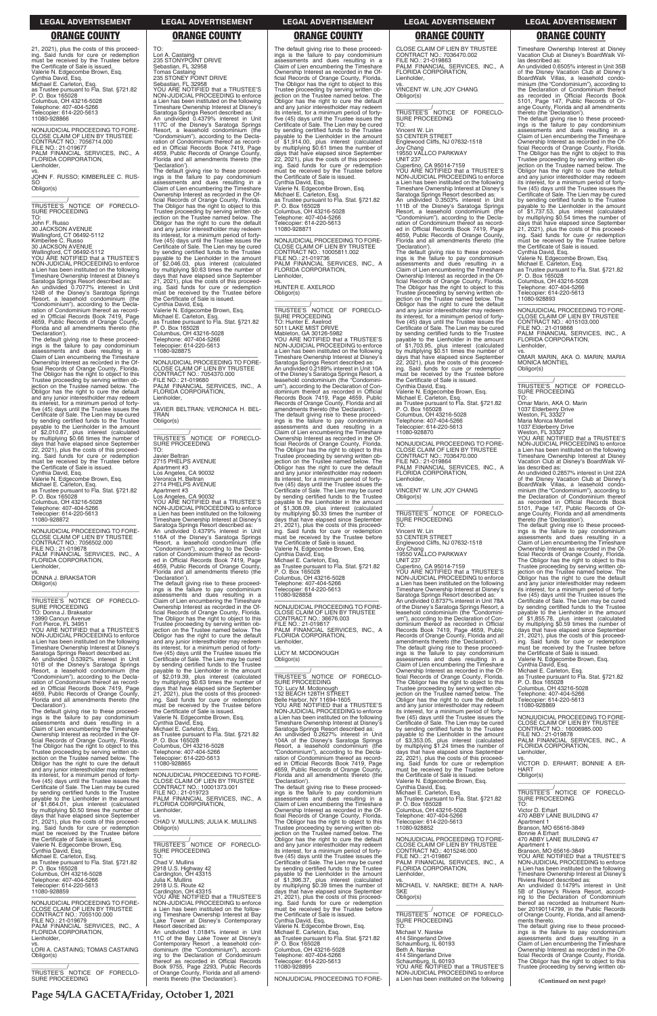**Page 54/LA GACETA/Friday, October 1, 2021**

21, 2021), plus the costs of this proceed-ing. Said funds for cure or redemption must be received by the Trustee before the Certificate of Sale is issued. Valerie N. Edgecombe Brown, Esq. Cynthia David, Esq. Michael E. Carleton, Esq. as Trustee pursuant to Fla. Stat. §721.82 P. O. Box 165028 Columbus, OH 43216-5028 Telephone: 407-404-5266 Telecopier: 614-220-5613 11080-928866

—————————————————— NONJUDICIAL PROCEEDING TO FORE-CLOSE CLAIM OF LIEN BY TRUSTEE CONTRACT NO.: 7056714.000 FILE NO.: 21-019677 PALM FINANCIAL SERVICES, INC., A FLORIDA CORPORATION, Lienholder,

vs. JOHN F. RUSSO; KIMBERLEE C. RUS-SO Obligor(s) \_\_\_\_\_\_\_\_\_\_\_\_\_\_\_\_\_\_\_\_\_\_\_\_\_\_\_\_\_\_\_\_\_

Florida and all amendments thereto (the 'Declaration'). The default giving rise to these proceed-ings is the failure to pay condominium assessments and dues resulting in a Claim of Lien encumbering the Timeshare Ownership Interest as recorded in the Of-ficial Records of Orange County, Florida. The Obligor has the right to object to this Trustee proceeding by serving written objection on the Trustee named below. The Obligor has the right to cure the default and any junior interestholder may redeem its interest, for a minimum period of fortyfive (45) days until the Trustee issues the Certificate of Sale. The Lien may be cured by sending certified funds to the Trustee payable to the Lienholder in the amount<br>of \$2.010.87 plue interest in the amount of \$2,010.87, plus interest (calculated by multiplying \$0.66 times the number of days that have elapsed since September 22, 2021), plus the costs of this proceed-ing. Said funds for cure or redemption must be received by the Trustee before the Certificate of Sale is issued.<br>Cynthia David, Esq.

\_\_\_\_\_\_\_\_\_\_\_/ TRUSTEE'S NOTICE OF FORECLO-SURE PROCEEDING TO:

John F. Russo

30 JACKSON AVENUE Wallingford, CT 06492-5112 Kimberlee C. Russo

30 JACKSON AVENUE Wallingford, CT 06492-5112 YOU ARE NOTIFIED that a TRUSTEE'S NON-JUDICIAL PROCEEDING to enforce a Lien has been instituted on the following Timeshare Ownership Interest at Disney's Saratoga Springs Resort described as: An undivided 0.7077% interest in Unit 124B of the Disney's Saratoga Springs Resort, a leasehold condominium (the "Condominium"), according to the Decla-ration of Condominium thereof as recorded in Official Records Book 7419, Page 4659, Public Records of Orange County,

Cynthia David, Esq. Valerie N. Edgecombe Brown, Esq. Michael E. Carleton, Esq. as Trustee pursuant to Fla. Stat. §721.82 P. O. Box 165028 Columbus, OH 43216-5028 Telephone: 407-404-5266 Telecopier: 614-220-5613 11080-928872

—————————————————— NONJUDICIAL PROCEEDING TO FORE-CLOSE CLAIM OF LIEN BY TRUSTEE CONTRACT NO.: 7056502.000 FILE NO.: 21-019678 PALM FINANCIAL SERVICES, INC., A FLORIDA CORPORATION, Lienholder, vs. DONNA J. BRAKSATOR

Obligor(s) \_\_\_\_\_\_\_\_\_\_\_\_\_\_\_\_\_\_\_\_\_\_\_\_\_\_\_\_\_\_\_\_\_

\_\_\_\_\_\_\_\_\_\_\_/ TRUSTEE'S NOTICE OF FORECLO-SURE PROCEEDING TO: Donna J. Braksator 13990 Cancun Avenue Fort Pierce, FL 34951 YOU ARE NOTIFIED that a TRUSTEE'S NON-JUDICIAL PROCEEDING to enforce

a Lien has been instituted on the following Timeshare Ownership Interest at Disney's Saratoga Springs Resort described as: An undivided 0.5392% interest in Unit 101B of the Disney's Saratoga Springs Resort, a leasehold condominium (the "Condominium"), according to the Decla-ration of Condominium thereof as recorded in Official Records Book 7419, Page 4659, Public Records of Orange County, Florida and all amendments thereto (the 'Declaration').

\_\_\_\_\_\_\_\_\_\_\_\_\_\_\_\_\_\_\_\_\_\_\_\_\_\_\_\_\_\_\_\_\_ \_\_\_\_\_\_\_\_\_\_\_/<br>TRUSTEE'S NOTICE OF FORECLO-<br>SURE PROCEEDING

The default giving rise to these proceedings is the failure to pay condominium assessments and dues resulting in a Claim of Lien encumbering the Timeshare Ownership Interest as recorded in the Official Records of Orange County, Florida. The Obligor has the right to object to this

The default giving rise to these proceed-<br>ings is the failure to pay condominium<br>assessments and dues resulting in a<br>Claim of Lien encumbering the Timeshare Ownership Interest as recorded in the Official Records of Orange County, Florida. The Obligor has the right to object to this Trustee proceeding by serving written ob-jection on the Trustee named below. The Obligor has the right to cure the default and any junior interestholder may redeem its interest, for a minimum period of forty-five (45) days until the Trustee issues the Certificate of Sale. The Lien may be cured by sending certified funds to the Trustee<br>payable to the Lienholder in the amount<br>of \$1,914.00, plus interest (calculated<br>by multiplying \$0.61 times the number of<br>days that have elapsed since September<br>22, 2021), plus the Cynthia David, Esq. Valerie N. Edgecombe Brown, Esq. Michael E. Carleton, Esq. as Trustee pursuant to Fla. Stat. §721.82 P. O. Box 165028 Columbus, OH 43216-5028 Telephone: 407-404-5266 Telecopier: 614-220-5613 11080-928871 —————————————————— NONJUDICIAL PROCEEDING TO FORE-CLOSE CLAIM OF LIEN BY TRUSTEE CONTRACT NO.: 10005811.002 FILE NO.: 21-019736 PALM FINANCIAL SERVICES, INC., A FLORIDA CORPORATION, Lienholder, vs. HUNTER E. AXELROD Obligor(s) \_\_\_\_\_\_\_\_\_\_\_\_\_\_\_\_\_\_\_\_\_\_\_\_\_\_\_\_\_\_\_\_\_ \_\_\_\_\_\_\_\_\_\_\_/ TRUSTEE'S NOTICE OF FORECLO-SURE PROCEEDING<br>TO: Hunter E. Axelrod<br>5011 LAKE MIST DRIVE<br>Mableton, GA 30126-5982<br>YOU ARE NOTIFIED that a TRUSTEE'S<br>NON-JUDICIAL PROCEEDING to enforce

TO:

Lori A. Castaing 235 STONYPOINT DRIVE Sebastian, FL 32958 Tomas Castaing 235 STONEY POINT DRIVE

Sebastian, FL 32958 YOU ARE NOTIFIED that a TRUSTEE'S NON-JUDICIAL PROCEEDING to enforce a Lien has been instituted on the following Timeshare Ownership Interest at Disney's Saratoga Springs Resort described as: An undivided 0.4379% interest in Unit 117C of the Disney's Saratoga Springs Resort, a leasehold condominium (the "Condominium"), according to the Decla-ration of Condominium thereof as recorded in Official Records Book 7419, Page 4659, Public Records of Orange County, Florida and all amendments thereto (the

The default giving rise to these proceed-<br>ings is the failure to pay condominium<br>assessments and dues resulting in a<br>Claim of Lien encumbering the Timeshare<br>Ownership Interest as recorded in the Of-

'Declaration').

ficial Records of Orange County, Florida. The Obligor has the right to object to this

Trustee proceeding by serving written ob-jection on the Trustee named below. The Obligor has the right to cure the default and any junior interestholder may redeem its interest, for a minimum period of fortyfive (45) days until the Trustee issues the Certificate of Sale. The Lien may be cured by sending certified funds to the Trustee payable to the Lienholder in the amount

of \$2,046.03, plus interest (calculated<br>by multiplying \$0.63 times the number of<br>days that have elapsed since September<br>21, 2021), plus the costs of this proceed-<br>ing. Said funds for cure or redemption<br>must be received by

CLOSE CLAIM OF LIEN BY TRUSTEE CONTRACT NO.: 36676.003 FILE NO.: 21-019817 PALM FINANCIAL SERVICES, INC., A FLORIDA CORPORATION, Lienholder

Cynthia David, Esq. Valerie N. Edgecombe Brown, Esq. Michael E. Carleton, Esq. as Trustee pursuant to Fla. Stat. §721.82 P. O. Box 165028

Columbus, OH 43216-5028 Telephone: 407-404-5266 Telecopier: 614-220-5613

11080-928875

—————————————————— NONJUDICIAL PROCEEDING TO FORE-CLOSE CLAIM OF LIEN BY TRUSTEE CONTRACT NO.: 7054370.000

FILE NO.: 21-019680

PALM FINANCIAL SERVICES, INC., A FLORIDA CORPORATION,

\_\_\_\_\_\_\_\_\_\_\_/<br>TRUSTEE'S NOTICE OF FORECLO-<br>SURE PROCEEDING TO: Lucy M. Mcdonough 132 BEACH 128TH STREET Belle Harbor, NY 11694-1605 YOU ARE NOTIFIED that a TRUSTEE'S NON-JUDICIAL PROCEEDING to enforce a Lien has been instituted on the following Timeshare Ownership Interest at Disney's Saratoga Springs Resort described as: An undivided 0.2627% interest in Unit 104A of the Disney's Saratoga Springs Resort, a leasehold condominium (the

Lienholder,

vs. JAVIER BELTRAN; VERONICA H. BEL-

TRAN Obligor(s)

TO:

Javier Beltran 2715 PHELPS AVENUE Apartment #3 Los Angeles, CA 90032 Veronica H. Beltran 2714 PHELPS AVENUE Apartment #3

Los Angeles, CA 90032 YOU ARE NOTIFIED that a TRUSTEE'S NON-JUDICIAL PROCEEDING to enforce a Lien has been instituted on the following Timeshare Ownership Interest at Disney's Saratoga Springs Resort described as: An undivided 0.4379% interest in Unit 116A of the Disney's Saratoga Springs Resort, a leasehold condominium (the "Condominium"), according to the Decla-ration of Condominium thereof as record-ed in Official Records Book 7419, Page 4659, Public Records of Orange County, Florida and all amendments thereto (the

'Declaration').

The default giving rise to these proceed-ings is the failure to pay condominium assessments and dues resulting in a

Claim of Lien encumbering the Timeshare Ownership Interest as recorded in the Of-ficial Records of Orange County, Florida.

The Obligor has the right to object to this Trustee proceeding by serving written ob-jection on the Trustee named below. The Obligor has the right to cure the default and any junior interestholder may redeem its interest, for a minimum period of fortyfive (45) days until the Trustee issues the Certificate of Sale. The Lien may be cured by sending certified funds to the Trustee payable to the Lienholder in the amount<br>of \$2.019.39 plus interests of \$2,019.39, plus interest (calculated by multiplying \$0.63 times the number of days that have elapsed since September 21, 2021), plus the costs of this proceed-ing. Said funds for cure or redemption must be received by the Trustee before

the Certificate of Sale is issued. Valerie N. Edgecombe Brown, Esq.

Cynthia David, Esq. Michael E. Carleton, Esq. as Trustee pursuant to Fla. Stat. §721.82 P. O. Box 165028

The default giving rise to these proceed-<br>ings is the failure to pay condominium<br>assessments and dues resulting in a<br>Claim of Lien encumbering the Timeshare Ownership Interest as recorded in the Official Records of Orange County, Florida. The Obligor has the right to object to this Trustee proceeding by serving written ob-jection on the Trustee named below. The Obligor has the right to cure the default and any junior interestholder may redeem its interest, for a minimum period of forty-five (45) days until the Trustee issues the Certificate of Sale. The Lien may be cured by sending certified funds to the Trustee<br>payable to the Lienholder in the amount payable to the Lienholder in the amount<br>of \$1,737.53, plus interest (calculated<br>by multiplying \$0.54 times the number of<br>days that have elapsed since September<br>21, 2021), plus the costs of this proceed-<br>ing. Said funds for the Certificate of Sale is issued.

a Lien has been instituted on the following Timeshare Ownership Interest at Disney's Saratoga Springs Resort described as: An undivided 0.2189% interest in Unit 10A of the Disney's Saratoga Springs Resort, a leasehold condominium (the "Condomini-um"), according to the Declaration of Condominium thereof as recorded in Official Records Book 7419, Page 4659, Public Records of Orange County, Florida and all amendments thereto (the 'Declaration'). The default giving rise to these proceed-ings is the failure to pay condominium assessments and dues resulting in a Claim of Lien encumbering the Timeshare Ownership Interest as recorded in the Official Records of Orange County, Florida. The Obligor has the right to object to this Trustee proceeding by serving written ob-jection on the Trustee named below. The Obligor has the right to cure the default and any junior interestholder may redeem its interest, for a minimum period of forty-five (45) days until the Trustee issues the Certificate of Sale. The Lien may be cured by sending certified funds to the Trustee payable to the Lienholder in the amount of \$1,308.09, plus interest (calculated by multiplying \$0.33 times the number of days that have elapsed since September 21, 2021), plus the costs of this proceed-ing. Said funds for cure or redemption must be received by the Trustee before the Certificate of Sale is issued. Valerie N. Edgecombe Brown, Esq. Cynthia David, Esq. Michael E. Carleton, Esq. as Trustee pursuant to Fla. Stat. §721.82 P. O. Box 165028 Columbus, OH 43216-5028 Telephone: 407-404-5266 Telecopier: 614-220-5613 11080-928858 —————————————————— NONJUDICIAL PROCEEDING TO FORE-

vs. LUCY M. MCDONOUGH Obligor(s)

\_\_\_\_\_\_\_\_\_\_\_\_\_\_\_\_\_\_\_\_\_\_\_\_\_\_\_\_\_\_\_\_\_

| ficial Records of Orange County, Florida.<br>The Obligor has the right to object to this<br>Trustee proceeding by serving written ob-<br>jection on the Trustee named below. The<br>Obligor has the right to cure the default<br>and any junior interestholder may redeem                                                                                            | P. O. Box 165028<br>Columbus, OH 43216-5028<br>Telephone: 407-404-5266<br>Telecopier: 614-220-5613<br>11080-928865                                                                                                                                                                                               | 104A of the Disney's Saratoga Springs<br>Resort, a leasehold condominium (the<br>"Condominium"), according to the Decla-<br>ration of Condominium thereof as record-<br>ed in Official Records Book 7419, Page<br>4659, Public Records of Orange County,                                                                      | \$3,353.05, plus interest (calculated<br>of<br>by multiplying \$1.24 times the number of<br>days that have elapsed since September<br>22, 2021), plus the costs of this proceed-<br>ing. Said funds for cure or redemption<br>must be received by the Trustee before | PALM FINANCIAL SERVICES, INC., A<br>FLORIDA CORPORATION,<br>Lienholder.<br>VS.<br>VICTOR D. ERHART: BONNIE A ER-<br><b>HART</b>                                                                                                                                                                                        |
|----------------------------------------------------------------------------------------------------------------------------------------------------------------------------------------------------------------------------------------------------------------------------------------------------------------------------------------------------------------------|------------------------------------------------------------------------------------------------------------------------------------------------------------------------------------------------------------------------------------------------------------------------------------------------------------------|-------------------------------------------------------------------------------------------------------------------------------------------------------------------------------------------------------------------------------------------------------------------------------------------------------------------------------|----------------------------------------------------------------------------------------------------------------------------------------------------------------------------------------------------------------------------------------------------------------------|------------------------------------------------------------------------------------------------------------------------------------------------------------------------------------------------------------------------------------------------------------------------------------------------------------------------|
| its interest, for a minimum period of forty-<br>five (45) days until the Trustee issues the<br>Certificate of Sale. The Lien may be cured<br>by sending certified funds to the Trustee<br>payable to the Lienholder in the amount<br>of \$1,664.01, plus interest (calculated<br>by multiplying \$0.50 times the number of<br>days that have elapsed since September | NONJUDICIAL PROCEEDING TO FORE-<br>CLOSE CLAIM OF LIEN BY TRUSTEE<br>CONTRACT NO.: 10001373.001<br>FILE NO.: 21-019723<br>PALM FINANCIAL SERVICES, INC., A<br>FLORIDA CORPORATION,<br>Lienholder,<br>VS.                                                                                                         | Florida and all amendments thereto (the<br>'Declaration').<br>The default giving rise to these proceed-<br>ings is the failure to pay condominium<br>assessments and dues resulting in a<br>Claim of Lien encumbering the Timeshare<br>Ownership Interest as recorded in the Of-<br>ficial Records of Orange County, Florida. | the Certificate of Sale is issued.<br>Valerie N. Edgecombe Brown, Esq.<br>Cynthia David, Esq.<br>Michael E. Carleton, Esq.<br>as Trustee pursuant to Fla. Stat. §721.82<br>P. O. Box 165028<br>Columbus, OH 43216-5028<br>Telephone: 407-404-5266                    | Obligor(s)<br>TRUSTEE'S NOTICE OF FORECLO-<br>SURE PROCEEDING<br>TO:<br>Victor D. Erhart<br>470 ABBY LANE BUILDING 47                                                                                                                                                                                                  |
| 21, 2021), plus the costs of this proceed-<br>ing. Said funds for cure or redemption<br>must be received by the Trustee before<br>the Certificate of Sale is issued.<br>Valerie N. Edgecombe Brown, Esg.<br>Cynthia David, Esg.                                                                                                                                      | CHAD V. MULLINS; JULIA K. MULLINS<br>Obligor(s)<br>TRUSTEE'S NOTICE OF FORECLO-<br><b>SURE PROCEEDING</b>                                                                                                                                                                                                        | The Obligor has the right to object to this<br>Trustee proceeding by serving written ob-<br>jection on the Trustee named below. The<br>Obligor has the right to cure the default<br>and any junior interestholder may redeem<br>its interest, for a minimum period of forty-                                                  | Telecopier: 614-220-5613<br>11080-928852<br>NONJUDICIAL PROCEEDING TO FORE-<br>CLOSE CLAIM OF LIEN BY TRUSTEE<br>CONTRACT NO.: 4015246.000                                                                                                                           | Apartment 1<br>Branson, MO 65616-3849<br>Bonnie A Erhart<br>470 ABBY LANE BUILDING 47<br>Apartment 1<br>Branson, MO 65616-3849                                                                                                                                                                                         |
| Michael E. Carleton, Esq.<br>as Trustee pursuant to Fla. Stat. §721.82<br>P. O. Box 165028<br>Columbus, OH 43216-5028<br>Telephone: 407-404-5266<br>Telecopier: 614-220-5613<br>11080-928859                                                                                                                                                                         | TO:<br>Chad V. Mullins<br>2918 U.S. Highway 42<br>Cardington, OH 43315<br>Julia K. Mullins<br>2918 U.S. Route 42<br>Cardington, OH 43315                                                                                                                                                                         | five (45) days until the Trustee issues the<br>Certificate of Sale. The Lien may be cured<br>by sending certified funds to the Trustee<br>pavable to the Lienholder in the amount<br>of \$1,396.37, plus interest (calculated<br>by multiplying \$0.39 times the number of<br>days that have elapsed since September          | FILE NO.: 21-019867<br>PALM FINANCIAL SERVICES, INC., A<br>FLORIDA CORPORATION,<br>Lienholder.<br>VS.<br>MICHAEL V. NARSKE; BETH A. NAR-<br><b>SKE</b>                                                                                                               | YOU ARE NOTIFIED that a TRUSTEE'S<br>NON-JUDICIAL PROCEEDING to enforce<br>a Lien has been instituted on the following<br>Timeshare Ownership Interest at Disney's<br>Riviera Resort described as:<br>An undivided 0.1479% interest in Unit<br>5B of Disney's Riviera Resort, accord-                                  |
| NONJUDICIAL PROCEEDING TO FORE-<br>CLOSE CLAIM OF LIEN BY TRUSTEE<br>CONTRACT NO.: 7055100.000<br>FILE NO.: 21-019679<br>PALM FINANCIAL SERVICES, INC., A<br>FLORIDA CORPORATION,<br>Lienholder,                                                                                                                                                                     | YOU ARE NOTIFIED that a TRUSTEE'S<br>NON-JUDICIAL PROCEEDING to enforce<br>a Lien has been instituted on the follow-<br>ing Timeshare Ownership Interest at Bay<br>Lake Tower at Disney's Contemporary<br>Resort described as:<br>An undivided 1.0184% interest in Unit<br>11C of the Bay Lake Tower at Disney's | 21, 2021), plus the costs of this proceed-<br>ing. Said funds for cure or redemption<br>must be received by the Trustee before<br>the Certificate of Sale is issued.<br>Cynthia David, Esq.<br>Valerie N. Edgecombe Brown, Esq.<br>Michael E. Carleton, Esq.<br>as Trustee pursuant to Fla. Stat. §721.82                     | Obligor(s)<br>TRUSTEE'S NOTICE OF FORECLO-<br><b>SURE PROCEEDING</b><br>TO:<br>Michael V. Narske<br>414 Slingerland Drive                                                                                                                                            | ing to the Declaration of Condominium<br>thereof as recorded as Instrument Num-<br>ber 20190114799, in the Public Records<br>of Orange County, Florida, and all amend-<br>ments thereto.<br>The default giving rise to these proceed-<br>ings is the failure to pay condominium<br>assessments and dues resulting in a |
| VS.<br>LORI A. CASTAING; TOMAS CASTAING<br>Obligor(s)<br>TRUSTEE'S NOTICE OF FORECLO-<br>SURE PROCEEDING                                                                                                                                                                                                                                                             | Contemporary Resort, a leasehold con-<br>dominium (the "Condominium"), accord-<br>ing to the Declaration of Condominium<br>thereof as recorded in Official Records<br>Book 9755, Page 2293, Public Records<br>of Orange County, Florida and all amend-<br>ments thereto (the 'Declaration').                     | P. O. Box 165028<br>Columbus, OH 43216-5028<br>Telephone: 407-404-5266<br>Telecopier: 614-220-5613<br>11080-928895<br>NONJUDICIAL PROCEEDING TO FORE-                                                                                                                                                                         | Schaumburg, IL 60193<br>Beth A. Narske<br>414 Slingerland Drive<br>Schaumburg, IL 60193<br>YOU ARE NOTIFIED that a TRUSTEE'S<br>NON-JUDICIAL PROCEEDING to enforce<br>a Lien has been instituted on the following                                                    | Claim of Lien encumbering the Timeshare<br>Ownership Interest as recorded in the Of-<br>ficial Records of Orange County, Florida.<br>The Obligor has the right to object to this<br>Trustee proceeding by serving written ob-<br>(Continued on next page)                                                              |

CLOSE CLAIM OF LIEN BY TRUSTEE CONTRACT NO.: 7036470.002 FILE NO.: 21-019863 PALM FINANCIAL SERVICES, INC., A FLORIDA CORPORATION, Lienholder,

vs. VINCENT W. LIN; JOY CHANG Obligor(s) \_\_\_\_\_\_\_\_\_\_\_\_\_\_\_\_\_\_\_\_\_\_\_\_\_\_\_\_\_\_\_\_\_

\_\_\_\_\_\_\_\_\_\_\_/ TRUSTEE'S NOTICE OF FORECLO-SURE PROCEEDING TO:

Vincent W. Lin 53 CENTER STREET Englewood Cliffs, NJ 07632-1518 Joy Chang 19550 VALLCO PARKWAY

UNIT 237

Cupertino, CA 95014-7159 YOU ARE NOTIFIED that a TRUSTEE'S NON-JUDICIAL PROCEEDING to enforce a Lien has been instituted on the following Timeshare Ownership Interest at Disney Saratoga Springs Resort described as: An undivided 0.3503% interest in Unit 111B of the Disney's Saratoga Springs Resort, a leasehold condominium (the

"Condominium"), according to the Decla-ration of Condominium thereof as record-ed in Official Records Book 7419, Page 4659, Public Records of Orange County, Florida and all amendments thereto (the 'Declaration').

The default giving rise to these proceed-ings is the failure to pay condominium assessments and dues resulting in a Claim of Lien encumbering the Timeshare Ownership Interest as recorded in the Of-ficial Records of Orange County, Florida. The Obligor has the right to object to this Trustee proceeding by serving written ob-jection on the Trustee named below. The Obligor has the right to cure the default and any junior interestholder may redeem its interest, for a minimum period of fortyfive (45) days until the Trustee issues the Certificate of Sale. The Lien may be cured by sending certified funds to the Trustee payable to the Lienholder in the amount of \$1,703.95, plus interest (calculated by multiplying \$0.51 times the number of days that have elapsed since September 22, 2021), plus the costs of this proceed-ing. Said funds for cure or redemption must be received by the Trustee before the Certificate of Sale is issued. Cynthia David, Esq. Valerie N. Edgecombe Brown, Esq. Michael E. Carleton, Esq. as Trustee pursuant to Fla. Stat. §721.82 P. O. Box 165028 Columbus, OH 43216-5028 Telephone: 407-404-5266 Telecopier: 614-220-5613 11080-928870

—————————————————— NONJUDICIAL PROCEEDING TO FORE-CLOSE CLAIM OF LIEN BY TRUSTEE CONTRACT NO.: 7036470.000 FILE NO.: 21-019864 PALM FINANCIAL SERVICES, INC., A FLORIDA CORPORATION, Lienholder,

vs. VINCENT W. LIN; JOY CHANG Obligor(s) \_\_\_\_\_\_\_\_\_\_\_\_\_\_\_\_\_\_\_\_\_\_\_\_\_\_\_\_\_\_\_\_\_

\_\_\_\_\_\_\_\_\_\_\_/ TRUSTEE'S NOTICE OF FORECLO-SURE PROCEEDING TO: Vincent W. Lin 53 CENTER STREET Englewood Cliffs, NJ 07632-1518

Joy Chang 19550 VALLCO PARKWAY

UNIT 237

Cupertino, CA 95014-7159 YOU ARE NOTIFIED that a TRUSTEE'S NON-JUDICIAL PROCEEDING to enforce a Lien has been instituted on the following Timeshare Ownership Interest at Disney' Saratoga Springs Resort described as: An undivided 0.8737% interest in Unit 78A of the Disney's Saratoga Springs Resort, a leasehold condominium (the "Condominium"), according to the Declaration of Con-dominium thereof as recorded in Official Records Book 7419, Page 4659, Public Records of Orange County, Florida and all amendments thereto (the 'Declaration'). The default giving rise to these proceed-ings is the failure to pay condominium assessments and dues resulting in a Claim of Lien encumbering the Timeshare Ownership Interest as recorded in the Official Records of Orange County, Florida. The Obligor has the right to object to this Trustee proceeding by serving written ob-jection on the Trustee named below. The Obligor has the right to cure the default and any junior interestholder may redeem its interest, for a minimum period of forty-five (45) days until the Trustee issues the Certificate of Sale. The Lien may be cured by sending certified funds to the Trustee payable to the Lienholder in the amount of \$3,353.05, plus interest (calculated

Timeshare Ownership Interest at Disney Vacation Club at Disney's BoardWalk Villas described as:

An undivided 0.6505% interest in Unit 35B of the Disney Vacation Club at Disney's BoardWalk Villas, a leasehold condominium (the "Condominium"), according to the Declaration of Condominium thereof as recorded in Official Records Book 5101, Page 147, Public Records of Orange County, Florida and all amendments thereto (the 'Declaration').

Cynthia David, Esq. Valerie N. Edgecombe Brown, Esq. Michael E. Carleton, Esq. as Trustee pursuant to Fla. Stat. §721.82 P. O. Box 165028

Columbus, OH 43216-5028 Telephone: 407-404-5266 Telecopier: 614-220-5613 11080-928893

—————————————————— NONJUDICIAL PROCEEDING TO FORE-CLOSE CLAIM OF LIEN BY TRUSTEE CONTRACT NO.: 4015103.000 FILE NO.: 21-019868 PALM FINANCIAL SERVICES, INC., A FLORIDA CORPORATION,

Lienholder,

vs. OMAR MARIN, AKA O. MARIN; MARIA MONICA MONTIEL Obligor(s) \_\_\_\_\_\_\_\_\_\_\_\_\_\_\_\_\_\_\_\_\_\_\_\_\_\_\_\_\_\_\_\_\_

\_\_\_\_\_\_\_\_\_\_\_/<br>TRUSTEE'S NOTICE OF FORECLO-<br>SURE PROCEEDING

TO: Omar Marin, AKA O. Marin 1037 Elderberry Drive Weston, FL 33327 Maria Monica Montiel 1037 Elderberry Drive Weston, FL 33327

YOU ARE NOTIFIED that a TRUSTEE'S NON-JUDICIAL PROCEEDING to enforce a Lien has been instituted on the following Timeshare Ownership Interest at Disney Vacation Club at Disney's BoardWalk Villas described as:

An undivided 0.2857% interest in Unit 22A of the Disney Vacation Club at Disney's BoardWalk Villas, a leasehold condo-minium (the "Condominium"), according to the Declaration of Condominium thereof as recorded in Official Records Book 5101, Page 147, Public Records of Orange County, Florida and all amendments thereto (the 'Declaration').

The default giving rise to these proceed-ings is the failure to pay condominium assessments and dues resulting in a Claim of Lien encumbering the Timeshare Ownership Interest as recorded in the Official Records of Orange County, Florida. The Obligor has the right to object to this Trustee proceeding by serving written ob-jection on the Trustee named below. The Obligor has the right to cure the default and any junior interestholder may redeem its interest, for a minimum period of forty-five (45) days until the Trustee issues the Certificate of Sale. The Lien may be cured by sending certified funds to the Trustee payable to the Lienholder in the amount of \$1,855.78, plus interest (calculated by multiplying \$0.59 times the number of days that have elapsed since September 21, 2021), plus the costs of this proceed-ing. Said funds for cure or redemption must be received by the Trustee before the Certificate of Sale is issued.

Valerie N. Edgecombe Brown, Esq.<br>Cynthia David, Esq.<br>Michael E. Carleton, Esq.<br>as Trustee pursuant to Fla. Stat. §721.82<br>P. O. Box 165028<br>Columbus, OH 43216-5028<br>Telephone: 407-404-5266<br>Telecopier: 614-220-5613

11080-928869

—————————————————— NONJUDICIAL PROCEEDING TO FORE-CLOSE CLAIM OF LIEN BY TRUSTEE CONTRACT NO.: 16006985.000 FILE NO.: 21-019878 PALM FINANCIAL SERVICES, INC., A FLORIDA CORPORATION,

### **LEGAL ADVERTISEMENT LEGAL ADVERTISEMENT LEGAL ADVERTISEMENT LEGAL ADVERTISEMENT LEGAL ADVERTISEMENT**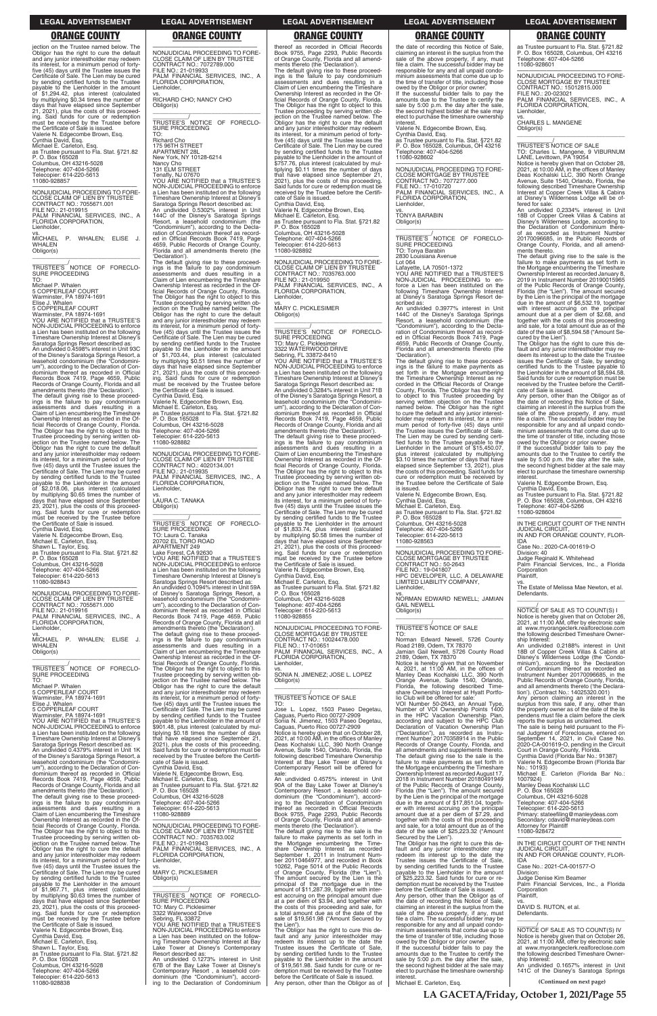jection on the Trustee named below. The Obligor has the right to cure the default and any junior interestholder may redeem its interest, for a minimum period of fortyfive (45) days until the Trustee issues the Certificate of Sale. The Lien may be cured by sending certified funds to the Trustee payable to the Lienholder in the amount<br>of \$1.294.42 plus interest of \$1,294.42, plus interest (calculated by multiplying \$0.34 times the number of days that have elapsed since September 21, 2021), plus the costs of this proceed-ing. Said funds for cure or redemption must be received by the Trustee before the Certificate of Sale is issued. Valerie N. Edgecombe Brown, Esq. Cynthia David, Esq. Michael E. Carleton, Esq. as Trustee pursuant to Fla. Stat. §721.82 P. O. Box 165028

\_\_\_\_\_\_\_\_\_\_\_\_\_\_\_\_\_\_\_\_\_\_\_\_\_\_\_\_\_\_\_\_\_ \_\_\_\_\_\_\_\_\_\_\_/ TRUSTEE'S NOTICE OF FORECLO-SURE PROCEEDING

Columbus, OH 43216-5028 Telephone: 407-404-5266 Telecopier: 614-220-5613 11080-928857

—————————————————— NONJUDICIAL PROCEEDING TO FORE-CLOSE CLAIM OF LIEN BY TRUSTEE CONTRACT NO.: 7055671.001 FILE NO.: 21-019915 PALM FINANCIAL SERVICES, INC., A FLORIDA CORPORATION, Lienholder, vs. MICHAEL P. WHALEN; ELISE J. WHALEN

Obligor(s)

TO: Michael P. Whalen

5 COPPERLEAF COURT Warminster, PA 18974-1691

Elise J. Whalen 5 COPPERLEAF COURT

\_\_\_\_\_\_\_\_\_\_\_/<br>TRUSTEE'S NOTICE OF FORECLO-<br>SURE PROCEEDING TO: Michael P. Whalen 5 COPPERLEAF COURT Warminster, PA 18974-1691 Elise J. Whalen 5 COPPERLEAF COURT

Warminster, PA 18974-1691 YOU ARE NOTIFIED that a TRUSTEE'S NON-JUDICIAL PROCEEDING to enforce a Lien has been instituted on the following Timeshare Ownership Interest at Disney's Saratoga Springs Resort described as: An undivided 0.4598% interest in Unit 93C of the Disney's Saratoga Springs Resort, a leasehold condominium (the "Condominium"), according to the Declaration of Condominium thereof as recorded in Official<br>Records Book 7419, Page 4659, Public<br>Records of Orange County, Florida and all<br>amendments thereto (the 'Declaration').<br>The default giving ri ficial Records of Orange County, Florida. The Obligor has the right to object to this Trustee proceeding by serving written ob-jection on the Trustee named below. The Obligor has the right to cure the default and any junior interestholder may redeem its interest, for a minimum period of forty-five (45) days until the Trustee issues the Certificate of Sale. The Lien may be cured by sending certified funds to the Trustee payable to the Lienholder in the amount of \$2,018.06, plus interest (calculated by multiplying \$0.65 times the number of days that have elapsed since September 23, 2021), plus the costs of this proceed-ing. Said funds for cure or redemption must be received by the Trustee before the Certificate of Sale is issued. Cynthia David, Esq. Valerie N. Edgecombe Brown, Esq. Michael E. Carleton, Esq. Shawn L. Taylor, Esq. as Trustee pursuant to Fla. Stat. §721.82 P. O. Box 165028 Columbus, OH 43216-5028 Telephone: 407-404-5266 Telecopier: 614-220-5613

11080-928843

—————————————————— NONJUDICIAL PROCEEDING TO FORE-CLOSE CLAIM OF LIEN BY TRUSTEE CONTRACT NO.: 7055671.000 FILE NO.: 21-019916 PALM FINANCIAL SERVICES, INC., A FLORIDA CORPORATION, Lienholder, vs. MICHAEL P. WHALEN; ELISE J.

WHALEN Obligor(s) \_\_\_\_\_\_\_\_\_\_\_\_\_\_\_\_\_\_\_\_\_\_\_\_\_\_\_\_\_\_\_\_\_

Warminster, PA 18974-1691 YOU ARE NOTIFIED that a TRUSTEE'S NON-JUDICIAL PROCEEDING to enforce a Lien has been instituted on the following Timeshare Ownership Interest at Disney's Saratoga Springs Resort described as:

SURE PROCEEDING TO: Laura C. Tanaka 20702 EL TORO ROAD APARTMENT 249 Lake Forest, CA 92630

—————————————————— NONJUDICIAL PROCEEDING TO FORE-CLOSE CLAIM OF LIEN BY TRUSTEE

CONTRACT NO.: 7072789.000 FILE NO.: 21-019933

PALM FINANCIAL SERVICES, INC., A FLORIDA CORPORATION,

Lienholder,

vs. RICHARD CHO; NANCY CHO

Obligor(s)

\_\_\_\_\_\_\_\_\_\_\_\_\_\_\_\_\_\_\_\_\_\_\_\_\_\_\_\_\_\_\_\_\_ \_\_\_\_\_\_\_\_\_\_\_/ TRUSTEE'S NOTICE OF FORECLO-

SURE PROCEEDING

TO: Richard Cho 175 96TH STREET APARTMENT 28L New York, NY 10128-6214<br>Nancy Cho Nancy Cho 131 ELM STREET

Tenafly, NJ 07670 YOU ARE NOTIFIED that a TRUSTEE'S NON-JUDICIAL PROCEEDING to enforce a Lien has been instituted on the following Timeshare Ownership Interest at Disney's Saratoga Springs Resort described as: An undivided 0.5302% interest in Unit 144C of the Disney's Saratoga Springs Resort, a leasehold condominium (the

"Condominium"), according to the Decla-ration of Condominium thereof as record-ed in Official Records Book 7419, Page

4659, Public Records of Orange County, Florida and all amendments thereto (the 'Declaration').

The default giving rise to these proceed-ings is the failure to pay condominium assessments and dues resulting in a Claim of Lien encumbering the Timeshare Ownership Interest as recorded in the Of-ficial Records of Orange County, Florida. The Obligor has the right to object to this Trustee proceeding by serving written ob-jection on the Trustee named below. The Obligor has the right to cure the default

five (45) days until the Trustee issues the

days that have elapsed since September

must be received by the Trustee before the Certificate of Sale is issued.

Cynthia David, Esq.

Valerie N. Edgecombe Brown, Esq. Michael E. Carleton, Esq. as Trustee pursuant to Fla. Stat. §721.82

P. O. Box 165028

Columbus, OH 43216-5028 Telephone: 407-404-5266 Telecopier: 614-220-5613

11080-928882

—————————————————— NONJUDICIAL PROCEEDING TO FORE-CLOSE CLAIM OF LIEN BY TRUSTEE CONTRACT NO.: 4020134.001

FILE NO.: 21-019935

PALM FINANCIAL SERVICES, INC., A FLORIDA CORPORATION,

Lienholder, vs. LAURA C. TANAKA Obligor(s)

\_\_\_\_\_\_\_\_\_\_\_\_\_\_\_\_\_\_\_\_\_\_\_\_\_\_\_\_\_\_\_\_\_ \_\_\_\_\_\_\_\_\_\_\_/ TRUSTEE'S NOTICE OF FORECLO-

YOU ARE NOTIFIED that a TRUSTEE'S

An undivided 0.3977% interest in Unit 144C of the Disney's Saratoga Springs Resort, a leasehold condominium (the "Condominium"), according to the Declaration of Condominium thereof as recorded in Official Records Book 7419, Page 4659, Public Records of Orange County, Florida and all amendments thereto (the "Declaration").<br>"The default giving rise to these proceed-<br>"The default giving rise to these proceed-

and any junior interestholder may redeem its interest, for a minimum period of forty-Certificate of Sale. The Lien may be cured by sending certified funds to the Trustee payable to the Lienholder in the amount<br>of \$1.703.44 plus interest (selection) of \$1,703.44, plus interest (calculated by multiplying \$0.51 times the number of 21, 2021), plus the costs of this proceed-ing. Said funds for cure or redemption \_\_\_\_\_\_\_\_\_\_\_\_\_\_\_\_\_\_\_\_\_\_\_\_\_\_\_\_\_\_\_\_\_ \_\_\_\_\_\_\_\_\_\_\_/ TRUSTEE'S NOTICE OF FORECLO-SURE PROCEEDING TO: Mary C. Picklesimer 3322 WATERWOOD DRIVE Sebring, FL 33872-8410 YOU ARE NOTIFIED that a TRUSTEE'S NON-JUDICIAL PROCEEDING to enforce

> vs. NORMAN EDWARD NEWELL; JAMIAN GAIL NEWELL

NON-JUDICIAL PROCEEDING to enforce a Lien has been instituted on the following Timeshare Ownership Interest at Disney's Saratoga Springs Resort described as: An undivided 0.1094% interest in Unit 59A of Disney's Saratoga Springs Resort, a leasehold condominium (the "Condomini-um"), according to the Declaration of Condominium thereof as recorded in Official Records Book 7419, Page 4659, Public Records of Orange County, Florida and all amendments thereto (the 'Declaration'). The default giving rise to these proceed-ings is the failure to pay condominium assessments and dues resulting in a Claim of Lien encumbering the Timeshare Ownership Interest as recorded in the Official Records of Orange County, Florida. The Obligor has the right to object to this Trustee proceeding by serving written objection on the Trustee named below. The Obligor has the right to cure the default and any junior interestholder may redeem its interest, for a minimum period of forty-Cynthia David, Esq. P. O. Box 165028 Columbus, OH 43216-5028 Telephone: 407-404-5266 Telecopier: 614-220-5613 —————————————————— NONJUDICIAL PROCEEDING TO FORE-Lienholder, \_\_\_\_\_\_\_\_\_\_\_\_\_\_\_\_\_\_\_\_\_\_\_\_\_\_\_\_\_\_\_\_\_

thereof as recorded in Official Records Book 9755, Page 2293, Public Records of Orange County, Florida and all amend-ments thereto (the 'Declaration'). The default giving rise to these proceed-ings is the failure to pay condominium assessments and dues resulting in a Claim of Lien encumbering the Timeshare Ownership Interest as recorded in the Of-ficial Records of Orange County, Florida. The Obligor has the right to object to this Trustee proceeding by serving written ob-jection on the Trustee named below. The Obligor has the right to cure the default and any junior interestholder may redeem its interest, for a minimum period of fortyfive (45) days until the Trustee issues the Certificate of Sale. The Lien may be cured by sending certified funds to the Trustee payable to the Lienholder in the amount of \$757.76, plus interest (calculated by mul-\$757.76, plus interest (calculated by mul-tiplying \$0.11 times the number of days that have elapsed since September 21, 2021), plus the costs of this proceeding. Said funds for cure or redemption must be received by the Trustee before the Certifi-cate of Sale is issued. Cynthia David, Esq. Valerie N. Edgecombe Brown, Esq. Michael E. Carleton, Esq. as Trustee pursuant to Fla. Stat. §721.82 P. O. Box 165028 Columbus, OH 43216-5028 Telephone: 407-404-5266 Telecopier: 614-220-5613

five (45) days until the Trustee issues the Certificate of Sale. The Lien may be cured by sending certified funds to the Trustee vable to the Lienholder in the amount of payable to the Liemonds in the children mul-<br>\$901.48, plus interest (calculated by mul-\_\_\_\_\_\_\_\_\_\_\_/ TRUSTEE'S NOTICE OF SALE TO:

11080-928892 —————————————————— NONJUDICIAL PROCEEDING TO FORE-CLOSE CLAIM OF LIEN BY TRUSTEE

CONTRACT NO.: 7035763.000 FILE NO.: 21-019950 PALM FINANCIAL SERVICES, INC., A FLORIDA CORPORATION, Lienholder,

vs. MARY C. PICKLESIMER Obligor(s)

> the date of recording this Notice of Sale,<br>claiming an interest in the surplus from the<br>sale of the above property, if any, must<br>file a claim. The successful bidder may be responsible for any and all unpaid condo-minium assessments that come due up to the time of transfer of title, including those

> owed by the Obligor or prior owner. If the successful bidder fails to pay the amounts due to the Trustee to certify the sale by 5:00 p.m. the day after the sale, the second highest bidder at the sale may elect to purchase the timeshare ownership interest

Division: 40 Judge Reginald K. Whitehead

Defendants.  $\overline{\phantom{a}}$  , and the set of the set of the set of the set of the set of the set of the set of the set of the set of the set of the set of the set of the set of the set of the set of the set of the set of the set of the s

a Lien has been instituted on the following Timeshare Ownership Interest at Disney's Saratoga Springs Resort described as: An undivided 0.3284% interest in Unit 71B of the Disney's Saratoga Springs Resort, a leasehold condominium (the "Condominium"), according to the Declaration of Con-dominium thereof as recorded in Official Records Book 7419, Page 4659, Public Records of Orange County, Florida and all amendments thereto (the 'Declaration'). The default giving rise to these proceed-ings is the failure to pay condominium assessments and dues resulting in a Claim of Lien encumbering the Timeshare Ownership Interest as recorded in the Of-ficial Records of Orange County, Florida. The Obligor has the right to object to this Trustee proceeding by serving written ob-jection on the Trustee named below. The Obligor has the right to cure the default and any junior interestholder may redeem its interest, for a minimum period of fortyfive (45) days until the Trustee issues the Certificate of Sale. The Lien may be cured by sending certified funds to the Trustee payable to the Lienholder in the amount<br>of \$1,833.74 plus interest of \$1,833.74, plus interest (calculated by multiplying \$0.58 times the number of days that have elapsed since September<br>21, 2021), plus the costs of this proceed-21, 2021), plus the costs of this proceed-ing. Said funds for cure or redemption must be received by the Trustee before the Certificate of Sale is issued. Valerie N. Edgecombe Brown, Esq. Michael E. Carleton, Esq. as Trustee pursuant to Fla. Stat. §721.82

| a Lien has been instituted on the following<br>Timeshare Ownership Interest at Disney's<br>Saratoga Springs Resort described as:<br>An undivided 0.4379% interest in Unit 1K<br>of the Disney's Saratoga Springs Resort, a<br>leasehold condominium (the "Condomini-<br>um"), according to the Declaration of Con-<br>dominium thereof as recorded in Official<br>Records Book 7419, Page 4659, Public<br>Records of Orange County, Florida and all<br>amendments thereto (the 'Declaration').<br>The default giving rise to these proceed-<br>ings is the failure to pay condominium<br>assessments and dues resulting in a<br>Claim of Lien encumbering the Timeshare<br>Ownership Interest as recorded in the Of-<br>ficial Records of Orange County, Florida.<br>The Obligor has the right to object to this<br>Trustee proceeding by serving written ob-<br>jection on the Trustee named below. The | tiplying \$0.18 times the number of days<br>that have elapsed since September 21,<br>2021), plus the costs of this proceeding.<br>Said funds for cure or redemption must be<br>received by the Trustee before the Certifi-<br>cate of Sale is issued.<br>Cynthia David, Esq.<br>Valerie N. Edgecombe Brown, Esg.<br>Michael E. Carleton, Esq.<br>as Trustee pursuant to Fla. Stat. §721.82<br>P. O. Box 165028<br>Columbus, OH 43216-5028<br>Telephone: 407-404-5266<br>Telecopier: 614-220-5613<br>11080-928889<br>NONJUDICIAL PROCEEDING TO FORE-<br>CLOSE CLAIM OF LIEN BY TRUSTEE<br>CONTRACT NO.: 7035763.002<br>FILE NO.: 21-019943 | Notice is hereby given that on October 28.<br>2021, at 10:00 AM, in the offices of Manley<br>Deas Kochalski LLC, 390 North Orange<br>Avenue, Suite 1540, Orlando, Florida, the<br>following described Timeshare Ownership<br>Interest at Bay Lake Tower at Disney's<br>Contemporary Resort will be offered for<br>sale:<br>An undivided 0.4575% interest in Unit<br>90A of the Bay Lake Tower at Disney's<br>Contemporary Resort, a leasehold con-<br>dominium (the "Condominium"), accord-<br>ing to the Declaration of Condominium<br>thereof as recorded in Official Records<br>Book 9755, Page 2293, Public Records<br>of Orange County, Florida and all amend-<br>ments thereto (the 'Declaration').<br>The default giving rise to the sale is the<br>failure to make payments as set forth in<br>the Mortgage encumbering the Time- | ("Declaration"), as recorded as Instru-<br>ment Number 20170358914 in the Public<br>Records of Orange County, Florida, and<br>all amendments and supplements thereto.<br>The default giving rise to the sale is the<br>failure to make payments as set forth in<br>the Mortgage encumbering the Timeshare<br>Ownership Interest as recorded August 17,<br>2018 in Instrument Number 20180491949<br>of the Public Records of Orange County,<br>Florida (the "Lien"). The amount secured<br>by the Lien is the principal of the mortgage<br>due in the amount of \$17,851.04, togeth-<br>er with interest accruing on the principal<br>amount due at a per diem of \$7.29, and<br>together with the costs of this proceeding<br>and sale, for a total amount due as of the<br>date of the sale of \$25,223.32 ("Amount<br>Secured by the Lien").<br>The Obligor has the right to cure this de- | nal Judgment of Foreclosure, entered on<br>September 14, 2021, in Civil Case No.<br>2020-CA-001619-O, pending in the Circuit<br>Court in Orange County, Florida.<br>Cynthia David (Florida Bar No.: 91387)<br>Valerie N. Edgecombe Brown (Florida Bar<br>No.: 10193)<br>Michael E. Carleton (Florida Bar No.:<br>1007924)<br>Manley Deas Kochalski LLC<br>P. O. Box 165028<br>Columbus, OH 43216-5028<br>Telephone: 407-404-5266<br>Telecopier: 614-220-5613<br>Primary: stateefiling@manleydeas.com<br>Secondary: cdavid@manleydeas.com<br><b>Attorney for Plaintiff</b><br>11080-928472<br>IN THE CIRCUIT COURT OF THE NINTH |
|----------------------------------------------------------------------------------------------------------------------------------------------------------------------------------------------------------------------------------------------------------------------------------------------------------------------------------------------------------------------------------------------------------------------------------------------------------------------------------------------------------------------------------------------------------------------------------------------------------------------------------------------------------------------------------------------------------------------------------------------------------------------------------------------------------------------------------------------------------------------------------------------------------|-------------------------------------------------------------------------------------------------------------------------------------------------------------------------------------------------------------------------------------------------------------------------------------------------------------------------------------------------------------------------------------------------------------------------------------------------------------------------------------------------------------------------------------------------------------------------------------------------------------------------------------------|-------------------------------------------------------------------------------------------------------------------------------------------------------------------------------------------------------------------------------------------------------------------------------------------------------------------------------------------------------------------------------------------------------------------------------------------------------------------------------------------------------------------------------------------------------------------------------------------------------------------------------------------------------------------------------------------------------------------------------------------------------------------------------------------------------------------------------------------|----------------------------------------------------------------------------------------------------------------------------------------------------------------------------------------------------------------------------------------------------------------------------------------------------------------------------------------------------------------------------------------------------------------------------------------------------------------------------------------------------------------------------------------------------------------------------------------------------------------------------------------------------------------------------------------------------------------------------------------------------------------------------------------------------------------------------------------------------------------------------------------------|--------------------------------------------------------------------------------------------------------------------------------------------------------------------------------------------------------------------------------------------------------------------------------------------------------------------------------------------------------------------------------------------------------------------------------------------------------------------------------------------------------------------------------------------------------------------------------------------------------------------------------|
| Obligor has the right to cure the default<br>and any junior interestholder may redeem<br>its interest, for a minimum period of forty-<br>five (45) days until the Trustee issues the<br>Certificate of Sale. The Lien may be cured<br>by sending certified funds to the Trustee<br>payable to the Lienholder in the amount<br>of \$1,967.71, plus interest (calculated<br>by multiplying \$0.63 times the number of<br>days that have elapsed since September<br>23, 2021), plus the costs of this proceed-<br>ing. Said funds for cure or redemption<br>must be received by the Trustee before<br>the Certificate of Sale is issued.                                                                                                                                                                                                                                                                    | PALM FINANCIAL SERVICES, INC., A<br>FLORIDA CORPORATION,<br>Lienholder,<br>VS.<br><b>MARY C. PICKLESIMER</b><br>Obligor(s)<br>TRUSTEE'S NOTICE OF FORECLO-<br><b>SURE PROCEEDING</b><br>TO: Mary C. Picklesimer<br>3322 Waterwood Drive<br>Sebring, FL 33872<br>YOU ARE NOTIFIED that a TRUSTEE'S                                                                                                                                                                                                                                                                                                                                         | share Ownership Interest as recorded<br>September 1, 2011 in Instrument Num-<br>ber 20110464977, and recorded in Book<br>10262, Page 5014 of the Public Records<br>of Orange County, Florida (the "Lien").<br>The amount secured by the Lien is the<br>principal of the mortgage due in the<br>amount of \$11,287.39, together with inter-<br>est accruing on the principal amount due<br>at a per diem of \$3.94, and together with<br>the costs of this proceeding and sale, for<br>a total amount due as of the date of the<br>sale of \$19,561.98 ("Amount Secured by<br>the Lien").                                                                                                                                                                                                                                                  | fault and any junior interestholder may<br>redeem its interest up to the date the<br>Trustee issues the Certificate of Sale.<br>by sending certified funds to the Trustee<br>payable to the Lienholder in the amount<br>of \$25,223.32. Said funds for cure or re-<br>demption must be received by the Trustee<br>before the Certificate of Sale is issued.<br>Any person, other than the Obligor as of<br>the date of recording this Notice of Sale.<br>claiming an interest in the surplus from the<br>sale of the above property, if any, must<br>file a claim. The successful bidder may be<br>responsible for any and all unpaid condo-                                                                                                                                                                                                                                                 | <b>JUDICIAL CIRCUIT.</b><br>IN AND FOR ORANGE COUNTY, FLOR-<br><b>IDA</b><br>Case No.: 2021-CA-001577-O<br>Division:<br>Judge Denise Kim Beamer<br>Palm Financial Services, Inc., a Florida<br>Corporation<br>Plaintiff,<br>DAVID S. RUTON, et al.<br>Defendants.                                                                                                                                                                                                                                                                                                                                                              |
| Valerie N. Edgecombe Brown, Esg.<br>Cynthia David, Esg.<br>Michael E. Carleton, Esg.<br>Shawn L. Taylor, Esg.<br>as Trustee pursuant to Fla. Stat. §721.82<br>P. O. Box 165028<br>Columbus, OH 43216-5028<br>Telephone: 407-404-5266<br>Telecopier: 614-220-5613<br>11080-928838                                                                                                                                                                                                                                                                                                                                                                                                                                                                                                                                                                                                                         | NON-JUDICIAL PROCEEDING to enforce<br>a Lien has been instituted on the follow-<br>ing Timeshare Ownership Interest at Bay<br>Lake Tower at Disney's Contemporary<br>Resort described as:<br>An undivided 0.1273% interest in Unit<br>67B of the Bay Lake Tower at Disney's<br>Contemporary Resort, a leasehold con-<br>dominium (the "Condominium"), accord-<br>ing to the Declaration of Condominium                                                                                                                                                                                                                                    | The Obligor has the right to cure this de-<br>fault and any junior interestholder may<br>redeem its interest up to the date the<br>Trustee issues the Certificate of Sale,<br>by sending certified funds to the Trustee<br>payable to the Lienholder in the amount<br>of \$19,561.98. Said funds for cure or re-<br>demption must be received by the Trustee<br>before the Certificate of Sale is issued.<br>Any person, other than the Obligor as of                                                                                                                                                                                                                                                                                                                                                                                     | minium assessments that come due up to<br>the time of transfer of title, including those<br>owed by the Obligor or prior owner.<br>If the successful bidder fails to pay the<br>amounts due to the Trustee to certify the<br>sale by 5:00 p.m. the day after the sale,<br>the second highest bidder at the sale may<br>elect to purchase the timeshare ownership<br>interest.<br>Michael E. Carleton, Esg.                                                                                                                                                                                                                                                                                                                                                                                                                                                                                   | NOTICE OF SALE AS TO COUNT(S) IV<br>Notice is hereby given that on October 26.<br>2021, at 11:00 AM, offer by electronic sale<br>at www.myorangeclerk.realforeclose.com<br>the following described Timeshare Owner-<br>ship Interest:<br>An undivided 0.1657% interest in Unit<br>141C of the Disney's Saratoga Springs<br>(Continued on next page)                                                                                                                                                                                                                                                                            |

11080-928855

CLOSE MORTGAGE BY TRUSTEE CONTRACT NO.: 10024478.000 FILE NO.: 17-010651 PALM FINANCIAL SERVICES, INC., A FLORIDA CORPORATION,

vs. SONIA N. JIMENEZ; JOSE L. LOPEZ Obligor(s)

Jose L. Lopez, 1503 Paseo Degetau, Caguas, Puerto Rico 00727-2909 Sonia N. Jimenez, 1503 Paseo Degetau, Caguas, Puerto Rico 00727-2909 Notice is hereby given that on October 28, 2021, at 10:00 AM, in the offices of Manley Deas Kochalski LLC, 390 North Orange

the date of recording this Notice of Sale, claiming an interest in the surplus from the sale of the above property, if any, must file a claim. The successful bidder may be responsible for any and all unpaid condominium assessments that come due up to the time of transfer of title, including those

owed by the Obligor or prior owner. If the successful bidder fails to pay the amounts due to the Trustee to certify the sale by 5:00 p.m. the day after the sale, the second highest bidder at the sale may elect to purchase the timeshare ownership interest.

Valerie N. Edgecombe Brown, Esq. Cynthia David, Esq. as Trustee pursuant to Fla. Stat. §721.82 P. O. Box 165028, Columbus, OH 43216 Telephone: 407-404-5266

11080-928602 —————————————————— NONJUDICIAL PROCEEDING TO FORE-

CLOSE MORTGAGE BY TRUSTEE CONTRACT NO.: 7077277.000 FILE NO.: 17-010720 PALM FINANCIAL SERVICES, INC., A FLORIDA CORPORATION,

Lienholder, vs. TONYA BARABIN

Obligor(s)

\_\_\_\_\_\_\_\_\_\_\_\_\_\_\_\_\_\_\_\_\_\_\_\_\_\_\_\_\_\_\_\_\_

\_\_\_\_\_\_\_\_\_\_\_/ TRUSTEE'S NOTICE OF FORECLO-SURE PROCEEDING TO: Tonya Barabin 2830 Louisiana Avenue

Lot 064

Lafayette, LA 70501-1372 YOU ARE NOTIFIED that a TRUSTEE'S NON-JUDICIAL PROCEEDING to en-force a Lien has been instituted on the following Timeshare Ownership Interest at Disney's Saratoga Springs Resort described as:

The default giving rise to these proceed-ings is the failure to make payments as set forth in the Mortgage encumbering the Timeshare Ownership Interest as re-corded in the Official Records of Orange County, Florida. The Obligor has the right to object to this Trustee proceeding by serving written objection on the Trustee named below. The Obligor has the right to cure the default and any junior interestholder may redeem its interest, for a mini-<br>mum period of forty-five (45) days until mum period of forty-five (45) days until the Trustee issues the Certificate of Sale. The Lien may be cured by sending certified funds to the Trustee payable to the<br>Lienholder in the amount of \$15,450.07, plus interest (calculated by multiplying \$3.10 times the number of days that have elapsed since September 13, 2021), plus the costs of this proceeding. Said funds for cure or redemption must be received by the Trustee before the Certificate of Sale

is issued. Valerie N. Edgecombe Brown, Esq. Cynthia David, Esq. Michael E. Carleton, Esq. as Trustee pursuant to Fla. Stat. §721.82 P. O. Box 165028 Columbus, OH 43216-5028 Telephone: 407-404-5266 Telecopier: 614-220-5613 11080-928563

—————————————————— NONJUDICIAL PROCEEDING TO FORE-CLOSE MORTGAGE BY TRUSTEE CONTRACT NO.: 50-2643 FILE NO.: 19-041807 HPC DEVELOPER, LLC, A DELAWARE LIMITED LIABILITY COMPANY, Lienholder,

Obligor(s)

\_\_\_\_\_\_\_\_\_\_\_\_\_\_\_\_\_\_\_\_\_\_\_\_\_\_\_\_\_\_\_\_\_

\_\_\_\_\_\_\_\_\_\_\_/ TRUSTEE'S NOTICE OF SALE

TO: Norman Edward Newell, 5726 County Road 2189, Odem, TX 78370 Jamian Gail Newell, 5726 County Road 2189, Odem, TX 78370

Notice is hereby given that on November 4, 2021, at 11:00 AM, in the offices of Manley Deas Kochalski LLC, 390 North Orange Avenue, Suite 1540, Orlando, Florida, the following described Time-share Ownership Interest at Hyatt Portfolio Club will be offered for sale:

VOI Number 50-2643, an Annual Type, Number of VOI Ownership Points 1400 in the HPC Vacation Ownership Plan, according and subject to the HPC Club Declaration of Vacation Ownership Plan ("Declaration"), as recorded as Instru-ment Number 20170358914 in the Public Records of Orange County, Florida, and all amendments and supplements thereto.

as Trustee pursuant to Fla. Stat. §721.82 P. O. Box 165028, Columbus, OH 43216 Telephone: 407-404-5266 11080-928601

—————————————————— NONJUDICIAL PROCEEDING TO FORE-CLOSE MORTGAGE BY TRUSTEE CONTRACT NO.: 15012815.000 FILE NO.: 20-023021

PALM FINANCIAL SERVICES, INC., A FLORIDA CORPORATION, Lienholder,

vs. CHARLES L. MANGENE Obligor(s)

\_\_\_\_\_\_\_\_\_\_\_\_\_\_\_\_\_\_\_\_\_\_\_\_\_\_\_\_\_\_\_\_\_

\_\_\_\_\_\_\_\_\_\_\_/ TRUSTEE'S NOTICE OF SALE

TO: Charles L. Mangene, 9 VIBURNUM LANE, Levittown, PA 19054

Notice is hereby given that on October 28, 2021, at 10:00 AM, in the offices of Manley Deas Kochalski LLC, 390 North Orange Avenue, Suite 1540, Orlando, Florida, the following described Timeshare Ownership Interest at Copper Creek Villas & Cabins at Disney's Wilderness Lodge will be of-fered for sale:

An undivided 0.2334% interest in Unit 18B of Copper Creek Villas & Cabins at Disney's Wilderness Lodge, according to the Declaration of Condominium thereof as recorded as Instrument Number 20170096685, in the Public Records of Orange County, Florida, and all amend-

ments thereto. The default giving rise to the sale is the failure to make payments as set forth in the Mortgage encumbering the Timeshare Ownership Interest as recorded January 8, 2019 in Instrument Number 20190015965 of the Public Records of Orange County, Florida (the "Lien"). The amount secured by the Lien is the principal of the mortgage due in the amount of \$6,532.19, together with interest accruing on the principal amount due at a per diem of \$2.68, and together with the costs of this proceeding and sale, for a total amount due as of the date of the sale of \$8,594.58 ("Amount Se-

cured by the Lien"). The Obligor has the right to cure this default and any junior interestholder may redeem its interest up to the date the Trustee issues the Certificate of Sale, by sending certified funds to the Trustee payable to the Lienholder in the amount of \$8,594.58. Said funds for cure or redemption must be received by the Trustee before the Certifi-cate of Sale is issued. Any person, other than the Obligor as of

Valerie N. Edgecombe Brown, Esq.

Cynthia David, Esq. as Trustee pursuant to Fla. Stat. §721.82 P. O. Box 165028, Columbus, OH 43216 Telephone: 407-404-5266 11080-928604

—————————————————— IN THE CIRCUIT COURT OF THE NINTH JUDICIAL CIRCUIT, IN AND FOR ORANGE COUNTY, FLOR-IDA

Case No.: 2020-CA-001619-O

Palm Financial Services, Inc., a Florida Corporation

Plaintiff, vs. The Estate of Melissa Mae Newton, et al.

\_\_\_\_\_\_/ NOTICE OF SALE AS TO COUNT(S) I Notice is hereby given that on October 26, 2021, at 11:00 AM, offer by electronic sale at www.myorangeclerk.realforeclose.com the following described Timeshare Owner-ship Interest:

An undivided 0.2188% interest in Unit 18B of Copper Creek Villas & Cabins at Disney's Wilderness Lodge (the 'Condominium'), according to the Declaration of Condominium thereof as recorded as Instrument Number 20170096685, in the Public Records of Orange County, Florida, and all amendments thereto ('the Declara-tion'). (Contract No.: 14025320.001)

Any person claiming an interest in the surplus from this sale, if any, other than the property owner as of the date of the lis pendens must file a claim before the clerk

reports the surplus as unclaimed. The sale is being held pursuant to the Final Judgment of Foreclosure, entered on September 14, 2021, in Civil Case No. 2020-CA-001619-O, pending in the Circuit

### **LEGAL ADVERTISEMENT LEGAL ADVERTISEMENT LEGAL ADVERTISEMENT LEGAL ADVERTISEMENT LEGAL ADVERTISEMENT**

### **ORANGE COUNTY ORANGE COUNTY ORANGE COUNTY ORANGE COUNTY ORANGE COUNTY**

**LA GACETA/Friday, October 1, 2021/Page 55**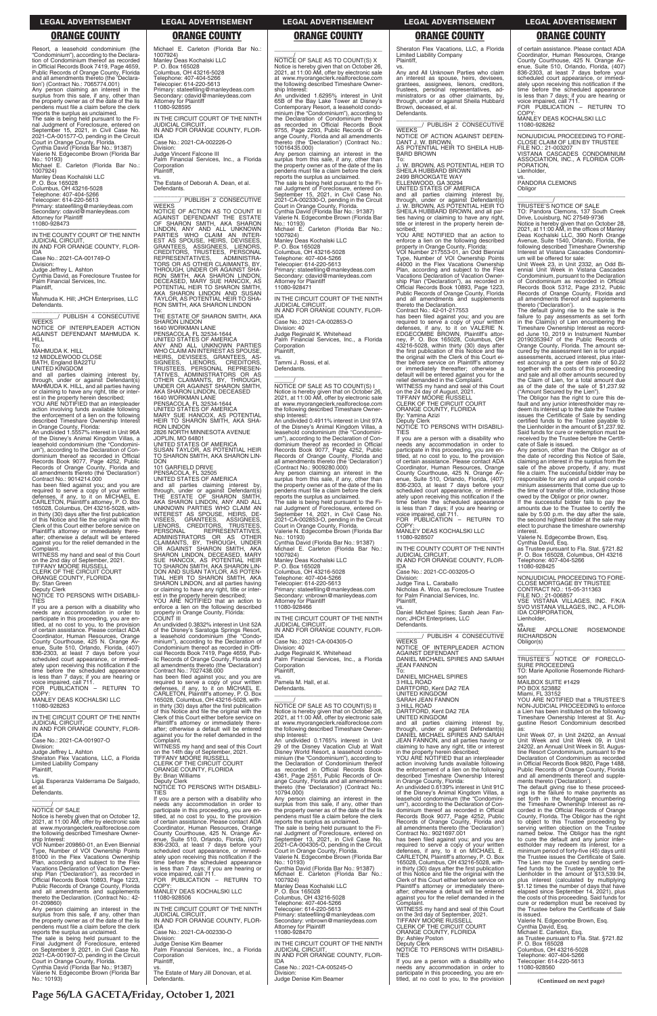**Page 56/LA GACETA/Friday, October 1, 2021**

Resort, a leasehold condominium (the "Condominium"), according to the Declara-tion of Condominium thereof as recorded in Official Records Book 7419, Page 4659, Public Records of Orange County, Florida and all amendments thereto (the 'Declaration') (Contract No.: 7065774.001)

Any person claiming an interest in the surplus from this sale, if any, other than the property owner as of the date of the lis pendens must file a claim before the clerk

reports the surplus as unclaimed. The sale is being held pursuant to the Fi-nal Judgment of Foreclosure, entered on September 15, 2021, in Civil Case No. 2021-CA-001577-O, pending in the Circuit

Court in Orange County, Florida. Cynthia David (Florida Bar No.: 91387) Valerie N. Edgecombe Brown (Florida Bar

No.: 10193) Michael E. Carleton (Florida Bar No.: 1007924)

Manley Deas Kochalski LLC P. O. Box 165028 Columbus, OH 43216-5028 Telephone: 407-404-5266

Telecopier: 614-220-5613 Primary: stateefiling@manleydeas.com Secondary: cdavid@manleydeas.com Attorney for Plaintiff 11080-928473

—————————————————— IN THE COUNTY COURT OF THE NINTH JUDICIAL CIRCUIT, IN AND FOR ORANGE COUNTY, FLOR-

IDA Case No.: 2021-CA-001749-O

Division: Judge Jeffrey L. Ashton Cynthia David, as Foreclosure Trustee for Palm Financial Services, Inc. Plaintiff,

vs. Mahmuda K. Hill; JHCH Enterprises, LLC Defendants.

\_\_\_\_\_\_\_\_\_\_\_\_\_\_\_\_\_\_\_\_\_\_\_\_\_\_\_\_\_\_\_ \_\_\_\_\_\_\_\_/ PUBLISH 4 CONSECUTIVE **WEEKS** NOTICE OF INTERPLEADER ACTION AGAINST DEFENDANT MAHMUDA K. HILL

CLERK OF THE CIRCUIT COURT ORANGE COUNTY, FLORIDA

To: MAHMUDA K. HILL 12 MIDDLEWOOD CLOSE

BATH, England BA22TU UNITED KINGDOM and all parties claiming interest by, through, under or against Defendant(s) MAHMUDA K. HILL, and all parties having or claiming to have any right, title or inter-est in the property herein described; YOU ARE NOTIFIED that an interpleader

action involving funds available following the enforcement of a lien on the following described Timeshare Ownership Interest

in Orange County, Florida: An undivided 1.5557% interest in Unit 96A of the Disney's Animal Kingdom Villas, a leasehold condominium (the "Condomini-um"), according to the Declaration of Condominium thereof as recorded in Official Records Book 9077, Page 4252, Public Records of Orange County, Florida and all amendments thereto (the 'Declaration') Contract No.: 9014214.000

has been filed against you; and you are required to serve a copy of your written defenses, if any, to it on MICHAEL E. CARLETON, Plaintiff's attorney, P. O. Box 165028, Columbus, OH 43216-5028, within thirty (30) days after the first publication of this Notice and file the original with the Clerk of this Court either before service on Plaintiff's attorney or immediately there-after; otherwise a default will be entered against you for the relief demanded in the Complaint.

Judge Vincent Falcone III Palm Financial Services, Inc., a Florida **Corporation Plaintiff** 

vs. The Estate of Deborah A. Dean, et al. **Defendants** 

\_\_\_\_\_\_\_\_\_\_\_\_\_\_\_\_\_\_\_\_\_\_\_\_\_\_\_\_\_\_\_ \_\_\_\_\_\_\_\_/ PUBLISH 2 CONSECUTIVE **WEEKS** 

WITNESS my hand and seal of this Court on the 2nd day of September, 2021. TIFFANY MOORE RUSSELL

By: Stan Green

Deputy Clerk NOTICE TO PERSONS WITH DISABILI-TIES

If you are a person with a disability who needs any accommodation in order to participate in this proceeding, you are en-titled, at no cost to you, to the provision of certain assistance. Please contact ADA Coordinator, Human Resources, Orange County Courthouse, 425 N. Orange Av-enue, Suite 510, Orlando, Florida, (407) 836-2303, at least 7 days before your scheduled court appearance, or immediately upon receiving this notification if the time before the scheduled appearance is less than 7 days; if you are hearing or voice impaired, call 711. FOR PUBLICATION – RETURN TO HEIR TO SHARON SMITH, AKA SHA-RON LINDON 2826 NORTH MINNESOTA AVENUE

COPY: MANLEY DEAS KOCHALSKI LLC

11080-928263

—————————————————— IN THE CIRCUIT COURT OF THE NINTH JUDICIAL CIRCUIT, IN AND FOR ORANGE COUNTY, FLOR-IDA

Case No.: 2021-CA-001907-O

Michael E. Carleton (Florida Bar No.: 1007924) Manley Deas Kochalski LLC P. O. Box 165028 Columbus, OH 43216-5028 Telephone: 407-404-5266 Telecopier: 614-220-5613

Primary: stateefiling@manleydeas.com Secondary: cdavid@manleydeas.com Attorney for Plaintiff 11080-928595

—————————————————— IN THE CIRCUIT COURT OF THE NINTH JUDICIAL CIRCUIT, IN AND FOR ORANGE COUNTY, FLOR-IDA

Case No.: 2021-CA-002226-O Division:

> IDA Case No.: 2021-CA-002853-O Division: 40 Judge Reginald K. Whitehead Palm Financial Services, Inc., a Florida **Corporation**

> $\frac{1}{\text{NOTICE}}$  OF SALE AS TO COUNT(S) I Notice is hereby given that on October 26, 2021, at 11:00 AM, offer by electronic sale at www.myorangeclerk.realforeclose.com the following described Timeshare Ownership Interest: An undivided 0.4911% interest in Unit 97A

NOTICE OF ACTION AS TO COUNT III AGAINST DEFENDANT THE ESTATE OF SHARON SMITH, AKA SHARON<br>LINDON, ANY AND ALL UNKNOWN<br>PARTIES WHO CLAIM AN INTER-<br>EST AS SPOUSE, HEIRS, DEVISEES, GRANTEES, ASSIGNEES, LIENORS, CREDITORS, TRUSTEES, PERSONAL REPRESENTATIVES, ADMINISTRA-TORS OR AS OTHER CLAIMANTS, BY, THROUGH, UNDER OR AGAINST SHA-RON SMITH, AKA SHARON LINDON, DECEASED, MARY SUE HANCOX, AS POTENTIAL HEIR TO SHARON SMITH, AKA SHARON LINDON AND SUSAN TAYLOR, AS POTENTIAL HEIR TO SHA-RON SMITH, AKA SHARON LINDON

To: THE ESTATE OF SHARON SMITH, AKA SHARON LINDON 1640 WORKMAN LANE

PENSACOLA, FL 32534-1644 UNITED STATES OF AMERICA

—————————————————— IN THE CIRCUIT COURT OF THE NINTH JUDICIAL CIRCUIT, IN AND FOR ORANGE COUNTY, FLOR-

ANY AND ALL UNKNOWN PARTIES WHO CLAIM AN INTEREST AS SPOUSE, HEIRS, DEVISEES, GRANTEES, AS-<br>SIGNEES, LIENORS, CREDITORS,<br>TRUSTEES, PERSONAL REPRESEN-<br>TATIVES, ADMINISTRATORS OR AS<br>OTHER CLAIMANTS, BY, THROUGH,<br>UNDER OR AGAINST SHARON LINDON, DECEASED<br>AKA SHARON LINDON, DECEASED 1640 WORKMAN LANE PENSACOLA, FL 32534-1644 UNITED STATES OF AMERICA MARY SUE HANCOX, AS POTENTIAL

JOPLIN, MO 64801 UNITED STATES OF AMERICA SUSAN TAYLOR, AS POTENTIAL HEIR TO SHARON SMITH, AKA SHARON LIN-DON

101 GARFIELD DRIVE

PENSACOLA, FL 32505 UNITED STATES OF AMERICA and all parties claiming interest by, through, under or against Defendant(s) THE ESTATE OF SHARON SMITH, AKA SHARON LINDON, ANY AND ALL<br>UNKNOWN PARTIES WHO CLAIM AN<br>INTEREST AS SPOUSE, HEIRS, DE-<br>VISEES, GRANTEES, ASSIGNEES,<br>LIENORS, CREDITORS, TRUSTEES, PERSONAL REPRESENTATIVES,<br>ADMINISTRATORS OR AS OTHER<br>CLAIMANTS, BY, THROUGH, UNDER<br>OR AGAINST SHARON SMITH, AKA SHARON LINDON, DECEASED, MARY SUE HANCOX, AS POTENTIAL HEIR TO SHARON SMITH, AKA SHARON LIN-DON AND SUSAN TAYLOR, AS POTEN-TIAL HEIR TO SHARON SMITH, AKA SHARON LINDON, and all parties having or claiming to have any right, title or inter-

\_\_\_\_\_\_\_\_\_\_\_\_\_\_\_\_\_\_\_\_\_\_\_\_\_\_\_\_\_\_\_ \_\_\_\_\_\_\_\_/ PUBLISH 2 CONSECUTIVE **WEEKS** 

est in the property herein described; YOU ARE NOTIFIED that an action to enforce a lien on the following described property in Orange County, Florida: COUNT III

An undivided 0.3832% interest in Unit 52A of the Disney's Saratoga Springs Resort, a leasehold condominium (the "Condominium"), according to the Declaration of Condominium thereof as recorded in Offi-cial Records Book 7419, Page 4659, Public Records of Orange County, Florida and all amendments thereto (the 'Declaration') Contract No.: 7027438.000

has been filed against you; and you are required to serve a copy of your written defenses, if any, to it on MICHAEL E. CARLETON, Plaintiff's attorney, P. O. Box 165028, Columbus, OH 43216-5028, within thirty (30) days after the first publication of this Notice and file the original with the Clerk of this Court either before service on Plaintiff's attorney or immediately there-after; otherwise a default will be entered against you for the relief demanded in the Complaint.

COP<sup>\</sup> MANLEY DEAS KOCHALSKI LLC 11080-928507

# \_\_\_\_\_\_\_\_\_\_\_\_\_\_\_\_\_\_\_\_\_\_\_\_\_\_\_\_\_\_\_\_\_

\_\_\_\_\_\_/ NOTICE OF SALE AS TO COUNT(S) X Notice is hereby given that on October 26, 2021, at 11:00 AM, offer by electronic sale at www.myorangeclerk.realforeclose.com the following described Timeshare Ownership Interest:

An undivided 1.6295% interest in Unit 65B of the Bay Lake Tower at Disney's<br>Contemporary Resort, a leasehold condo-<br>minium (the "Condominium"), according to<br>the Declaration of Condominium thereof<br>as recorded in Official Records Book<br>9755, Page 2293, Public Rec ange County, Florida and all amendments thereto (the 'Declaration') (Contract No.: 10016435.000) Any person claiming an interest in the surplus from this sale, if any, other than the property owner as of the date of the lis pendens must file a claim before the clerk

reports the surplus as unclaimed. The sale is being held pursuant to the Fi-<br>nal Judgment of Foreclosure, entered on<br>September 15, 2021, in Civil Case No.<br>2021-CA-002330-O, pending in the Circuit<br>Court in Orange County, Florida.<br>Cynthia David (Florida Bar Valerie N. Edgecombe Brown (Florida Bar No.: 10193) Michael E. Carleton (Florida Bar No.:

> Any person, other than the Obligor as of the date of recording this Notice of Sale, claiming an interest in the surplus from the sale of the above property, if any, must file a claim. The successful bidder may be responsible for any and all unpaid condo-minium assessments that come due up to the time of transfer of title, including those owed by the Obligor or prior owner. If the successful bidder fails to pay the amounts due to the Trustee to certify the sale by 5:00 p.m. the day after the sale, the second highest bidder at the sale may elect to purchase the timeshare ownership

1007924) Manley Deas Kochalski LLC P. O. Box 165028 Columbus, OH 43216-5028 Telephone: 407-404-5266 Telecopier: 614-220-5613 Primary: stateefiling@manleydeas.com Secondary: cdavid@manleydeas.com Attorney for Plaintiff 11080-928471

—————————————————— IN THE CIRCUIT COURT OF THE NINTH JUDICIAL CIRCUIT, IN AND FOR ORANGE COUNTY, FLOR-

Plaintiff, vs. Tammi J. Rossi, et al. Defendants.

 $\overline{\phantom{a}}$  , and the set of the set of the set of the set of the set of the set of the set of the set of the set of the set of the set of the set of the set of the set of the set of the set of the set of the set of the s

of the Disney's Animal Kingdom Villas, a leasehold condominium (the "Condominium"), according to the Declaration of Condominium thereof as recorded in Official Records Book 9077, Page 4252, Public Records of Orange County, Florida and all amendments thereto (the 'Declaration') (Contract No.: 9009280.000)

Any person claiming an interest in the surplus from this sale, if any, other than the property owner as of the date of the lis pendens must file a claim before the clerk reports the surplus as unclaimed. The sale is being held pursuant to the Fi-nal Judgment of Foreclosure, entered on September 14, 2021, in Civil Case No.

2021-CA-002853-O, pending in the Circuit Court in Orange County, Florida. Valerie N. Edgecombe Brown (Florida Bar No.: 10193)

Cynthia David (Florida Bar No.: 91387) Michael E. Carleton (Florida Bar No.: 1007924)

Manley Deas Kochalski LLC P. O. Box 165028

Columbus, OH 43216-5028

Telephone: 407-404-5266 Telecopier: 614-220-5613

Primary: stateefiling@manleydeas.com Secondary: vnbrown@manleydeas.com Attorney for Plaintiff

11080-928466

IDA Case No.: 2021-CA-004305-O Division: 40 Judge Reginald K. Whitehead Palm Financial Services, Inc., a Florida Corporation Plaintiff,

vs. Pamela M. Hall, et al. Defendants.

\_\_\_\_\_\_\_\_\_\_\_\_\_\_\_\_\_\_\_\_\_\_\_\_\_\_\_\_\_\_\_\_\_

\_\_\_\_\_\_/ NOTICE OF SALE AS TO COUNT(S) II Notice is hereby given that on October 26, 2021, at 11:00 AM, offer by electronic sale at www.myorangeclerk.realforeclose.com the following described Timeshare Ownership Interest:

An undivided 0.1765% interest in Unit

| Division:<br>Judge Jeffrey L. Ashton                                         | WITNESS my hand and seal of this Court<br>on the 14th day of September, 2021.     | 29 of the Disney Vacation Club at Walt<br>Disney World Resort, a leasehold condo-  | claiming to have any right, title or interest<br>in the property herein described;    | 24202, an Annual Unit Week in St. Augus-<br>tine Resort Condominium, pursuant to the  |
|------------------------------------------------------------------------------|-----------------------------------------------------------------------------------|------------------------------------------------------------------------------------|---------------------------------------------------------------------------------------|---------------------------------------------------------------------------------------|
| Sheraton Flex Vacations, LLC, a Florida<br><b>Limited Liability Company</b>  | TIFFANY MOORE RUSSELL<br>CLERK OF THE CIRCUIT COURT                               | minium (the "Condominium"), according to<br>the Declaration of Condominium thereof | YOU ARE NOTIFIED that an interpleader<br>action involving funds available following   | Declaration of Condominium as recorded<br>in Official Records Book 9820, Page 1488,   |
| Plaintiff.                                                                   | ORANGE COUNTY, FLORIDA                                                            | as recorded in Official Records Book                                               | the enforcement of a lien on the following                                            | Public Records of Orange County, Florida                                              |
| VS.                                                                          | <b>By: Brian Williams</b>                                                         | 4361, Page 2551, Public Records of Or-                                             | described Timeshare Ownership Interest                                                | and all amendments thereof and supple-                                                |
| Ligia Esperanza Valderrama De Salgado,                                       | Deputy Clerk<br>NOTICE TO PERSONS WITH DISABILI-                                  | ange County, Florida and all amendments                                            | in Orange County, Florida:                                                            | ments thereto ('Declaration').                                                        |
| et al.<br>Defendants.                                                        | <b>TIES</b>                                                                       | thereto (the 'Declaration') (Contract No.:<br>10794.000)                           | An undivided 0.6139% interest in Unit 91C<br>of the Disney's Animal Kingdom Villas, a | The default giving rise to these proceed-<br>ings is the failure to make payments as  |
|                                                                              | If you are a person with a disability who                                         | Any person claiming an interest in the                                             | leasehold condominium (the "Condomini-                                                | set forth in the Mortgage encumbering                                                 |
|                                                                              | needs any accommodation in order to                                               | surplus from this sale, if any, other than                                         | um"), according to the Declaration of Con-                                            | the Timeshare Ownership Interest as re-                                               |
| <b>NOTICE OF SALE</b>                                                        | participate in this proceeding, you are en-                                       | the property owner as of the date of the lis                                       | dominium thereof as recorded in Official                                              | corded in the Official Records of Orange                                              |
| Notice is hereby given that on October 12,                                   | titled, at no cost to you, to the provision                                       | pendens must file a claim before the clerk                                         | Records Book 9077, Page 4252, Public                                                  | County, Florida. The Obligor has the right                                            |
| 2021, at 11:00 AM, offer by electronic sale                                  | of certain assistance. Please contact ADA                                         | reports the surplus as unclaimed.                                                  | Records of Orange County, Florida and                                                 | to object to this Trustee proceeding by                                               |
| at www.myorangeclerk.realforeclose.com                                       | Coordinator, Human Resources, Orange                                              | The sale is being held pursuant to the Fi-                                         | all amendments thereto (the 'Declaration')                                            | serving written objection on the Trustee                                              |
| the following described Timeshare Owner-                                     | County Courthouse, 425 N. Orange Av-                                              | nal Judgment of Foreclosure, entered on                                            | Contract No.: 9021697.001                                                             | named below. The Obligor has the right                                                |
| ship Interest:<br>VOI Number 209860-01, an Even Biennial                     | enue, Suite 510, Orlando, Florida, (407)<br>836-2303, at least 7 days before your | September 13, 2021, in Civil Case No.<br>2021-CA-004305-O, pending in the Circuit  | has been filed against you; and you are<br>required to serve a copy of your written   | to cure the default and any junior inter-<br>estholder may redeem its interest, for a |
| Type. Number of VOI Ownership Points                                         | scheduled court appearance, or immedi-                                            | Court in Orange County, Florida.                                                   | defenses, if any, to it on MICHAEL E.                                                 | minimum period of forty-five (45) days until                                          |
| 81000 in the Flex Vacations Ownership                                        | ately upon receiving this notification if the                                     | Valerie N. Edgecombe Brown (Florida Bar                                            | CARLETON, Plaintiff's attorney, P. O. Box                                             | the Trustee issues the Certificate of Sale.                                           |
| Plan, according and subject to the Flex                                      | time before the scheduled appearance                                              | No.: 10193)                                                                        | 165028, Columbus, OH 43216-5028, with-                                                | The Lien may be cured by sending certi-                                               |
| Vacations Declaration of Vacation Owner-                                     | is less than 7 days; if you are hearing or                                        | Cynthia David (Florida Bar No.: 91387)                                             | in thirty (30) days after the first publication                                       | fied funds to the Trustee payable to the                                              |
| ship Plan ("Declaration"), as recorded in                                    | voice impaired, call 711.                                                         | Michael E. Carleton (Florida Bar No.:                                              | of this Notice and file the original with the                                         | Lienholder in the amount of \$13,539.94,                                              |
| Official Records Book 10893, Page 1223,                                      | FOR PUBLICATION - RETURN TO                                                       | 1007924)                                                                           | Clerk of this Court either before service on                                          | plus interest (calculated by multiplying                                              |
| Public Records of Orange County, Florida                                     | COPY:                                                                             | Manley Deas Kochalski LLC                                                          | Plaintiff's attorney or immediately there-                                            | \$1.12 times the number of days that have                                             |
| and all amendments and supplements                                           | MANLEY DEAS KOCHALSKI LLC                                                         | P. O. Box 165028                                                                   | after; otherwise a default will be entered                                            | elapsed since September 14, 2021), plus                                               |
| thereto the Declaration. (Contract No.: 42-<br>01-209860)                    | 11080-928506                                                                      | Columbus, OH 43216-5028                                                            | against you for the relief demanded in the                                            | the costs of this proceeding. Said funds for                                          |
| Any person claiming an interest in the                                       | IN THE CIRCUIT COURT OF THE NINTH                                                 | Telephone: 407-404-5266<br>Telecopier: 614-220-5613                                | Complaint.<br>WITNESS my hand and seal of this Court                                  | cure or redemption must be received by<br>the Trustee before the Certificate of Sale  |
| surplus from this sale, if any, other than                                   | <b>JUDICIAL CIRCUIT.</b>                                                          | Primary: stateefiling@manleydeas.com                                               | on the 3rd day of September, 2021.                                                    | is issued.                                                                            |
| the property owner as of the date of the lis                                 | IN AND FOR ORANGE COUNTY, FLOR-                                                   | Secondary: vnbrown@manleydeas.com                                                  | <b>TIFFANY MOORE RUSSELL</b>                                                          | Valerie N. Edgecombe Brown, Esg.                                                      |
| pendens must file a claim before the clerk                                   | <b>IDA</b>                                                                        | Attorney for Plaintiff                                                             | CLERK OF THE CIRCUIT COURT                                                            | Cynthia David, Esq.                                                                   |
| reports the surplus as unclaimed.                                            | Case No.: 2021-CA-002330-O                                                        | 11080-928470                                                                       | ORANGE COUNTY, FLORIDA                                                                | Michael E. Carleton, Esq.                                                             |
| The sale is being held pursuant to the                                       | Division:                                                                         |                                                                                    | By: Ashley Poston                                                                     | as Trustee pursuant to Fla. Stat. §721.82                                             |
| Final Judgment of Foreclosure, entered                                       | Judge Denise Kim Beamer                                                           | IN THE CIRCUIT COURT OF THE NINTH                                                  | Deputy Clerk                                                                          | P. O. Box 165028                                                                      |
| on September 9, 2021, in Civil Case No.                                      | Palm Financial Services, Inc., a Florida                                          | <b>JUDICIAL CIRCUIT.</b><br>IN AND FOR ORANGE COUNTY, FLOR-                        | NOTICE TO PERSONS WITH DISABILI-                                                      | Columbus, OH 43216-5028                                                               |
| 2021-CA-001907-O, pending in the Circuit<br>Court in Orange County, Florida. | Corporation<br>Plaintiff,                                                         | <b>IDA</b>                                                                         | <b>TIES</b><br>If you are a person with a disability who                              | Telephone: 407-404-5266<br>Telecopier: 614-220-5613                                   |
| Cynthia David (Florida Bar No.: 91387)                                       | VS.                                                                               | Case No.: 2021-CA-005245-O                                                         | needs any accommodation in order to                                                   | 11080-928560                                                                          |
| Valerie N. Edgecombe Brown (Florida Bar                                      | The Estate of Mary Jill Donovan, et al.                                           | Division:                                                                          | participate in this proceeding, you are en-                                           |                                                                                       |
| No.: 10193)                                                                  | Defendants.                                                                       | Judge Denise Kim Beamer                                                            | titled, at no cost to you, to the provision                                           | (Continued on next page)                                                              |

### Sheraton Flex Vacations, LLC, a Florida Limited Liability Company

Plaintiff, vs.

Any and All Unknown Parties who claim an interest as spouse, heirs, devisees, grantees, assignees, lienors, creditors, trustees, personal representatives, administrators or as other claimants, by through, under or against Sheila Hubbard Brown, deceased, et al. Defendants.

NOTICE OF ACTION AGAINST DEFEN-DANT J. W. BROWN, AS POTENTIAL HEIR TO SHEILA HUB-BARD BROWN

To: J. W. BROWN, AS POTENTIAL HEIR TO SHEILA HUBBARD BROWN

2499 BROOKGATE WAY ELLENWOOD, GA 30294 UNITED STATES OF AMERICA

and all parties claiming interest by, through, under or against Defendant(s) J. W. BROWN, AS POTENTIAL HEIR TO SHEILA HUBBARD BROWN, and all parties having or claiming to have any right, title or interest in the property herein de-

scribed; YOU ARE NOTIFIED that an action to enforce a lien on the following described property in Orange County, Florida: VOI Number 217553-01, an Odd Biennial

Type, Number of VOI Ownership Points 44000 in the Flex Vacations Ownership Plan, according and subject to the Flex Vacations Declaration of Vacation Ownership Plan ("Declaration"), as recorded in Official Records Book 10893, Page 1223, Public Records of Orange County, Florida and all amendments and supplements thereto the Declaration.

Contract No.: 42-01-217553

has been filed against you; and you are required to serve a copy of your written defenses, if any, to it on VALERIE N. EDGECOMBE BROWN, Plaintiff's attor-ney, P. O. Box 165028, Columbus, OH 43216-5028, within thirty (30) days after the first publication of this Notice and file the original with the Clerk of this Court either before service on Plaintiff's attorney or immediately thereafter; otherwise a default will be entered against you for the relief demanded in the Complaint. WITNESS my hand and seal of this Court

on the 24 day of August, 2021. TIFFANY MOORE RUSSELL

CLERK OF THE CIRCUIT COURT ORANGE COUNTY, FLORIDA

By: Yamina Azizi

Deputy Clerk NOTICE TO PERSONS WITH DISABILI-TIES

If you are a person with a disability who needs any accommodation in order to participate in this proceeding, you are entitled, at no cost to you, to the provision of certain assistance. Please contact ADA Coordinator, Human Resources, Orange County Courthouse, 425 N. Orange Av-enue, Suite 510, Orlando, Florida, (407) enue, Suite 510, Orlando, Florida, (407)<br>836-2303, at least 7 days before your scheduled court appearance, or immediately upon receiving this notification if the time before the scheduled appearance is less than 7 days; if you are hearing or voice impaired, call 711. FOR PUBLICATION – RETURN TO

—————————————————— IN THE COUNTY COURT OF THE NINTH JUDICIAL CIRCUIT, IN AND FOR ORANGE COUNTY, FLOR-

IDA Case No.: 2021-CC-003205-O

Division: Judge Tina L. Caraballo Nicholas A. Woo, as Foreclosure Trustee for Palm Financial Services, Inc.

**WEEKS** 

JEAN FANNON

Plaintiff,

vs. Daniel Michael Spires; Sarah Jean Fan-non; JHCH Enterprises, LLC Defendants. \_\_\_\_\_\_\_\_\_\_\_\_\_\_\_\_\_\_\_\_\_\_\_\_\_\_\_\_\_\_\_ \_\_\_\_\_\_\_\_/ PUBLISH 4 CONSECUTIVE

NOTICE OF INTERPLEADER ACTION AGAINST DEFENDANT DANIEL MICHAEL SPIRES AND SARAH

To: DANIEL MICHAEL SPIRES 3 HILL ROAD DARTFORD, Kent DA2 7EA UNITED KINGDOM SARAH JEAN FANNON 3 HILL ROAD

DARTFORD, Kent DA2 7EA UNITED KINGDOM

and all parties claiming interest by, through, under or against Defendant(s) DANIEL MICHAEL SPIRES AND SARAH JEAN FANNON, and all parties having or of certain assistance. Please contact ADA Coordinator, Human Resources, Orange County Courthouse, 425 N. Orange Av-enue, Suite 510, Orlando, Florida, (407) 836-2303, at least 7 days before your scheduled court appearance, or immediately upon receiving this notification if the time before the scheduled appearance is less than 7 days; if you are hearing or voice impaired, call 711. FOR PUBLICATION – RETURN TO

COPY: MANLEY DEAS KOCHALSKI LLC

11080-928262

—————————————————— NONJUDICIAL PROCEEDING TO FORE-CLOSE CLAIM OF LIEN BY TRUSTEE

FILE NO.: 21-003207

VISTANA CASCADES CONDOMINIUM ASSOCIATION, INC., A FLORIDA COR-

PORATION, Lienholder,

**Obligor** 

vs. PANDORA CLEMONS

\_\_\_\_\_\_\_\_\_\_\_\_\_\_\_\_\_\_\_\_\_\_\_\_\_\_\_\_\_\_\_\_\_ \_\_\_\_\_\_\_\_\_\_\_/ TRUSTEE'S NOTICE OF SALE

TO: Pandora Clemons, 137 South Creek<br>Drive, Louisburg, NC 27549-9736<br>Notice is hereby given that on October 28,<br>2021, at 11:00 AM, in the offices of Manley<br>Deas Kochalski LLC, 390 North Orange<br>Avenue, Suite 1540, Orlando,

following described Timeshare Ownership Interest at Vistana Cascades Condominium will be offered for sale: Unit Week 23, in Unit 2332, an Odd Bi-ennial Unit Week in Vistana Cascades Condominium, pursuant to the Declaration of Condominium as recorded in Official Records Book 5312, Page 2312, Public Records of Orange County, Florida and all amendments thereof and supplements

thereto ('Declaration').

The default giving rise to the sale is the failure to pay assessments as set forth in the Claim(s) of Lien encumbering the Timeshare Ownership Interest as record-ed June 10, 2019 in Instrument Number 20190353947 of the Public Records of

Orange County, Florida. The amount se-cured by the assessment lien is for unpaid assessments, accrued interest, plus interest accruing at a per diem rate of \$0.22 together with the costs of this proceeding and sale and all other amounts secured by the Claim of Lien, for a total amount due as of the date of the sale of \$1,237.92 ("Amount Secured by the Lien"). The Obligor has the right to cure this de-fault and any junior interestholder may redeem its interest up to the date the Trustee issues the Certificate of Sale by sending certified funds to the Trustee payable to the Lienholder in the amount of \$1,237.92. Said funds for cure or redemption must be received by the Trustee before the Certifi-

cate of Sale is issued.

interest.

Valerie N. Edgecombe Brown, Esq. Cynthia David, Esq. as Trustee pursuant to Fla. Stat. §721.82 P. O. Box 165028, Columbus, OH 43216

Telephone: 407-404-5266 11080-928425

—————————————————— NONJUDICIAL PROCEEDING TO FORE-CLOSE MORTGAGE BY TRUSTEE CONTRACT NO.: 15-05-311363

FILE NO.: 21-006857 VSE VISTANA VILLAGES, INC. F/K/A SVO VISTANA VILLAGES, INC., A FLOR-

IDA CORPORATION, Lienholder,

vs. MARIE APOLLONIE ROSEMONDE RICHARDSON

Obligor(s)

\_\_\_\_\_\_\_\_\_\_\_\_\_\_\_\_\_\_\_\_\_\_\_\_\_\_\_\_\_\_\_\_\_ \_\_\_\_\_\_\_\_\_\_\_/ TRUSTEE'S NOTICE OF FORECLO-

SURE PROCEEDING

TO: Marie Apollonie Rosemonde Richard-

son

MAILBOX SUITE #1429 PO BOX 523882 Miami, FL 33152

YOU ARE NOTIFIED that a TRUSTEE'S NON-JUDICIAL PROCEEDING to enforce a Lien has been instituted on the following Timeshare Ownership Interest at St. Augustine Resort Condominium described as: Unit Week 07, in Unit 24202, an Annual Unit Week and Unit Week 09, in Unit

### **LEGAL ADVERTISEMENT LEGAL ADVERTISEMENT LEGAL ADVERTISEMENT LEGAL ADVERTISEMENT LEGAL ADVERTISEMENT**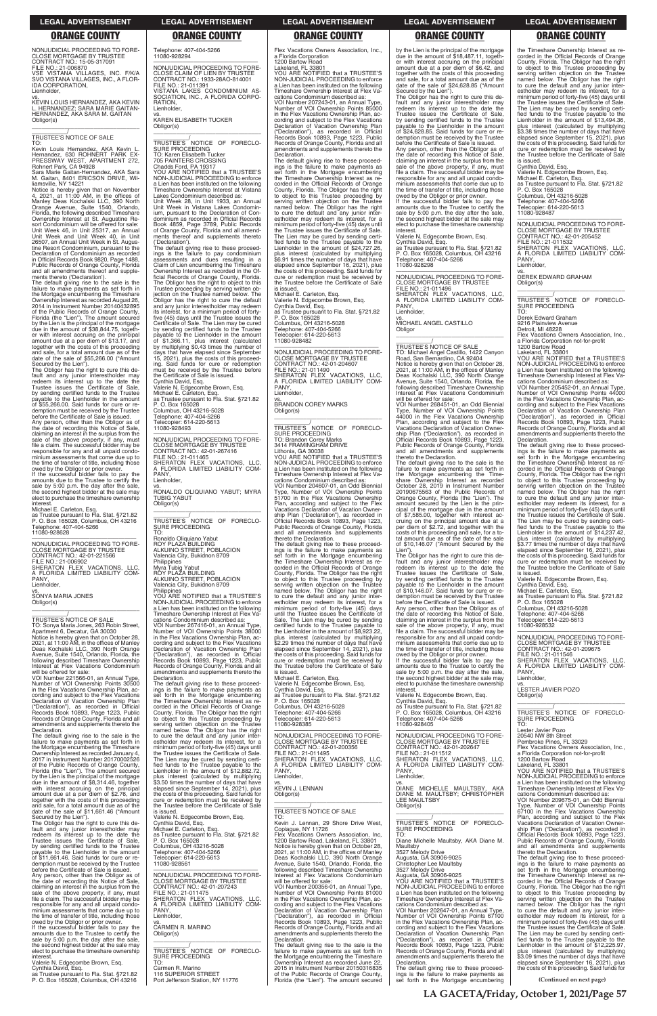**(Continued on next page)**

NONJUDICIAL PROCEEDING TO FORE-CLOSE MORTGAGE BY TRUSTEE CONTRACT NO.: 15-05-317091 FILE NO.: 21-006870 VSE VISTANA VILLAGES, INC. F/K/A SVO VISTANA VILLAGES, INC., A FLOR-IDA CORPORATION, Lienholder,

vs. KEVIN LOUIS HERNANDEZ, AKA KEVIN L. HERNANDEZ; SARA MARIE GAITAN-HERNANDEZ, AKA SARA M. GAITAN Obligor(s) \_\_\_\_\_\_\_\_\_\_\_\_\_\_\_\_\_\_\_\_\_\_\_\_\_\_\_\_\_\_\_\_\_

\_\_\_\_\_\_\_\_\_\_\_/ TRUSTEE'S NOTICE OF SALE

TO: Kevin Louis Hernandez, AKA Kevin L. Hernandez, 630 ROHNERT PARK EX-PRESSWAY WEST, APARTMENT 272, Rohnert Park, CA 94928 Sara Marie Gaitan-Hernandez, AKA Sara

M. Gaitan, 8401 ERICSON DRIVE, Willemsville, NY 14221<br>Notice is hereby given that on November<br>4, 2021, at 11:00 AM, in the offices of<br>Manley Deas Kochalski LLC, 390 North<br>Orange Avenue, Suite 1540, Orlando, Florida, the following described Timeshare Ownership Interest at St. Augustine Re-sort Condominium will be offered for sale: Unit Week 46, in Unit 25317, an Annual Unit Week and Unit Week 40, in Unit 26507, an Annual Unit Week in St. Augustine Resort Condominium, pursuant to the Declaration of Condominium as recorded in Official Records Book 9820, Page 1488, Public Records of Orange County, Florida and all amendments thereof and supple-ments thereto ('Declaration').

The Obligor has the right to cure this de-<br>fault and any junior interestholder may<br>redeem its interest up to the date the<br>Trustee issues the Certificate of Sale,<br>by sending certified funds to the Trustee<br>payable to the Lie of \$55,266.00. Said funds for cure or re-demption must be received by the Trustee before the Certificate of Sale is issued.

The default giving rise to the sale is the failure to make payments as set forth in the Mortgage encumbering the Timeshare Ownership Interest as recorded August 26, 2014 in Instrument Number 20140432895 of the Public Records of Orange County, Florida (the "Lien"). The amount secured by the Lien is the principal of the mortgage due in the amount of \$38,844.75, together with interest accruing on the principal amount due at a per diem of \$13.17, and together with the costs of this proceeding and sale, for a total amount due as of the date of the sale of \$55,266.00 ("Amount Secured by the Lien").

\_\_\_\_\_\_\_\_\_\_\_\_/<br>TRUSTEE'S NOTICE OF SALE<br>TO: Sonya Maria Jones, 263 Robin Street, Apartment 6, Decatur, GA 30030 Notice is hereby given that on October 28, 2021, at 11:00 AM, in the offices of Manley

Any person, other than the Obligor as of the date of recording this Notice of Sale, claiming an interest in the surplus from the sale of the above property, if any, must file a claim. The successful bidder may be responsible for any and all unpaid condominium assessments that come due up to the time of transfer of title, including those owed by the Obligor or prior owner.

The Obligor has the right to cure this de-<br>fault and any junior interestholder may<br>redeem its interest up to the date the<br>Trustee issues the Certificate of Sale,<br>by sending certified funds to the Trustee<br>payable to the Lie of \$11,661.46. Said funds for cure or re-demption must be received by the Trustee before the Certificate of Sale is issued. Any person, other than the Obligor as of the date of recording this Notice of Sale, claiming an interest in the surplus from the

If the successful bidder fails to pay the amounts due to the Trustee to certify the sale by 5:00 p.m. the day after the sale, the second highest bidder at the sale may elect to purchase the timeshare ownership interest.

Michael E. Carleton, Esq. as Trustee pursuant to Fla. Stat. §721.82 P. O. Box 165028, Columbus, OH 43216 Telephone: 407-404-5266 11080-928628

RATION, Lienholder,

—————————————————— NONJUDICIAL PROCEEDING TO FORE-CLOSE MORTGAGE BY TRUSTEE CONTRACT NO.: 42-01-221566 FILE NO.: 21-006902 SHERATON FLEX VACATIONS, LLC, A FLORIDA LIMITED LIABILITY COM-PANY, Lienholder,

vs. SONYA MARIA JONES Obligor(s)

\_\_\_\_\_\_\_\_\_\_\_\_\_\_\_\_\_\_\_\_\_\_\_\_\_\_\_\_\_\_\_\_\_

Deas Kochalski LLC, 390 North Orange Avenue, Suite 1540, Orlando, Florida, the following described Timeshare Ownership Interest at Flex Vacations Condominium will be offered for sale: VOI Number 221566-01, an Annual Type,

Number of VOI Ownership Points 30500 in the Flex Vacations Ownership Plan, ac-cording and subject to the Flex Vacations Declaration of Vacation Ownership Plan ("Declaration"), as recorded in Official Records Book 10893, Page 1223, Public Records of Orange County, Florida and all amendments and supplements thereto the Declaration.

PANY Lienholder, vs. TUBIG YABUT

The default giving rise to the sale is the failure to make payments as set forth in the Mortgage encumbering the Timeshare

Ownership Interest as recorded January 4, 2017 in Instrument Number 20170002526 of the Public Records of Orange County, Florida (the "Lien"). The amount secured by the Lien is the principal of the mortgage due in the amount of \$8,314.46, together with interest accruing on the principal amount due at a per diem of \$2.76, and together with the costs of this proceeding and sale, for a total amount due as of the date of the sale of \$11,661.46 ("Amount Secured by the Lien").

sale of the above property, if any, must file a claim. The successful bidder may be responsible for any and all unpaid condominium assessments that come due up to the time of transfer of title, including those owed by the Obligor or prior owner.

If the successful bidder fails to pay the amounts due to the Trustee to certify the sale by 5:00 p.m. the day after the sale, the second highest bidder at the sale may elect to purchase the timeshare ownership interest.

Valerie N. Edgecombe Brown, Esq. Cynthia David, Esq. as Trustee pursuant to Fla. Stat. §721.82

P. O. Box 165028, Columbus, OH 43216

Telephone: 407-404-5266

11080-928294

CLOSE CLAIM OF LIEN BY TRUSTEE CONTRACT NO.: 1933-28AO-814001 FILE NO.: 21-011391 VISTANA LAKES CONDOMINIUM AS-SOCIATION, INC., A FLORIDA CORPO-

 $\overline{\phantom{a}}$  , and the set of the set of the set of the set of the set of the set of the set of the set of the set of the set of the set of the set of the set of the set of the set of the set of the set of the set of the s TRUSTEE'S NOTICE OF FORECLO-

vs. KAREN ELISABETH TUCKER

Obligor(s)

SURE PROCEEDING TO: Karen Elisabeth Tucker

\_\_\_\_\_\_\_\_\_\_\_\_\_\_\_\_\_\_\_\_\_\_\_\_\_\_\_\_\_\_\_\_\_ \_\_\_\_\_\_\_\_\_\_\_/<br>TRUSTEE'S NOTICE OF FORECLO-<br>SURE PROCEEDING

705 PAINTERS CROSSING Chadds Ford, PA 19317 YOU ARE NOTIFIED that a TRUSTEE'S NON-JUDICIAL PROCEEDING to enforce a Lien has been instituted on the following Timeshare Ownership Interest at Vistana Lakes Condominium described as: Unit Week 28, in Unit 1933, an Annual Unit Week in Vistana Lakes Condominium, pursuant to the Declaration of Condominium as recorded in Official Records Book 4859, Page 3789, Public Records of Orange County, Florida and all amend-ments thereof and supplements thereto

('Declaration').

The default giving rise to these proceed-ings is the failure to pay condominium assessments and dues resulting in a Claim of Lien encumbering the Timeshare Ownership Interest as recorded in the Of-ficial Records of Orange County, Florida. The Obligor has the right to object to this Trustee proceeding by serving written ob-jection on the Trustee named below. The

> —————————————————— NONJUDICIAL PROCEEDING TO FORE-CLOSE MORTGAGE BY TRUSTEE CLOSE

days that have elapsed since September 15, 2021), plus the costs of this proceed-ing. Said funds for cure or redemption

must be received by the Trustee before the Certificate of Sale is issued. Cynthia David, Esq.

Valerie N. Edgecombe Brown, Esq. Michael E. Carleton, Esq. as Trustee pursuant to Fla. Stat. §721.82 P. O. Box 165028 Columbus, OH 43216-5028 Telephone: 407-404-5266 Telecopier: 614-220-5613 11080-928493 —————————————————— NONJUDICIAL PROCEEDING TO FORE-

> Florida (the "Lien"). The amount secured set forth in the Mortgage encumbering —————————————————— NONJUDICIAL PROCEEDING TO FORE-CLOSE MORTGAGE BY TRUSTEE CONTRACT NO.: 42-01-202647 FILE NO.: 21-011512 SHERATON FLEX VACATIONS, LLC, A FLORIDA LIMITED LIABILITY COM-PANY, Lienholder, vs. DIANE MICHELLE MAULTSBY, AKA DIANE M. MAULTSBY; CHRISTOPHER LEE MAULTSBY Obligor(s)  $\overline{\phantom{a}}$  , and the set of the set of the set of the set of the set of the set of the set of the set of the set of the set of the set of the set of the set of the set of the set of the set of the set of the set of the s  $\overline{\phantom{a}}$ TRUSTEE'S NOTICE OF FORECLO-SURE PROCEEDING TO: Maultsby, AKA Diane M. Maultsby rive  $3906-9025$ Production<br>PMaultsby rive 0906-9025 YOU ARE NOTIFIED that a TRUSTEE'S NON-JUDICIAL PROCEEDING to enforce a Lien has been instituted on the following Timeshare Ownership Interest at Flex Va-cations Condominium described as: VOI Number 202647-01, an Annual Type, Number of VOI Ownership Points 67100 in the Flex Vacations Ownership Plan, according and subject to the Flex Vacations Declaration of Vacation Ownership Plan ("Declaration"), as recorded in Official Records Book 10893, Page 1223, Public Records of Orange County, Florida and all amendments and supplements thereto the Declaration. The default giving rise to these proceed-ings is the failure to make payments as Flex Vacations Owners Association, Inc.

CLOSE MORTGAGE BY TRUSTEE CONTRACT NO.: 42-01-267416 FILE NO.: 21-011465 SHERATON FLEX VACATIONS, LLC, A FLORIDA LIMITED LIABILITY COM-

RONALDO OLIQUIANO YABUT; MYRA Obligor(s)

\_\_\_\_\_\_\_\_\_\_\_\_\_\_\_\_\_\_\_\_\_\_\_\_\_\_\_\_\_\_\_\_\_

\_\_\_\_\_\_\_\_\_\_\_/ TRUSTEE'S NOTICE OF FORECLO-SURE PROCEEDING

### —————————————————— NONJUDICIAL PROCEEDING TO FOREa Florida Corporation 1200 Bartow Road Lakeland, FL 33801

TO: Ronaldo Oliquiano Yabut ROY PLAZA BUILDING ALKUINO STREET, POBLACION Valencia City, Bukidnon 8709 Philippines Myra Tubig Yabut ROY PLAZA BUILDING

ALKUINO STREET, POBLACION Valencia City, Bukidnon 8709

Philippines YOU ARE NOTIFIED that a TRUSTEE'S

owed by the Obligor or prior owner. If the successful bidder fails to pay the amounts due to the Trustee to certify the sale by 5:00 p.m. the day after the sale, the second highest bidder at the sale may elect to purchase the timeshare ownership **interest** 

NON-JUDICIAL PROCEEDING to enforce a Lien has been instituted on the following Timeshare Ownership Interest at Flex Vacations Condominium described as: VOI Number 267416-01, an Annual Type, Number of VOI Ownership Points 38000 in the Flex Vacations Ownership Plan, ac-cording and subject to the Flex Vacations

Declaration of Vacation Ownership Plan ("Declaration"), as recorded in Official Records Book 10893, Page 1223, Public Records of Orange County, Florida and all amendments and supplements thereto the Declaration.

The default giving rise to these proceed-ings is the failure to make payments as set forth in the Mortgage encumbering the Timeshare Ownership Interest as re-corded in the Official Records of Orange County, Florida. The Obligor has the right to object to this Trustee proceeding by serving written objection on the Trustee named below. The Obligor has the right to cure the default and any junior inter-estholder may redeem its interest, for a minimum period of forty-five (45) days until

demption must be received by the Trustee before the Certificate of Sale is issued. Any person, other than the Obligor as of the date of recording this Notice of Sale, claiming an interest in the surplus from the sale of the above property, if any, must file a claim. The successful bidder may be responsible for any and all unpaid condo-minium assessments that come due up to the time of transfer of title, including those

Obligor has the right to cure the default and any junior interestholder may redeem its interest, for a minimum period of fortyfive (45) days until the Trustee issues the Certificate of Sale. The Lien may be cured by sending certified funds to the Trustee payable to the Lienholder in the amount of \$1,366.11, plus interest (calculated by multiplying \$0.43 times the number of P. O. Box 165028

Flex Vacations Owners Association, Inc.,

YOU ARE NOTIFIED that a TRUSTEE'S NON-JUDICIAL PROCEEDING to enforce a Lien has been instituted on the following

Timeshare Ownership Interest at Flex Va-cations Condominium described as: VOI Number 207243-01, an Annual Type, Number of VOI Ownership Points 85000 in the Flex Vacations Ownership Plan, ac-cording and subject to the Flex Vacations Declaration of Vacation Ownership Plan ("Declaration"), as recorded in Official Records Book 10893, Page 1223, Public Records of Orange County, Florida and all amendments and supplements thereto the Declaration.

> VOI Number 205452-01, an Annual Type, Number of VOI Ownership Points 44000 in the Flex Vacations Ownership Plan, according and subject to the Flex Vacations<br>Declaration of Vacation Ownership Plan<br>("Declaration"), as recorded in Official<br>Records Book 10893, Page 1223, Public<br>Records of Orange County, Florida and all<br>amendments and suppl

The default giving rise to these proceed-ings is the failure to make payments as set forth in the Mortgage encumbering the Timeshare Ownership Interest as re-corded in the Official Records of Orange County, Florida. The Obligor has the right to object to this Trustee proceeding by serving written objection on the Trustee named below. The Obligor has the right to cure the default and any junior inter-estholder may redeem its interest, for a minimum period of forty-five (45) days until the Trustee issues the Certificate of Sale. The Lien may be cured by sending certi- fied funds to the Trustee payable to the Lienholder in the amount of \$24,727.26, plus interest (calculated by multiplying \$6.91 times the number of days that have elapsed since September 16, 2021), plus the costs of this proceeding. Said funds for cure or redemption must be received by the Trustee before the Certificate of Sale

is issued. Michael E. Carleton, Esq. Valerie N. Edgecombe Brown, Esq. Cynthia David, Esq. as Trustee pursuant to Fla. Stat. §721.82 Columbus, OH 43216-5028 Telephone: 407-404-5266 Telecopier: 614-220-5613 11080-928482

—————————————————— NONJUDICIAL PROCEEDING TO FORE-CLOSE MORTGAGE BY TRUSTEE CONTRACT NO.: 42-01-204607 FILE NO.: 21-011490 SHERATON FLEX VACATIONS, LLC, A FLORIDA LIMITED LIABILITY COM-PANY, Lienholder,

> TO: Lester Javier Pozo 20540 NW 8th Street Pembroke Pines, FL 33029

| minimum period of forty-five (45) days until<br>the Trustee issues the Certificate of Sale.<br>The Lien may be cured by sending certi-<br>fied funds to the Trustee payable to the<br>Lienholder in the amount of \$12,882.72,<br>plus interest (calculated by multiplying<br>\$3.50 times the number of days that have<br>elapsed since September 14, 2021), plus<br>the costs of this proceeding. Said funds for<br>cure or redemption must be received by<br>the Trustee before the Certificate of Sale<br>is issued.<br>Valerie N. Edgecombe Brown, Esg.<br>Cynthia David, Esg.<br>Michael E. Carleton, Esq.<br>as Trustee pursuant to Fla. Stat. §721.82<br>P. O. Box 165028<br>Columbus, OH 43216-5028<br>Telephone: 407-404-5266<br>Telecopier: 614-220-5613<br>11080-928561 | CONTRACT N<br><b>FILE NO.: 21-0</b><br>SHERATON<br>A FLORIDA<br>PANY.<br>Lienholder.<br>VS.<br><b>KEVIN J. LEN</b><br>Obligor(s)<br><b>TRUSTEE'S N</b><br>TO:<br>Kevin J. Lenn<br>Copiague, NY<br>Flex Vacation:<br>1200 Bartow F<br>Notice is herel<br>2021, at 11:00<br>Deas Kochals<br>Avenue, Suite<br>following desc |
|-------------------------------------------------------------------------------------------------------------------------------------------------------------------------------------------------------------------------------------------------------------------------------------------------------------------------------------------------------------------------------------------------------------------------------------------------------------------------------------------------------------------------------------------------------------------------------------------------------------------------------------------------------------------------------------------------------------------------------------------------------------------------------------|---------------------------------------------------------------------------------------------------------------------------------------------------------------------------------------------------------------------------------------------------------------------------------------------------------------------------|
| NONJUDICIAL PROCEEDING TO FORE-<br><b>CLOSE MORTGAGE BY TRUSTEE</b><br>CONTRACT NO.: 42-01-207243<br>FILE NO.: 21-011475<br>SHERATON FLEX VACATIONS, LLC,<br>A FLORIDA LIMITED LIABILITY COM-<br>PANY.<br>Lienholder,<br>VS.<br><b>CARMEN R. MARINO</b><br>Obligor(s)                                                                                                                                                                                                                                                                                                                                                                                                                                                                                                               | Interest at Fle<br>will be offered<br>VOI Number 2<br>Number of VC<br>in the Flex Vad<br>cording and st<br>Declaration of<br>("Declaration")<br><b>Records Book</b><br>Records of Ora<br>amendments a<br>Declaration.<br>The default gi                                                                                   |
| TRUSTEE'S NOTICE<br>OF<br>FORECLO-<br><b>SURE PROCEEDING</b><br>TO:<br>Carmen R. Marino<br><b>116 SUPERIOR STREET</b><br>Port Jefferson Station, NY 11776                                                                                                                                                                                                                                                                                                                                                                                                                                                                                                                                                                                                                           | failure to mak<br>the Mortgage of<br>Ownership Int<br>2015 in Instrur<br>of the Public F<br>Florida (the "L                                                                                                                                                                                                               |

vs. BRANDON COREY MARKS

Obligor(s)

TO: Brandon Corey Marks 3414 FRAMINGHAM DRIVE Lithonia, GA 30038

YOU ARE NOTIFIED that a TRUSTEE'S NON-JUDICIAL PROCEEDING to enforce a Lien has been instituted on the following Timeshare Ownership Interest at Flex Va-cations Condominium described as: VOI Number 204607-01, an Odd Biennial Type, Number of VOI Ownership Points 51700 in the Flex Vacations Ownership Plan, according and subject to the Flex Vacations Declaration of Vacation Owner-ship Plan ("Declaration"), as recorded in Official Records Book 10893, Page 1223, Public Records of Orange County, Florida and all amendments and supplements thereto the Declaration.

The default giving rise to these proceed-ings is the failure to make payments as set forth in the Mortgage encumbering the Timeshare Ownership Interest as re-corded in the Official Records of Orange County, Florida. The Obligor has the right to object to this Trustee proceeding by serving written objection on the Trustee named below. The Obligor has the right to cure the default and any junior inter-estholder may redeem its interest, for a minimum period of forty-five (45) days until the Trustee issues the Certificate of Sale. The Lien may be cured by sending certified funds to the Trustee payable to the Lienholder in the amount of \$8,923.22, plus interest (calculated by multiplying \$2.29 times the number of days that have elapsed since September 14, 2021), plus the costs of this proceeding. Said funds for cure or redemption must be received by the Trustee before the Certificate of Sale

is issued. Michael E. Carleton, Esq. Valerie N. Edgecombe Brown, Esq. Cynthia David, Esq. as Trustee pursuant to Fla. Stat. §721.82

P. O. Box 165028 Columbus, OH 43216-5028 Telephone: 407-404-5266 Telecopier: 614-220-5613 11080-928385

| ULUJL MUNTUAUL DI THUJTLL<br>CONTRACT NO.: 42-01-200356<br>FILE NO.: 21-011495<br>SHERATON FLEX VACATIONS, LLC,<br>A FLORIDA LIMITED LIABILITY COM-<br>PANY.<br>Lienholder,<br>VS.<br>KEVIN J. LENNAN<br>Obligor(s) | ULUJL IVIUNT<br><b>CONTRACT N</b><br><b>FILE NO.: 21-0</b><br>SHERATON F<br>A FLORIDA L<br>PANY,<br>Lienholder,<br>VS.<br><b>DIANE</b><br><b>MICH</b><br>DIANE M. MA<br><b>LEE MAULTSE</b> |
|---------------------------------------------------------------------------------------------------------------------------------------------------------------------------------------------------------------------|--------------------------------------------------------------------------------------------------------------------------------------------------------------------------------------------|
| TRUSTEE'S NOTICE OF SALE                                                                                                                                                                                            | Obligor(s)                                                                                                                                                                                 |
| TO:                                                                                                                                                                                                                 | <b>TRUSTEE'S</b>                                                                                                                                                                           |
| Kevin J. Lennan, 29 Shore Drive West,                                                                                                                                                                               | - I                                                                                                                                                                                        |
| Copiaque, NY 11726                                                                                                                                                                                                  | <b>SURE PROCE</b>                                                                                                                                                                          |
| Flex Vacations Owners Association, Inc,                                                                                                                                                                             | TO:                                                                                                                                                                                        |
| 1200 Bartow Road, Lakeland, FL 33801                                                                                                                                                                                | Diane Michelle                                                                                                                                                                             |
| Notice is hereby given that on October 28,                                                                                                                                                                          | Maultsby                                                                                                                                                                                   |
| 2021, at 11:00 AM, in the offices of Manley                                                                                                                                                                         | 3527 Melody D                                                                                                                                                                              |
| Deas Kochalski LLC, 390 North Orange                                                                                                                                                                                | Augusta, GÁ 3                                                                                                                                                                              |
| Avenue, Suite 1540, Orlando, Florida, the                                                                                                                                                                           | Christopher Le                                                                                                                                                                             |
| following described Timeshare Ownership                                                                                                                                                                             | 3527 Melody D                                                                                                                                                                              |
| Interest at Flex Vacations Condominium                                                                                                                                                                              | Augusta, GA 3                                                                                                                                                                              |
| will be offered for sale:                                                                                                                                                                                           | YOU ARE NOT                                                                                                                                                                                |
| VOI Number 200356-01, an Annual Type,                                                                                                                                                                               | <b>NON-JUDICIAI</b>                                                                                                                                                                        |
| Number of VOI Ownership Points 81000                                                                                                                                                                                | a Lien has bee                                                                                                                                                                             |
| in the Flex Vacations Ownership Plan, ac-                                                                                                                                                                           | Timeshare Ow                                                                                                                                                                               |
| cording and subject to the Flex Vacations                                                                                                                                                                           | cations Condor                                                                                                                                                                             |
| Declaration of Vacation Ownership Plan                                                                                                                                                                              | VOI Number 20                                                                                                                                                                              |
| ("Declaration"), as recorded in Official                                                                                                                                                                            | Number of VO                                                                                                                                                                               |
| Records Book 10893, Page 1223, Public                                                                                                                                                                               | in the Flex Vac                                                                                                                                                                            |
| Records of Orange County, Florida and all                                                                                                                                                                           | cording and su                                                                                                                                                                             |
| amendments and supplements thereto the                                                                                                                                                                              | Declaration of                                                                                                                                                                             |
| Declaration.                                                                                                                                                                                                        | ("Declaration"),                                                                                                                                                                           |
| The default giving rise to the sale is the                                                                                                                                                                          | Records Book                                                                                                                                                                               |
| failure to make payments as set forth in                                                                                                                                                                            | Records of Ora                                                                                                                                                                             |
| the Mortgage encumbering the Timeshare                                                                                                                                                                              | amendments a                                                                                                                                                                               |
| Ownership Interest as recorded June 22,                                                                                                                                                                             | Declaration.                                                                                                                                                                               |
| 2015 in Instrument Number 20150316835                                                                                                                                                                               | The default giv                                                                                                                                                                            |
| of the Public Records of Orange County,                                                                                                                                                                             | ings is the fail                                                                                                                                                                           |

by the Lien is the principal of the mortgage due in the amount of \$18,487.11, togeth-er with interest accruing on the principal amount due at a per diem of \$6.42, and together with the costs of this proceeding and sale, for a total amount due as of the date of the sale of \$24,628.85 ("Amount

Secured by the Lien"). The Obligor has the right to cure this de-fault and any junior interestholder may redeem its interest up to the date the Trustee issues the Certificate of Sale, by sending certified funds to the Trustee payable to the Lienholder in the amount of \$24,628.85. Said funds for cure or redemption must be received by the Trustee before the Certificate of Sale is issued.

Any person, other than the Obligor as of the date of recording this Notice of Sale, claiming an interest in the surplus from the sale of the above property, if any, must file a claim. The successful bidder may be responsible for any and all unpaid condo-minium assessments that come due up to the time of transfer of title, including those

Valerie N. Edgecombe Brown, Esq. Cynthia David, Esq.

as Trustee pursuant to Fla. Stat. §721.82 P. O. Box 165028, Columbus, OH 43216 Telephone: 407-404-5266 11080-928298

—————————————————— NONJUDICIAL PROCEEDING TO FORE-CLOSE MORTGAGE BY TRUSTEE FILE NO.: 21-011496 SHERATON FLEX VACATIONS, LLC, A FLORIDA LIMITED LIABILITY COM-PANY,

......,<br>Lienholder.

vs. MICHAEL ANGEL CASTILLO **Obligor** \_\_\_\_\_\_\_\_\_\_\_\_\_\_\_\_\_\_\_\_\_\_\_\_\_\_\_\_\_\_\_\_\_

\_\_\_\_\_\_\_\_\_\_\_/ TRUSTEE'S NOTICE OF SALE

TO: Michael Angel Castillo, 1422 Canyon Road, San Bernardino, CA 92404 Notice is hereby given that on October 28, 2021, at 11:00 AM, in the offices of Manley Deas Kochalski LLC, 390 North Orange Avenue, Suite 1540, Orlando, Florida, the following described Timeshare Ownership Interest at Flex Vacations Condominium will be offered for sale:

VOI Number 268451-01, an Odd Biennial Type, Number of VOI Ownership Points 44000 in the Flex Vacations Ownership Plan, according and subject to the Flex Vacations Declaration of Vacation Owner-ship Plan ("Declaration"), as recorded in Official Records Book 10893, Page 1223, Public Records of Orange County, Florida and all amendments and supplements thereto the Declaration.

The default giving rise to the sale is the failure to make payments as set forth in the Mortgage encumbering the Time-share Ownership Interest as recorded October 28, 2019 in Instrument Number 20190675563 of the Public Records of Orange County, Florida (the "Lien"). The amount secured by the Lien is the principal of the mortgage due in the amount of \$7,585.00, together with interest ac-cruing on the principal amount due at a per diem of \$2.72, and together with the costs of this proceeding and sale, for a to-tal amount due as of the date of the sale of \$10,146.07 ("Amount Secured by the

Lien"). The Obligor has the right to cure this default and any junior interestholder may redeem its interest up to the date the Trustee issues the Certificate of Sale, by sending certified funds to the Trustee payable to the Lienholder in the amount of \$10,146.07. Said funds for cure or re-

owed by the Obligor or prior owner. If the successful bidder fails to pay the amounts due to the Trustee to certify the sale by 5:00 p.m. the day after the sale, the second highest bidder at the sale may elect to purchase the timeshare ownership

interest. Valerie N. Edgecombe Brown, Esq.

Cynthia David, Esq. as Trustee pursuant to Fla. Stat. §721.82 P. O. Box 165028, Columbus, OH 43216 Telephone: 407-404-5266 11080-928405

the Timeshare Ownership Interest as recorded in the Official Records of Orange County, Florida. The Obligor has the right to object to this Trustee proceeding by serving written objection on the Trustee named below. The Obligor has the right to cure the default and any junior interestholder may redeem its interest, for a minimum period of forty-five (45) days until the Trustee issues the Certificate of Sale. The Lien may be cured by sending certi-fied funds to the Trustee payable to the Lienholder in the amount of \$13,494.36, plus interest (calculated by multiplying \$3.38 times the number of days that have elapsed since September 15, 2021), plus the costs of this proceeding. Said funds for cure or redemption must be received by the Trustee before the Certificate of Sale

is issued. Cynthia David, Esq. Valerie N. Edgecombe Brown, Esq.

Michael E. Carleton, Esq. as Trustee pursuant to Fla. Stat. §721.82 P. O. Box 165028

Columbus, OH 43216-5028 Telephone: 407-404-5266 Telecopier: 614-220-5613

11080-928487

—————————————————— NONJUDICIAL PROCEEDING TO FORE-CLOSE MORTGAGE BY TRUSTEE CONTRACT NO.: 42-01-205452 FILE NO.: 21-011532 SHERATON FLEX VACATIONS, LLC, FLORIDA LIMITED LIABILITY COM-PANY,

**Lienholder** 

vs. DEREK EDWARD GRAHAM Obligor(s)

\_\_\_\_\_\_\_\_\_\_\_\_\_\_\_\_\_\_\_\_\_\_\_\_\_\_\_\_\_\_\_\_\_ \_\_\_\_\_\_\_\_\_\_\_/ TRUSTEE'S NOTICE OF FORECLO-SURE PROCEEDING TO:

Derek Edward Graham

9216 Plainview Avenue Detroit, MI 48228

Flex Vacations Owners Association, Inc., a Florida Corporation not-for-profit 1200 Bartow Road

Lakeland, FL 33801 YOU ARE NOTIFIED that a TRUSTEE'S NON-JUDICIAL PROCEEDING to enforce a Lien has been instituted on the following Timeshare Ownership Interest at Flex Va-cations Condominium described as:

Declaration. The default giving rise to these proceed-ings is the failure to make payments as set forth in the Mortgage encumbering the Timeshare Ownership Interest as re-corded in the Official Records of Orange County, Florida. The Obligor has the right to object to this Trustee proceeding by serving written objection on the Trustee named below. The Obligor has the right to cure the default and any junior inter-estholder may redeem its interest, for a minimum period of forty-five (45) days until the Trustee issues the Certificate of Sale. The Lien may be cured by sending certified funds to the Trustee payable to the Lienholder in the amount of \$14,237.42, plus interest (calculated by multiplying \$3.77 times the number of days that have elapsed since September 16, 2021), plus the costs of this proceeding. Said funds for cure or redemption must be received by the Trustee before the Certificate of Sale is issued.

Valerie N. Edgecombe Brown, Esq. Cynthia David, Esq. Michael E. Carleton, Esq.

as Trustee pursuant to Fla. Stat. §721.82 P. O. Box 165028 Columbus, OH 43216-5028

Telephone: 407-404-5266 Telecopier: 614-220-5613 11080-928532

—————————————————— NONJUDICIAL PROCEEDING TO FORE-CLOSE MORTGAGE BY TRUSTEE CONTRACT NO.: 42-01-209675 FILE NO.: 21-011546 SHERATON FLEX VACATIONS, LLC, A FLORIDA LIMITED LIABILITY COM-PANY, Lienholder,

vs. LESTER JAVIER POZO Obligor(s) \_\_\_\_\_\_\_\_\_\_\_\_\_\_\_\_\_\_\_\_\_\_\_\_\_\_\_\_\_\_\_\_\_

\_\_\_\_\_\_\_\_\_\_\_/ TRUSTEE'S NOTICE OF FORECLO-SURE PROCEEDING

a Florida Corporation not-for-profit 1200 Bartow Road Lakeland, FL 33801 YOU ARE NOTIFIED that a TRUSTEE'S NON-JUDICIAL PROCEEDING to enforce a Lien has been instituted on the following Timeshare Ownership Interest at Flex Va-cations Condominium described as: VOI Number 209675-01, an Odd Biennial Type, Number of VOI Ownership Points 67100 in the Flex Vacations Ownership Plan, according and subject to the Flex Vacations Declaration of Vacation Owner-ship Plan ("Declaration"), as recorded in Official Records Book 10893, Page 1223, Public Records of Orange County, Florida and all amendments and supplements thereto the Declaration. The default giving rise to these proceed-ings is the failure to make payments as set forth in the Mortgage encumbering the Timeshare Ownership Interest as re-corded in the Official Records of Orange County, Florida. The Obligor has the right to object to this Trustee proceeding by serving written objection on the Trustee named below. The Obligor has the right to cure the default and any junior inter-estholder may redeem its interest, for a minimum period of forty-five (45) days until the Trustee issues the Certificate of Sale. The Lien may be cured by sending certi-fied funds to the Trustee payable to the Lienholder in the amount of \$12,225.97, plus interest (calculated by multiplying \$3.09 times the number of days that have elapsed since September 16, 2021), plus the costs of this proceeding. Said funds for

### **LEGAL ADVERTISEMENT LEGAL ADVERTISEMENT LEGAL ADVERTISEMENT LEGAL ADVERTISEMENT LEGAL ADVERTISEMENT**

### **ORANGE COUNTY ORANGE COUNTY ORANGE COUNTY ORANGE COUNTY ORANGE COUNTY**

**LA GACETA/Friday, October 1, 2021/Page 57**